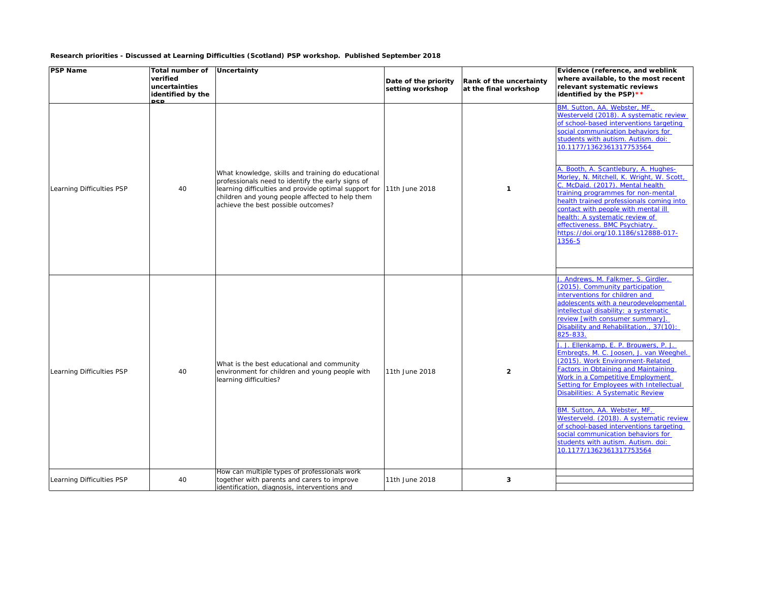## **Research priorities - Discussed at Learning Difficulties (Scotland) PSP workshop. Published September 2018**

| <b>PSP Name</b>           | <b>Total number of</b><br>verified<br>uncertainties | Uncertainty                                                                                                                                                                                                                                                                | Date of the priority<br>setting workshop | <b>Rank of the uncertainty</b><br>at the final workshop | <b>Evidence (reference, and weblink</b><br>where available, to the most recent<br>relevant systematic reviews                                                                                                                                                                                                                                                                                                                                                                                                                                                                                                                                                                                                                                                                                                                |
|---------------------------|-----------------------------------------------------|----------------------------------------------------------------------------------------------------------------------------------------------------------------------------------------------------------------------------------------------------------------------------|------------------------------------------|---------------------------------------------------------|------------------------------------------------------------------------------------------------------------------------------------------------------------------------------------------------------------------------------------------------------------------------------------------------------------------------------------------------------------------------------------------------------------------------------------------------------------------------------------------------------------------------------------------------------------------------------------------------------------------------------------------------------------------------------------------------------------------------------------------------------------------------------------------------------------------------------|
|                           | identified by the<br><b>DCD</b>                     |                                                                                                                                                                                                                                                                            |                                          |                                                         | identified by the PSP) $**$                                                                                                                                                                                                                                                                                                                                                                                                                                                                                                                                                                                                                                                                                                                                                                                                  |
|                           |                                                     |                                                                                                                                                                                                                                                                            |                                          |                                                         | BM. Sutton, AA. Webster, MF.<br>Westerveld (2018). A systematic review<br>of school-based interventions targeting<br>social communication behaviors for<br>students with autism. Autism. doi:<br>10.1177/1362361317753564                                                                                                                                                                                                                                                                                                                                                                                                                                                                                                                                                                                                    |
| Learning Difficulties PSP | 40                                                  | What knowledge, skills and training do educational<br>professionals need to identify the early signs of<br>learning difficulties and provide optimal support for  11th June 2018<br>children and young people affected to help them<br>achieve the best possible outcomes? |                                          |                                                         | A. Booth, A. Scantlebury, A. Hughes-<br>Morley, N. Mitchell, K. Wright, W. Scott,<br>C. McDaid. (2017). Mental health<br>training programmes for non-mental<br>health trained professionals coming into<br>contact with people with mental ill<br>health: A systematic review of<br>effectiveness. BMC Psychiatry.<br>https://doi.org/10.1186/s12888-017-<br>1356-5                                                                                                                                                                                                                                                                                                                                                                                                                                                          |
| Learning Difficulties PSP | 40                                                  | What is the best educational and community<br>environment for children and young people with<br>learning difficulties?                                                                                                                                                     | 11th June 2018                           |                                                         | <u>J. Andrews, M. Falkmer, S. Girdler.</u><br>(2015). Community participation<br>interventions for children and<br>adolescents with a neurodevelopmental<br>intellectual disability: a systematic<br>review [with consumer summary].<br>Disability and Rehabilitation., 37(10):<br>825-833.<br>J. J. Ellenkamp, E. P. Brouwers, P. J.<br>Embregts, M. C. Joosen, J. van Weeghel.<br>(2015). Work Environment-Related<br><b>Factors in Obtaining and Maintaining</b><br>Work in a Competitive Employment<br><b>Setting for Employees with Intellectual</b><br>Disabilities: A Systematic Review<br>BM. Sutton, AA. Webster, MF.<br>Westerveld. (2018). A systematic review<br>of school-based interventions targeting<br>social communication behaviors for<br>students with autism. Autism. doi:<br>10.1177/1362361317753564 |
| Learning Difficulties PSP | 40                                                  | How can multiple types of professionals work<br>together with parents and carers to improve<br>identification, diagnosis, interventions and                                                                                                                                | 11th June 2018                           | 3                                                       |                                                                                                                                                                                                                                                                                                                                                                                                                                                                                                                                                                                                                                                                                                                                                                                                                              |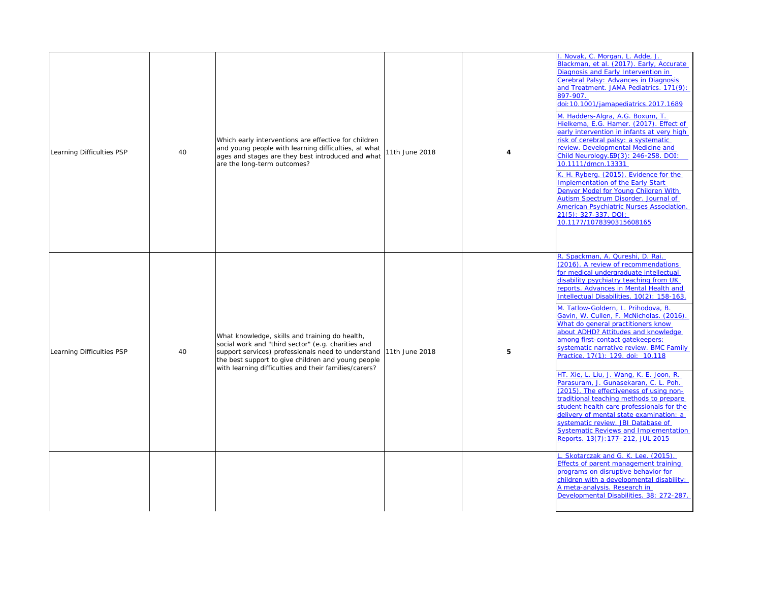| 40 | Which early interventions are effective for children<br>and young people with learning difficulties, at what 11th June 2018<br>ages and stages are they best introduced and what<br>are the long-term outcomes?                                                                          | 4 | I. Novak, C. Morgan, L. Adde, J.<br>Blackman, et al. (2017). Early, Accurate<br>Diagnosis and Early Intervention in<br><b>Cerebral Palsy: Advances in Diagnosis</b><br>and Treatment. JAMA Pediatrics. 171(9):<br>897-907.<br>doi: 10.1001/jamapediatrics. 2017. 1689<br>M. Hadders-Algra, A.G. Boxum, T.<br>Hielkema, E.G. Hamer. (2017). Effect of<br>early intervention in infants at very high<br>risk of cerebral palsy: a systematic<br>review. Developmental Medicine and<br>Child Neurology. 59(3): 246-258. DOI:<br>10.1111/dmcn.13331<br>K. H. Ryberg. (2015). Evidence for the<br><b>Implementation of the Early Start</b><br>Denver Model for Young Children With<br>Autism Spectrum Disorder. Journal of<br><b>American Psychiatric Nurses Association.</b><br>$21(5): 327-337.$ DOI:<br>10.1177/1078390315608165                                                                                                        |
|----|------------------------------------------------------------------------------------------------------------------------------------------------------------------------------------------------------------------------------------------------------------------------------------------|---|---------------------------------------------------------------------------------------------------------------------------------------------------------------------------------------------------------------------------------------------------------------------------------------------------------------------------------------------------------------------------------------------------------------------------------------------------------------------------------------------------------------------------------------------------------------------------------------------------------------------------------------------------------------------------------------------------------------------------------------------------------------------------------------------------------------------------------------------------------------------------------------------------------------------------------------|
| 40 | What knowledge, skills and training do health,<br>social work and "third sector" (e.g. charities and<br>support services) professionals need to understand 11th June 2018<br>the best support to give children and young people<br>with learning difficulties and their families/carers? | 5 | R. Spackman, A. Qureshi, D. Rai.<br>(2016). A review of recommendations<br>for medical undergraduate intellectual<br>disability psychiatry teaching from UK<br>reports. Advances in Mental Health and<br>Intellectual Disabilities. 10(2): 158-163.<br>M. Tatlow-Goldern, L. Prihodova, B.<br>Gavin, W. Cullen, F. McNicholas. (2016).<br>What do general practitioners know<br>about ADHD? Attitudes and knowledge<br>among first-contact gatekeepers:<br>systematic narrative review. BMC Family<br>Practice. 17(1): 129. doi: 10.118<br>HT. Xie, L. Liu, J. Wang, K. E. Joon, R.<br>Parasuram, J. Gunasekaran, C. L. Poh.<br>(2015). The effectiveness of using non-<br>traditional teaching methods to prepare<br>student health care professionals for the<br>delivery of mental state examination: a<br>systematic review. JBI Database of<br><b>Systematic Reviews and Implementation</b><br>Reports. 13(7): 177-212, JUL 2015 |
|    |                                                                                                                                                                                                                                                                                          |   | L. Skotarczak and G. K. Lee. (2015).<br><b>Effects of parent management training</b><br>programs on disruptive behavior for<br>children with a developmental disability:<br>A meta-analysis. Research in<br>Developmental Disabilities. 38: 272-287.                                                                                                                                                                                                                                                                                                                                                                                                                                                                                                                                                                                                                                                                                  |

| Learning Difficulties PSP | 40 | Which early interventions are effective for children<br>and young people with learning difficulties, at what $\begin{vmatrix} 1 & 1 & 1 \\ 1 & 1 & 1 \end{vmatrix}$ ages and stages are they best introduced and what $\begin{vmatrix} 1 & 1 & 1 \\ 1 & 1 & 1 \end{vmatrix}$ where 2018<br>are the long-term outcomes? | 4 | <u>I. N</u><br>Blac<br>Dia<br>and<br>$\frac{897}{\underline{\text{doi:}}}$<br>$M.$ $\overline{I}$<br>Hiel<br>earl<br>risk<br>revi<br>Chil<br>10.1<br><u>K. H</u><br>Imp<br>Der<br>Aut<br>$\frac{\text{Am}^2}{\frac{21}{10}}$ |
|---------------------------|----|------------------------------------------------------------------------------------------------------------------------------------------------------------------------------------------------------------------------------------------------------------------------------------------------------------------------|---|------------------------------------------------------------------------------------------------------------------------------------------------------------------------------------------------------------------------------|
| Learning Difficulties PSP | 40 | What knowledge, skills and training do health,<br>social work and "third sector" (e.g. charities and<br>support services) professionals need to understand 11th June 2018<br>the best support to give children and young people<br>with learning difficulties and their families/carers?                               | 5 | R. S<br>for 1<br>disa<br>repo<br>Inte<br>M. 1<br>Gav<br>Wha<br>abo<br>amo<br>syst<br>Prac<br>HT.<br>Para<br>trac<br><b>stud</b><br>deli<br><u>syst</u><br>Sys<br>Rep                                                         |
|                           |    |                                                                                                                                                                                                                                                                                                                        |   | <u>L. S</u><br><b>Effe</b><br>pro<br>chile<br>A <sub>m</sub><br>Dev                                                                                                                                                          |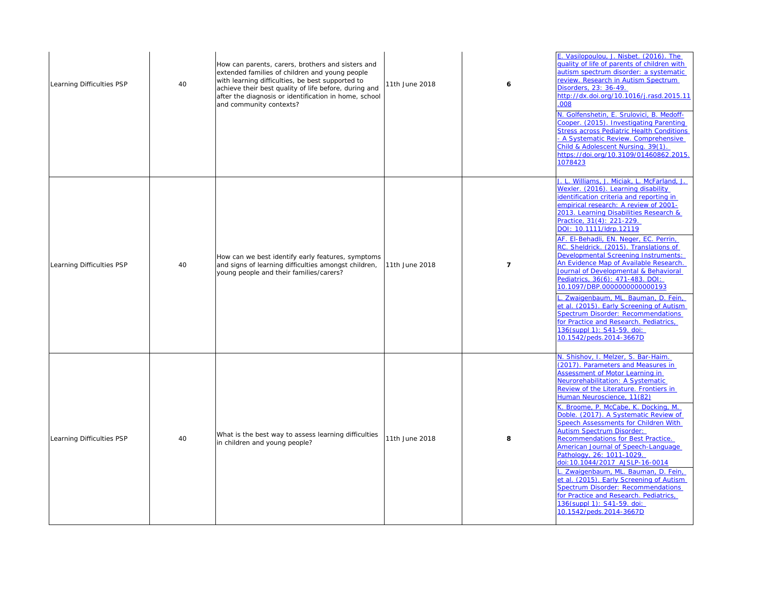| Learning Difficulties PSP | 40 | How can parents, carers, brothers and sisters and<br>extended families of children and young people<br>with learning difficulties, be best supported to<br>achieve their best quality of life before, during and<br>after the diagnosis or identification in home, school<br>and community contexts? | 11th June 2018 | 6 | E. Vasilopoulou, J. Nisbet. (2016). The<br>quality of life of parents of children with<br>autism spectrum disorder: a systematic<br>review. Research in Autism Spectrum<br>Disorders, 23: 36-49.<br>http://dx.doi.org/10.1016/j.rasd.2015.11<br>.008<br>N. Golfenshetin, E. Srulovici, B. Medoff-<br>Cooper. (2015). Investigating Parenting<br><b>Stress across Pediatric Health Conditions</b><br>- A Systematic Review. Comprehensive<br>Child & Adolescent Nursing. 39(1).<br>https://doi.org/10.3109/01460862.2015.<br>1078423                                                                                                                                                                                                                                                                              |
|---------------------------|----|------------------------------------------------------------------------------------------------------------------------------------------------------------------------------------------------------------------------------------------------------------------------------------------------------|----------------|---|------------------------------------------------------------------------------------------------------------------------------------------------------------------------------------------------------------------------------------------------------------------------------------------------------------------------------------------------------------------------------------------------------------------------------------------------------------------------------------------------------------------------------------------------------------------------------------------------------------------------------------------------------------------------------------------------------------------------------------------------------------------------------------------------------------------|
| Learning Difficulties PSP | 40 | How can we best identify early features, symptoms<br>and signs of learning difficulties amongst children,<br>young people and their families/carers?                                                                                                                                                 | 11th June 2018 |   | <u>J. L. Williams, J. Miciak, L. McFarland, J. </u><br>Wexler. (2016). Learning disability<br>identification criteria and reporting in<br>empirical research: A review of 2001-<br>2013. Learning Disabilities Research &<br>Practice, 31(4): 221-229.<br>DOI: 10.1111/Idrp.12119<br>AF. El-Behadli, EN. Neger, EC. Perrin,<br>RC. Sheldrick. (2015). Translations of<br>Developmental Screening Instruments:<br>An Evidence Map of Available Research.<br>Journal of Developmental & Behavioral<br>Pediatrics, 36(6): 471-483. DOI:<br>10.1097/DBP.0000000000000193<br>L. Zwaigenbaum, ML. Bauman, D. Fein,<br>et al. (2015). Early Screening of Autism<br><b>Spectrum Disorder: Recommendations</b><br>for Practice and Research. Pediatrics,<br><u> 136(suppl 1): S41-59. doi:</u><br>10.1542/peds.2014-3667D |
| Learning Difficulties PSP | 40 | What is the best way to assess learning difficulties<br>in children and young people?                                                                                                                                                                                                                | 11th June 2018 | 8 | N. Shishov, I. Melzer, S. Bar-Haim.<br>(2017). Parameters and Measures in<br><b>Assessment of Motor Learning in</b><br>Neurorehabilitation: A Systematic<br>Review of the Literature. Frontiers in<br>Human Neuroscience, 11(82)<br>K. Broome, P. McCabe, K. Docking, M.<br>Doble. (2017). A Systematic Review of<br>Speech Assessments for Children With<br><b>Autism Spectrum Disorder:</b><br><b>Recommendations for Best Practice.</b><br>American Journal of Speech-Language<br>Pathology, 26: 1011-1029.<br>doi: 10.1044/2017_AJSLP-16-0014<br>L. Zwaigenbaum, ML. Bauman, D. Fein,<br>et al. (2015). Early Screening of Autism<br><b>Spectrum Disorder: Recommendations</b><br>for Practice and Research. Pediatrics,<br><u>136(suppl 1): S41-59. doi:</u><br>10.1542/peds.2014-3667D                     |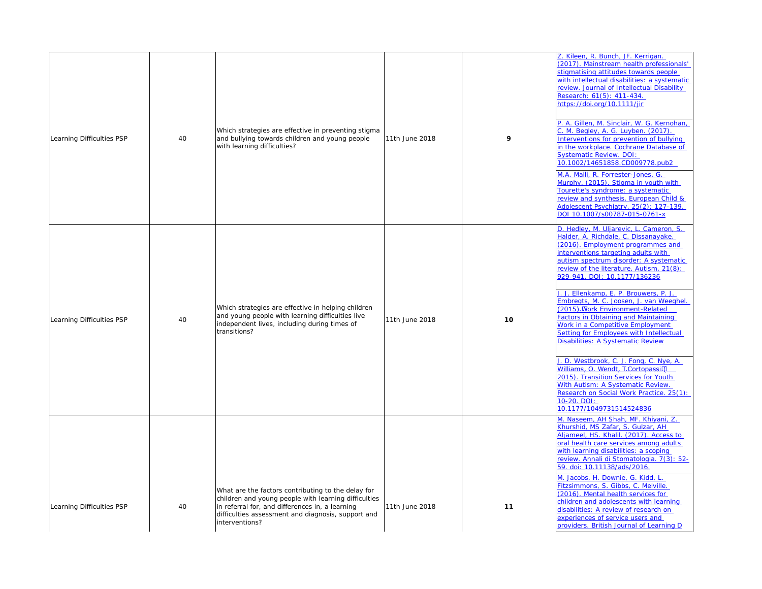| are effective in preventing stigma<br>rds children and young people<br>culties?                                                             | 11th June 2018 | 9  | Z. Kileen, R. Bunch, JF. Kerrigan.<br>(2017). Mainstream health professionals'<br>stigmatising attitudes towards people<br>with intellectual disabilities: a systematic<br>review. Journal of Intellectual Disability<br>Research: 61(5): 411-434.<br>https://doi.org/10.1111/jir<br>P. A. Gillen, M. Sinclair, W. G. Kernohan,<br><u>C. M. Begley, A. G. Luyben. (2017).</u><br>Interventions for prevention of bullying<br>in the workplace. Cochrane Database of<br><b>Systematic Review. DOI:</b><br><u>10.1002/14651858.CD009778.pub2</u><br>M.A. Malli, R. Forrester-Jones, G.<br>Murphy. (2015). Stigma in youth with<br>Tourette's syndrome: a systematic<br><u>review and synthesis. European Child &amp;</u><br>Adolescent Psychiatry, 25(2): 127-139.<br>DOI 10.1007/s00787-015-0761-x                                                  |
|---------------------------------------------------------------------------------------------------------------------------------------------|----------------|----|----------------------------------------------------------------------------------------------------------------------------------------------------------------------------------------------------------------------------------------------------------------------------------------------------------------------------------------------------------------------------------------------------------------------------------------------------------------------------------------------------------------------------------------------------------------------------------------------------------------------------------------------------------------------------------------------------------------------------------------------------------------------------------------------------------------------------------------------------|
| are effective in helping children<br>with learning difficulties live<br>, including during times of                                         | 11th June 2018 | 10 | D. Hedley, M. Uljarevic, L. Cameron, S.<br>Halder, A. Richdale, C. Dissanayake.<br>(2016). Employment programmes and<br>interventions targeting adults with<br>autism spectrum disorder: A systematic<br><u>review of the literature. Autism. 21(8):</u><br>929-941. DOI: 10.1177/136236<br>. J. Ellenkamp, E. P. Brouwers, P. J.<br>Embregts, M. C. Joosen, J. van Weeghel.<br>(2015). Work Environment-Related<br><b>Factors in Obtaining and Maintaining</b><br>Work in a Competitive Employment<br><b>Setting for Employees with Intellectual</b><br><b>Disabilities: A Systematic Review</b><br>D. Westbrook, C. J. Fong, C. Nye, A.<br>Williams, O. Wendt, T.CortopassiQ<br>2015). Transition Services for Youth<br>With Autism: A Systematic Review.<br>Research on Social Work Practice. 25(1):<br>10-20. DOI:<br>10.1177/1049731514524836 |
| ors contributing to the delay for<br>g people with learning difficulties<br>d differences in, a learning<br>ment and diagnosis, support and | 11th June 2018 | 11 | M. Naseem, AH Shah, MF. Khiyani, Z.<br>Khurshid, MS Zafar, S. Gulzar, AH<br>Aljameel, HS. Khalil. (2017). Access to<br>oral health care services among adults<br>with learning disabilities: a scoping<br>review. Annali di Stomatologia. 7(3): 52-<br>59. doi: 10.11138/ads/2016.<br>M. Jacobs, H. Downie, G. Kidd, L.<br>Fitzsimmons, S. Gibbs, C. Melville.<br>(2016). Mental health services for<br>children and adolescents with learning<br>disabilities: A review of research on<br>experiences of service users and<br>providers. British Journal of Learning D                                                                                                                                                                                                                                                                            |

| Learning Difficulties PSP | 40 | Which strategies are effective in preventing stigma<br>and bullying towards children and young people<br>with learning difficulties?                                                                                                  | 11th June 2018   | 9    |
|---------------------------|----|---------------------------------------------------------------------------------------------------------------------------------------------------------------------------------------------------------------------------------------|------------------|------|
| Learning Difficulties PSP | 40 | Which strategies are effective in helping children<br>and young people with learning difficulties live<br>independent lives, including during times of<br>transitions?                                                                | 11th June 2018   | 10   |
| Learning Difficulties PSP | 40 | What are the factors contributing to the delay for<br>children and young people with learning difficulties<br>in referral for, and differences in, a learning<br>difficulties assessment and diagnosis, support and<br>interventions? | $11th$ June 2018 | $11$ |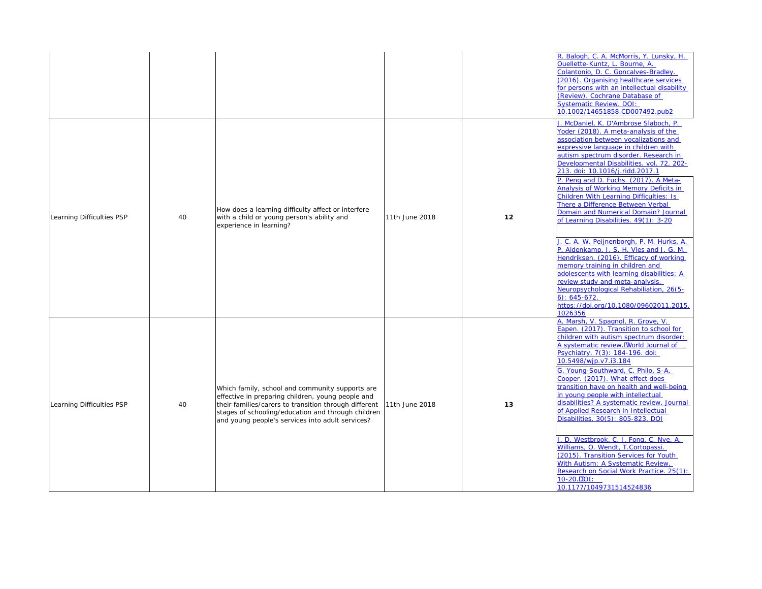|                           |    |                                                                                                                                                                                                                                                                                         |                |      | R. Balogh, C. A. McMorris, Y. Lunsky, H.<br>Ouellette-Kuntz, L. Bourne, A.<br>Colantonio, D. C. Goncalves-Bradley.<br>(2016). Organising healthcare services<br>for persons with an intellectual disability<br>(Review). Cochrane Database of<br><b>Systematic Review. DOI:</b><br><u>10.1002/14651858.CD007492.pub2</u>                                                                                                                                                                                                                                                                                                                                                                                                                                                                                                                                                                                                       |
|---------------------------|----|-----------------------------------------------------------------------------------------------------------------------------------------------------------------------------------------------------------------------------------------------------------------------------------------|----------------|------|--------------------------------------------------------------------------------------------------------------------------------------------------------------------------------------------------------------------------------------------------------------------------------------------------------------------------------------------------------------------------------------------------------------------------------------------------------------------------------------------------------------------------------------------------------------------------------------------------------------------------------------------------------------------------------------------------------------------------------------------------------------------------------------------------------------------------------------------------------------------------------------------------------------------------------|
| Learning Difficulties PSP | 40 | How does a learning difficulty affect or interfere<br>with a child or young person's ability and<br>experience in learning?                                                                                                                                                             | 11th June 2018 | $12$ | J. McDaniel, K. D'Ambrose Slaboch, P.<br>Yoder (2018). A meta-analysis of the<br>association between vocalizations and<br>expressive language in children with<br>autism spectrum disorder. Research in<br>Developmental Disabilities. vol. 72, 202-<br>213. doi: 10.1016/j.ridd.2017.1<br>P. Peng and D. Fuchs. (2017). A Meta-<br><b>Analysis of Working Memory Deficits in</b><br><b>Children With Learning Difficulties: Is</b><br>There a Difference Between Verbal<br>Domain and Numerical Domain? Journal<br>of Learning Disabilities. 49(1): 3-20<br>J. C. A. W. Peijnenborgh, P. M. Hurks, A.<br>P. Aldenkamp, J. S. H. Vles and J. G. M.<br>Hendriksen. (2016). Efficacy of working<br>memory training in children and<br>adolescents with learning disabilities: A<br>review study and meta-analysis.<br>Neuropsychological Rehabiliation, 26(5-<br>$\vert 6)$ : 645-672.<br>https://doi.org/10.1080/09602011.2015. |
| Learning Difficulties PSP | 40 | Which family, school and community supports are<br>effective in preparing children, young people and<br>their families/carers to transition through different  11th June 2018<br>stages of schooling/education and through children<br>and young people's services into adult services? |                | 13   | 1026356<br>A. Marsh, V. Spagnol, R. Grove, V.<br>Eapen. (2017). Transition to school for<br>children with autism spectrum disorder:<br>A systematic review. World Journal of<br>Psychiatry. 7(3): 184-196. doi:<br><u>10.5498/wjp.v7.i3.184</u><br>G. Young-Southward, C. Philo, S-A.<br>Cooper. (2017). What effect does<br>transition have on health and well-being<br>in young people with intellectual<br>disabilities? A systematic review. Journal<br>of Applied Research in Intellectual<br>Disabilities. 30(5): 805-823. DOI<br>J. D. Westbrook, C. J. Fong, C. Nye, A.<br>Williams, O. Wendt, T. Cortopassi.<br>(2015). Transition Services for Youth<br>With Autism: A Systematic Review.<br>Research on Social Work Practice. 25(1):<br>$10-20$ . $DDI$ :<br>10.1177/1049731514524836                                                                                                                               |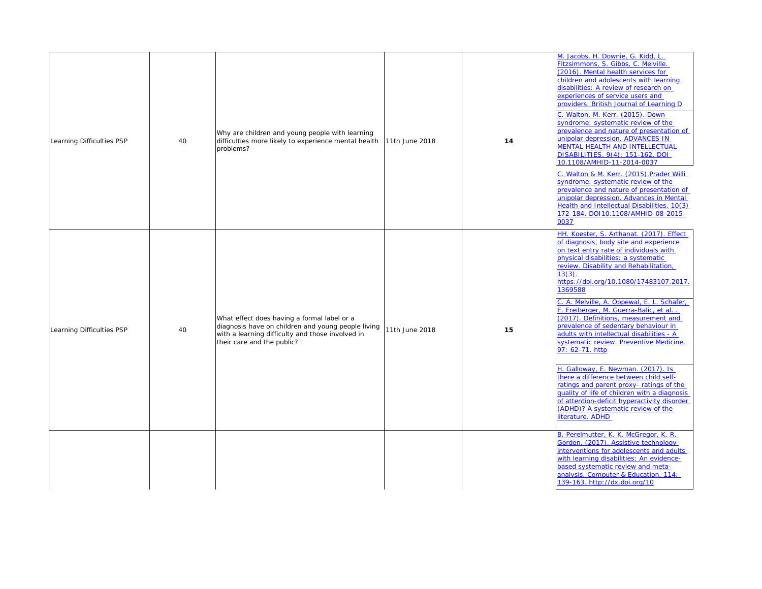| re children and young people with learning<br>Ities more likely to experience mental health  11th June 2018<br>ms?                                          |                | 14 | M. Jacobs, H. Downie, G. Kidd, L.<br>Fitzsimmons, S. Gibbs, C. Melville.<br>(2016). Mental health services for<br>children and adolescents with learning<br>disabilities: A review of research on<br>experiences of service users and<br>providers. British Journal of Learning D<br>C. Walton, M. Kerr. (2015). Down<br>syndrome: systematic review of the<br>prevalence and nature of presentation of<br>unipolar depression. ADVANCES IN<br>MENTAL HEALTH AND INTELLECTUAL<br>DISABILITIES. 9(4): 151-162. DOI<br>10.1108/AMHID-11-2014-0037<br>C. Walton & M. Kerr. (2015). Prader Willi<br>syndrome: systematic review of the<br>prevalence and nature of presentation of<br>unipolar depression. Advances in Mental<br>Health and Intellectual Disabilities. 10(3)<br>172-184. DOI10.1108/AMHID-08-2015-<br>0037                                 |
|-------------------------------------------------------------------------------------------------------------------------------------------------------------|----------------|----|--------------------------------------------------------------------------------------------------------------------------------------------------------------------------------------------------------------------------------------------------------------------------------------------------------------------------------------------------------------------------------------------------------------------------------------------------------------------------------------------------------------------------------------------------------------------------------------------------------------------------------------------------------------------------------------------------------------------------------------------------------------------------------------------------------------------------------------------------------|
| effect does having a formal label or a<br>osis have on children and young people living<br>learning difficulty and those involved in<br>are and the public? | 11th June 2018 | 15 | HH. Koester, S. Arthanat. (2017). Effect<br>of diagnosis, body site and experience<br>on text entry rate of individuals with<br>physical disabilities: a systematic<br>review. Disability and Rehabilitation,<br>$13(3)$ .<br>https://doi.org/10.1080/17483107.2017.<br>1369588<br>C. A. Melville, A. Oppewal, E. L. Schafer,<br>E. Freiberger, M. Guerra-Balic, et al<br>(2017). Definitions, measurement and<br>prevalence of sedentary behaviour in<br>adults with intellectual disabilities - A<br>systematic review. Preventive Medicine,<br>97: 62-71. http<br>H. Galloway, E. Newman. (2017). Is<br>there a difference between child self-<br>ratings and parent proxy- ratings of the<br>quality of life of children with a diagnosis<br>of attention-deficit hyperactivity disorder<br>(ADHD)? A systematic review of the<br>literature. ADHD |
|                                                                                                                                                             |                |    | B. Perelmutter, K. K. McGregor, K. R.<br>Gordon. (2017). Assistive technology<br>interventions for adolescents and adults<br>with learning disabilities: An evidence-<br>based systematic review and meta-<br>analysis. Computer & Education. 114:<br>139-163. http://dx.doi.org/10                                                                                                                                                                                                                                                                                                                                                                                                                                                                                                                                                                    |

| Learning Difficulties PSP | 40 | Why are children and young people with learning<br>difficulties more likely to experience mental health 11th June 2018<br>problems?                                                                        | 14 |
|---------------------------|----|------------------------------------------------------------------------------------------------------------------------------------------------------------------------------------------------------------|----|
| Learning Difficulties PSP | 40 | What effect does having a formal label or a<br>diagnosis have on children and young people living $\vert$ 11th June 2018<br>with a learning difficulty and those involved in<br>their care and the public? | 15 |
|                           |    |                                                                                                                                                                                                            |    |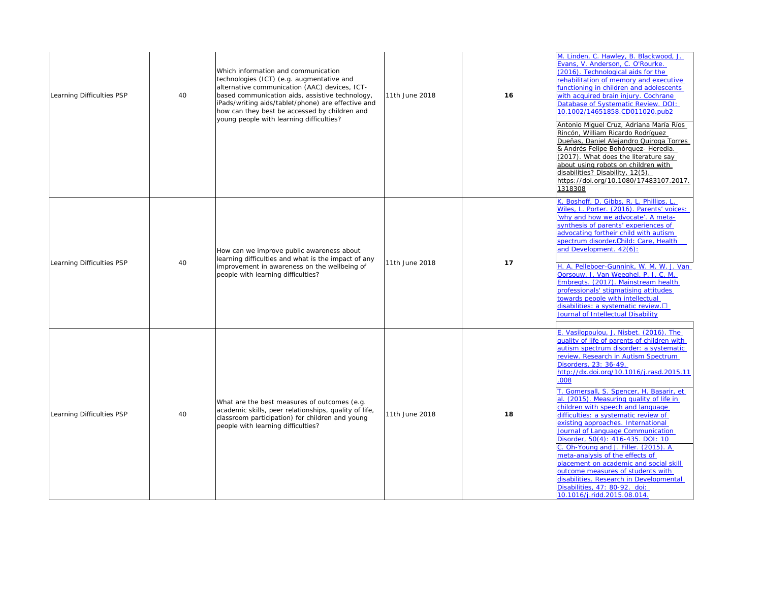| nd communication<br>e.g. augmentative and<br>ication (AAC) devices, ICT-<br>on aids, assistive technology,<br>blet/phone) are effective and<br>e accessed by children and<br>earning difficulties? | 11th June 2018 | 16 | M. Linden, C. Hawley, B. Blackwood, J.<br>Evans, V. Anderson, C. O'Rourke.<br>(2016). Technological aids for the<br>rehabilitation of memory and executive<br>functioning in children and adolescents<br>with acquired brain injury. Cochrane<br>Database of Systematic Review. DOI:<br>10.1002/14651858.CD011020.pub2<br>Antonio Miguel Cruz, Adriana María Ríos<br>Rincón, William Ricardo Rodríguez<br>Dueñas, Daniel Alejandro Quiroga Torres<br>& Andrés Felipe Bohórquez- Heredia.<br>(2017). What does the literature say<br>about using robots on children with<br>disabilities? Disability, 12(5).<br>https://doi.org/10.1080/17483107.2017.                                                                                                                                                                 |
|----------------------------------------------------------------------------------------------------------------------------------------------------------------------------------------------------|----------------|----|-----------------------------------------------------------------------------------------------------------------------------------------------------------------------------------------------------------------------------------------------------------------------------------------------------------------------------------------------------------------------------------------------------------------------------------------------------------------------------------------------------------------------------------------------------------------------------------------------------------------------------------------------------------------------------------------------------------------------------------------------------------------------------------------------------------------------|
| e public awareness about<br>and what is the impact of any<br>ireness on the wellbeing of<br>difficulties?                                                                                          | 11th June 2018 | 17 | 1318308<br>K. Boshoff, D. Gibbs, R. L. Phillips, L.<br>Wiles, L. Porter. (2016). Parents' voices:<br>'why and how we advocate'. A meta-<br>synthesis of parents' experiences of<br>advocating fortheir child with autism<br>spectrum_disorder.Child: Care, Health<br>and Development. 42(6):<br>H. A. Pelleboer-Gunnink, W. M. W. J. Van<br>Oorsouw, J. Van Weeghel, P. J. C. M.<br>Embregts. (2017). Mainstream health                                                                                                                                                                                                                                                                                                                                                                                               |
|                                                                                                                                                                                                    |                |    | professionals' stigmatising attitudes<br>towards people with intellectual<br>disabilities: a systematic review. $\square$<br>Journal of Intellectual Disability                                                                                                                                                                                                                                                                                                                                                                                                                                                                                                                                                                                                                                                       |
| easures of outcomes (e.g.<br>r relationships, quality of life,<br>ion) for children and young<br>difficulties?                                                                                     | 11th June 2018 | 18 | E. Vasilopoulou, J. Nisbet. (2016). The<br>quality of life of parents of children with<br>autism spectrum disorder: a systematic<br>review. Research in Autism Spectrum<br>Disorders, 23: 36-49.<br>http://dx.doi.org/10.1016/j.rasd.2015.11<br>800.<br>T. Gomersall, S. Spencer, H. Basarir, et<br>al. (2015). Measuring quality of life in<br>children with speech and language<br>difficulties: a systematic review of<br>existing approaches. International<br>Journal of Language Communication<br>Disorder, 50(4): 416-435. DOI: 10<br>C. Oh-Young and J. Filler. (2015). A<br>meta-analysis of the effects of<br>placement on academic and social skill<br>outcome measures of students with<br>disabilities. Research in Developmental<br>Disabilities, 47: 80-92. doi:<br><u>10.1016/j.ridd.2015.08.014.</u> |

| Learning Difficulties PSP | 40 | Which information and communication<br>technologies (ICT) (e.g. augmentative and<br>alternative communication (AAC) devices, ICT-<br>based communication aids, assistive technology,<br>iPads/writing aids/tablet/phone) are effective and<br>how can they best be accessed by children and<br>young people with learning difficulties? | 11th June 2018 | 16 |
|---------------------------|----|-----------------------------------------------------------------------------------------------------------------------------------------------------------------------------------------------------------------------------------------------------------------------------------------------------------------------------------------|----------------|----|
| Learning Difficulties PSP | 40 | How can we improve public awareness about<br>learning difficulties and what is the impact of any<br>improvement in awareness on the wellbeing of<br>people with learning difficulties?                                                                                                                                                  | 11th June 2018 | 17 |
| Learning Difficulties PSP | 40 | What are the best measures of outcomes (e.g.<br>academic skills, peer relationships, quality of life,<br>classroom participation) for children and young<br>people with learning difficulties?                                                                                                                                          | 11th June 2018 | 18 |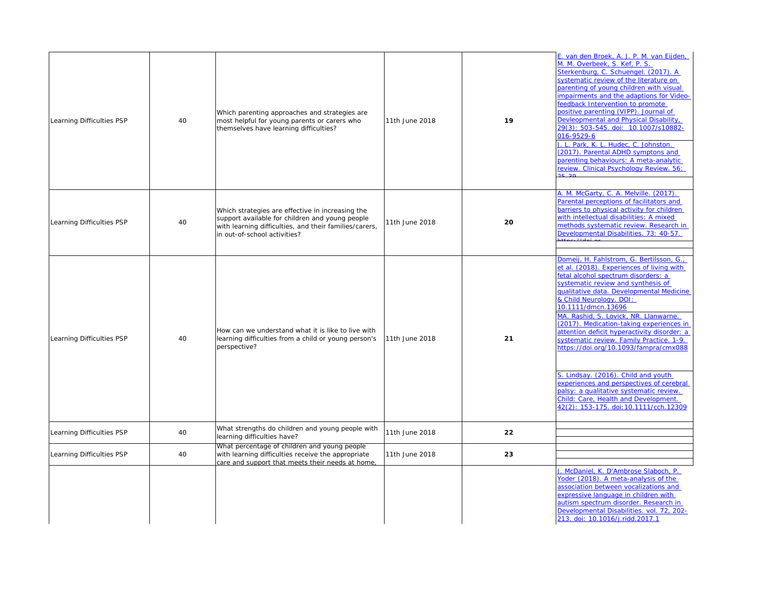| renting approaches and strategies are<br>oful for young parents or carers who<br>es have learning difficulties?                                          | 11th June 2018 | 19 | E. van den Broek, A. J. P. M. van Eijden,<br>M. M. Overbeek, S. Kef, P. S.<br>Sterkenburg, C. Schuengel. (2017). A<br>systematic review of the literature on<br>parenting of young children with visual<br>impairments and the adaptions for Video-<br>feedback Intervention to promote<br>positive parenting (VIPP). Journal of<br><b>Devleopmental and Physical Disability,</b><br>29(3): 503-545. doi: 10.1007/s10882-<br>016-9529-6<br>L. Park, K. L. Hudec, C. Johnston.<br>(2017). Parental ADHD symptons and<br>parenting behaviours: A meta-analytic<br>review. Clinical Psychology Review. 56:<br>25.20                                                                                         |
|----------------------------------------------------------------------------------------------------------------------------------------------------------|----------------|----|----------------------------------------------------------------------------------------------------------------------------------------------------------------------------------------------------------------------------------------------------------------------------------------------------------------------------------------------------------------------------------------------------------------------------------------------------------------------------------------------------------------------------------------------------------------------------------------------------------------------------------------------------------------------------------------------------------|
| ategies are effective in increasing the<br>vailable for children and young people<br>ning difficulties, and their families/carers,<br>school activities? | 11th June 2018 | 20 | A. M. McGarty, C. A. Melville. (2017).<br>Parental perceptions of facilitators and<br>barriers to physical activity for children<br>with intellectual disabilities: A mixed<br>methods systematic review. Research in<br>Developmental Disabilities. 73: 40-57.                                                                                                                                                                                                                                                                                                                                                                                                                                          |
| we understand what it is like to live with<br>difficulties from a child or young person's<br>ve?                                                         | 11th June 2018 | 21 | Domeij, H. Fahlstrom, G. Bertilsson, G.,<br>et al. (2018). Experiences of living with<br>fetal alcohol spectrum disorders: a<br>systematic review and synthesis of<br>qualitative data. Developmental Medicine<br>& Child Neurology. DOI:<br>10.1111/dmcn.13696<br>MA. Rashid, S. Lovick, NR. Llanwarne.<br>(2017). Medication-taking experiences in<br>attention deficit hyperactivity disorder: a<br>systematic review. Family Practice. 1-9.<br>https://doi.org/10.1093/fampra/cmx088<br>S. Lindsay. (2016). Child and youth<br>experiences and perspectives of cerebral<br>palsy: a qualitative systematic review.<br>Child: Care, Health and Development.<br>42(2): 153-175. doi: 10.1111/cch.12309 |
| engths do children and young people with<br>difficulties have?                                                                                           | 11th June 2018 | 22 |                                                                                                                                                                                                                                                                                                                                                                                                                                                                                                                                                                                                                                                                                                          |
| centage of children and young people<br>ning difficulties receive the appropriate<br>support that meets their needs at home,                             | 11th June 2018 | 23 |                                                                                                                                                                                                                                                                                                                                                                                                                                                                                                                                                                                                                                                                                                          |
|                                                                                                                                                          |                |    | J. McDaniel, K. D'Ambrose Slaboch, P.<br>Yoder (2018). A meta-analysis of the<br>association between vocalizations and<br>expressive language in children with<br>autism spectrum disorder. Research in<br>Developmental Disabilities. vol. 72, 202-<br><u> 213. doi: 10.1016/j.ridd.2017.1</u>                                                                                                                                                                                                                                                                                                                                                                                                          |

| Learning Difficulties PSP | 40 | Which parenting approaches and strategies are<br>most helpful for young parents or carers who<br>themselves have learning difficulties?                                                       | 11th June 2018 | 19 |
|---------------------------|----|-----------------------------------------------------------------------------------------------------------------------------------------------------------------------------------------------|----------------|----|
| Learning Difficulties PSP | 40 | Which strategies are effective in increasing the<br>support available for children and young people<br>with learning difficulties, and their families/carers,<br>in out-of-school activities? | 11th June 2018 | 20 |
| Learning Difficulties PSP | 40 | How can we understand what it is like to live with<br>learning difficulties from a child or young person's<br>perspective?                                                                    | 11th June 2018 | 21 |
| Learning Difficulties PSP | 40 | What strengths do children and young people with<br>learning difficulties have?                                                                                                               | 11th June 2018 | 22 |
|                           |    | What percentage of children and young people<br>with learning difficulties receive the appropriate                                                                                            | 11th June 2018 | 23 |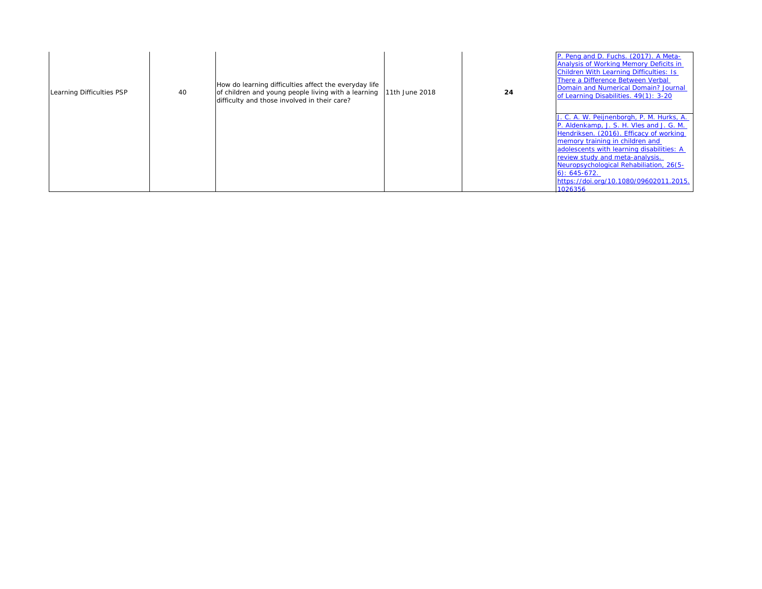| Learning Difficulties PSP | 40 | How do learning difficulties affect the everyday life<br>of children and young people living with a learning<br>difficulty and those involved in their care? | 11th June 2018 | 24 | P. Peng and D. Fuchs. (2017). A Meta-<br><b>Analysis of Working Memory Deficits in</b><br>Children With Learning Difficulties: Is<br>There a Difference Between Verbal<br>Domain and Numerical Domain? Journal<br>of Learning Disabilities. 49(1): 3-20                                                                                                                      |
|---------------------------|----|--------------------------------------------------------------------------------------------------------------------------------------------------------------|----------------|----|------------------------------------------------------------------------------------------------------------------------------------------------------------------------------------------------------------------------------------------------------------------------------------------------------------------------------------------------------------------------------|
|                           |    |                                                                                                                                                              |                |    | J. C. A. W. Peijnenborgh, P. M. Hurks, A.<br>P. Aldenkamp, J. S. H. Vles and J. G. M.<br>Hendriksen. (2016). Efficacy of working<br>memory training in children and<br>adolescents with learning disabilities: A<br>review study and meta-analysis.<br>Neuropsychological Rehabiliation, 26(5-<br>$\vert 6)$ : 645-672.<br>https://doi.org/10.1080/09602011.2015.<br>1026356 |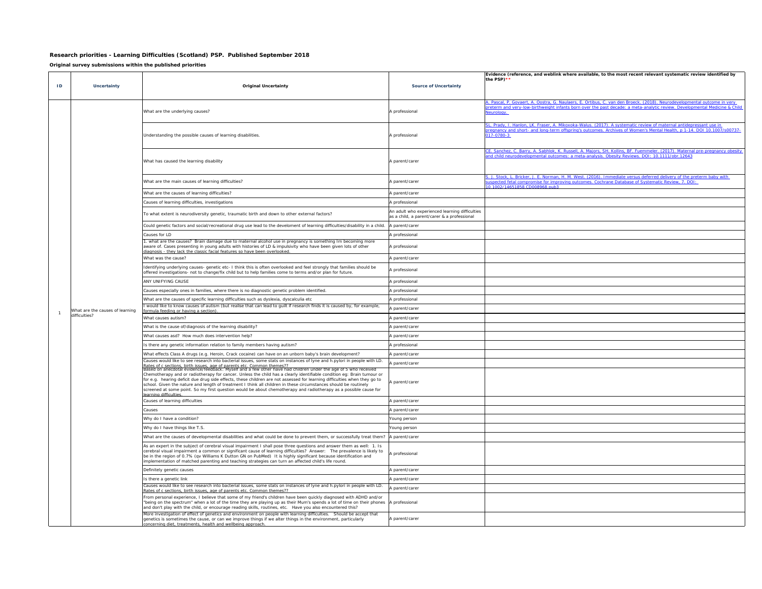## **Research priorities - Learning Difficulties (Scotland) PSP. Published September 2018**

**Original survey submissions within the published priorities**

| ID | <b>Uncertainty</b>                               | <b>Original Uncertainty</b>                                                                                                                                                                                                                                                                                                                                                                                                                                                                                                                                                                                                                                                                                         | <b>Source of Uncertainty</b>                                                                  | Evidence (reference, and weblink where available, to the most recent relevant systematic review identified by<br>the PSP) **                                                                                                                                         |
|----|--------------------------------------------------|---------------------------------------------------------------------------------------------------------------------------------------------------------------------------------------------------------------------------------------------------------------------------------------------------------------------------------------------------------------------------------------------------------------------------------------------------------------------------------------------------------------------------------------------------------------------------------------------------------------------------------------------------------------------------------------------------------------------|-----------------------------------------------------------------------------------------------|----------------------------------------------------------------------------------------------------------------------------------------------------------------------------------------------------------------------------------------------------------------------|
|    |                                                  |                                                                                                                                                                                                                                                                                                                                                                                                                                                                                                                                                                                                                                                                                                                     |                                                                                               |                                                                                                                                                                                                                                                                      |
|    |                                                  | What are the underlying causes?                                                                                                                                                                                                                                                                                                                                                                                                                                                                                                                                                                                                                                                                                     | A professional                                                                                | A. Pascal, P. Govaert, A. Oostra, G. Naulaers, E. Ortibus, C. van den Broeck. (2018). Neurodevelopmental outcome in very<br>preterm and very-low-birthweight infants born over the past decade: a meta-analytic review. Developmental Medicine & Child<br>Neurology. |
|    |                                                  | Understanding the possible causes of learning disabilities.                                                                                                                                                                                                                                                                                                                                                                                                                                                                                                                                                                                                                                                         | A professional                                                                                | SL. Prady, I. Hanlon, LK. Fraser, A. Mikoxoka-Walus. (2017). A systematic review of maternal antidepressant use in<br>pregnancy and short- and long-term offspring's outcomes. Archives of Women's Mental Health, p 1-14. DOI 10.1007/s00737-<br>017-0780-3          |
|    |                                                  | What has caused the learning disability                                                                                                                                                                                                                                                                                                                                                                                                                                                                                                                                                                                                                                                                             | A parent/carer                                                                                | CE. Sanchez, C. Barry, A. Sabhlok, K. Russell, A. Majors, SH. Kollins, BF. Fuemmeler. (2017). Maternal pre-pregnancy obesity<br>and child neurodevelopmental outcomes: a meta-analysis. Obesity Reviews. DOI: 10.1111/obr.12643                                      |
|    |                                                  | What are the main causes of learning difficulties?                                                                                                                                                                                                                                                                                                                                                                                                                                                                                                                                                                                                                                                                  | A parent/carer                                                                                | S. J. Stock, L. Bricker, J. E. Norman, H. M. West. (2016). Immediate versus deferred delivery of the preterm baby with<br>suspected fetal compromise for improving outcomes. Cochrane Database of Systematic Review, 7. DOI:<br>10.1002/14651858.CD008968.pub3       |
|    |                                                  | What are the causes of learning difficulties?                                                                                                                                                                                                                                                                                                                                                                                                                                                                                                                                                                                                                                                                       | A parent/carer                                                                                |                                                                                                                                                                                                                                                                      |
|    |                                                  | Causes of learning difficulties, investigations                                                                                                                                                                                                                                                                                                                                                                                                                                                                                                                                                                                                                                                                     | A professional                                                                                |                                                                                                                                                                                                                                                                      |
|    |                                                  | To what extent is neurodiversity genetic, traumatic birth and down to other external factors?                                                                                                                                                                                                                                                                                                                                                                                                                                                                                                                                                                                                                       | An adult who experienced learning difficulties<br>as a child, a parent/carer & a professional |                                                                                                                                                                                                                                                                      |
|    |                                                  | Could genetic factors and social/recreational drug use lead to the develoment of learning difficulties/disability in a child.                                                                                                                                                                                                                                                                                                                                                                                                                                                                                                                                                                                       | A parent/carer                                                                                |                                                                                                                                                                                                                                                                      |
|    |                                                  | Causes for LD                                                                                                                                                                                                                                                                                                                                                                                                                                                                                                                                                                                                                                                                                                       | A professional                                                                                |                                                                                                                                                                                                                                                                      |
|    |                                                  | . what are the causes? Brain damage due to maternal alcohol use in pregnancy is something Im becoming more<br>aware of. Cases presenting in young adults with histories of LD & impulsivity who have been given lots of other<br>diagnosis - they lack the classic facial features so have been overlooked.                                                                                                                                                                                                                                                                                                                                                                                                         | A professional                                                                                |                                                                                                                                                                                                                                                                      |
|    |                                                  | What was the cause?                                                                                                                                                                                                                                                                                                                                                                                                                                                                                                                                                                                                                                                                                                 | A parent/carer                                                                                |                                                                                                                                                                                                                                                                      |
|    |                                                  | Identifying underlying causes- genetic etc- I think this is often overlooked and feel strongly that families should be<br>offered investigations- not to change/fix child but to help families come to terms and/or plan for future.                                                                                                                                                                                                                                                                                                                                                                                                                                                                                | A professional                                                                                |                                                                                                                                                                                                                                                                      |
|    |                                                  | ANY UNIFYING CAUSE                                                                                                                                                                                                                                                                                                                                                                                                                                                                                                                                                                                                                                                                                                  | A professional                                                                                |                                                                                                                                                                                                                                                                      |
|    |                                                  | Causes especially ones in families, where there is no diagnostic genetic problem identified.                                                                                                                                                                                                                                                                                                                                                                                                                                                                                                                                                                                                                        | A professional                                                                                |                                                                                                                                                                                                                                                                      |
|    |                                                  | What are the causes of specific learning difficulties such as dyslexia, dyscalculia etc                                                                                                                                                                                                                                                                                                                                                                                                                                                                                                                                                                                                                             | A professional                                                                                |                                                                                                                                                                                                                                                                      |
|    | What are the causes of learning<br>difficulties? | I would like to know causes of autism (but realise that can lead to guilt if research finds it is caused by, for example,<br>formula feeding or having a section)                                                                                                                                                                                                                                                                                                                                                                                                                                                                                                                                                   | A parent/carer                                                                                |                                                                                                                                                                                                                                                                      |
|    |                                                  | What causes autism?                                                                                                                                                                                                                                                                                                                                                                                                                                                                                                                                                                                                                                                                                                 | A parent/carer                                                                                |                                                                                                                                                                                                                                                                      |
|    |                                                  | What is the cause of/diagnosis of the learning disability?                                                                                                                                                                                                                                                                                                                                                                                                                                                                                                                                                                                                                                                          | A parent/carer                                                                                |                                                                                                                                                                                                                                                                      |
|    |                                                  | What causes asd? How much does intervention help?                                                                                                                                                                                                                                                                                                                                                                                                                                                                                                                                                                                                                                                                   | A parent/carer                                                                                |                                                                                                                                                                                                                                                                      |
|    |                                                  | Is there any genetic information relation to family members having autism?                                                                                                                                                                                                                                                                                                                                                                                                                                                                                                                                                                                                                                          | A professional                                                                                |                                                                                                                                                                                                                                                                      |
|    |                                                  | What effects Class A drugs (e.g. Heroin, Crack cocaine) can have on an unborn baby's brain development?                                                                                                                                                                                                                                                                                                                                                                                                                                                                                                                                                                                                             | A parent/carer                                                                                |                                                                                                                                                                                                                                                                      |
|    |                                                  | Causes would like to see research into bacterial issues, some stats on instances of lyne and h.pylori in people with LD.                                                                                                                                                                                                                                                                                                                                                                                                                                                                                                                                                                                            | A parent/carer                                                                                |                                                                                                                                                                                                                                                                      |
|    |                                                  | Rates of c sections, birth issues, age of parents etc. Common themes??<br> Based on anecdotal evidence/feedback: Myself and a few other have had children under the age of 5 who received<br>Chemotherapy and or radiotherapy for cancer. Unless the child has a clearly identifiable condition eg: Brain tumour or<br>for e.g. hearing deficit due drug side effects, these children are not assessed for learning difficulties when they go to<br>school. Given the nature and length of treatment I think all children in these circumstances should be routinely<br>screened at some point. So my first question would be about chemotherapy and radiotherapy as a possible cause for<br>learning difficulties. | A parent/carer                                                                                |                                                                                                                                                                                                                                                                      |
|    |                                                  | Causes of learning difficulties                                                                                                                                                                                                                                                                                                                                                                                                                                                                                                                                                                                                                                                                                     | A parent/carer                                                                                |                                                                                                                                                                                                                                                                      |
|    |                                                  | Causes                                                                                                                                                                                                                                                                                                                                                                                                                                                                                                                                                                                                                                                                                                              | A parent/carer                                                                                |                                                                                                                                                                                                                                                                      |
|    |                                                  | Why do I have a condition?                                                                                                                                                                                                                                                                                                                                                                                                                                                                                                                                                                                                                                                                                          | Young person                                                                                  |                                                                                                                                                                                                                                                                      |
|    |                                                  | Why do I have things like T.S.                                                                                                                                                                                                                                                                                                                                                                                                                                                                                                                                                                                                                                                                                      | Young person                                                                                  |                                                                                                                                                                                                                                                                      |
|    |                                                  | What are the causes of developmental disabilities and what could be done to prevent them, or successfully treat them?   A parent/carer                                                                                                                                                                                                                                                                                                                                                                                                                                                                                                                                                                              |                                                                                               |                                                                                                                                                                                                                                                                      |
|    |                                                  | As an expert in the subject of cerebral visual impairment I shall pose three questions and answer them as well: 1. Is<br>cerebral visual impairment a common or significant cause of learning difficulties? Answer: The prevalence is likely to<br>be in the region of 0.7% (qv Williams K Dutton GN on PubMed) It is highly significant because identification and<br>implementation of matched parenting and teaching strategies can turn an affected child's life round.                                                                                                                                                                                                                                         | A professional                                                                                |                                                                                                                                                                                                                                                                      |
|    |                                                  | Definitely genetic causes                                                                                                                                                                                                                                                                                                                                                                                                                                                                                                                                                                                                                                                                                           | A parent/carer                                                                                |                                                                                                                                                                                                                                                                      |
|    |                                                  | Is there a genetic link                                                                                                                                                                                                                                                                                                                                                                                                                                                                                                                                                                                                                                                                                             | A parent/carer                                                                                |                                                                                                                                                                                                                                                                      |
|    |                                                  | Causes would like to see research into bacterial issues, some stats on instances of lyne and h.pylori in people with LD.<br>Rates of c sections, birth issues, age of parents etc. Common themes??                                                                                                                                                                                                                                                                                                                                                                                                                                                                                                                  | A parent/carer                                                                                |                                                                                                                                                                                                                                                                      |
|    |                                                  | From personal experience, I believe that some of my friend's children have been quickly diagnosed with ADHD and/or<br>"being on the spectrum" when a lot of the time they are playing up as their Mum's spends a lot of time on their phones  A professional<br>and don't play with the child, or encourage reading skills, routines, etc. Have you also encountered this?                                                                                                                                                                                                                                                                                                                                          |                                                                                               |                                                                                                                                                                                                                                                                      |
|    |                                                  | More investigation of effect of genetics and environment on people with learning difficulties. Should be accept that<br>genetics is sometimes the cause, or can we improve things if we alter things in the environment, particularly<br>concerning diet, treatments, health and wellbeing approach.                                                                                                                                                                                                                                                                                                                                                                                                                | A parent/carer                                                                                |                                                                                                                                                                                                                                                                      |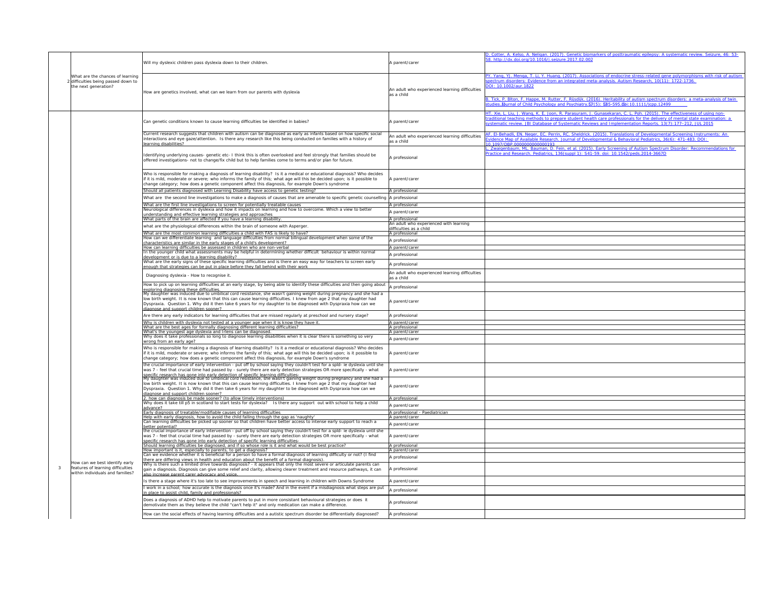| PY. Yang, YJ. Menga, T. Li, Y. Huang. (2017). Associations of endocrine stress-related gene polymorphisms with risk of autism<br><u>spectrum disorders: Evidence from an integrated meta-analysis. Autism Research, 10(11): 1722-1736.</u><br>DOI: 10.1002/aur.1822                                                                                               |
|-------------------------------------------------------------------------------------------------------------------------------------------------------------------------------------------------------------------------------------------------------------------------------------------------------------------------------------------------------------------|
| B. Tick, P. Blton, F. Happe, M. Rutter, F. Rijsdijk. (2016). Heritability of autism spectrum disorders: a meta-analysis of twin<br>studies. Lournal of Child Psychology and Psychiatry. LT(5): LE85-595. Chi: 10.1111/jcpp. 12499                                                                                                                                 |
| HT. Xie, L. Liu, J. Wang, K. E. Joon, R. Parasuram, J. Gunasekaran, C. L. Poh. (2015). The effectiveness of using non-<br>traditional teaching methods to prepare student health care professionals for the delivery of mental state examination: a<br>systematic review. JBI Database of Systematic Reviews and Implementation Reports. 13(7): 177–212, JUL 2015 |
| AF. El-Behadli, EN. Neger, EC. Perrin, RC. Sheldrick. (2015). Translations of Developmental Screening Instruments: An<br>Evidence Map of Available Research. Journal of Developmental & Behavioral Pediatrics, 36(6): 471-483. DOI:                                                                                                                               |
| 10.1097/DBP.0000000000000193<br>L. Zwaigenbaum, ML. Bauman, D. Fein, et al. (2015). Early Screening of Autism Spectrum Disorder: Recommendations for<br>Practice and Research. Pediatrics, 136(suppl 1): S41-59. doi: 10.1542/peds.2014-3667D                                                                                                                     |
|                                                                                                                                                                                                                                                                                                                                                                   |
|                                                                                                                                                                                                                                                                                                                                                                   |
|                                                                                                                                                                                                                                                                                                                                                                   |
|                                                                                                                                                                                                                                                                                                                                                                   |
|                                                                                                                                                                                                                                                                                                                                                                   |
|                                                                                                                                                                                                                                                                                                                                                                   |
|                                                                                                                                                                                                                                                                                                                                                                   |
|                                                                                                                                                                                                                                                                                                                                                                   |
|                                                                                                                                                                                                                                                                                                                                                                   |
|                                                                                                                                                                                                                                                                                                                                                                   |
|                                                                                                                                                                                                                                                                                                                                                                   |
|                                                                                                                                                                                                                                                                                                                                                                   |
|                                                                                                                                                                                                                                                                                                                                                                   |
|                                                                                                                                                                                                                                                                                                                                                                   |
|                                                                                                                                                                                                                                                                                                                                                                   |
|                                                                                                                                                                                                                                                                                                                                                                   |
|                                                                                                                                                                                                                                                                                                                                                                   |
|                                                                                                                                                                                                                                                                                                                                                                   |
|                                                                                                                                                                                                                                                                                                                                                                   |
|                                                                                                                                                                                                                                                                                                                                                                   |

|                                                                                                 | Will my dyslexic children pass dyslexia down to their children.                                                                                                                                                                                                                                                                                                                                                                                                    | A parent/carer                                               | D. Cotter, A. Kelso, A. Neligan. (2017). Genetic biomarkers of posttraumatic epilepsy: A systematic review. Seizure, 46: 53-<br>58. http://dx.doi.org/10.1016/j.seizure.2017.02.002                                                                                                                                                                                                         |  |
|-------------------------------------------------------------------------------------------------|--------------------------------------------------------------------------------------------------------------------------------------------------------------------------------------------------------------------------------------------------------------------------------------------------------------------------------------------------------------------------------------------------------------------------------------------------------------------|--------------------------------------------------------------|---------------------------------------------------------------------------------------------------------------------------------------------------------------------------------------------------------------------------------------------------------------------------------------------------------------------------------------------------------------------------------------------|--|
| What are the chances of learning<br>2 difficulties being passed down to<br>the next generation? | How are genetics involved, what can we learn from our parents with dyslexia                                                                                                                                                                                                                                                                                                                                                                                        | An adult who experienced learning difficulties<br>as a child | PY. Yang, YJ. Menga, T. Li, Y. Huang. (2017). Associations of endocrine stress-related gene polymorphisms with risk of autisn<br>spectrum disorders: Evidence from an integrated meta-analysis. Autism Research, 10(11): 1722-1736.<br>DOI: 10.1002/aur.1822                                                                                                                                |  |
|                                                                                                 |                                                                                                                                                                                                                                                                                                                                                                                                                                                                    |                                                              | B. Tick, P. Blton, F. Happe, M. Rutter, F. Rijsdijk. (2016). Heritability of autism spectrum disorders: a meta-analysis of twin<br>studies. Lournal of Child Psychology and Psychiatry. 57(5): 585-595. Cbi: 10.1111/jcpp. 12499                                                                                                                                                            |  |
|                                                                                                 | Can genetic conditions known to cause learning difficulties be identified in babies?                                                                                                                                                                                                                                                                                                                                                                               | A parent/carer                                               | HT. Xie, L. Liu, J. Wang, K. E. Joon, R. Parasuram, J. Gunasekaran, C. L. Poh. (2015). The effectiveness of using non-<br>traditional teaching methods to prepare student health care professionals for the delivery of mental state examination: a<br>systematic review. JBI Database of Systematic Reviews and Implementation Reports. 13(7): 177–212, JUL 2015                           |  |
|                                                                                                 | Current research suggests that children with autism can be diagnosed as early as infants based on how specific social<br>interactions and eye gaze/attention. Is there any research like this being conducted on families with a history of<br>learning disabilities?                                                                                                                                                                                              | An adult who experienced learning difficulties<br>as a child | AF. El-Behadli, EN. Neger, EC. Perrin, RC. Sheldrick. (2015). Translations of Developmental Screening Instruments: An<br>Evidence Map of Available Research. Journal of Developmental & Behavioral Pediatrics, 36(6): 471-483. DOI:<br>10.1097/DBP.0000000000000193<br>L. Zwaigenbaum, ML. Bauman, D. Fein, et al. (2015). Early Screening of Autism Spectrum Disorder: Recommendations for |  |
|                                                                                                 | Identifying underlying causes- genetic etc- I think this is often overlooked and feel strongly that families should be<br>offered investigations- not to change/fix child but to help families come to terms and/or plan for future.                                                                                                                                                                                                                               | A professional                                               | Practice and Research. Pediatrics, 136(suppl 1): S41-59. doi: 10.1542/peds.2014-3667D                                                                                                                                                                                                                                                                                                       |  |
|                                                                                                 | Who is responsible for making a diagnosis of learning disability? Is it a medical or educational diagnosis? Who decides<br>f it is mild, moderate or severe; who informs the family of this; what age will this be decided upon; is it possible to<br>change category; how does a genetic component affect this diagnosis, for example Down's syndrome                                                                                                             | A parent/carer                                               |                                                                                                                                                                                                                                                                                                                                                                                             |  |
|                                                                                                 | Should all patients diagnosed with Learning Disability have access to genetic testing?                                                                                                                                                                                                                                                                                                                                                                             | A professional                                               |                                                                                                                                                                                                                                                                                                                                                                                             |  |
|                                                                                                 | What are the second line investigations to make a diagnosis of causes that are amenable to specific genetic counselling  A professional                                                                                                                                                                                                                                                                                                                            |                                                              |                                                                                                                                                                                                                                                                                                                                                                                             |  |
|                                                                                                 | What are the first line investigations to screen for potentially treatable causes                                                                                                                                                                                                                                                                                                                                                                                  | A professional                                               |                                                                                                                                                                                                                                                                                                                                                                                             |  |
|                                                                                                 | Neurological differences in dyslexia and how it impacts on learning and how to overcome. Which a view to better                                                                                                                                                                                                                                                                                                                                                    |                                                              |                                                                                                                                                                                                                                                                                                                                                                                             |  |
|                                                                                                 | understanding and effective learning strategies and approaches                                                                                                                                                                                                                                                                                                                                                                                                     | A parent/carer                                               |                                                                                                                                                                                                                                                                                                                                                                                             |  |
|                                                                                                 | What parts of the brain are affected if you have a learning disability                                                                                                                                                                                                                                                                                                                                                                                             | A professional<br>An adult who experienced with learning     |                                                                                                                                                                                                                                                                                                                                                                                             |  |
|                                                                                                 | what are the physiological differences within the brain of someone with Asperger.                                                                                                                                                                                                                                                                                                                                                                                  | difficulties as a child                                      |                                                                                                                                                                                                                                                                                                                                                                                             |  |
|                                                                                                 | What are the most common learning difficulties a child with FAS is likely to have?                                                                                                                                                                                                                                                                                                                                                                                 | A professional                                               |                                                                                                                                                                                                                                                                                                                                                                                             |  |
|                                                                                                 | How can we differentiate learning and language difficulties from normal bilingual development when some of the                                                                                                                                                                                                                                                                                                                                                     | A professional                                               |                                                                                                                                                                                                                                                                                                                                                                                             |  |
|                                                                                                 | characteristics are similar in the early stages of a child's development?<br>How can learning difficulties be assessed in children who are non-verbal                                                                                                                                                                                                                                                                                                              | A parent/carer                                               |                                                                                                                                                                                                                                                                                                                                                                                             |  |
|                                                                                                 | In the younger child what assessments may be helpful in determining whether difficult behaviour is within normal                                                                                                                                                                                                                                                                                                                                                   | A professional                                               |                                                                                                                                                                                                                                                                                                                                                                                             |  |
|                                                                                                 | development or is due to a learning disability?<br>What are the early signs of these specific learning difficulties and is there an easy way for teachers to screen early<br>enough that strategies can be put in place before they fall behind with their work                                                                                                                                                                                                    | A professional                                               |                                                                                                                                                                                                                                                                                                                                                                                             |  |
|                                                                                                 | Diagnosing dyslexia - How to recognise it.                                                                                                                                                                                                                                                                                                                                                                                                                         | An adult who experienced learning difficulties<br>as a child |                                                                                                                                                                                                                                                                                                                                                                                             |  |
|                                                                                                 | How to pick up on learning difficulties at an early stage, by being able to identify these difficulties and then going about                                                                                                                                                                                                                                                                                                                                       | A professional                                               |                                                                                                                                                                                                                                                                                                                                                                                             |  |
|                                                                                                 | exploring diagnosing these difficulties.<br>My daughter was induced due to umbilical cord resistance, she wasn't gaining weight during pregnancy and she had a<br>low birth weight. It is now known that this can cause learning difficulties. I knew from age 2 that my daughter had<br>Dyspraxia. Question 1. Why did it then take 6 years for my daughter to be diagnosed with Dyspraxia how can we<br>diagnose and support children sooner?                    | A parent/carer                                               |                                                                                                                                                                                                                                                                                                                                                                                             |  |
|                                                                                                 | Are there any early indicators for learning difficulties that are missed regularly at preschool and nursery stage?                                                                                                                                                                                                                                                                                                                                                 | A professional                                               |                                                                                                                                                                                                                                                                                                                                                                                             |  |
|                                                                                                 | Why is children with dyslexia not tested at a younger age when it is know they have it.                                                                                                                                                                                                                                                                                                                                                                            | A parent/carer                                               |                                                                                                                                                                                                                                                                                                                                                                                             |  |
|                                                                                                 | What are the best ages for formally diagnosing different learning difficulties?<br>What's the youngest age dyslexia and Irlens can be diagnosed.                                                                                                                                                                                                                                                                                                                   | A professional<br>A parent/carer                             |                                                                                                                                                                                                                                                                                                                                                                                             |  |
|                                                                                                 | Why does it take professionals so long to diagnose learning disabilities when it is clear there is something so very<br>wrong from an early age?                                                                                                                                                                                                                                                                                                                   | A parent/carer                                               |                                                                                                                                                                                                                                                                                                                                                                                             |  |
|                                                                                                 | Who is responsible for making a diagnosis of learning disability? Is it a medical or educational diagnosis? Who decides<br>if it is mild, moderate or severe; who informs the family of this; what age will this be decided upon; is it possible to<br>change category; how does a genetic component affect this diagnosis, for example Down's syndrome                                                                                                            | A parent/carer                                               |                                                                                                                                                                                                                                                                                                                                                                                             |  |
|                                                                                                 | the crucial importance of early intervention - put off by school saying they couldn't test for a spld- ie dyslexia until she<br>was 7 - feel that crucial time had passed by - surely there are early detection strategies OR more specifically - what<br>specific research has gone into early detection of specific learning difficulties-<br>My daughter was induced due to umbilical cord resistance, she wasn't gaining weight during pregnancy and she had a | A parent/carer                                               |                                                                                                                                                                                                                                                                                                                                                                                             |  |
|                                                                                                 | low birth weight. It is now known that this can cause learning difficulties. I knew from age 2 that my daughter had<br>Dyspraxia. Question 1. Why did it then take 6 years for my daughter to be diagnosed with Dyspraxia how can we<br>diagnose and support children sooner?                                                                                                                                                                                      | A parent/carer                                               |                                                                                                                                                                                                                                                                                                                                                                                             |  |
|                                                                                                 | . how can diagnosis be made sooner? (to allow timely interventions)<br>Why does it take till p5 in scotland to start tests for dyslexia? Is there any support out with school to help a child                                                                                                                                                                                                                                                                      | A professional                                               |                                                                                                                                                                                                                                                                                                                                                                                             |  |
|                                                                                                 | advance?                                                                                                                                                                                                                                                                                                                                                                                                                                                           | A parent/carer                                               |                                                                                                                                                                                                                                                                                                                                                                                             |  |
|                                                                                                 | Early diagnosis of treatable/modifiable causes of learning difficulties                                                                                                                                                                                                                                                                                                                                                                                            | A professional - Paediatrician                               |                                                                                                                                                                                                                                                                                                                                                                                             |  |
|                                                                                                 | Help with early diagnosis, how to avoid the child falling through the gap as 'naughty'<br>Can learning difficulties be picked up sooner so that children have better access to intense early support to reach a                                                                                                                                                                                                                                                    | A parent/carer                                               |                                                                                                                                                                                                                                                                                                                                                                                             |  |
|                                                                                                 | better potential?<br>the crucial importance of early intervention - put off by school saying they couldn't test for a spld- ie dyslexia until she                                                                                                                                                                                                                                                                                                                  | A parent/carer                                               |                                                                                                                                                                                                                                                                                                                                                                                             |  |
|                                                                                                 | was 7 - feel that crucial time had passed by - surely there are early detection strategies OR more specifically - what<br>specific research has gone into early detection of specific learning difficulties-                                                                                                                                                                                                                                                       | A parent/carer                                               |                                                                                                                                                                                                                                                                                                                                                                                             |  |
|                                                                                                 | Should learning difficulties be diagnosed, and if so whose role is it and what would be best practice?<br>How important is it, especially to parents, to get a diagnosis?                                                                                                                                                                                                                                                                                          | A professional<br>A parent/carer                             |                                                                                                                                                                                                                                                                                                                                                                                             |  |
| How can we best identify early                                                                  | Can we evidence whether it is beneficial for a person to have a formal diagnosis of learning difficulty or not? (I find<br>there are differing views in health and education about the benefit of a formal diagnosis).<br>Why is there such a limited drive towards diagnosis? - it appears that only the most severe or articulate parents can                                                                                                                    | A professional                                               |                                                                                                                                                                                                                                                                                                                                                                                             |  |
| features of learning difficulties<br>within individuals and families?                           | gain a diagnosis. Diagnosis can give some relief and clarity, allowing clearer treatment and resource pathways, it can<br>also increase parent carer advocacy and voice.                                                                                                                                                                                                                                                                                           | A professional                                               |                                                                                                                                                                                                                                                                                                                                                                                             |  |
|                                                                                                 | s there a stage where it's too late to see improvements in speech and learning in children with Downs Syndrome                                                                                                                                                                                                                                                                                                                                                     | A parent/carer                                               |                                                                                                                                                                                                                                                                                                                                                                                             |  |
|                                                                                                 | work in a school; how accurate is the diagnosis once it's made? And in the event if a misdiagnosis what steps are put<br>in place to assist child, family and professionals?                                                                                                                                                                                                                                                                                       | A professional                                               |                                                                                                                                                                                                                                                                                                                                                                                             |  |
|                                                                                                 | Does a diagnosis of ADHD help to motivate parents to put in more consistant behavioural strategies or does it<br>demotivate them as they believe the child "can't help it" and only medication can make a difference.                                                                                                                                                                                                                                              | A professional                                               |                                                                                                                                                                                                                                                                                                                                                                                             |  |
|                                                                                                 | How can the social effects of having learning difficulties and a autistic spectrum disorder be differentially diagnosed?                                                                                                                                                                                                                                                                                                                                           | A professional                                               |                                                                                                                                                                                                                                                                                                                                                                                             |  |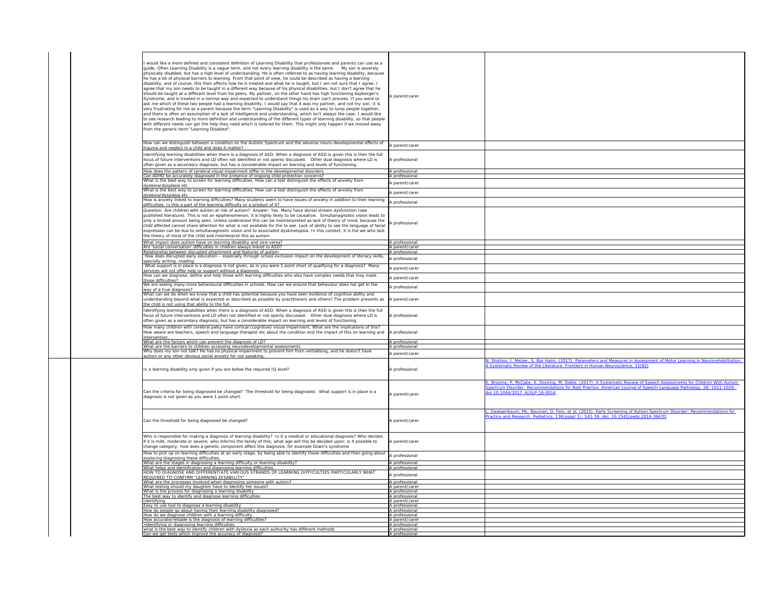| I would like a more defined and consistent definition of Learning Disability that professionals and parents can use as a<br>guide. Often Learning Disability is a vague term, and not every learning disability is the same. My son is severely<br>physically disabled, but has a high level of understanding. He is often referred to as having learning disability, because<br>he has a lot of physical barriers to learning. From that point of view, he could be described as having a learning<br>disability, and of course, this then affects how he is treated and what he is taught, but I am not sure that I agree. I<br>agree that my son needs to be taught in a different way because of his physical disabilities, but I don't agree that he<br>should be taught at a different level from his peers. My partner, on the other hand has high functioning Aspberger's<br>Syndrome, and is treated in a normal way and expected to understand things his brain can't process. If you were to<br>ask me which of these two people had a learning disability, I would say that it was my partner, and not my son. It is<br>very frustrating for me as a parent because the term "Learning Disability" is used as a way to lump people together,<br>and there is often an assumption of a lack of intelligence and understanding, which isn't always the case. I would like<br>to see research leading to more definition and understanding of the different types of learning disability, so that people<br>with different needs can get the help they need which is tailored for them. This might only happen if we moved away<br>from the generic term "Learning Disabled". | A parent/carer                   |
|----------------------------------------------------------------------------------------------------------------------------------------------------------------------------------------------------------------------------------------------------------------------------------------------------------------------------------------------------------------------------------------------------------------------------------------------------------------------------------------------------------------------------------------------------------------------------------------------------------------------------------------------------------------------------------------------------------------------------------------------------------------------------------------------------------------------------------------------------------------------------------------------------------------------------------------------------------------------------------------------------------------------------------------------------------------------------------------------------------------------------------------------------------------------------------------------------------------------------------------------------------------------------------------------------------------------------------------------------------------------------------------------------------------------------------------------------------------------------------------------------------------------------------------------------------------------------------------------------------------------------------------------------------------------------------------|----------------------------------|
| How can we distinguish between a condition on the Autistic Spectrum and the adverse neuro-developmental effects of<br>trauma and neglect in a child and does it matter?                                                                                                                                                                                                                                                                                                                                                                                                                                                                                                                                                                                                                                                                                                                                                                                                                                                                                                                                                                                                                                                                                                                                                                                                                                                                                                                                                                                                                                                                                                                | A parent/carer                   |
| Identifying learning disabilities when there is a diagnosis of ASD. When a diagnosis of ASD is given this is then the full<br>focus of future interventions and LD often not identified or not openly discussed. Other dual diagnosis where LD is<br>often given as a secondary diagnosis, but has a considerable impact on learning and levels of functioning.                                                                                                                                                                                                                                                                                                                                                                                                                                                                                                                                                                                                                                                                                                                                                                                                                                                                                                                                                                                                                                                                                                                                                                                                                                                                                                                        | A professional                   |
| How does the pattern of cerebral visual impairment differ in the developmental disorders                                                                                                                                                                                                                                                                                                                                                                                                                                                                                                                                                                                                                                                                                                                                                                                                                                                                                                                                                                                                                                                                                                                                                                                                                                                                                                                                                                                                                                                                                                                                                                                               | A professional                   |
| Can ADHD be accurately diagnosed in the presence of ongoing child protection concerns?<br>What is the best way to screen for learning difficulties. How can a test distinguish the effects of anxiety from<br>dyslexia/dysplasia etc                                                                                                                                                                                                                                                                                                                                                                                                                                                                                                                                                                                                                                                                                                                                                                                                                                                                                                                                                                                                                                                                                                                                                                                                                                                                                                                                                                                                                                                   | A professional<br>A parent/carer |
| What is the best way to screen for learning difficulties. How can a test distinguish the effects of anxiety from<br>dyslexia/dysplasia etc                                                                                                                                                                                                                                                                                                                                                                                                                                                                                                                                                                                                                                                                                                                                                                                                                                                                                                                                                                                                                                                                                                                                                                                                                                                                                                                                                                                                                                                                                                                                             | A parent/carer                   |
| How is anxiety linked to learning difficulties? Many students seem to have issues of anxiety in addition to their learning<br>difficulties. Is this a part of the learning difficulty or a product of it?                                                                                                                                                                                                                                                                                                                                                                                                                                                                                                                                                                                                                                                                                                                                                                                                                                                                                                                                                                                                                                                                                                                                                                                                                                                                                                                                                                                                                                                                              | A professional                   |
| Question: Are children with autism at risk of autism? Answer: Yes. Many have dorsal stream dysfunction (see<br>published literature). This is not an epiphenomenon, it is highly likely to be causative. Simultanagnostic vision leads to<br>only a limited amount being seen. Unless understood this can be misinterpreted as lack of theory of mind, because the<br>child affected cannot share attention for what is not available for the to see. Lack of ability to see the language of facial<br>expression can be due to simultanagnostic vision and to associated dyskinetopsia. In this context, it is the we who lack<br>the theory of mind of the child and misinterpret this as autism.                                                                                                                                                                                                                                                                                                                                                                                                                                                                                                                                                                                                                                                                                                                                                                                                                                                                                                                                                                                    | A professional                   |
| What impact does autism have on learning disability and vice-versa?<br>Are 'social conversation' difficulties in children always linked to ASD?                                                                                                                                                                                                                                                                                                                                                                                                                                                                                                                                                                                                                                                                                                                                                                                                                                                                                                                                                                                                                                                                                                                                                                                                                                                                                                                                                                                                                                                                                                                                        | A professional<br>A parent/carer |
| Relationship between disrupted attachment and features of autism<br>How does disrupted early education - especially through school exclusion impact on the development of literacy skills,                                                                                                                                                                                                                                                                                                                                                                                                                                                                                                                                                                                                                                                                                                                                                                                                                                                                                                                                                                                                                                                                                                                                                                                                                                                                                                                                                                                                                                                                                             | A professional                   |
| specially writing, reading<br>What support is in place is a diagnosis is not given, as in you were 1 point short of qualifying for a diagnosis? Many                                                                                                                                                                                                                                                                                                                                                                                                                                                                                                                                                                                                                                                                                                                                                                                                                                                                                                                                                                                                                                                                                                                                                                                                                                                                                                                                                                                                                                                                                                                                   | A professional                   |
| services will not offer help or support without a diagnosis.<br>How can we diagnose, define and help those with learning difficulties who also have complex needs that may mask                                                                                                                                                                                                                                                                                                                                                                                                                                                                                                                                                                                                                                                                                                                                                                                                                                                                                                                                                                                                                                                                                                                                                                                                                                                                                                                                                                                                                                                                                                        | A parent/carer                   |
| those difficulties?<br>We are seeing many more behavioural difficulties in schools. How can we ensure that behaviour does not get in the                                                                                                                                                                                                                                                                                                                                                                                                                                                                                                                                                                                                                                                                                                                                                                                                                                                                                                                                                                                                                                                                                                                                                                                                                                                                                                                                                                                                                                                                                                                                               | A parent/carer                   |
| way of a true diagnosis?<br>What can we do when we know that a child has potential because you have seen evidence of cognitive ability and                                                                                                                                                                                                                                                                                                                                                                                                                                                                                                                                                                                                                                                                                                                                                                                                                                                                                                                                                                                                                                                                                                                                                                                                                                                                                                                                                                                                                                                                                                                                             | A professional                   |
| understanding beyond what is expected or described as possible by practitioners and others? The problem presents as<br>the child is not using that ability to the full.                                                                                                                                                                                                                                                                                                                                                                                                                                                                                                                                                                                                                                                                                                                                                                                                                                                                                                                                                                                                                                                                                                                                                                                                                                                                                                                                                                                                                                                                                                                | A parent/carer                   |
| Identifying learning disabilities when there is a diagnosis of ASD. When a diagnosis of ASD is given this is then the full<br>focus of future interventions and LD often not identified or not openly discussed. Other dual diagnosis where LD is<br>often given as a secondary diagnosis, but has a considerable impact on learning and levels of functioning.<br>How many children with cerebral palsy have cortical (cognitive) visual impairment. What are the implications of this?                                                                                                                                                                                                                                                                                                                                                                                                                                                                                                                                                                                                                                                                                                                                                                                                                                                                                                                                                                                                                                                                                                                                                                                               | A professional                   |
| How aware are teachers, speech and language therapist etc about the condition and the impact of this on learning and<br>intervention.                                                                                                                                                                                                                                                                                                                                                                                                                                                                                                                                                                                                                                                                                                                                                                                                                                                                                                                                                                                                                                                                                                                                                                                                                                                                                                                                                                                                                                                                                                                                                  | A professional                   |
| What are the factors which can prevent the diagnosis of LD?<br>What are the barriers to children accessing neurodevelopmental assessments                                                                                                                                                                                                                                                                                                                                                                                                                                                                                                                                                                                                                                                                                                                                                                                                                                                                                                                                                                                                                                                                                                                                                                                                                                                                                                                                                                                                                                                                                                                                              | A professional<br>A professional |
| Why does my son not talk? He has no physical impairment to prevent him from verbalising, and he doesn't have<br>autism or any other obvious social anxiety for not speaking.                                                                                                                                                                                                                                                                                                                                                                                                                                                                                                                                                                                                                                                                                                                                                                                                                                                                                                                                                                                                                                                                                                                                                                                                                                                                                                                                                                                                                                                                                                           | A parent/carer                   |
| Is a learning disability only given if you are below the required IQ level?                                                                                                                                                                                                                                                                                                                                                                                                                                                                                                                                                                                                                                                                                                                                                                                                                                                                                                                                                                                                                                                                                                                                                                                                                                                                                                                                                                                                                                                                                                                                                                                                            | A professional                   |
| Can the criteria for being diagnosed be changed? The threshold for being diagnosed. What support is in place is a<br>diagnosis is not given as you were 1 point short.                                                                                                                                                                                                                                                                                                                                                                                                                                                                                                                                                                                                                                                                                                                                                                                                                                                                                                                                                                                                                                                                                                                                                                                                                                                                                                                                                                                                                                                                                                                 | A parent/carer                   |
| Can the threshold for being diagnosed be changed?                                                                                                                                                                                                                                                                                                                                                                                                                                                                                                                                                                                                                                                                                                                                                                                                                                                                                                                                                                                                                                                                                                                                                                                                                                                                                                                                                                                                                                                                                                                                                                                                                                      | A parent/carer                   |
| Who is responsible for making a diagnosis of learning disability? Is it a medical or educational diagnosis? Who decides<br>if it is mild, moderate or severe; who informs the family of this; what age will this be decided upon; is it possible to<br>change category; how does a genetic component affect this diagnosis, for example Down's syndrome                                                                                                                                                                                                                                                                                                                                                                                                                                                                                                                                                                                                                                                                                                                                                                                                                                                                                                                                                                                                                                                                                                                                                                                                                                                                                                                                | A parent/carer                   |
| How to pick up on learning difficulties at an early stage, by being able to identify these difficulties and then going about<br>exploring diagnosing these difficulties.                                                                                                                                                                                                                                                                                                                                                                                                                                                                                                                                                                                                                                                                                                                                                                                                                                                                                                                                                                                                                                                                                                                                                                                                                                                                                                                                                                                                                                                                                                               | A professional                   |
| What are the stages in diagnosing a learning difficulty or learning disability?<br>What helps and identification and diagnosing learning difficulties.                                                                                                                                                                                                                                                                                                                                                                                                                                                                                                                                                                                                                                                                                                                                                                                                                                                                                                                                                                                                                                                                                                                                                                                                                                                                                                                                                                                                                                                                                                                                 | A professional<br>A professional |
| HOW TO DIAGNOSE AND DIFFERENTIATE VARIOUS STRANDS OF LEARNING DIFFICULTIES PARTICULARLY WHAT<br>REQUIRED TO CONFIRM "LEARNING DISABILITY"                                                                                                                                                                                                                                                                                                                                                                                                                                                                                                                                                                                                                                                                                                                                                                                                                                                                                                                                                                                                                                                                                                                                                                                                                                                                                                                                                                                                                                                                                                                                              | A professional                   |
| What are the processes involved when diagnosing someone with autism?                                                                                                                                                                                                                                                                                                                                                                                                                                                                                                                                                                                                                                                                                                                                                                                                                                                                                                                                                                                                                                                                                                                                                                                                                                                                                                                                                                                                                                                                                                                                                                                                                   | A professional                   |
| What testing should my daughter have to identify her issues?<br>What is the process for diagnosing a learning disability                                                                                                                                                                                                                                                                                                                                                                                                                                                                                                                                                                                                                                                                                                                                                                                                                                                                                                                                                                                                                                                                                                                                                                                                                                                                                                                                                                                                                                                                                                                                                               | A parent/carer<br>A professional |
| The best way to identify and diagnose learning difficulties.<br>Identifying                                                                                                                                                                                                                                                                                                                                                                                                                                                                                                                                                                                                                                                                                                                                                                                                                                                                                                                                                                                                                                                                                                                                                                                                                                                                                                                                                                                                                                                                                                                                                                                                            | A professional<br>A parent/carer |
| Easy to use tool to diagnose a learning disability<br>How do people go about having their learning disability diagnosed?                                                                                                                                                                                                                                                                                                                                                                                                                                                                                                                                                                                                                                                                                                                                                                                                                                                                                                                                                                                                                                                                                                                                                                                                                                                                                                                                                                                                                                                                                                                                                               | A professional<br>A professional |
| How do we diagnose children with a learning difficulty.                                                                                                                                                                                                                                                                                                                                                                                                                                                                                                                                                                                                                                                                                                                                                                                                                                                                                                                                                                                                                                                                                                                                                                                                                                                                                                                                                                                                                                                                                                                                                                                                                                | A professional                   |
| How accurate/reliable is the diagnosis of learning difficulties?<br>• identifying or diagnosing learning difficulties                                                                                                                                                                                                                                                                                                                                                                                                                                                                                                                                                                                                                                                                                                                                                                                                                                                                                                                                                                                                                                                                                                                                                                                                                                                                                                                                                                                                                                                                                                                                                                  | A parent/carer<br>A professional |
| what is the best way to identify children with dyslexia as each authority has different methods<br>Can we get tests which improve the accuracy of diagnosis?                                                                                                                                                                                                                                                                                                                                                                                                                                                                                                                                                                                                                                                                                                                                                                                                                                                                                                                                                                                                                                                                                                                                                                                                                                                                                                                                                                                                                                                                                                                           | A professional<br>A professional |
|                                                                                                                                                                                                                                                                                                                                                                                                                                                                                                                                                                                                                                                                                                                                                                                                                                                                                                                                                                                                                                                                                                                                                                                                                                                                                                                                                                                                                                                                                                                                                                                                                                                                                        |                                  |

| professionals and parents can use as a<br>My son is severely<br>ity is the same.<br>to as having learning disability, because<br>e described as having a learning<br>ght, but I am not sure that I agree. I<br>I disabilities, but I don't agree that he<br>and has high functioning Aspberger's<br>nis brain can't process. If you were to<br>was my partner, and not my son. It is<br>ed as a way to lump people together,<br>hich isn't always the case. I would like<br>pes of learning disability, so that people<br>might only happen if we moved away | A parent/carer                   |                                                                                                                                                                 |
|--------------------------------------------------------------------------------------------------------------------------------------------------------------------------------------------------------------------------------------------------------------------------------------------------------------------------------------------------------------------------------------------------------------------------------------------------------------------------------------------------------------------------------------------------------------|----------------------------------|-----------------------------------------------------------------------------------------------------------------------------------------------------------------|
| adverse neuro-developmental effects of                                                                                                                                                                                                                                                                                                                                                                                                                                                                                                                       | A parent/carer                   |                                                                                                                                                                 |
| osis of ASD is given this is then the full<br>d. Other dual diagnosis where LD is<br>g and levels of functioning.                                                                                                                                                                                                                                                                                                                                                                                                                                            | A professional                   |                                                                                                                                                                 |
| disorders<br>concerns?                                                                                                                                                                                                                                                                                                                                                                                                                                                                                                                                       | A professional<br>A professional |                                                                                                                                                                 |
| sh the effects of anxiety from                                                                                                                                                                                                                                                                                                                                                                                                                                                                                                                               | A parent/carer                   |                                                                                                                                                                 |
| sh the effects of anxiety from                                                                                                                                                                                                                                                                                                                                                                                                                                                                                                                               | A parent/carer                   |                                                                                                                                                                 |
| es of anxiety in addition to their learning                                                                                                                                                                                                                                                                                                                                                                                                                                                                                                                  | A professional                   |                                                                                                                                                                 |
| dorsal stream dysfunction (see                                                                                                                                                                                                                                                                                                                                                                                                                                                                                                                               |                                  |                                                                                                                                                                 |
| sative. Simultanagnostic vision leads to<br>d as lack of theory of mind, because the<br>ck of ability to see the language of facial<br>sia. In this context, it is the we who lack                                                                                                                                                                                                                                                                                                                                                                           | A professional                   |                                                                                                                                                                 |
|                                                                                                                                                                                                                                                                                                                                                                                                                                                                                                                                                              | A professional<br>A parent/carer |                                                                                                                                                                 |
|                                                                                                                                                                                                                                                                                                                                                                                                                                                                                                                                                              | A professional                   |                                                                                                                                                                 |
| act on the development of literacy skills,                                                                                                                                                                                                                                                                                                                                                                                                                                                                                                                   | A professional                   |                                                                                                                                                                 |
| rt of qualifying for a diagnosis? Many                                                                                                                                                                                                                                                                                                                                                                                                                                                                                                                       | A parent/carer                   |                                                                                                                                                                 |
| have complex needs that may mask                                                                                                                                                                                                                                                                                                                                                                                                                                                                                                                             | A parent/carer                   |                                                                                                                                                                 |
| e that behaviour does not get in the                                                                                                                                                                                                                                                                                                                                                                                                                                                                                                                         | A professional                   |                                                                                                                                                                 |
| en evidence of cognitive ability and<br>rs and others? The problem presents as                                                                                                                                                                                                                                                                                                                                                                                                                                                                               | A parent/carer                   |                                                                                                                                                                 |
| osis of ASD is given this is then the full<br>1. Other dual diagnosis where LD is<br>g and levels of functioning.                                                                                                                                                                                                                                                                                                                                                                                                                                            | A professional                   |                                                                                                                                                                 |
| ent. What are the implications of this?<br>n and the impact of this on learning and                                                                                                                                                                                                                                                                                                                                                                                                                                                                          | A professional                   |                                                                                                                                                                 |
|                                                                                                                                                                                                                                                                                                                                                                                                                                                                                                                                                              | A professional<br>A professional |                                                                                                                                                                 |
| verbalising, and he doesn't have                                                                                                                                                                                                                                                                                                                                                                                                                                                                                                                             | A parent/carer                   |                                                                                                                                                                 |
|                                                                                                                                                                                                                                                                                                                                                                                                                                                                                                                                                              | A professional                   | N. Shishov, I. Melzer, S. Bar-Haim. (2017). Parameters and<br>A Systematic Review of the Literature. Frontiers in Human I                                       |
| nosed. What support is in place is a                                                                                                                                                                                                                                                                                                                                                                                                                                                                                                                         | A parent/carer                   | <u>K. Broome, P. McCabe, K. Docking, M. Doble. (2017). A Sys</u><br>Spectrum Disorder: Recommendations for Best Practice. An<br>doi: 10.1044/2017_AJSLP-16-0014 |
|                                                                                                                                                                                                                                                                                                                                                                                                                                                                                                                                                              | A parent/carer                   | Zwaigenbaum, ML. Bauman, D. Fein, et al. (2015). Early<br>Practice and Research. Pediatrics, 136(suppl 1): S41-59. do                                           |
| or educational diagnosis? Who decides<br>his be decided upon; is it possible to<br>nple Down's syndrome                                                                                                                                                                                                                                                                                                                                                                                                                                                      | A parent/carer                   |                                                                                                                                                                 |
| fy these difficulties and then going about                                                                                                                                                                                                                                                                                                                                                                                                                                                                                                                   | A professional                   |                                                                                                                                                                 |
|                                                                                                                                                                                                                                                                                                                                                                                                                                                                                                                                                              | A professional<br>A professional |                                                                                                                                                                 |
| <b>IFFICULTIES PARTICULARLY WHAT</b>                                                                                                                                                                                                                                                                                                                                                                                                                                                                                                                         | A professional                   |                                                                                                                                                                 |
|                                                                                                                                                                                                                                                                                                                                                                                                                                                                                                                                                              | A professional                   |                                                                                                                                                                 |
|                                                                                                                                                                                                                                                                                                                                                                                                                                                                                                                                                              | A parent/carer<br>A professional |                                                                                                                                                                 |
|                                                                                                                                                                                                                                                                                                                                                                                                                                                                                                                                                              | A professional<br>A parent/carer |                                                                                                                                                                 |
|                                                                                                                                                                                                                                                                                                                                                                                                                                                                                                                                                              | A professional<br>A professional |                                                                                                                                                                 |
|                                                                                                                                                                                                                                                                                                                                                                                                                                                                                                                                                              | A professional                   |                                                                                                                                                                 |
|                                                                                                                                                                                                                                                                                                                                                                                                                                                                                                                                                              | A parent/carer<br>A professional |                                                                                                                                                                 |
| ferent methods                                                                                                                                                                                                                                                                                                                                                                                                                                                                                                                                               | A professional<br>A professional |                                                                                                                                                                 |
|                                                                                                                                                                                                                                                                                                                                                                                                                                                                                                                                                              |                                  |                                                                                                                                                                 |

<u> 1980 - Johann Barnett, fransk politik (f. 1980)</u> nd Measures in Assessment of Motor Learning in Neurorehabilitation: Neuroscience, 11(82) [K. Broome, P. McCabe, K. Docking, M. Doble. \(2017\). A Systematic Review of Speech Assessments for Children With Autism](https://ajslp.pubs.asha.org/article.aspx?articleid=2648031)  [Spectrum Disorder: Recommendations for Best Practice. American Journal of Speech-Language Pathology, 26: 1011-1029.](https://ajslp.pubs.asha.org/article.aspx?articleid=2648031)  L. Y. Screening of Autism Spectrum Disorder: Recommendations for Practice and Research. 2014-3667D <u> 1989 - Johann Stoff, deutscher Stoffen und der Stoffen und der Stoffen und der Stoffen und der Stoffen und der</u> <u> 1989 - Johann Barnett, fransk politiker (d. 1989)</u>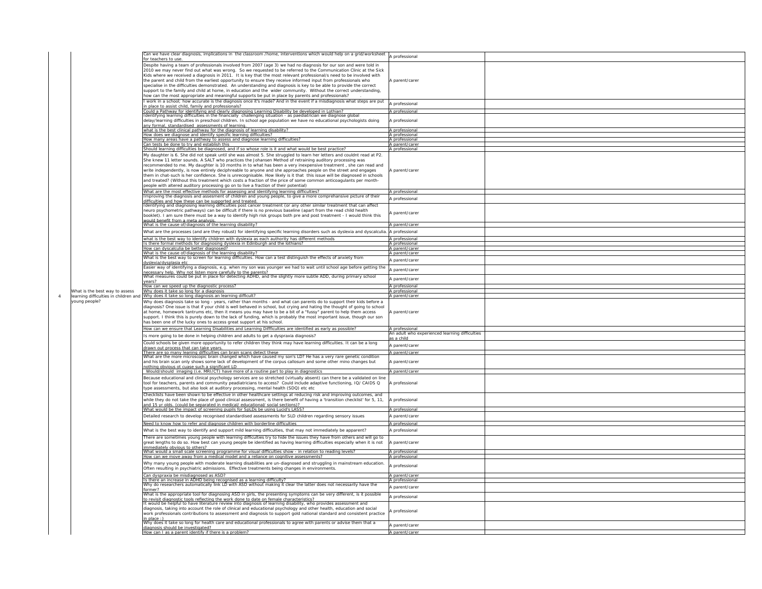|   |                                                                         | Can we have clear diagnosis, implications in the classroom /home, interventions which would help on a grid/worksheet<br>for teachers to use.                                                                                                                                                                                                                                                                                                                                                                                                                                                                                                                                                                                                                                                                       | A professional                   |
|---|-------------------------------------------------------------------------|--------------------------------------------------------------------------------------------------------------------------------------------------------------------------------------------------------------------------------------------------------------------------------------------------------------------------------------------------------------------------------------------------------------------------------------------------------------------------------------------------------------------------------------------------------------------------------------------------------------------------------------------------------------------------------------------------------------------------------------------------------------------------------------------------------------------|----------------------------------|
|   |                                                                         | Despite having a team of professionals involved from 2007 (age 3) we had no diagnosis for our son and were told in<br>2010 we may never find out what was wrong. So we requested to be referred to the Communication Clinic at the Sick<br>Kids where we received a diagnosis in 2011. It is key that the most relevant professional/s need to be involved with<br>the parent and child from the earliest opportunity to ensure they receive informed input from professionals who<br>specialise in the difficulties demonstrated. An understanding and diagnosis is key to be able to provide the correct<br>support to the family and child at home, in education and the wider community. Without the correct understanding,                                                                                    | A parent/carer                   |
|   |                                                                         | how can the most appropriate and meaningful supports be put in place by parents and professionals?<br>work in a school; how accurate is the diagnosis once it's made? And in the event if a misdiagnosis what steps are put<br>in place to assist child, family and professionals?<br>Could a Pathway for identifying and clearly diagnosing Learning Disability be developed in Lothian?                                                                                                                                                                                                                                                                                                                                                                                                                          | A professional<br>A professional |
|   |                                                                         | Identifying learning difficulties in the financially challenging situation - as paediatrician we diagnose global<br>delay/learning difficulties in preschool children. In school age population we have no educational psychologists doing                                                                                                                                                                                                                                                                                                                                                                                                                                                                                                                                                                         | A professional                   |
|   |                                                                         | any formal, standardised assessments of learning.<br>what is the best clinical pathway for the diagnosis of learning disability?                                                                                                                                                                                                                                                                                                                                                                                                                                                                                                                                                                                                                                                                                   | A professional                   |
|   |                                                                         | How does we diagnose and identify specific learning difficulties?<br>How many areas have a pathway to assess and diagnose learning difficulties?                                                                                                                                                                                                                                                                                                                                                                                                                                                                                                                                                                                                                                                                   | A professional<br>A professional |
|   |                                                                         | Can tests be done to try and establish this<br>Should learning difficulties be diagnosed, and if so whose role is it and what would be best practice?                                                                                                                                                                                                                                                                                                                                                                                                                                                                                                                                                                                                                                                              | A parent/carer<br>A professional |
|   |                                                                         | My daughter is 6. She did not speak until she was almost 5. She struggled to learn her letters and couldnt read at P2.<br>She knew 11 letter sounds. A SALT who practices the Johansen Method of retraining auditory processing was<br>recommended to me. My daughter is 10 months in to what has been a very inexpensive treatment, she can read and<br>write independently, is now entirely deciphreable to anyone and she approaches people on the street and engages<br>them in chat-such is her confidence. She is unrecognisable. How likely is it that this issue will be diagnosed in schools<br>and treated? (Without this treatment which costs a fraction of the price of some common anticoagulants per month-<br>people with altered auditory processing go on to live a fraction of their potential) | A parent/carer                   |
|   |                                                                         | What are the most effective methods for assessing and identifying learning difficulties?                                                                                                                                                                                                                                                                                                                                                                                                                                                                                                                                                                                                                                                                                                                           | A professional                   |
|   |                                                                         | Improving the diagnosis and assesment of children and young people, to give a more comprehansive picture of their<br>difficulties and how these can be supported and treated.                                                                                                                                                                                                                                                                                                                                                                                                                                                                                                                                                                                                                                      | A professional                   |
|   |                                                                         | Identifying and diagnosing learning difficulties post cancer treatment (or any other similar treatment that can affect<br>neuro psychometric pathways) can be difficult if there is no previous baseline (apart from the read child health<br>booklet). I am sure there must be a way to identify high risk groups both pre and post treatment - I would think this<br>would benefit from a meta analysis.                                                                                                                                                                                                                                                                                                                                                                                                         | A parent/carer                   |
|   |                                                                         | What is the cause of/diagnosis of the learning disability?<br>What are the processes (and are they robust) for identifying specific learning disorders such as dyslexia and dyscalculia. A professional                                                                                                                                                                                                                                                                                                                                                                                                                                                                                                                                                                                                            | A parent/carer                   |
|   |                                                                         | what is the best way to identify children with dyslexia as each authority has different methods<br>Is there formal methods for diagnosing dyslexia in Edinburgh and the lothians?                                                                                                                                                                                                                                                                                                                                                                                                                                                                                                                                                                                                                                  | A professional<br>A professional |
|   |                                                                         | How can dyscalculia be better diagnosed?<br>What is the cause of/diagnosis of the learning disability?                                                                                                                                                                                                                                                                                                                                                                                                                                                                                                                                                                                                                                                                                                             | A parent/carer<br>A parent/carer |
|   |                                                                         | What is the best way to screen for learning difficulties. How can a test distinguish the effects of anxiety from<br>dyslexia/dysplasia etc                                                                                                                                                                                                                                                                                                                                                                                                                                                                                                                                                                                                                                                                         | A parent/carer                   |
|   |                                                                         | Easier way of identifying a diagnosis, e.g. when my son was younger we had to wait until school age before getting the                                                                                                                                                                                                                                                                                                                                                                                                                                                                                                                                                                                                                                                                                             | A parent/carer                   |
|   |                                                                         | necessary help. Why not listen more carefully to the parents?<br>What measures could be put in place for detecting ADHD, and the slightly more subtle ADD, during primary school                                                                                                                                                                                                                                                                                                                                                                                                                                                                                                                                                                                                                                   | A parent/carer                   |
|   |                                                                         | years?<br>How can we speed up the diagnostic process?                                                                                                                                                                                                                                                                                                                                                                                                                                                                                                                                                                                                                                                                                                                                                              | A professional                   |
| 4 | What is the best way to assess<br>learning difficulties in children and | Why does it take so long for a diagnosis<br>Why does it take so long diagnosis an learning difficult?                                                                                                                                                                                                                                                                                                                                                                                                                                                                                                                                                                                                                                                                                                              | A professional<br>A parent/carer |
|   | young people?                                                           | Why does diagnosis take so long - years, rather than months - and what can parents do to support their kids before a<br>diagnosis? One issue is that if your child is well behaved in school, but crying and hating the thought of going to school<br>at home, homework tantrums etc, then it means you may have to be a bit of a "fussy" parent to help them access<br>support. I think this is purely down to the lack of funding, which is probably the most important issue, though our son<br>has been one of the lucky ones to access great support at his school.                                                                                                                                                                                                                                           | A parent/carer                   |
|   |                                                                         | How can we ensure that Learning Disabilities and Learning Diffficulties are identified as early as possible?                                                                                                                                                                                                                                                                                                                                                                                                                                                                                                                                                                                                                                                                                                       | A professional<br>An adult who e |
|   |                                                                         | Is more going to be done in helping children and adults to get a dyspraxia diagnosis?<br>Could schools be given more opportunity to refer children they think may have learning difficulties. It can be a long                                                                                                                                                                                                                                                                                                                                                                                                                                                                                                                                                                                                     | as a child                       |
|   |                                                                         | drawn out process that can take years.                                                                                                                                                                                                                                                                                                                                                                                                                                                                                                                                                                                                                                                                                                                                                                             | A parent/carer                   |
|   |                                                                         | There are so many leaning difficulties can brain scans detect these<br>What are the more microscopic brain changed which have caused my son's LD? He has a very rare genetic condition                                                                                                                                                                                                                                                                                                                                                                                                                                                                                                                                                                                                                             | A parent/carer                   |
|   |                                                                         | and his brain scan only shows some lack of development of the corpus callosum and some other mino changes but<br>nothing obvious ot cuase such a significant LD                                                                                                                                                                                                                                                                                                                                                                                                                                                                                                                                                                                                                                                    | A parent/carer<br>A parent/carer |
|   |                                                                         | Would/should imaging (i.e. MRI/CT) have more of a routine part to play in diagnostics<br>Because educational and clinical psychology services are so stretched (virtually absent) can there be a validated on line<br>tool for teachers, parents and community peadiatricians to access? Could include adaptive functioning, IQ/ CAIDS Q<br>type assessments, but also look at auditory processing, mental health (SDQ) etc etc                                                                                                                                                                                                                                                                                                                                                                                    | A professional                   |
|   |                                                                         | Checklists have been shown to be effective in other healthcare settings at reducing risk and improving outcomes, and<br>while they do not take the place of good clinical assessment, is there benefit of having a 'transition checklist' for 5, 11,<br>and 15 yr olds. (could be separated in medical/ educational/ social sections)?<br>What would be the impact of screening pupils for SpLDs be using Lucid's LASS?                                                                                                                                                                                                                                                                                                                                                                                            | A professional<br>A professional |
|   |                                                                         | Detailed research to develop recognised standardised assessments for SLD children regarding sensory issues                                                                                                                                                                                                                                                                                                                                                                                                                                                                                                                                                                                                                                                                                                         | A parent/carer                   |
|   |                                                                         | Need to know how to refer and diagnose children with borderline difficulties                                                                                                                                                                                                                                                                                                                                                                                                                                                                                                                                                                                                                                                                                                                                       | A professional                   |
|   |                                                                         | What is the best way to identify and support mild learning difficulties, that may not immediately be apparent?                                                                                                                                                                                                                                                                                                                                                                                                                                                                                                                                                                                                                                                                                                     | A professional                   |
|   |                                                                         | There are sometimes young people with learning difficulties try to hide the issues they have from others and will go to<br>great lengths to do so. How best can young people be identified as having learning difficulties especially when it is not<br>immediately obvious to others?<br>What would a small scale screening programme for visual difficulties show - in relation to reading levels?                                                                                                                                                                                                                                                                                                                                                                                                               | A parent/carer<br>A professional |
|   |                                                                         | How can we move away from a medical model and a reliance on cognitive assessments?                                                                                                                                                                                                                                                                                                                                                                                                                                                                                                                                                                                                                                                                                                                                 | A professional                   |
|   |                                                                         | Why many young people with moderate learning disabilities are un-diagnosed and struggling in mainstream education.<br>Often resulting in psychiatric admissions. Effective treatments being changes in environments.                                                                                                                                                                                                                                                                                                                                                                                                                                                                                                                                                                                               | A professional                   |
|   |                                                                         | Can dyspraxia be misdiagnosed as ASD?<br>Is there an increase in ADHD being recognised as a learning difficulty?                                                                                                                                                                                                                                                                                                                                                                                                                                                                                                                                                                                                                                                                                                   | A parent/carer<br>A professional |
|   |                                                                         | Why do researchers automatically link LD with ASD without making it clear the latter does not necessarily have the<br>former?                                                                                                                                                                                                                                                                                                                                                                                                                                                                                                                                                                                                                                                                                      | A parent/carer                   |
|   |                                                                         | What is the appropriate tool for diagnosing ASD in girls, the presenting symptoms can be very different, is it possible                                                                                                                                                                                                                                                                                                                                                                                                                                                                                                                                                                                                                                                                                            | A professional                   |
|   |                                                                         | to revisit diagnostic tools reflecting the work done to date on female characteristics?<br>It would be helpful to have literature review into diagnosis of learning disability, who provides assessment and<br>diagnosis, taking into account the role of clinical and educational psychology and other health, education and social<br>work professionals contributions to assessment and diagnosis to support gold national standard and consistent practice<br>$ $ in place : $ $                                                                                                                                                                                                                                                                                                                               | A professional                   |
|   |                                                                         | Why does it take so long for health care and educational professionals to agree with parents or advise them that a<br>diagnosis should be investigated?                                                                                                                                                                                                                                                                                                                                                                                                                                                                                                                                                                                                                                                            | A parent/carer                   |
|   |                                                                         | How can I as a parent identify if there is a problem?                                                                                                                                                                                                                                                                                                                                                                                                                                                                                                                                                                                                                                                                                                                                                              | A parent/carer                   |

| Can we have clear diagnosis, implications in the classroom /home, interventions which would help on a grid/worksheet<br>for teachers to use.                                                                                                                                                                                                                                                                                                                                             | A professional                                               |
|------------------------------------------------------------------------------------------------------------------------------------------------------------------------------------------------------------------------------------------------------------------------------------------------------------------------------------------------------------------------------------------------------------------------------------------------------------------------------------------|--------------------------------------------------------------|
| Despite having a team of professionals involved from 2007 (age 3) we had no diagnosis for our son and were told in                                                                                                                                                                                                                                                                                                                                                                       |                                                              |
| 2010 we may never find out what was wrong. So we requested to be referred to the Communication Clinic at the Sick                                                                                                                                                                                                                                                                                                                                                                        |                                                              |
| Kids where we received a diagnosis in 2011. It is key that the most relevant professional/s need to be involved with                                                                                                                                                                                                                                                                                                                                                                     |                                                              |
| the parent and child from the earliest opportunity to ensure they receive informed input from professionals who                                                                                                                                                                                                                                                                                                                                                                          | A parent/carer                                               |
| specialise in the difficulties demonstrated. An understanding and diagnosis is key to be able to provide the correct<br>support to the family and child at home, in education and the wider community. Without the correct understanding,                                                                                                                                                                                                                                                |                                                              |
| how can the most appropriate and meaningful supports be put in place by parents and professionals?                                                                                                                                                                                                                                                                                                                                                                                       |                                                              |
| I work in a school; how accurate is the diagnosis once it's made? And in the event if a misdiagnosis what steps are put                                                                                                                                                                                                                                                                                                                                                                  |                                                              |
| in place to assist child, family and professionals?                                                                                                                                                                                                                                                                                                                                                                                                                                      | A professional                                               |
| Could a Pathway for identifying and clearly diagnosing Learning Disability be developed in Lothian?<br>Identifying learning difficulties in the financially challenging situation - as paediatrician we diagnose global                                                                                                                                                                                                                                                                  | A professional                                               |
| delay/learning difficulties in preschool children. In school age population we have no educational psychologists doing                                                                                                                                                                                                                                                                                                                                                                   | A professional                                               |
| any formal, standardised assessments of learning.                                                                                                                                                                                                                                                                                                                                                                                                                                        |                                                              |
| what is the best clinical pathway for the diagnosis of learning disability?<br>How does we diagnose and identify specific learning difficulties?                                                                                                                                                                                                                                                                                                                                         | A professional<br>A professional                             |
| How many areas have a pathway to assess and diagnose learning difficulties?                                                                                                                                                                                                                                                                                                                                                                                                              | A professional                                               |
| Can tests be done to try and establish this                                                                                                                                                                                                                                                                                                                                                                                                                                              | A parent/carer                                               |
| Should learning difficulties be diagnosed, and if so whose role is it and what would be best practice?                                                                                                                                                                                                                                                                                                                                                                                   | A professional                                               |
| My daughter is 6. She did not speak until she was almost 5. She struggled to learn her letters and couldnt read at P2.<br>She knew 11 letter sounds. A SALT who practices the Johansen Method of retraining auditory processing was                                                                                                                                                                                                                                                      |                                                              |
| recommended to me. My daughter is 10 months in to what has been a very inexpensive treatment, she can read and                                                                                                                                                                                                                                                                                                                                                                           |                                                              |
| write independently, is now entirely deciphreable to anyone and she approaches people on the street and engages                                                                                                                                                                                                                                                                                                                                                                          | A parent/carer                                               |
| them in chat-such is her confidence. She is unrecognisable. How likely is it that this issue will be diagnosed in schools                                                                                                                                                                                                                                                                                                                                                                |                                                              |
| and treated? (Without this treatment which costs a fraction of the price of some common anticoagulants per month-<br>people with altered auditory processing go on to live a fraction of their potential)                                                                                                                                                                                                                                                                                |                                                              |
| What are the most effective methods for assessing and identifying learning difficulties?                                                                                                                                                                                                                                                                                                                                                                                                 | A professional                                               |
| Improving the diagnosis and assesment of children and young people, to give a more comprehansive picture of their                                                                                                                                                                                                                                                                                                                                                                        | A professional                                               |
| difficulties and how these can be supported and treated.<br>Identifying and diagnosing learning difficulties post cancer treatment (or any other similar treatment that can affect                                                                                                                                                                                                                                                                                                       |                                                              |
| neuro psychometric pathways) can be difficult if there is no previous baseline (apart from the read child health                                                                                                                                                                                                                                                                                                                                                                         |                                                              |
| booklet). I am sure there must be a way to identify high risk groups both pre and post treatment - I would think this                                                                                                                                                                                                                                                                                                                                                                    | A parent/carer                                               |
| would benefit from a meta analysis.                                                                                                                                                                                                                                                                                                                                                                                                                                                      |                                                              |
| What is the cause of/diagnosis of the learning disability?                                                                                                                                                                                                                                                                                                                                                                                                                               | A parent/carer                                               |
| What are the processes (and are they robust) for identifying specific learning disorders such as dyslexia and dyscalculia. A professional                                                                                                                                                                                                                                                                                                                                                |                                                              |
| what is the best way to identify children with dyslexia as each authority has different methods<br>Is there formal methods for diagnosing dyslexia in Edinburgh and the lothians?                                                                                                                                                                                                                                                                                                        | A professional<br>A professional                             |
| How can dyscalculia be better diagnosed?                                                                                                                                                                                                                                                                                                                                                                                                                                                 | A parent/carer                                               |
| What is the cause of/diagnosis of the learning disability?                                                                                                                                                                                                                                                                                                                                                                                                                               | A parent/carer                                               |
| What is the best way to screen for learning difficulties. How can a test distinguish the effects of anxiety from<br>dyslexia/dysplasia etc                                                                                                                                                                                                                                                                                                                                               | A parent/carer                                               |
| Easier way of identifying a diagnosis, e.g. when my son was younger we had to wait until school age before getting the                                                                                                                                                                                                                                                                                                                                                                   | A parent/carer                                               |
| necessary help. Why not listen more carefully to the parents?<br>What measures could be put in place for detecting ADHD, and the slightly more subtle ADD, during primary school                                                                                                                                                                                                                                                                                                         |                                                              |
| years?                                                                                                                                                                                                                                                                                                                                                                                                                                                                                   | A parent/carer                                               |
| How can we speed up the diagnostic process?                                                                                                                                                                                                                                                                                                                                                                                                                                              | A professional                                               |
|                                                                                                                                                                                                                                                                                                                                                                                                                                                                                          |                                                              |
| Why does it take so long for a diagnosis                                                                                                                                                                                                                                                                                                                                                                                                                                                 | A professional                                               |
| Why does it take so long diagnosis an learning difficult?                                                                                                                                                                                                                                                                                                                                                                                                                                | A parent/carer                                               |
| Why does diagnosis take so long - years, rather than months - and what can parents do to support their kids before a                                                                                                                                                                                                                                                                                                                                                                     |                                                              |
| diagnosis? One issue is that if your child is well behaved in school, but crying and hating the thought of going to school<br>at home, homework tantrums etc, then it means you may have to be a bit of a "fussy" parent to help them access                                                                                                                                                                                                                                             | A parent/carer                                               |
| support. I think this is purely down to the lack of funding, which is probably the most important issue, though our son                                                                                                                                                                                                                                                                                                                                                                  |                                                              |
| has been one of the lucky ones to access great support at his school.                                                                                                                                                                                                                                                                                                                                                                                                                    |                                                              |
| How can we ensure that Learning Disabilities and Learning Diffficulties are identified as early as possible?                                                                                                                                                                                                                                                                                                                                                                             | A professional                                               |
| Is more going to be done in helping children and adults to get a dyspraxia diagnosis?                                                                                                                                                                                                                                                                                                                                                                                                    | An adult who experienced learning difficulties<br>as a child |
| Could schools be given more opportunity to refer children they think may have learning difficulties. It can be a long                                                                                                                                                                                                                                                                                                                                                                    | A parent/carer                                               |
| drawn out process that can take years.                                                                                                                                                                                                                                                                                                                                                                                                                                                   |                                                              |
| There are so many leaning difficulties can brain scans detect these<br>What are the more microscopic brain changed which have caused my son's LD? He has a very rare genetic condition                                                                                                                                                                                                                                                                                                   | A parent/carer                                               |
| and his brain scan only shows some lack of development of the corpus callosum and some other mino changes but                                                                                                                                                                                                                                                                                                                                                                            | A parent/carer                                               |
|                                                                                                                                                                                                                                                                                                                                                                                                                                                                                          |                                                              |
| nothing obvious ot cuase such a significant LD<br>Would/should imaging (i.e. MRI/CT) have more of a routine part to play in diagnostics                                                                                                                                                                                                                                                                                                                                                  | A parent/carer                                               |
| Because educational and clinical psychology services are so stretched (virtually absent) can there be a validated on line<br>tool for teachers, parents and community peadiatricians to access? Could include adaptive functioning, IQ/CAIDS Q                                                                                                                                                                                                                                           | A professional                                               |
| type assessments, but also look at auditory processing, mental health (SDQ) etc etc                                                                                                                                                                                                                                                                                                                                                                                                      |                                                              |
| Checklists have been shown to be effective in other healthcare settings at reducing risk and improving outcomes, and                                                                                                                                                                                                                                                                                                                                                                     |                                                              |
| while they do not take the place of good clinical assessment, is there benefit of having a 'transition checklist' for 5, 11,                                                                                                                                                                                                                                                                                                                                                             | A professional                                               |
| and 15 yr olds. (could be separated in medical/educational/social sections)?<br>What would be the impact of screening pupils for SpLDs be using Lucid's LASS?                                                                                                                                                                                                                                                                                                                            | A professional                                               |
|                                                                                                                                                                                                                                                                                                                                                                                                                                                                                          |                                                              |
| Detailed research to develop recognised standardised assessments for SLD children regarding sensory issues                                                                                                                                                                                                                                                                                                                                                                               | A parent/carer                                               |
|                                                                                                                                                                                                                                                                                                                                                                                                                                                                                          | A professional                                               |
|                                                                                                                                                                                                                                                                                                                                                                                                                                                                                          | A professional                                               |
|                                                                                                                                                                                                                                                                                                                                                                                                                                                                                          |                                                              |
| Need to know how to refer and diagnose children with borderline difficulties<br>What is the best way to identify and support mild learning difficulties, that may not immediately be apparent?<br>There are sometimes young people with learning difficulties try to hide the issues they have from others and will go to<br>great lengths to do so. How best can young people be identified as having learning difficulties especially when it is not<br>immediately obvious to others? | A parent/carer                                               |
| What would a small scale screening programme for visual difficulties show - in relation to reading levels?                                                                                                                                                                                                                                                                                                                                                                               | A professional                                               |
| How can we move away from a medical model and a reliance on cognitive assessments?                                                                                                                                                                                                                                                                                                                                                                                                       | A professional                                               |
| Why many young people with moderate learning disabilities are un-diagnosed and struggling in mainstream education.                                                                                                                                                                                                                                                                                                                                                                       | A professional                                               |
| Often resulting in psychiatric admissions. Effective treatments being changes in environments.                                                                                                                                                                                                                                                                                                                                                                                           |                                                              |
| Can dyspraxia be misdiagnosed as ASD?<br>Is there an increase in ADHD being recognised as a learning difficulty?                                                                                                                                                                                                                                                                                                                                                                         | A parent/carer<br>A professional                             |
| Why do researchers automatically link LD with ASD without making it clear the latter does not necessarily have the                                                                                                                                                                                                                                                                                                                                                                       | A parent/carer                                               |
| former?                                                                                                                                                                                                                                                                                                                                                                                                                                                                                  |                                                              |
| What is the appropriate tool for diagnosing ASD in girls, the presenting symptoms can be very different, is it possible<br>to revisit diagnostic tools reflecting the work done to date on female characteristics?                                                                                                                                                                                                                                                                       | A professional                                               |
| It would be helpful to have literature review into diagnosis of learning disability, who provides assessment and                                                                                                                                                                                                                                                                                                                                                                         |                                                              |
| diagnosis, taking into account the role of clinical and educational psychology and other health, education and social                                                                                                                                                                                                                                                                                                                                                                    | A professional                                               |
| work professionals contributions to assessment and diagnosis to support gold national standard and consistent practice<br><u>in place :)</u>                                                                                                                                                                                                                                                                                                                                             |                                                              |
| Why does it take so long for health care and educational professionals to agree with parents or advise them that a                                                                                                                                                                                                                                                                                                                                                                       | A parent/carer                                               |
| diagnosis should be investigated?<br>How can I as a parent identify if there is a problem?                                                                                                                                                                                                                                                                                                                                                                                               | A parent/carer                                               |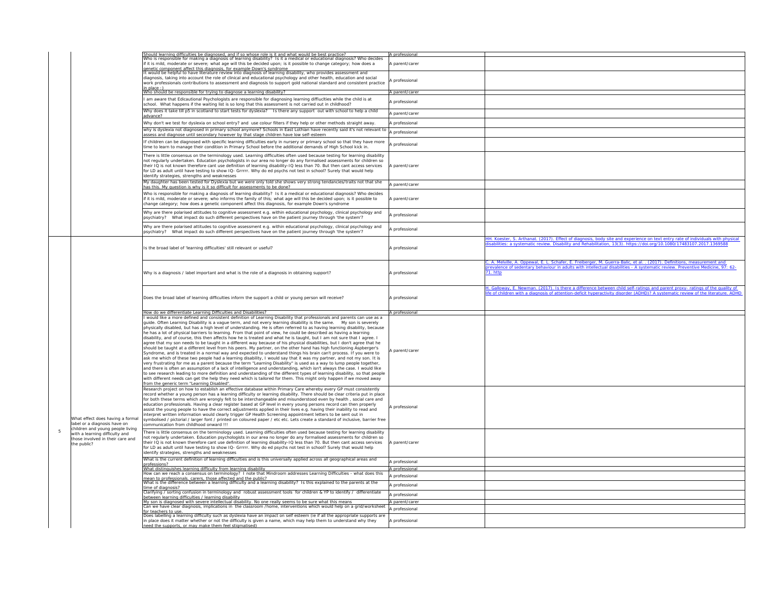| HH. Koester, S. Arthanat. (2017). Effect of diagnosis, body site and experience on text entry rate of individuals with physical<br>disabilities: a systematic review. Disability and Rehabilitation, 13(3). https://doi.org/10.1080/17483107.2017.1369588              |
|------------------------------------------------------------------------------------------------------------------------------------------------------------------------------------------------------------------------------------------------------------------------|
|                                                                                                                                                                                                                                                                        |
| C. A. Melville, A. Oppewal, E. L. Schafer, E. Freiberger, M. Guerra-Balic, et al. . (2017). Definitions, measurement and<br>prevalence of sedentary behaviour in adults with intellectual disabilities - A systematic review. Preventive Medicine, 97: 62-<br>71. http |
| H. Galloway, E. Newman. (2017). Is there a difference between child self-ratings and parent proxy- ratings of the quality of<br>life of children with a diagnosis of attention-deficit hyperactivity disorder (ADHD)? A systematic review of the literature. ADHD      |
|                                                                                                                                                                                                                                                                        |
|                                                                                                                                                                                                                                                                        |
|                                                                                                                                                                                                                                                                        |
|                                                                                                                                                                                                                                                                        |
|                                                                                                                                                                                                                                                                        |
|                                                                                                                                                                                                                                                                        |
|                                                                                                                                                                                                                                                                        |
|                                                                                                                                                                                                                                                                        |
|                                                                                                                                                                                                                                                                        |
|                                                                                                                                                                                                                                                                        |
|                                                                                                                                                                                                                                                                        |
|                                                                                                                                                                                                                                                                        |
|                                                                                                                                                                                                                                                                        |
|                                                                                                                                                                                                                                                                        |
|                                                                                                                                                                                                                                                                        |
|                                                                                                                                                                                                                                                                        |
|                                                                                                                                                                                                                                                                        |
|                                                                                                                                                                                                                                                                        |

|   |                                                                                                                                                                                           | Should learning difficulties be diagnosed, and if so whose role is it and what would be best practice?                                                                                                                                                                                                                                                                                                                                                                                                                                                                                                                                                                                                                                                                                                                                                                                                                                                                                                                                                                                                                                                                                                                                                                                                                                                                                                                                                                                                                                                                                                                                                                                    | A professional |
|---|-------------------------------------------------------------------------------------------------------------------------------------------------------------------------------------------|-------------------------------------------------------------------------------------------------------------------------------------------------------------------------------------------------------------------------------------------------------------------------------------------------------------------------------------------------------------------------------------------------------------------------------------------------------------------------------------------------------------------------------------------------------------------------------------------------------------------------------------------------------------------------------------------------------------------------------------------------------------------------------------------------------------------------------------------------------------------------------------------------------------------------------------------------------------------------------------------------------------------------------------------------------------------------------------------------------------------------------------------------------------------------------------------------------------------------------------------------------------------------------------------------------------------------------------------------------------------------------------------------------------------------------------------------------------------------------------------------------------------------------------------------------------------------------------------------------------------------------------------------------------------------------------------|----------------|
|   |                                                                                                                                                                                           | Who is responsible for making a diagnosis of learning disability? Is it a medical or educational diagnosis? Who decides<br>if it is mild, moderate or severe; what age will this be decided upon; is it possible to change category; how does a<br>genetic component affect this diagnosis, for example Down's syndrome<br>It would be helpful to have literature review into diagnosis of learning disability, who provides assessment and                                                                                                                                                                                                                                                                                                                                                                                                                                                                                                                                                                                                                                                                                                                                                                                                                                                                                                                                                                                                                                                                                                                                                                                                                                               | A parent/carer |
|   |                                                                                                                                                                                           | diagnosis, taking into account the role of clinical and educational psychology and other health, education and social<br>work professionals contributions to assessment and diagnosis to support gold national standard and consistent practice<br>in place $:$ )                                                                                                                                                                                                                                                                                                                                                                                                                                                                                                                                                                                                                                                                                                                                                                                                                                                                                                                                                                                                                                                                                                                                                                                                                                                                                                                                                                                                                         | A professional |
|   |                                                                                                                                                                                           | Who should be responsible for trying to diagnose a learning disability?                                                                                                                                                                                                                                                                                                                                                                                                                                                                                                                                                                                                                                                                                                                                                                                                                                                                                                                                                                                                                                                                                                                                                                                                                                                                                                                                                                                                                                                                                                                                                                                                                   | A parent/carer |
|   |                                                                                                                                                                                           | am aware that Edicautional Psychologists are responsible for diagnosing learning diffiucities while the child is at<br>school. What happens if the waiting list is so long that this assessment is not carried out in childhood?<br>Why does it take till p5 in scotland to start tests for dyslexia? Is there any support out with school to help a child                                                                                                                                                                                                                                                                                                                                                                                                                                                                                                                                                                                                                                                                                                                                                                                                                                                                                                                                                                                                                                                                                                                                                                                                                                                                                                                                | A professional |
|   |                                                                                                                                                                                           | advance?                                                                                                                                                                                                                                                                                                                                                                                                                                                                                                                                                                                                                                                                                                                                                                                                                                                                                                                                                                                                                                                                                                                                                                                                                                                                                                                                                                                                                                                                                                                                                                                                                                                                                  | A parent/carer |
|   |                                                                                                                                                                                           | Why don't we test for dyslexia on school entry? and use colour filters if they help or other methods straight away.                                                                                                                                                                                                                                                                                                                                                                                                                                                                                                                                                                                                                                                                                                                                                                                                                                                                                                                                                                                                                                                                                                                                                                                                                                                                                                                                                                                                                                                                                                                                                                       | A professional |
|   |                                                                                                                                                                                           | why is dyslexia not diagnosed in primary school anymore? Schools in East Lothian have recently said it's not relevant to<br>assess and diagnose until secondary however by that stage children have low self-esteem                                                                                                                                                                                                                                                                                                                                                                                                                                                                                                                                                                                                                                                                                                                                                                                                                                                                                                                                                                                                                                                                                                                                                                                                                                                                                                                                                                                                                                                                       | A professional |
|   |                                                                                                                                                                                           | If children can be diagnosed with specific learning difficulties early in nursery or primary school so that they have more<br>time to learn to manage their condition in Primary School before the additional demands of High School kick in.                                                                                                                                                                                                                                                                                                                                                                                                                                                                                                                                                                                                                                                                                                                                                                                                                                                                                                                                                                                                                                                                                                                                                                                                                                                                                                                                                                                                                                             | A professional |
|   |                                                                                                                                                                                           | There is little consensus on the terminology used. Learning difficulties often used because testing for learning disability<br>not regularly undertaken. Education psychologists in our area no longer do any formalised assessments for children so<br>their IQ is not known therefore cant use definition of learning disability-IQ less than 70. But then cant access services<br>for LD as adult until have testing to show IQ- Grrrrr. Why do ed psychs not test in school? Surely that would help<br>identify strategies, strengths and weaknesses                                                                                                                                                                                                                                                                                                                                                                                                                                                                                                                                                                                                                                                                                                                                                                                                                                                                                                                                                                                                                                                                                                                                  | A parent/carer |
|   |                                                                                                                                                                                           | My daughter has been tested for Dyslexia but we were only told she shows very strong tendancies/traits not that she<br>has this. My question is why is it so difficult for assessments to be done?                                                                                                                                                                                                                                                                                                                                                                                                                                                                                                                                                                                                                                                                                                                                                                                                                                                                                                                                                                                                                                                                                                                                                                                                                                                                                                                                                                                                                                                                                        | A parent/carer |
|   |                                                                                                                                                                                           | Who is responsible for making a diagnosis of learning disability? Is it a medical or educational diagnosis? Who decides<br>if it is mild, moderate or severe; who informs the family of this; what age will this be decided upon; is it possible to<br>change category; how does a genetic component affect this diagnosis, for example Down's syndrome                                                                                                                                                                                                                                                                                                                                                                                                                                                                                                                                                                                                                                                                                                                                                                                                                                                                                                                                                                                                                                                                                                                                                                                                                                                                                                                                   | A parent/carer |
|   |                                                                                                                                                                                           | Why are there polarised attitudes to cognitive assessment e.g. within educational psychology, clinical psychology and<br>psychiatry? What impact do such different perspectives have on the patient journey through 'the system'?                                                                                                                                                                                                                                                                                                                                                                                                                                                                                                                                                                                                                                                                                                                                                                                                                                                                                                                                                                                                                                                                                                                                                                                                                                                                                                                                                                                                                                                         | A professional |
|   |                                                                                                                                                                                           | Why are there polarised attitudes to cognitive assessment e.g. within educational psychology, clinical psychology and<br>psychiatry? What impact do such different perspectives have on the patient journey through 'the system'?                                                                                                                                                                                                                                                                                                                                                                                                                                                                                                                                                                                                                                                                                                                                                                                                                                                                                                                                                                                                                                                                                                                                                                                                                                                                                                                                                                                                                                                         | A professional |
|   |                                                                                                                                                                                           | Is the broad label of 'learning difficulties' still relevant or useful?                                                                                                                                                                                                                                                                                                                                                                                                                                                                                                                                                                                                                                                                                                                                                                                                                                                                                                                                                                                                                                                                                                                                                                                                                                                                                                                                                                                                                                                                                                                                                                                                                   | A professional |
|   |                                                                                                                                                                                           | Why is a diagnosis / label important and what is the role of a diagnosis in obtaining support?                                                                                                                                                                                                                                                                                                                                                                                                                                                                                                                                                                                                                                                                                                                                                                                                                                                                                                                                                                                                                                                                                                                                                                                                                                                                                                                                                                                                                                                                                                                                                                                            | A professional |
|   |                                                                                                                                                                                           | Does the broad label of learning difficulties inform the support a child or young person will receive?                                                                                                                                                                                                                                                                                                                                                                                                                                                                                                                                                                                                                                                                                                                                                                                                                                                                                                                                                                                                                                                                                                                                                                                                                                                                                                                                                                                                                                                                                                                                                                                    | A professional |
|   |                                                                                                                                                                                           | How do we differentiate Learning Difficulties and Disabilities?                                                                                                                                                                                                                                                                                                                                                                                                                                                                                                                                                                                                                                                                                                                                                                                                                                                                                                                                                                                                                                                                                                                                                                                                                                                                                                                                                                                                                                                                                                                                                                                                                           | A professional |
| 5 | What effect does having a formal<br>label or a diagnosis have on<br>children and young people living<br>with a learning difficulty and<br>those involved in their care and<br>the public? | I would like a more defined and consistent definition of Learning Disability that professionals and parents can use as a<br>guide. Often Learning Disability is a vague term, and not every learning disability is the same.<br>My son is severely<br>physically disabled, but has a high level of understanding. He is often referred to as having learning disability, because<br>he has a lot of physical barriers to learning. From that point of view, he could be described as having a learning<br>disability, and of course, this then affects how he is treated and what he is taught, but I am not sure that I agree. I<br>agree that my son needs to be taught in a different way because of his physical disabilities, but I don't agree that he<br>should be taught at a different level from his peers. My partner, on the other hand has high functioning Aspberger's<br>Syndrome, and is treated in a normal way and expected to understand things his brain can't process. If you were to<br>ask me which of these two people had a learning disability, I would say that it was my partner, and not my son. It is<br>very frustrating for me as a parent because the term "Learning Disability" is used as a way to lump people together,<br>and there is often an assumption of a lack of intelligence and understanding, which isn't always the case. I would like<br>to see research leading to more definition and understanding of the different types of learning disability, so that people<br>with different needs can get the help they need which is tailored for them. This might only happen if we moved away<br>from the generic term "Learning Disabled". | A parent/carer |
|   |                                                                                                                                                                                           | Research project on how to establish an effective database within Primary Care whereby every GP must consistently<br>record whether a young person has a learning difficulty or learning disability. There should be clear criteria put in place<br>for both these terms which are wrongly felt to be interchangeable and misunderstood even by health, social care and<br>education professionals. Having a clear register based at GP level in every young persons record can then properly<br>assist the young people to have the correct adjustments applied in their lives e.g. having their inability to read and<br>interpret written information would clearly trigger GP Health Screening appointment letters to be sent out in<br>symbolised / pictorial / larger font / printed on coloured paper / etc etc. Lets create a standard of inclusive, barrier free<br>communication from childhood onward !!!                                                                                                                                                                                                                                                                                                                                                                                                                                                                                                                                                                                                                                                                                                                                                                      | A professional |
|   |                                                                                                                                                                                           | There is little consensus on the terminology used. Learning difficulties often used because testing for learning disability<br>not regularly undertaken. Education psychologists in our area no longer do any formalised assessments for children so<br>their IQ is not known therefore cant use definition of learning disability-IQ less than 70. But then cant access services<br>for LD as adult until have testing to show IQ- Grrrrr. Why do ed psychs not test in school? Surely that would help<br>identify strategies, strengths and weaknesses                                                                                                                                                                                                                                                                                                                                                                                                                                                                                                                                                                                                                                                                                                                                                                                                                                                                                                                                                                                                                                                                                                                                  | A parent/carer |
|   |                                                                                                                                                                                           | What is the current definition of learning difficulties and is this universally applied across all geographical areas and<br>professions?                                                                                                                                                                                                                                                                                                                                                                                                                                                                                                                                                                                                                                                                                                                                                                                                                                                                                                                                                                                                                                                                                                                                                                                                                                                                                                                                                                                                                                                                                                                                                 | A professional |
|   |                                                                                                                                                                                           | What distinguishes learning difficulty from learning disability<br>How can we reach a consensus on terminology? I note that Mindroom addresses Learning Difficulties - what does this                                                                                                                                                                                                                                                                                                                                                                                                                                                                                                                                                                                                                                                                                                                                                                                                                                                                                                                                                                                                                                                                                                                                                                                                                                                                                                                                                                                                                                                                                                     | A professional |
|   |                                                                                                                                                                                           | mean to professionals. carers, those affected and the public?                                                                                                                                                                                                                                                                                                                                                                                                                                                                                                                                                                                                                                                                                                                                                                                                                                                                                                                                                                                                                                                                                                                                                                                                                                                                                                                                                                                                                                                                                                                                                                                                                             | A professional |
|   |                                                                                                                                                                                           | What is the difference between a learning difficulty and a learning disability? Is this explained to the parents at the<br>time of diagnosis?                                                                                                                                                                                                                                                                                                                                                                                                                                                                                                                                                                                                                                                                                                                                                                                                                                                                                                                                                                                                                                                                                                                                                                                                                                                                                                                                                                                                                                                                                                                                             | A professional |
|   |                                                                                                                                                                                           | Clarifying / sorting confusion in terminology and robust assessment tools for children & YP to identify / differentiate<br>between learning difficulties / learning disability                                                                                                                                                                                                                                                                                                                                                                                                                                                                                                                                                                                                                                                                                                                                                                                                                                                                                                                                                                                                                                                                                                                                                                                                                                                                                                                                                                                                                                                                                                            | A professional |
|   |                                                                                                                                                                                           | My son is diagnosed with severe intellectual disability. No one really seems to be sure what this means<br>Can we have clear diagnosis, implications in the classroom /home, interventions which would help on a grid/worksheet                                                                                                                                                                                                                                                                                                                                                                                                                                                                                                                                                                                                                                                                                                                                                                                                                                                                                                                                                                                                                                                                                                                                                                                                                                                                                                                                                                                                                                                           | A parent/carer |
|   |                                                                                                                                                                                           | for teachers to use.                                                                                                                                                                                                                                                                                                                                                                                                                                                                                                                                                                                                                                                                                                                                                                                                                                                                                                                                                                                                                                                                                                                                                                                                                                                                                                                                                                                                                                                                                                                                                                                                                                                                      | A professional |
|   |                                                                                                                                                                                           | Does labelling a learning difficulty such as dyslexia have an impact on self esteem (ie if all the appropriate supports are<br>in place does it matter whether or not the difficulty is given a name, which may help them to understand why they<br>need the supports, or may make them feel stigmatised)                                                                                                                                                                                                                                                                                                                                                                                                                                                                                                                                                                                                                                                                                                                                                                                                                                                                                                                                                                                                                                                                                                                                                                                                                                                                                                                                                                                 | A professional |

| ole is it and what would be best practice?<br>bility? Is it a medical or educational diagnosis? Who decides                                                                                                                                                                                                                                                                                                                                                                                                                                                                                                                                                                                                                                                                                                                                  | A professional<br>A parent/carer |                                                                                                                                                 |
|----------------------------------------------------------------------------------------------------------------------------------------------------------------------------------------------------------------------------------------------------------------------------------------------------------------------------------------------------------------------------------------------------------------------------------------------------------------------------------------------------------------------------------------------------------------------------------------------------------------------------------------------------------------------------------------------------------------------------------------------------------------------------------------------------------------------------------------------|----------------------------------|-------------------------------------------------------------------------------------------------------------------------------------------------|
| ded upon; is it possible to change category; how does a<br><u>'s syndrome</u>                                                                                                                                                                                                                                                                                                                                                                                                                                                                                                                                                                                                                                                                                                                                                                |                                  |                                                                                                                                                 |
| of learning disability, who provides assessment and<br>tional psychology and other health, education and social<br>sis to support gold national standard and consistent practice                                                                                                                                                                                                                                                                                                                                                                                                                                                                                                                                                                                                                                                             | A professional                   |                                                                                                                                                 |
| q disability?                                                                                                                                                                                                                                                                                                                                                                                                                                                                                                                                                                                                                                                                                                                                                                                                                                | A parent/carer                   |                                                                                                                                                 |
| for diagnosing learning diffiucities while the child is at<br>assessment is not carried out in childhood?                                                                                                                                                                                                                                                                                                                                                                                                                                                                                                                                                                                                                                                                                                                                    | A professional                   |                                                                                                                                                 |
| ia? Is there any support out with school to help a child                                                                                                                                                                                                                                                                                                                                                                                                                                                                                                                                                                                                                                                                                                                                                                                     | A parent/carer                   |                                                                                                                                                 |
| olour filters if they help or other methods straight away.                                                                                                                                                                                                                                                                                                                                                                                                                                                                                                                                                                                                                                                                                                                                                                                   | A professional                   |                                                                                                                                                 |
| Schools in East Lothian have recently said it's not relevant to<br>e children have low self-esteem                                                                                                                                                                                                                                                                                                                                                                                                                                                                                                                                                                                                                                                                                                                                           | A professional                   |                                                                                                                                                 |
| es early in nursery or primary school so that they have more<br>before the additional demands of High School kick in.                                                                                                                                                                                                                                                                                                                                                                                                                                                                                                                                                                                                                                                                                                                        | A professional                   |                                                                                                                                                 |
| difficulties often used because testing for learning disability<br>rea no longer do any formalised assessments for children so<br>ing disability-IQ less than 70. But then cant access services<br>do ed psychs not test in school? Surely that would help                                                                                                                                                                                                                                                                                                                                                                                                                                                                                                                                                                                   | A parent/carer                   |                                                                                                                                                 |
| y told she shows very strong tendancies/traits not that she<br>ts to be done?                                                                                                                                                                                                                                                                                                                                                                                                                                                                                                                                                                                                                                                                                                                                                                | A parent/carer                   |                                                                                                                                                 |
| bility? Is it a medical or educational diagnosis? Who decides<br>this; what age will this be decided upon; is it possible to<br>s diagnosis, for example Down's syndrome                                                                                                                                                                                                                                                                                                                                                                                                                                                                                                                                                                                                                                                                     | A parent/carer                   |                                                                                                                                                 |
| e.g. within educational psychology, clinical psychology and<br>nave on the patient journey through 'the system'?                                                                                                                                                                                                                                                                                                                                                                                                                                                                                                                                                                                                                                                                                                                             | A professional                   |                                                                                                                                                 |
| e.g. within educational psychology, clinical psychology and<br>nave on the patient journey through 'the system'?                                                                                                                                                                                                                                                                                                                                                                                                                                                                                                                                                                                                                                                                                                                             | A professional                   |                                                                                                                                                 |
| seful?                                                                                                                                                                                                                                                                                                                                                                                                                                                                                                                                                                                                                                                                                                                                                                                                                                       | A professional                   | HH. Koester, S. Arthanat. (2017). Effect of diagnosis, body<br>disabilities: a systematic review. Disability and Rehabilitatic                  |
| f a diagnosis in obtaining support?                                                                                                                                                                                                                                                                                                                                                                                                                                                                                                                                                                                                                                                                                                                                                                                                          | A professional                   | C. A. Melville, A. Oppewal, E. L. Schafer, E. Freiberger, M.<br>prevalence of sedentary behaviour in adults with intellectua<br><b>71. http</b> |
| oort a child or young person will receive?                                                                                                                                                                                                                                                                                                                                                                                                                                                                                                                                                                                                                                                                                                                                                                                                   | A professional                   | H. Galloway, E. Newman. (2017). Is there a difference bety<br>life of children with a diagnosis of attention-deficit hyperact                   |
| S <sup>2</sup>                                                                                                                                                                                                                                                                                                                                                                                                                                                                                                                                                                                                                                                                                                                                                                                                                               | A professional                   |                                                                                                                                                 |
| irning Disability that professionals and parents can use as a<br>very learning disability is the same.  My son is severely<br>He is often referred to as having learning disability, because<br>It of view, he could be described as having a learning<br>d and what he is taught, but I am not sure that I agree. I<br>ecause of his physical disabilities, but I don't agree that he<br>rtner, on the other hand has high functioning Aspberger's<br>) understand things his brain can't process. If you were to<br>I would say that it was my partner, and not my son. It is<br>ning Disability" is used as a way to lump people together,<br>nd understanding, which isn't always the case. I would like<br>ng of the different types of learning disability, so that people<br>ilored for them. This might only happen if we moved away | A parent/carer                   |                                                                                                                                                 |
| within Primary Care whereby every GP must consistently<br>learning disability. There should be clear criteria put in place<br>ngeable and misunderstood even by health, social care and<br>P level in every young persons record can then properly<br>pplied in their lives e.g. having their inability to read and<br>th Screening appointment letters to be sent out in<br>per / etc etc. Lets create a standard of inclusive, barrier free                                                                                                                                                                                                                                                                                                                                                                                                | A professional                   |                                                                                                                                                 |
| difficulties often used because testing for learning disability<br>rea no longer do any formalised assessments for children so<br>ing disability-IQ less than 70. But then cant access services<br>do ed psychs not test in school? Surely that would help                                                                                                                                                                                                                                                                                                                                                                                                                                                                                                                                                                                   | A parent/carer                   |                                                                                                                                                 |
| this universally applied across all geographical areas and                                                                                                                                                                                                                                                                                                                                                                                                                                                                                                                                                                                                                                                                                                                                                                                   | A professional                   |                                                                                                                                                 |
| at Mindroom addresses Learning Difficulties - what does this                                                                                                                                                                                                                                                                                                                                                                                                                                                                                                                                                                                                                                                                                                                                                                                 | A professional                   |                                                                                                                                                 |
| ic?l<br>earning disability? Is this explained to the parents at the                                                                                                                                                                                                                                                                                                                                                                                                                                                                                                                                                                                                                                                                                                                                                                          | A professional                   |                                                                                                                                                 |
| sessment tools for children & YP to identify / differentiate                                                                                                                                                                                                                                                                                                                                                                                                                                                                                                                                                                                                                                                                                                                                                                                 | A professional                   |                                                                                                                                                 |
|                                                                                                                                                                                                                                                                                                                                                                                                                                                                                                                                                                                                                                                                                                                                                                                                                                              | A professional                   |                                                                                                                                                 |
| one really seems to be sure what this means<br>home, interventions which would help on a grid/worksheet                                                                                                                                                                                                                                                                                                                                                                                                                                                                                                                                                                                                                                                                                                                                      | A parent/carer<br>A professional |                                                                                                                                                 |
| in mpact on self esteem (ie if all the appropriate supports are                                                                                                                                                                                                                                                                                                                                                                                                                                                                                                                                                                                                                                                                                                                                                                              |                                  |                                                                                                                                                 |
| a name, which may help them to understand why they                                                                                                                                                                                                                                                                                                                                                                                                                                                                                                                                                                                                                                                                                                                                                                                           | A professional                   |                                                                                                                                                 |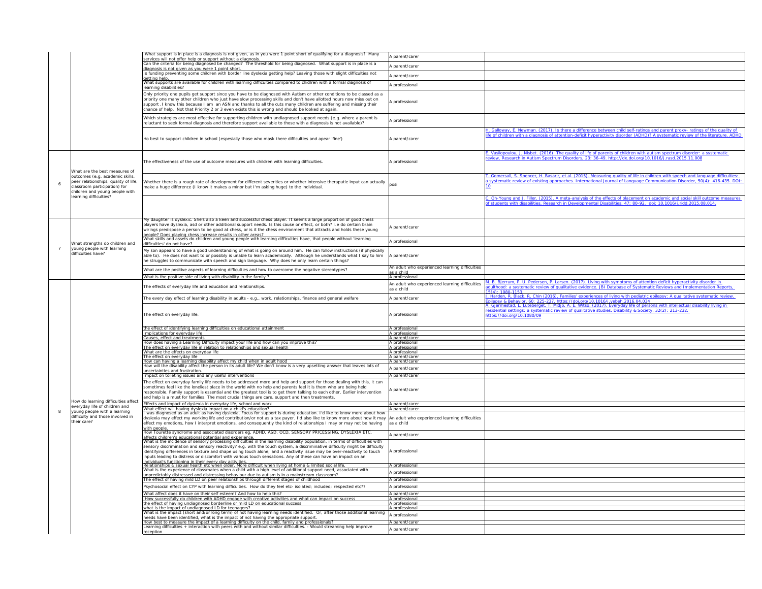|  |                                                                                                                                                                            | What support is in place is a diagnosis is not given, as in you were 1 point short of qualifying for a diagnosis? Many                                                                                                                                                                                                                                                                                                                                                                            | A parent/carer                                                   |                                                                                                                                                                                                                                                                       |
|--|----------------------------------------------------------------------------------------------------------------------------------------------------------------------------|---------------------------------------------------------------------------------------------------------------------------------------------------------------------------------------------------------------------------------------------------------------------------------------------------------------------------------------------------------------------------------------------------------------------------------------------------------------------------------------------------|------------------------------------------------------------------|-----------------------------------------------------------------------------------------------------------------------------------------------------------------------------------------------------------------------------------------------------------------------|
|  |                                                                                                                                                                            | services will not offer help or support without a diagnosis.<br>Can the criteria for being diagnosed be changed? The threshold for being diagnosed. What support is in place is a                                                                                                                                                                                                                                                                                                                 |                                                                  |                                                                                                                                                                                                                                                                       |
|  |                                                                                                                                                                            | diagnosis is not given as you were 1 point short.                                                                                                                                                                                                                                                                                                                                                                                                                                                 | A parent/carer                                                   |                                                                                                                                                                                                                                                                       |
|  |                                                                                                                                                                            | Is funding preventing some children with border line dyslexia getting help? Leaving those with slight difficulties not<br>aetting help.                                                                                                                                                                                                                                                                                                                                                           | A parent/carer                                                   |                                                                                                                                                                                                                                                                       |
|  |                                                                                                                                                                            | What supports are available for children with learning difficulties compared to chidlren with a formal diagnosis of                                                                                                                                                                                                                                                                                                                                                                               | A professional                                                   |                                                                                                                                                                                                                                                                       |
|  |                                                                                                                                                                            | learning disabilities?<br>Only priority one pupils get support since you have to be diagnosed with Autism or other conditions to be classed as a<br>priority one many other children who just have slow processing skills and don't have allotted hours now miss out on<br>support. I know this because I am an ASN and thanks to all the cuts many children are suffering and missing their<br>chance of help. Not that Priority 2 or 3 even exists this is wrong and should be looked at again. | A professional                                                   |                                                                                                                                                                                                                                                                       |
|  |                                                                                                                                                                            | Which strategies are most effective for supporting children with undiagnosed support needs (e.g. where a parent is<br>reluctant to seek formal diagnosis and therefore support available to those with a diagnosis is not available)?                                                                                                                                                                                                                                                             | A professional                                                   |                                                                                                                                                                                                                                                                       |
|  |                                                                                                                                                                            |                                                                                                                                                                                                                                                                                                                                                                                                                                                                                                   |                                                                  | <u>H. Galloway, E. Newman. (2017). Is there a difference between child self-ratings and parent proxy- ratings of the quality o</u>                                                                                                                                    |
|  |                                                                                                                                                                            | Ho best to support children in school (espesially those who mask there difficulties and apear 'fine')                                                                                                                                                                                                                                                                                                                                                                                             | A parent/carer                                                   | ife of children with a diagnosis of attention-deficit hyperactivity disorder (ADHD)? A systematic review of the literature. AD                                                                                                                                        |
|  | What are the best measures of<br>outcomes (e.g. academic skills,<br>peer relationships, quality of life,<br>classroom participation) for<br>children and young people with | The effectiveness of the use of outcome measures with children with learning difficulties.                                                                                                                                                                                                                                                                                                                                                                                                        | A professional                                                   | . Vasilopoulou, J. Nisbet. (2016). The quality of life of parents of children with autism spectrum disorder: a systematic<br>review. Research in Autism Spectrum Disorders, 23: 36-49. http://dx.doi.org/10.1016/j.rasd.2015.11.008                                   |
|  |                                                                                                                                                                            | Whether there is a rough rate of development for different severities or whether intensive theraputie input can actually<br>make a huge difference (I know it makes a minor but I'm asking huge) to the individual.                                                                                                                                                                                                                                                                               | lposi                                                            | <u> T. Gomersall, S. Spencer, H. Basarir, et al. (2015). Measuring quality of life in children with speech and language difficultie</u><br>a systematic review of existing approaches. International Journal of Language Communication Disorder, 50(4): 416-435. D    |
|  | learning difficulties?                                                                                                                                                     |                                                                                                                                                                                                                                                                                                                                                                                                                                                                                                   |                                                                  | . Oh-Young and J. Filler. (2015). A meta-analysis of the effects of placement on academic and social skill outcome measur<br>of students with disabilities. Research in Developmental Disabilities, 47: 80-92. doi: 10.1016/j.ridd.2015.08.014.                       |
|  |                                                                                                                                                                            | My daughter is dyslexic. She's also a keen and successful chess player. It seems a large proportion of good chess<br>players have dyslexia, asd or other additional support needs. Is this cause or effect, or both? I.e do certain brain<br>wirings predispose a person to be good at chess, or is it the chess environment that attracts and holds these young<br>people? Does playing chess increase results in other areas?                                                                   | A parent/carer                                                   |                                                                                                                                                                                                                                                                       |
|  | What strengths do children and                                                                                                                                             | What skills and assets do children and young people with learning difficulties have, that people without 'learning<br>difficulties' do not have?                                                                                                                                                                                                                                                                                                                                                  | A professional                                                   |                                                                                                                                                                                                                                                                       |
|  | young people with learning<br>difficulties have?                                                                                                                           | My son appears to have a good understanding of what is going on around him. He can follow instructions (if physically<br>able to). He does not want to or possibly is unable to learn academically. Although he understands what I say to him<br>he struggles to communicate with speech and sign language. Why does he only learn certain things?                                                                                                                                                | A parent/carer                                                   |                                                                                                                                                                                                                                                                       |
|  |                                                                                                                                                                            | What are the positive aspects of learning difficulties and how to overcome the negative stereotypes?                                                                                                                                                                                                                                                                                                                                                                                              | An adult who experienced learning difficulties<br>as a child     |                                                                                                                                                                                                                                                                       |
|  |                                                                                                                                                                            | What is the positive side of living with disability in the family?                                                                                                                                                                                                                                                                                                                                                                                                                                | A professional<br>An adult who experienced learning difficulties | M. B. Bjerrum, P. U. Pedersen, P. Larsen. (2017). Living with symptoms of attention deficit hyperactivity disorder in                                                                                                                                                 |
|  |                                                                                                                                                                            | The effects of everyday life and education and relationships.                                                                                                                                                                                                                                                                                                                                                                                                                                     | as a child                                                       | adulthood: a systematic review of qualitative evidence. JBI Database of Systematic Reviews and Implementation Reports,<br>$15(4)$ 1080-1153                                                                                                                           |
|  |                                                                                                                                                                            | The every day effect of learning disability in adults - e.g., work, relationships, finance and general welfare                                                                                                                                                                                                                                                                                                                                                                                    | A parent/carer                                                   | J. Harden, R. Black, R. Chin (2016). Families' experiences of living with pediatric epilepsy: A qualitative systematic review.<br>Epilepsy & Behavior, 60: 225-237, https://doi.org/10.1016/j.yebeh.2016.04.034                                                       |
|  |                                                                                                                                                                            | The effect on everyday life.                                                                                                                                                                                                                                                                                                                                                                                                                                                                      | A professional                                                   | A. Gjermestad, L. Luteberget, T. Midjo, A. E. Witso. (2017). Everyday life of persons with intellectual disability living in<br>residential settings: a systematic review of qualitative studies. Disability & Society, 32(2): 213-232.<br>https://doi.org/10.1080/09 |
|  |                                                                                                                                                                            | the effect of identifying learning difficulties on educational attainment                                                                                                                                                                                                                                                                                                                                                                                                                         | A professional                                                   |                                                                                                                                                                                                                                                                       |
|  |                                                                                                                                                                            | Implications for everyday life<br>Causes, effect and treatments                                                                                                                                                                                                                                                                                                                                                                                                                                   | A professional<br>A parent/carer                                 |                                                                                                                                                                                                                                                                       |
|  |                                                                                                                                                                            | How does having a Learning Difficulty impact your life and how can you improve this?                                                                                                                                                                                                                                                                                                                                                                                                              | A professional                                                   |                                                                                                                                                                                                                                                                       |
|  |                                                                                                                                                                            | The effect on everyday life in relation to relationships and sexual health                                                                                                                                                                                                                                                                                                                                                                                                                        | A professional<br>A professional                                 |                                                                                                                                                                                                                                                                       |
|  |                                                                                                                                                                            | What are the effects on everyday life<br>The effect on everyday life                                                                                                                                                                                                                                                                                                                                                                                                                              | A parent/carer                                                   |                                                                                                                                                                                                                                                                       |
|  |                                                                                                                                                                            | How can having a learning disability affect my child when in adult hood                                                                                                                                                                                                                                                                                                                                                                                                                           | A parent/carer                                                   |                                                                                                                                                                                                                                                                       |
|  |                                                                                                                                                                            | How will the disability affect the person in its adult life? We don't know is a very upsetting answer that leaves lots of<br>uncertainties and frustration.                                                                                                                                                                                                                                                                                                                                       | A parent/carer                                                   |                                                                                                                                                                                                                                                                       |
|  |                                                                                                                                                                            | Impact on toileting issues and any useful interventions                                                                                                                                                                                                                                                                                                                                                                                                                                           | A parent/carer                                                   |                                                                                                                                                                                                                                                                       |
|  | How do learning difficulties affect<br>everyday life of children and                                                                                                       | The effect on everyday family life needs to be addressed more and help and support for those dealing with this, it can<br>sometimes feel like the loneliest place in the world with no help and parents feel it is them who are being held<br>responsible. Family support is essential and the greatest tool is to get them talking to each other. Earlier intervention<br>and help is a must for families. The most crucial things are care, support and then treatments.                        | A parent/carer                                                   |                                                                                                                                                                                                                                                                       |
|  |                                                                                                                                                                            | Effects and impact of dyslexia in everyday life, school and work                                                                                                                                                                                                                                                                                                                                                                                                                                  | A parent/carer                                                   |                                                                                                                                                                                                                                                                       |
|  | young people with a learning<br>difficulty and those involved in<br>their care?                                                                                            | What effect will having dyslexia impact on a child's education?<br>was diagnosed as an adult as having dyslexia. Focus for support is during education. I'd like to know more about how<br>dyslexia may effect my working life and contribution/or not as a tax payer. I'd also like to know more about how it may                                                                                                                                                                                | A parent/carer<br>An adult who experienced learning difficulties |                                                                                                                                                                                                                                                                       |
|  |                                                                                                                                                                            | effect my emotions, how I interpret emotions, and consequently the kind of relationships I may or may not be having<br>with people.<br>How Tourette syndrome and associated disorders eg. ADHD, ASD, OCD, SENSORY PRICESSING, DYSLEXIA ETC.                                                                                                                                                                                                                                                       | as a child<br>A parent/carer                                     |                                                                                                                                                                                                                                                                       |
|  |                                                                                                                                                                            | affects children's educational potential and experience.<br>What is the incidence of sensory processing difficulties in the learning disability population, in terms of difficulties with                                                                                                                                                                                                                                                                                                         |                                                                  |                                                                                                                                                                                                                                                                       |
|  |                                                                                                                                                                            | sensory discrimination and sensory reactivity? e.g. with the touch system, a discriminative difficulty might be difficulty<br>identifying differences in texture and shape using touch alone; and a reactivity issue may be over-reactivity to touch<br>inputs leading to distress or discomfort with various touch sensations. Any of these can have an impact on an<br>individual's functioning in their every day activities.                                                                  | A professional                                                   |                                                                                                                                                                                                                                                                       |
|  |                                                                                                                                                                            | Relationships & sexual health etc when older. More difficult when living at home & limited social life.<br>What is the experience of classmates when a child with a high level of additional support need, associated with<br>unpredictably distressed and distressing behaviour due to autism is in a mainstream classroom?                                                                                                                                                                      | A professional<br>A professional                                 |                                                                                                                                                                                                                                                                       |
|  |                                                                                                                                                                            | The effect of having mild LD on peer relationships through different stages of childhood<br>Psychosocial effect on CYP with learning difficulties. How do they feel etc- isolated; included; respected etc??                                                                                                                                                                                                                                                                                      | A professional<br>A professional                                 |                                                                                                                                                                                                                                                                       |
|  |                                                                                                                                                                            | What affect does it have on their self esteem? And how to help this?<br>How successfully do children with ADHD engage with creative activities and what can impact on success                                                                                                                                                                                                                                                                                                                     | A parent/carer<br>A professional                                 |                                                                                                                                                                                                                                                                       |
|  |                                                                                                                                                                            | the effect of having undiagnosed borderline or mild LD on educational success                                                                                                                                                                                                                                                                                                                                                                                                                     | A professional                                                   |                                                                                                                                                                                                                                                                       |
|  |                                                                                                                                                                            | what is the impact of undiagnosed LD for teenagers?<br>What is the impact (short and/or long term) of not having learning needs identified. Or, after those additional learning                                                                                                                                                                                                                                                                                                                   | A professional                                                   |                                                                                                                                                                                                                                                                       |
|  |                                                                                                                                                                            | needs have been identified, what is the impact of not having the appropriate support.                                                                                                                                                                                                                                                                                                                                                                                                             | A professional                                                   |                                                                                                                                                                                                                                                                       |
|  |                                                                                                                                                                            | How best to measure the impact of a learning difficulty on the child, family and professionals?<br>Learning difficulties + interaction with peers with and without similar difficulties. - Would streaming help improve                                                                                                                                                                                                                                                                           | A parent/carer                                                   |                                                                                                                                                                                                                                                                       |
|  |                                                                                                                                                                            | reception                                                                                                                                                                                                                                                                                                                                                                                                                                                                                         | A parent/carer                                                   |                                                                                                                                                                                                                                                                       |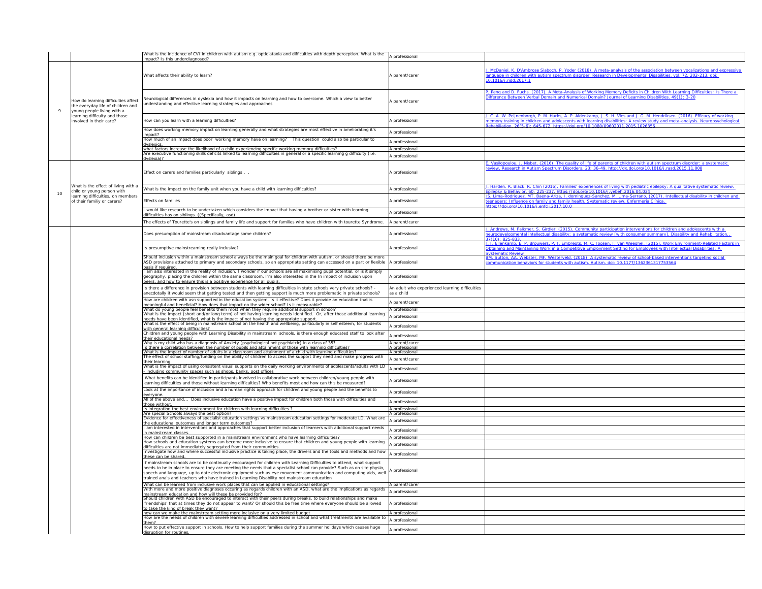|  |                                                                                                        | What is the incidence of CVI in children with autism e.g. optic ataxia and difficulties with depth perception. What is the<br>impact? Is this underdiagnosed?                                                                                                                                                                                                                                                                                                        | A professional                                               |                                                                                                                                                                                                                                                                                                                                           |
|--|--------------------------------------------------------------------------------------------------------|----------------------------------------------------------------------------------------------------------------------------------------------------------------------------------------------------------------------------------------------------------------------------------------------------------------------------------------------------------------------------------------------------------------------------------------------------------------------|--------------------------------------------------------------|-------------------------------------------------------------------------------------------------------------------------------------------------------------------------------------------------------------------------------------------------------------------------------------------------------------------------------------------|
|  |                                                                                                        | What affects their ability to learn?                                                                                                                                                                                                                                                                                                                                                                                                                                 | A parent/carer                                               | . McDaniel, K. D'Ambrose Slaboch, P. Yoder (2018). A meta-analysis of the association between vocalizations and express<br><u>language in children with autism spectrum disorder. Research in Developmental Disabilities. vol. 72, 202-213. doi:</u><br><u>10.1016/j.ridd.2017.1</u>                                                      |
|  | How do learning difficulties affect<br>the everyday life of children and<br>young people living with a | Neurological differences in dyslexia and how it impacts on learning and how to overcome. Which a view to better<br>understanding and effective learning strategies and approaches                                                                                                                                                                                                                                                                                    | A parent/carer                                               | <u>P. Peng and D. Fuchs. (2017). A Meta-Analysis of Working Memory Deficits in Children With Learning Difficulties: Is There a</u><br>Difference Between Verbal Domain and Numerical Domain? Journal of Learning Disabilities. 49(1): 3-20                                                                                                |
|  | learning difficulty and those<br>involved in their care?                                               | How can you learn with a learning difficulties?                                                                                                                                                                                                                                                                                                                                                                                                                      | professional                                                 | . C. A. W. Peijnenborgh, P. M. Hurks, A. P. Aldenkamp, J. S. H. Vles and J. G. M. Hendriksen. (2016). Efficacy of working<br>memory training in children and adolescents with learning disabilities: A review study and meta-analysis. Neuropsychologic<br>Rehabiliation, 26(5-6): 645-672, https://doi.org/10.1080/09602011.2015.1026356 |
|  |                                                                                                        | How does working memory impact on learning generally and what strategies are most effective in ameliorating it's                                                                                                                                                                                                                                                                                                                                                     | A professional                                               |                                                                                                                                                                                                                                                                                                                                           |
|  |                                                                                                        | impact?<br>How much of an impact does poor working memory have on learning? This question could also be particular to                                                                                                                                                                                                                                                                                                                                                | A professional                                               |                                                                                                                                                                                                                                                                                                                                           |
|  |                                                                                                        | dyslexics<br>what factors increase the likelihood of a child experiencing specific working memory difficulties?<br>Are executive functioning skills deficits linked to learning difficulties in general or a specific learning g difficulty (i.e.<br>dyslexia)?                                                                                                                                                                                                      | A professional<br>A professional                             |                                                                                                                                                                                                                                                                                                                                           |
|  |                                                                                                        | Effect on carers and families particularly siblings.                                                                                                                                                                                                                                                                                                                                                                                                                 | A professional                                               | . Vasilopoulou, J. Nisbet. (2016). The quality of life of parents of children with autism spectrum disorder: a systematic<br><u>review. Research in Autism Spectrum Disorders, 23: 36-49. http://dx.doi.org/10.1016/j.rasd.2015.11.008</u>                                                                                                |
|  | What is the effect of living with a<br>child or young person with                                      | What is the impact on the family unit when you have a child with learning difficulties?                                                                                                                                                                                                                                                                                                                                                                              | A professional                                               | . Harden, R. Black, R. Chin (2016). Families' experiences of living with pediatric epilepsy: A qualitative systematic review.<br>ipilepsy & Behavior, 60: 225-237, https://doi.org/10.1016/j.vebeh.2016.04.034                                                                                                                            |
|  | learning difficulties, on members<br>of their familiy or carers?                                       | <b>Effects on families</b>                                                                                                                                                                                                                                                                                                                                                                                                                                           | A professional                                               | JS. Lima-Rodriquez, MT. Baena-Ariza, I. dominquez-Sanchez, M. Lima-Serrano. (2017). Intellectual disability in children an<br>eenagers: Influence on family and family health. Systematic review. Enfermería Clínica.<br>uttns://doi.org/10.1016/i.enfoli.2017.10.0                                                                       |
|  |                                                                                                        | I would like research to be undertaken which considers the impact that having a brother or sister with learning<br>difficulties has on siblings. ((Specifically, asd)                                                                                                                                                                                                                                                                                                | A professional                                               |                                                                                                                                                                                                                                                                                                                                           |
|  |                                                                                                        | The effects of Tourette's on siblings and family life and support for families who have children with tourette Syndrome.                                                                                                                                                                                                                                                                                                                                             | A parent/carer                                               |                                                                                                                                                                                                                                                                                                                                           |
|  |                                                                                                        | Does presumption of mainstream disadvantage some children?                                                                                                                                                                                                                                                                                                                                                                                                           | A professional                                               | . Andrews, M. Falkmer, S. Girdler. (2015). Community participation interventions for children and adolescents with a<br><u>neurodevelopmental intellectual disability: a systematic review [with consumer summary]. Disability and Rehabilitation., </u><br>$37(10): 825 - 833.$                                                          |
|  |                                                                                                        | Is presumptive mainstreaming really inclusive?                                                                                                                                                                                                                                                                                                                                                                                                                       | A professional                                               | <u>J. J. Ellenkamp, E. P. Brouwers, P. J. Embregts, M. C. Joosen, J. van Weeghel. (2015). Work Environment-Related Factors</u><br>Obtaining and Maintaining Work in a Competitive Employment Setting for Employees with Intellectual Disabilities: A<br>Systematic Review                                                                 |
|  |                                                                                                        | Should inclusion within a mainstream school always be the main goal for children with autism, or should there be more<br>ASD provisions attached to primary and secondary schools, so an appropriate setting can accessed on a part or flexible<br>basis if required.                                                                                                                                                                                                | A professional                                               | BM. Sutton, AA. Webster, MF. Westerveld. (2018). A systematic review of school-based interventions targeting social<br>communication behaviors for students with autism. Autism. doi: 10.1177/1362361317753564                                                                                                                            |
|  |                                                                                                        | am also interested in the reality of inclusion. I wonder if our schools are all maximising pupil potential, or is it simply<br>geography, placing the children within the same classroom. I'm also interested in the In impact of inclusion upon<br>peers, and how to ensure this is a positive experience for all pupils.                                                                                                                                           | A professional                                               |                                                                                                                                                                                                                                                                                                                                           |
|  |                                                                                                        | Is there a difference in provision between students with learning difficulties in state schools very private schools? -<br>anecdotally it would seem that getting tested and then getting support is much more problematic in private schools?                                                                                                                                                                                                                       | An adult who experienced learning difficulties<br>as a child |                                                                                                                                                                                                                                                                                                                                           |
|  |                                                                                                        | How are children with asn supported in the education system. Is it effective? Does it provide an education that is<br>meaningful and beneficial? How does that impact on the wider school? Is it measurable?<br>What do young people feel benefits them most when they require additional support in school?                                                                                                                                                         | A parent/carer<br>A professional                             |                                                                                                                                                                                                                                                                                                                                           |
|  |                                                                                                        | What is the impact (short and/or long term) of not having learning needs identified. Or, after those additional learning<br>needs have been identified, what is the impact of not having the appropriate support.                                                                                                                                                                                                                                                    | A professional                                               |                                                                                                                                                                                                                                                                                                                                           |
|  |                                                                                                        | What is the effect of being in mainstream school on the health and wellbeing, particularly in self esteem, for students<br>with general learning difficulties?                                                                                                                                                                                                                                                                                                       | A professional                                               |                                                                                                                                                                                                                                                                                                                                           |
|  |                                                                                                        | Children and young people with Learning Disability in mainstream schools, is there enough educated staff to look after<br>their educational needs?                                                                                                                                                                                                                                                                                                                   | A professional                                               |                                                                                                                                                                                                                                                                                                                                           |
|  |                                                                                                        | Why is my child who has a diagnosis of Anxiety (psychological not psychiatric) in a class of 35?                                                                                                                                                                                                                                                                                                                                                                     | A parent/carer                                               |                                                                                                                                                                                                                                                                                                                                           |
|  |                                                                                                        | Is there a correlation between the number of pupils and attainment of those with learning difficulties?<br>What is the impact of number of adults in a classroom and attainment of a child with learning difficulties?                                                                                                                                                                                                                                               | A professional<br>A professional                             |                                                                                                                                                                                                                                                                                                                                           |
|  |                                                                                                        | The effect of school staffing/funding on the ability of children to access the support they need and make progress with<br>their learning.                                                                                                                                                                                                                                                                                                                           | A parent/carer                                               |                                                                                                                                                                                                                                                                                                                                           |
|  |                                                                                                        | What is the impact of using consistent visual supports on the daily working environments of adolescents/adults with LD<br>including community spaces such as shops, banks, post offices                                                                                                                                                                                                                                                                              | A professional                                               |                                                                                                                                                                                                                                                                                                                                           |
|  |                                                                                                        | What benefits can be identified in participants involved in collaborative work between children/young people with<br>learning difficulties and those without learning difficulties? Who benefits most and how can this be measured?                                                                                                                                                                                                                                  | A professional                                               |                                                                                                                                                                                                                                                                                                                                           |
|  |                                                                                                        | Look at the importance of inclusion and a human rights approach for children and young people and the benefits to<br>everyone.                                                                                                                                                                                                                                                                                                                                       | A professional                                               |                                                                                                                                                                                                                                                                                                                                           |
|  |                                                                                                        | All of the above and Does inclusive education have a positive impact for children both those with difficulties and<br>those without.                                                                                                                                                                                                                                                                                                                                 | A professional                                               |                                                                                                                                                                                                                                                                                                                                           |
|  |                                                                                                        | Is integration the best environment for children with learning difficulties?<br>Are special Schools always the best option?                                                                                                                                                                                                                                                                                                                                          | A professional<br>A professional                             |                                                                                                                                                                                                                                                                                                                                           |
|  |                                                                                                        | Evidence for effectiveness of specialist education settings vs mainstream education settings for moderate LD. What are<br>the educational outcomes and longer term outcomes?                                                                                                                                                                                                                                                                                         | A professional                                               |                                                                                                                                                                                                                                                                                                                                           |
|  |                                                                                                        | am interested in interventions and approaches that support better inclusion of learners with additional support needs<br>in mainstream classes                                                                                                                                                                                                                                                                                                                       | A professional                                               |                                                                                                                                                                                                                                                                                                                                           |
|  |                                                                                                        | How can children be best supported in a mainstream environment who have learning difficulties?<br>How schools and education systems can become more inclusive to ensure that children and young people with learning                                                                                                                                                                                                                                                 | A professional                                               |                                                                                                                                                                                                                                                                                                                                           |
|  |                                                                                                        | difficulties are not immediately segregated from their communities.<br>Investigate how and where successful inclusive practice is taking place, the drivers and the tools and methods and how<br>these can be shared.                                                                                                                                                                                                                                                | A professional<br>A professional                             |                                                                                                                                                                                                                                                                                                                                           |
|  |                                                                                                        | If mainstream schools are to be continually encouraged for children with Learning Difficulties to attend, what support<br>needs to be in place to ensure they are meeting the needs that a specialist school can provide? Such as on site physio,<br>speech and language, up to date electronic equipment such as eye movement communication and computing aids, well<br>trained ana's and teachers who have trained in Learning Disability not mainstream education | A professional                                               |                                                                                                                                                                                                                                                                                                                                           |
|  |                                                                                                        | What can be learned from inclusive work places that can be applied in educational settings?<br>With more and more positive diagnoses occuring as regards children with an ASD, what are the implications as regards                                                                                                                                                                                                                                                  | A parent/carer<br>A professional                             |                                                                                                                                                                                                                                                                                                                                           |
|  |                                                                                                        | mainstream education and how will these be provided for?<br>Should children with ASD be encouraged to interact with their peers during breaks, to build relationships and make<br>'friendships' that at times they do not appear to want? Or should this be free time where everyone should be allowed \  A professional                                                                                                                                             |                                                              |                                                                                                                                                                                                                                                                                                                                           |
|  |                                                                                                        | to take the kind of break they want?<br>how can we make the mainstream setting more inclusive on a very limited budget                                                                                                                                                                                                                                                                                                                                               | A professional                                               |                                                                                                                                                                                                                                                                                                                                           |
|  |                                                                                                        | How are the needs of children with severe learning difficulties addressed in school and what treatments are available to<br>them?                                                                                                                                                                                                                                                                                                                                    | A professional                                               |                                                                                                                                                                                                                                                                                                                                           |
|  |                                                                                                        | How to put effective support in schools. How to help support families during the summer holidays which causes huge<br>disruption for routines.                                                                                                                                                                                                                                                                                                                       | A professional                                               |                                                                                                                                                                                                                                                                                                                                           |

eta-analysis of the association between vocalizations and expressive arch in Developmental Disabilities. vol. 72, 202-213. doi: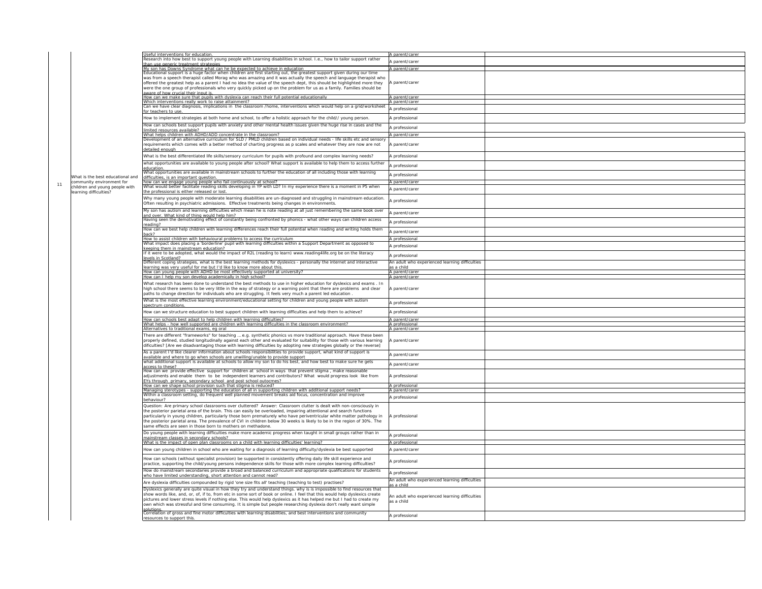|    |                                                               | Useful interventions for education.<br>Research into how best to support young people with Learning disabilities in school. I.e., how to tailor support rather                                                                                                                                                                                                                                                                                                                                                                                                 | A parent/carer                                     |
|----|---------------------------------------------------------------|----------------------------------------------------------------------------------------------------------------------------------------------------------------------------------------------------------------------------------------------------------------------------------------------------------------------------------------------------------------------------------------------------------------------------------------------------------------------------------------------------------------------------------------------------------------|----------------------------------------------------|
|    |                                                               | than use generic treatment strategies<br>My son has Downs Syndrome what can he be expected to achieve in education                                                                                                                                                                                                                                                                                                                                                                                                                                             | A parent/carer<br>A parent/carer                   |
|    |                                                               | Educational support is a huge factor when children are first starting out, the greatest support given during our time<br>was from a speech therapist called Morag who was amazing and it was actually the speech and language therapist who<br>offered the greatest help as a parent I had no idea the value of the speech dept, this should be highlighted more they<br>were the one group of professionals who very quickly picked up on the problem for us as a family. Families should be<br>aware of how crucial their input is.                          | A parent/carer                                     |
|    |                                                               | How can we make sure that pupils with dyslexia can reach their full potential educationally<br>Which interventions really work to raise attainment?<br>Can we have clear diagnosis, implications in the classroom /home, interventions which would help on a grid/worksheet                                                                                                                                                                                                                                                                                    | A parent/carer<br>A parent/carer<br>A professional |
|    |                                                               | for teachers to use.<br>How to implement strategies at both home and school, to offer a holistic approach for the child// young person.                                                                                                                                                                                                                                                                                                                                                                                                                        | A professional                                     |
|    |                                                               | How can schools best support pupils with anxiety and other mental health issues given the huge rise in cases and the                                                                                                                                                                                                                                                                                                                                                                                                                                           |                                                    |
|    |                                                               | limited resources available?<br>What helps children with ADHD/ADD concentrate in the classroom?                                                                                                                                                                                                                                                                                                                                                                                                                                                                | A professional<br>A parent/carer                   |
|    |                                                               | Development of an alternative curriculum for SLD / PMLD children based on individual needs - life skills etc and sensory<br>requirements which comes with a better method of charting progress as p scales and whatever they are now are not<br>detailed enough                                                                                                                                                                                                                                                                                                | A parent/carer                                     |
|    |                                                               | What is the best differentiated life skills/sensory curriculum for pupils with profound and complex learning needs?                                                                                                                                                                                                                                                                                                                                                                                                                                            | A professional                                     |
|    |                                                               | what opportunities are available to young people after school? What support is available to help them to access further<br>education.                                                                                                                                                                                                                                                                                                                                                                                                                          | A professional                                     |
|    |                                                               | What opportunities are available in mainstream schools to further the education of all including those with learning                                                                                                                                                                                                                                                                                                                                                                                                                                           | A professional                                     |
| 11 | What is the best educational and<br>community environment for | difficulties, is an important question.<br>how can we engage young people who fail continuously at school?                                                                                                                                                                                                                                                                                                                                                                                                                                                     | A parent/carer                                     |
|    | children and young people with<br>learning difficulties?      | What would better facilitate reading skills developing in YP with LD? In my experience there is a moment in P5 when<br>the professional is either released or lost.                                                                                                                                                                                                                                                                                                                                                                                            | A parent/carer                                     |
|    |                                                               | Why many young people with moderate learning disabilities are un-diagnosed and struggling in mainstream education.<br>Often resulting in psychiatric admissions. Effective treatments being changes in environments.                                                                                                                                                                                                                                                                                                                                           | A professional                                     |
|    |                                                               | My son has autism and learning difficulties which mean he is note reading at all just remembering the same book over<br>and over. What kind of thing would help him?                                                                                                                                                                                                                                                                                                                                                                                           | A parent/carer                                     |
|    |                                                               | Having seen the demotivating effect of constantly being confronted by phonics - what other ways can children access<br>reading?                                                                                                                                                                                                                                                                                                                                                                                                                                | A professional                                     |
|    |                                                               | How can we best help children with learning differences reach their full potential when reading and writing holds them<br>back?                                                                                                                                                                                                                                                                                                                                                                                                                                | A parent/carer                                     |
|    |                                                               | How to assist children with behavioural problems to access the curriculum<br>What impact does placing a 'borderline' pupil with learning difficulties within a Support Department as opposed to                                                                                                                                                                                                                                                                                                                                                                | A professional                                     |
|    |                                                               | keeping them in mainstream education?                                                                                                                                                                                                                                                                                                                                                                                                                                                                                                                          | A professional                                     |
|    |                                                               | If it were to be adopted, what would the impact of R2L (reading to learn) www.reading4life.org be on the literacy<br>levels in Scotland?                                                                                                                                                                                                                                                                                                                                                                                                                       | A professional                                     |
|    |                                                               | Different coping strategies, what is the best learning methods for dyslexics - personally the internet and interactive<br>learning was very useful for me but I'd like to know more about this.                                                                                                                                                                                                                                                                                                                                                                | An adult who e<br>as a child                       |
|    |                                                               | How can young people with ADHD be most effectively supported at university?<br>How can I help my son develop academically in high school?                                                                                                                                                                                                                                                                                                                                                                                                                      | A parent/carer<br>A parent/carer                   |
|    |                                                               | What research has been done to understand the best methods to use in higher education for dyslexics and exams. In                                                                                                                                                                                                                                                                                                                                                                                                                                              |                                                    |
|    |                                                               | high school there seems to be very little in the way of strategy or a warning point that there are problems and clear<br>paths to change direction for individuals who are struggling. It feels very much a parent led education.<br>What is the most effective learning environment/educational setting for children and young people with autism                                                                                                                                                                                                             | A parent/carer                                     |
|    |                                                               | spectrum conditions.                                                                                                                                                                                                                                                                                                                                                                                                                                                                                                                                           | A professional                                     |
|    |                                                               | How can we structure education to best support children with learning difficulties and help them to achieve?                                                                                                                                                                                                                                                                                                                                                                                                                                                   | A professional                                     |
|    |                                                               | How can schools best adapt to help children with learning difficulties?<br>What helps - how well supported are children with learning difficulties in the classroom environment?<br>Alternatives to traditional exams, eg oral                                                                                                                                                                                                                                                                                                                                 | A parent/carer<br>A professional<br>A parent/carer |
|    |                                                               | There are different "frameworks" for teaching  e.g. synthetic phonics vs more traditional approach. Have these been<br>properly defined, studied longitudinally against each other and evaluated for suitability for those with various learning<br>dificulties? [Are we disadvantaging those with learning difficulties by adopting new strategies globally or the reverse]                                                                                                                                                                                   | A parent/carer                                     |
|    |                                                               | As a parent I'd like clearer information about schools responsibilities to provide support, what kind of support is<br>available and where to go when schools are unwilling/unable to provide support                                                                                                                                                                                                                                                                                                                                                          | A parent/carer                                     |
|    |                                                               | what additional support is available at schools to allow my son to do his best, and how best to make sure he gets<br>access to these?                                                                                                                                                                                                                                                                                                                                                                                                                          | A parent/carer                                     |
|    |                                                               | How can we provide effective support for children at school in ways that prevent stigma, make reasonable                                                                                                                                                                                                                                                                                                                                                                                                                                                       |                                                    |
|    |                                                               | adjustments and enable them to be independent learners and contributors? What would progress look like from<br>EYs through primary, secondary school and post school outocmes?                                                                                                                                                                                                                                                                                                                                                                                 | A professional                                     |
|    |                                                               | How can we shape school provision such that stigma is reduced?<br>Managing sterotypes - supporting the education of all in supporting children with additional support needs?                                                                                                                                                                                                                                                                                                                                                                                  | A professional<br>A parent/carer                   |
|    |                                                               | Within a classroom setting, do frequent well planned movement breaks aid focus, concentration and improve<br>behaviour?                                                                                                                                                                                                                                                                                                                                                                                                                                        | A professional                                     |
|    |                                                               | Question: Are primary school classrooms over cluttered? Answer: Classroom clutter is dealt with non-consciously in<br>the posterior parietal area of the brain. This can easily be overloaded, impairing attentional and search functions<br>particularly in young children, particularly those born prematurely who have periventricular white matter pathology in<br>the posterior parietal area. The prevalence of CVI in children below 30 weeks is likely to be in the region of 30%. The<br>same effects are seen in those born to mothers on methadone. | A professional                                     |
|    |                                                               | Do young people with learning difficulties make more academic progress when taught in small groups rather than in                                                                                                                                                                                                                                                                                                                                                                                                                                              | A professional                                     |
|    |                                                               | mainstream classes in secondary schools?<br>What is the impact of open plan classrooms on a child with learning difficulties' learning?                                                                                                                                                                                                                                                                                                                                                                                                                        | A professional                                     |
|    |                                                               | How can young children in school who are waiting for a diagnosis of learning difficulty/dyslexia be best supported                                                                                                                                                                                                                                                                                                                                                                                                                                             | A parent/carer                                     |
|    |                                                               | How can schools (without specialist provision) be supported in consistently offering daily life skill experience and<br>practice, supporting the child/young persons independence skills for those with more complex learning difficulties?                                                                                                                                                                                                                                                                                                                    | A professional                                     |
|    |                                                               | How do mainstream secondaries provide a broad and balanced curriculum and appropriate qualifications for students<br>who have limited understanding, short attention and cannot read?                                                                                                                                                                                                                                                                                                                                                                          | A professional                                     |
|    |                                                               | Are dyslexia difficulties compounded by rigid 'one size fits all' teaching (teaching to test) practises?                                                                                                                                                                                                                                                                                                                                                                                                                                                       | An adult who e                                     |
|    |                                                               | Dyslexics generally are quite visual in how they try and understand things. why is is impossible to find resources that<br>show words like, and, or, of, if to, from etc in some sort of book or online. I feel that this would help dyslexics create<br>pictures and lower stress levels if nothing else. This would help dyslexics as it has helped me but I had to create my<br>own which was stressful and time consuming. It is simple but people researching dyslexia don't really want simple                                                           | as a child<br>An adult who e<br>as a child         |
|    |                                                               | solutions.<br>Correlation of gross and fine motor difficulties with learning disabilities, and best interventions and community<br>resources to support this.                                                                                                                                                                                                                                                                                                                                                                                                  | A professional                                     |

| Useful interventions for education.<br>Research into how best to support young people with Learning disabilities in school. I.e., how to tailor support rather                                                                                                                                                                                         | A parent/carer                                 |
|--------------------------------------------------------------------------------------------------------------------------------------------------------------------------------------------------------------------------------------------------------------------------------------------------------------------------------------------------------|------------------------------------------------|
| than use generic treatment strategies                                                                                                                                                                                                                                                                                                                  | A parent/carer                                 |
| <u>My son has Downs Syndrome what can he be expected to achieve in education</u><br>Educational support is a huge factor when children are first starting out, the greatest support given during our time                                                                                                                                              | A parent/carer                                 |
| was from a speech therapist called Morag who was amazing and it was actually the speech and language therapist who                                                                                                                                                                                                                                     | A parent/carer                                 |
| offered the greatest help as a parent I had no idea the value of the speech dept, this should be highlighted more they<br>were the one group of professionals who very quickly picked up on the problem for us as a family. Families should be                                                                                                         |                                                |
| aware of how crucial their input is.<br>How can we make sure that pupils with dyslexia can reach their full potential educationally                                                                                                                                                                                                                    | A parent/carer                                 |
| Which interventions really work to raise attainment?                                                                                                                                                                                                                                                                                                   | A parent/carer                                 |
| Can we have clear diagnosis, implications in the classroom /home, interventions which would help on a grid/worksheet<br>for teachers to use.                                                                                                                                                                                                           | A professional                                 |
| How to implement strategies at both home and school, to offer a holistic approach for the child// young person.                                                                                                                                                                                                                                        | A professional                                 |
| How can schools best support pupils with anxiety and other mental health issues given the huge rise in cases and the                                                                                                                                                                                                                                   | A professional                                 |
| limited resources available?<br>What helps children with ADHD/ADD concentrate in the classroom?                                                                                                                                                                                                                                                        | A parent/carer                                 |
| Development of an alternative curriculum for SLD / PMLD children based on individual needs - life skills etc and sensory<br>requirements which comes with a better method of charting progress as p scales and whatever they are now are not<br>detailed enough                                                                                        | A parent/carer                                 |
| What is the best differentiated life skills/sensory curriculum for pupils with profound and complex learning needs?                                                                                                                                                                                                                                    | A professional                                 |
| what opportunities are available to young people after school? What support is available to help them to access further<br>education.                                                                                                                                                                                                                  | A professional                                 |
| What opportunities are available in mainstream schools to further the education of all including those with learning<br>difficulties, is an important question.                                                                                                                                                                                        | A professional                                 |
| how can we engage young people who fail continuously at school?                                                                                                                                                                                                                                                                                        | A parent/carer                                 |
| What would better facilitate reading skills developing in YP with LD? In my experience there is a moment in P5 when<br>the professional is either released or lost.                                                                                                                                                                                    | A parent/carer                                 |
| Why many young people with moderate learning disabilities are un-diagnosed and struggling in mainstream education.<br>Often resulting in psychiatric admissions. Effective treatments being changes in environments.                                                                                                                                   | A professional                                 |
| My son has autism and learning difficulties which mean he is note reading at all just remembering the same book over<br>and over. What kind of thing would help him?                                                                                                                                                                                   | A parent/carer                                 |
| Having seen the demotivating effect of constantly being confronted by phonics - what other ways can children access<br>reading?                                                                                                                                                                                                                        | A professional                                 |
| How can we best help children with learning differences reach their full potential when reading and writing holds them                                                                                                                                                                                                                                 | A parent/carer                                 |
| back?<br>How to assist children with behavioural problems to access the curriculum                                                                                                                                                                                                                                                                     | A professional                                 |
| What impact does placing a 'borderline' pupil with learning difficulties within a Support Department as opposed to<br>keeping them in mainstream education?                                                                                                                                                                                            | A professional                                 |
| If it were to be adopted, what would the impact of R2L (reading to learn) www.reading4life.org be on the literacy<br>levels in Scotland?                                                                                                                                                                                                               | A professional                                 |
| Different coping strategies, what is the best learning methods for dyslexics - personally the internet and interactive                                                                                                                                                                                                                                 | An adult who experienced learning difficulties |
| learning was very useful for me but I'd like to know more about this.<br>How can young people with ADHD be most effectively supported at university?                                                                                                                                                                                                   | as a child<br>A parent/carer                   |
| How can I help my son develop academically in high school?                                                                                                                                                                                                                                                                                             | A parent/carer                                 |
| What research has been done to understand the best methods to use in higher education for dyslexics and exams. In<br>high school there seems to be very little in the way of strategy or a warning point that there are problems and clear<br>paths to change direction for individuals who are struggling. It feels very much a parent led education. | A parent/carer                                 |
| What is the most effective learning environment/educational setting for children and young people with autism                                                                                                                                                                                                                                          | A professional                                 |
| spectrum conditions.<br>How can we structure education to best support children with learning difficulties and help them to achieve?                                                                                                                                                                                                                   | A professional                                 |
| How can schools best adapt to help children with learning difficulties?                                                                                                                                                                                                                                                                                | A parent/carer                                 |
| What helps - how well supported are children with learning difficulties in the classroom environment?<br>Alternatives to traditional exams, eg oral                                                                                                                                                                                                    | A professional<br>A parent/carer               |
| There are different "frameworks" for teaching  e.g. synthetic phonics vs more traditional approach. Have these been                                                                                                                                                                                                                                    |                                                |
| properly defined, studied longitudinally against each other and evaluated for suitability for those with various learning<br>dificulties? [Are we disadvantaging those with learning difficulties by adopting new strategies globally or the reverse]                                                                                                  | A parent/carer                                 |
| As a parent I'd like clearer information about schools responsibilities to provide support, what kind of support is<br>available and where to go when schools are unwilling/unable to provide support                                                                                                                                                  | A parent/carer                                 |
| what additional support is available at schools to allow my son to do his best, and how best to make sure he gets<br>access to these?                                                                                                                                                                                                                  | A parent/carer                                 |
| How can we provide effective support for children at school in ways that prevent stigma, make reasonable<br>adjustments and enable them to be independent learners and contributors? What would progress look like from                                                                                                                                | A professional                                 |
| EYs through primary, secondary school and post school outocmes?<br>How can we shape school provision such that stigma is reduced?                                                                                                                                                                                                                      | A professional                                 |
| Managing sterotypes - supporting the education of all in supporting children with additional support needs?<br>Within a classroom setting, do frequent well planned movement breaks aid focus, concentration and improve                                                                                                                               | A parent/carer                                 |
| behaviour?                                                                                                                                                                                                                                                                                                                                             | A professional                                 |
| Question: Are primary school classrooms over cluttered? Answer: Classroom clutter is dealt with non-consciously in<br>the posterior parietal area of the brain. This can easily be overloaded, impairing attentional and search functions                                                                                                              |                                                |
| particularly in young children, particularly those born prematurely who have periventricular white matter pathology in                                                                                                                                                                                                                                 | A professional                                 |
| the posterior parietal area. The prevalence of CVI in children below 30 weeks is likely to be in the region of 30%. The<br>same effects are seen in those born to mothers on methadone.                                                                                                                                                                |                                                |
| Do young people with learning difficulties make more academic progress when taught in small groups rather than in                                                                                                                                                                                                                                      | A professional                                 |
| mainstream classes in secondary schools?<br>What is the impact of open plan classrooms on a child with learning difficulties' learning?                                                                                                                                                                                                                | A professional                                 |
| How can young children in school who are waiting for a diagnosis of learning difficulty/dyslexia be best supported                                                                                                                                                                                                                                     | A parent/carer                                 |
| How can schools (without specialist provision) be supported in consistently offering daily life skill experience and<br>practice, supporting the child/young persons independence skills for those with more complex learning difficulties?                                                                                                            | A professional                                 |
| How do mainstream secondaries provide a broad and balanced curriculum and appropriate qualifications for students                                                                                                                                                                                                                                      | A professional                                 |
| who have limited understanding, short attention and cannot read?                                                                                                                                                                                                                                                                                       | An adult who experienced learning difficulties |
| Are dyslexia difficulties compounded by rigid 'one size fits all' teaching (teaching to test) practises?<br>Dyslexics generally are quite visual in how they try and understand things. why is is impossible to find resources that                                                                                                                    | as a child                                     |
| show words like, and, or, of, if to, from etc in some sort of book or online. I feel that this would help dyslexics create                                                                                                                                                                                                                             | An adult who experienced learning difficulties |
| pictures and lower stress levels if nothing else. This would help dyslexics as it has helped me but I had to create my<br>own which was stressful and time consuming. It is simple but people researching dyslexia don't really want simple                                                                                                            | as a child                                     |
| solutions.<br>Correlation of gross and fine motor difficulties with learning disabilities, and best interventions and community                                                                                                                                                                                                                        |                                                |
| resources to support this.                                                                                                                                                                                                                                                                                                                             | A professional                                 |

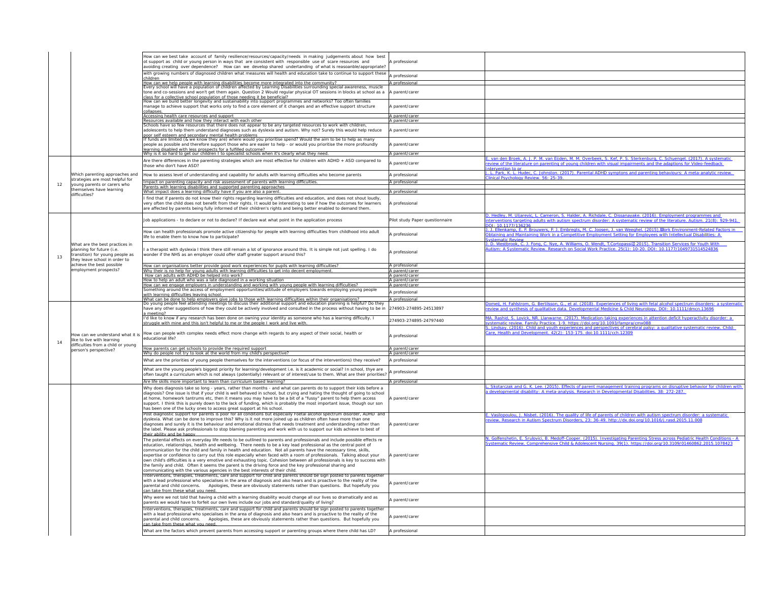|                                                                                                      | How can we best take account of family resilience/resources/capacity/needs in making judgements about how best<br>ot support as child or young person in ways that are consistent with responsible use of scare resources and<br>avoiding creating over dependence? How can we develop shared undertanding of what is reasoanble/appropriate?                                                                                                                                                                                                                     | A professional                                     |                                                                                                                                                                                                                                                                                                                                                                                                     |
|------------------------------------------------------------------------------------------------------|-------------------------------------------------------------------------------------------------------------------------------------------------------------------------------------------------------------------------------------------------------------------------------------------------------------------------------------------------------------------------------------------------------------------------------------------------------------------------------------------------------------------------------------------------------------------|----------------------------------------------------|-----------------------------------------------------------------------------------------------------------------------------------------------------------------------------------------------------------------------------------------------------------------------------------------------------------------------------------------------------------------------------------------------------|
|                                                                                                      | with growing numbers of diagnosed children what measures will health and education take to continue to support these                                                                                                                                                                                                                                                                                                                                                                                                                                              |                                                    |                                                                                                                                                                                                                                                                                                                                                                                                     |
|                                                                                                      | children                                                                                                                                                                                                                                                                                                                                                                                                                                                                                                                                                          | A professional                                     |                                                                                                                                                                                                                                                                                                                                                                                                     |
|                                                                                                      | How can we help people with learning disabilities become more integrated into the community?<br>Every school will have a population of children affected by Learning Disabilities surrounding special awareness, muscle<br>tone and co-sessions and won't get them again. Question 2 Would regular physical OT sessions in blocks at school as a<br>class for a collective school population of those needing it be beneficial?                                                                                                                                   | A professional<br>A parent/carer                   |                                                                                                                                                                                                                                                                                                                                                                                                     |
|                                                                                                      | How can we build better longevity and sustainability into support programmes and networks? Too often families<br>manage to achieve support that works only to find a core element of it changes and an effective support structure<br>collapses.                                                                                                                                                                                                                                                                                                                  | A parent/carer                                     |                                                                                                                                                                                                                                                                                                                                                                                                     |
|                                                                                                      | Accessing health care resources and support<br>Resources available and how they interact with each other<br>Schools have so few resources that there does not appear to be any targeted resources to work with children,                                                                                                                                                                                                                                                                                                                                          | A parent/carer<br>A parent/carer                   |                                                                                                                                                                                                                                                                                                                                                                                                     |
|                                                                                                      | adolescents to help them understand diagnoses such as dyslexia and autism. Why not? Surely this would help reduce<br>poor self esteem and secondary mental health problems<br>If funds are limited (& we know they are) where would you prioritise spend? Would the aim to be to help as many                                                                                                                                                                                                                                                                     | A parent/carer                                     |                                                                                                                                                                                                                                                                                                                                                                                                     |
|                                                                                                      | people as possible and therefore support those who are easier to help - or would you prioritise the more profoundly<br>learning disabled with less prospects for a fulfilled outcome?                                                                                                                                                                                                                                                                                                                                                                             | A parent/carer                                     |                                                                                                                                                                                                                                                                                                                                                                                                     |
|                                                                                                      | Why is it so hard to get our children I to specialist schools when it's clearly what they need.                                                                                                                                                                                                                                                                                                                                                                                                                                                                   | A parent/carer                                     | E. van den Broek, A. J. P. M. van Eijden, M. M. Overbeek, S. Kef, P. S. Sterkenburg, C. Schuengel. (2017). A systematic                                                                                                                                                                                                                                                                             |
|                                                                                                      | Are there differences in the parenting strategies which are most effective for children with ADHD + ASD compared to<br>those who don't have ASD?                                                                                                                                                                                                                                                                                                                                                                                                                  | A parent/carer                                     | review of the literature on parenting of young children with visual impairments and the adaptions for Video-feedback<br>Intervention to pr                                                                                                                                                                                                                                                          |
| Which parenting approaches and<br>strategies are most helpful for                                    | How to assess level of understanding and capability for adults with learning difficulties who become parents                                                                                                                                                                                                                                                                                                                                                                                                                                                      | A professional                                     | J. L. Park, K. L. Hudec, C. Johnston. (2017). Parental ADHD symptons and parenting behaviours: A meta-analytic review.<br>Clinical Psychology Review, 56: 25-39.                                                                                                                                                                                                                                    |
| voung parents or carers who                                                                          | Impact on parenting capacity and risk assessment of parents with learning difficulties.<br>Parents with learning disabilities and supported parenting approaches                                                                                                                                                                                                                                                                                                                                                                                                  | A professional                                     |                                                                                                                                                                                                                                                                                                                                                                                                     |
| themselves have learning<br>difficulties?                                                            | What impact does a learning difficulty have if you are also a parent                                                                                                                                                                                                                                                                                                                                                                                                                                                                                              | A professional                                     |                                                                                                                                                                                                                                                                                                                                                                                                     |
|                                                                                                      | I find that if parents do not know their rights regarding learning difficulties and education, and does not shout loudly,<br>very often the child does not benefit from their rights. It would be interesting to see if how the outcomes for learners<br>are affected by parents being fully informed of their children's rights and being better enabled to demand them.                                                                                                                                                                                         | A professional                                     |                                                                                                                                                                                                                                                                                                                                                                                                     |
|                                                                                                      | Job applications - to declare or not to declare? If declare wat what point in the application process                                                                                                                                                                                                                                                                                                                                                                                                                                                             | Pilot study Paper questionnaire                    | D. Hedley, M. Uljarevic, L. Cameron, S. Halder, A. Richdale, C. Dissanayake. (2016). Employment programmes and<br>interventions targeting adults with autism spectrum disorder: A systematic review of the literature. Autism. 21(8): 929-94<br>DOI: 10.1177/136236                                                                                                                                 |
| What are the best practices in                                                                       | How can health professionals promote active citizenship for people with learning difficulties from childhood into adult<br>life to enable them to know how to participate?                                                                                                                                                                                                                                                                                                                                                                                        | A professional                                     | 1. J. Ellenkamp, E. P. Brouwers, P. J. Embregts, M. C. Joosen, J. van Weeghel. (2015). Work Environment-Related Factors in<br>Obtaining and Maintaining Work in a Competitive Employment Setting for Employees with Intellectual Disabilities: A<br><b>Systematic Review</b><br>J. D. Westbrook, C. J. Fong, C. Nye, A. Williams, O. Wendt, T.CortopassiQ 2015). Transition Services for Youth With |
| planning for future (i.e.<br>transition) for young people as<br>they leave school in order to        | I a therapist with dyslexia I think there still remain a lot of ignorance around this. It is simple not just spelling. I do<br>wonder if the NHS as an employer could offer staff greater support around this?                                                                                                                                                                                                                                                                                                                                                    | A professional                                     | Autism: A Systematic Review. Research on Social Work Practice. 25(1): 10-20. DOI: 10.1177/1049731514524836                                                                                                                                                                                                                                                                                          |
| achieve the best possible<br>employment prospects?                                                   | How can organisations better provide good work experiences for pupils with learning difficulties?<br>Why their is no help for young adults with learning difficulties to get into decent employment.<br>How can adults with ADHD be helped into work?                                                                                                                                                                                                                                                                                                             | A professional<br>A parent/carer<br>A parent/carer |                                                                                                                                                                                                                                                                                                                                                                                                     |
|                                                                                                      | How to help an adult who was a late diagnosed in a working situation                                                                                                                                                                                                                                                                                                                                                                                                                                                                                              | A parent/carer                                     |                                                                                                                                                                                                                                                                                                                                                                                                     |
|                                                                                                      | How can we engage employers in understanding and working with young people with learning difficulties?<br>Something around the access of employment opportunities/attitude of employers towards employing young people                                                                                                                                                                                                                                                                                                                                            | A parent/carer<br>A professional                   |                                                                                                                                                                                                                                                                                                                                                                                                     |
|                                                                                                      | with learning difficulties leaving school.<br>What can be done to help employers give jobs to those with learning difficulties within their organisations?                                                                                                                                                                                                                                                                                                                                                                                                        | A professional                                     |                                                                                                                                                                                                                                                                                                                                                                                                     |
|                                                                                                      | Do young people feel attending meetings to discuss their additional support and education planning is helpful? Do they<br>have any other suggestions of how they could be actively involved and consulted in the process without having to be in                                                                                                                                                                                                                                                                                                                  | 274903-274895-24513897                             | Domeij, H. Fahlstrom, G. Bertilsson, G., et al. (2018). Experiences of living with fetal alcohol spectrum disorders: a systen<br>review and synthesis of qualitative data. Developmental Medicine & Child Neurology. DOI: 10.1111/dmcn.13696                                                                                                                                                        |
|                                                                                                      |                                                                                                                                                                                                                                                                                                                                                                                                                                                                                                                                                                   |                                                    |                                                                                                                                                                                                                                                                                                                                                                                                     |
|                                                                                                      | a meeting?<br>I'd like to know if any research has been done on owning your identity as someone who has a learning difficulty. I<br>struggle with mine and this isn't helpful to me or the people I work and live with.                                                                                                                                                                                                                                                                                                                                           | 274903-274895-24797440                             | MA. Rashid, S. Lovick, NR. Llanwarne. (2017). Medication-taking experiences in attention deficit hyperactivity disorder: a<br>systematic review. Family Practice. 1-9. https://doi.org/10.1093/fampra/cmx088<br>S. Lindsay. (2016). Child and youth experiences and perspectives of cerebral palsy: a qualitative systematic review. Child:                                                         |
| How can we understand what it is<br>like to live with learning<br>difficulties from a child or young | How can people with complex needs effect more change with regards to any aspect of their social, health or<br>educational life?                                                                                                                                                                                                                                                                                                                                                                                                                                   | A professional                                     | Care, Health and Development. 42(2): 153-175. doi: 10.1111/cch. 12309                                                                                                                                                                                                                                                                                                                               |
| person's perspective?                                                                                | How parents can get schools to provide the required support<br>Why do people not try to look at the world from my child's perspective?                                                                                                                                                                                                                                                                                                                                                                                                                            | A parent/carer<br>A parent/carer                   |                                                                                                                                                                                                                                                                                                                                                                                                     |
|                                                                                                      | What are the priorities of young people themselves for the interventions (or focus of the interventions) they receive?                                                                                                                                                                                                                                                                                                                                                                                                                                            | A professional                                     |                                                                                                                                                                                                                                                                                                                                                                                                     |
|                                                                                                      | What are the young people's biggest priority for learning/development i.e. is it academic or social? In school, thye are<br>often taught a curriculum which is not always (potentially) relevant or of interest/use to them. What are their priorities?                                                                                                                                                                                                                                                                                                           | A professional                                     |                                                                                                                                                                                                                                                                                                                                                                                                     |
|                                                                                                      | Are life skills more important to learn than curriculum based learning?                                                                                                                                                                                                                                                                                                                                                                                                                                                                                           | A professional                                     |                                                                                                                                                                                                                                                                                                                                                                                                     |
|                                                                                                      | Why does diagnosis take so long - years, rather than months - and what can parents do to support their kids before a<br>diagnosis? One issue is that if your child is well behaved in school, but crying and hating the thought of going to school<br>at home, homework tantrums etc, then it means you may have to be a bit of a "fussy" parent to help them access<br>support. I think this is purely down to the lack of funding, which is probably the most important issue, though our son                                                                   | A parent/carer                                     | <u>. Skotarczak and G. K. Lee. (2015). Effects of parent management training programs on disruptive behavior for children i</u><br>a developmental disability: A meta-analysis. Research in Developmental Disabilities. 38: 272-287.                                                                                                                                                                |
|                                                                                                      | has been one of the lucky ones to access great support at his school.<br>Post diagnostic support for parents is poor for all conditions but especially Foetal alcohol spectrum disorder, ADHD and<br>dyslexia. What can be done to improve this? Why is it not more joined up as children often have more than one<br>diagnoses and surely it is the behaviour and emotional distress that needs treatment and understanding rather than<br>the label. Please ask professionals to stop blaming parenting and work with us to support our kids achieve to best of | A parent/carer                                     | E. Vasilopoulou, J. Nisbet. (2016). The quality of life of parents of children with autism spectrum disorder: a systematic<br>review. Research in Autism Spectrum Disorders, 23: 36-49. http://dx.doi.org/10.1016/j.rasd.2015.11.008                                                                                                                                                                |
|                                                                                                      | their ability and be happy<br>The potential effects on everyday life needs to be outlined to parents and professionals and include possible effects re<br>education, relationships, health and wellbeing. There needs to be a key lead professional as the central point of<br>communication for the child and family in health and education. Not all parents have the necessary time, skills,                                                                                                                                                                   |                                                    | N. Golfenshetin, E. Srulovici, B. Medoff-Cooper. (2015). Investigating Parenting Stress across Pediatric Health Conditions -<br>Systematic Review. Comprehensive Child & Adolescent Nursing. 39(1). https://doi.org/10.3109/01460862.2015.1078423                                                                                                                                                   |
|                                                                                                      | expertise or confidence to carry out this role especially when faced with a room of professionals. Talking about your<br>own child's difficulties is a very emotive and exhausting topic. Cohesion between all professionals is key to success with<br>the family and child. Often it seems the parent is the driving force and the key professional sharing and<br>communicating with the various agencies in the best interests of their child                                                                                                                  | A parent/carer                                     |                                                                                                                                                                                                                                                                                                                                                                                                     |
|                                                                                                      | Interventions, therapies, treatments, care and support for child and parents should be sign posted to parents together<br>with a lead professional who specialises in the area of diagnosis and also hears and is proactive to the reality of the<br>parental and child concerns. Apologies, these are obviously statements rather than questions. But hopefully you<br>can take from these what you need                                                                                                                                                         | A parent/carer                                     |                                                                                                                                                                                                                                                                                                                                                                                                     |
|                                                                                                      | Why were we not told that having a child with a learning disability would change all our lives so dramatically and as<br>parents we would have to forfeit our own lives include our jobs and standard/quality of living?                                                                                                                                                                                                                                                                                                                                          | A parent/carer                                     |                                                                                                                                                                                                                                                                                                                                                                                                     |
|                                                                                                      | Interventions, therapies, treatments, care and support for child and parents should be sign posted to parents together<br>with a lead professional who specialises in the area of diagnosis and also hears and is proactive to the reality of the<br>parental and child concerns. Apologies, these are obviously statements rather than questions. But hopefully you<br>can take from these what you need                                                                                                                                                         | A parent/carer                                     |                                                                                                                                                                                                                                                                                                                                                                                                     |

| E. van den Broek, A. J. P. M. van Eijden, M. M. Overbeek, S. Kef, P. S. Sterkenburg, C. Schuengel. (2017). A systematic<br>review of the literature on parenting of young children with visual impairments and the adaptions for Video-feedback<br>Intervention to pr                                                                                                                                                                                                                                                               |
|-------------------------------------------------------------------------------------------------------------------------------------------------------------------------------------------------------------------------------------------------------------------------------------------------------------------------------------------------------------------------------------------------------------------------------------------------------------------------------------------------------------------------------------|
| J. L. Park, K. L. Hudec, C. Johnston. (2017). Parental ADHD symptons and parenting behaviours: A meta-analytic review.<br>Clinical Psychology Review. 56: 25-39.                                                                                                                                                                                                                                                                                                                                                                    |
|                                                                                                                                                                                                                                                                                                                                                                                                                                                                                                                                     |
|                                                                                                                                                                                                                                                                                                                                                                                                                                                                                                                                     |
| D. Hedley, M. Uljarevic, L. Cameron, S. Halder, A. Richdale, C. Dissanayake. (2016). Employment programmes and<br>interventions targeting adults with autism spectrum disorder: A systematic review of the literature. Autism. 21(8): 929-941.<br>DOI: 10.1177/136236                                                                                                                                                                                                                                                               |
| J. J. Ellenkamp, E. P. Brouwers, P. J. Embregts, M. C. Joosen, J. van Weeghel. (2015). Work Environment-Related Factors in<br>Obtaining and Maintaining Work in a Competitive Employment Setting for Employees with Intellectual Disabilities: A<br><b>Systematic Review</b>                                                                                                                                                                                                                                                        |
| J. D. Westbrook, C. J. Fong, C. Nye, A. Williams, O. Wendt, T.Cortopassi <sup>n</sup> 2015). Transition Services for Youth With<br>Autism: A Systematic Review. Research on Social Work Practice. 25(1): 10-20. DOI: 10.1177/1049731514524836                                                                                                                                                                                                                                                                                       |
|                                                                                                                                                                                                                                                                                                                                                                                                                                                                                                                                     |
|                                                                                                                                                                                                                                                                                                                                                                                                                                                                                                                                     |
|                                                                                                                                                                                                                                                                                                                                                                                                                                                                                                                                     |
| Domeij, H. Fahlstrom, G. Bertilsson, G., et al. (2018). Experiences of living with fetal alcohol spectrum disorders: a systematic                                                                                                                                                                                                                                                                                                                                                                                                   |
| review and synthesis of qualitative data. Developmental Medicine & Child Neurology. DOI: 10.1111/dmcn.13696<br>MA. Rashid, S. Lovick, NR. Llanwarne. (2017). Medication-taking experiences in attention deficit hyperactivity disorder: a<br>systematic review. Family Practice. 1-9. https://doi.org/10.1093/fampra/cmx088<br>S. Lindsay. (2016). Child and youth experiences and perspectives of cerebral palsy: a qualitative systematic review. Child:<br>Care, Health and Development. 42(2): 153-175. doi: 10.1111/cch. 12309 |
|                                                                                                                                                                                                                                                                                                                                                                                                                                                                                                                                     |
|                                                                                                                                                                                                                                                                                                                                                                                                                                                                                                                                     |
|                                                                                                                                                                                                                                                                                                                                                                                                                                                                                                                                     |
| L. Skotarczak and G. K. Lee. (2015). Effects of parent management training programs on disruptive behavior for children with<br>a developmental disability: A meta-analysis. Research in Developmental Disabilities. 38: 272-287.                                                                                                                                                                                                                                                                                                   |
| E. Vasilopoulou, J. Nisbet. (2016). The quality of life of parents of children with autism spectrum disorder: a systematic<br>review. Research in Autism Spectrum Disorders, 23: 36-49. http://dx.doi.org/10.1016/j.rasd.2015.11.008                                                                                                                                                                                                                                                                                                |
|                                                                                                                                                                                                                                                                                                                                                                                                                                                                                                                                     |
| N. Golfenshetin, E. Srulovici, B. Medoff-Cooper. (2015). Investigating Parenting Stress across Pediatric Health Conditions - A<br>Systematic Review. Comprehensive Child & Adolescent Nursing. 39(1). https://doi.org/10.3109/01460862.2015.1078423                                                                                                                                                                                                                                                                                 |
|                                                                                                                                                                                                                                                                                                                                                                                                                                                                                                                                     |
|                                                                                                                                                                                                                                                                                                                                                                                                                                                                                                                                     |
|                                                                                                                                                                                                                                                                                                                                                                                                                                                                                                                                     |
|                                                                                                                                                                                                                                                                                                                                                                                                                                                                                                                                     |
|                                                                                                                                                                                                                                                                                                                                                                                                                                                                                                                                     |
|                                                                                                                                                                                                                                                                                                                                                                                                                                                                                                                                     |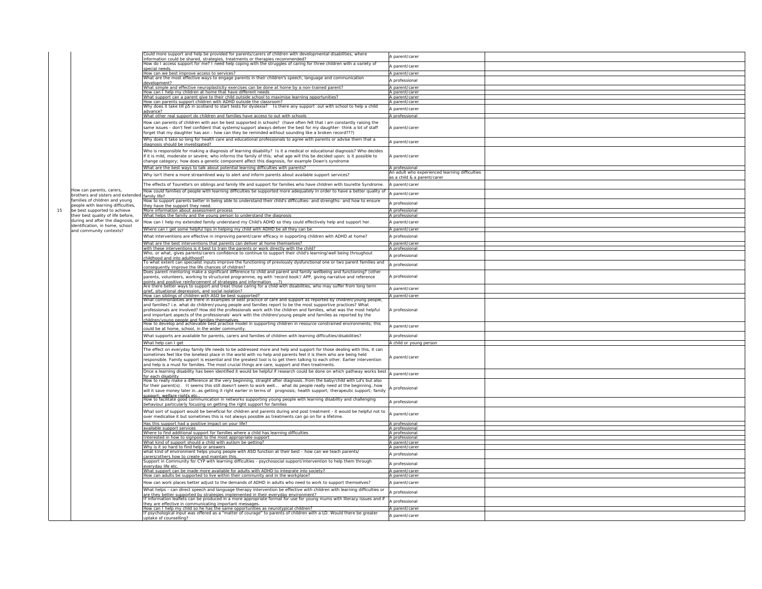| velopmental disabilities, where                                                                                                                        | A parent/carer                                                                |  |
|--------------------------------------------------------------------------------------------------------------------------------------------------------|-------------------------------------------------------------------------------|--|
| g for three children with a variety of                                                                                                                 | A parent/carer                                                                |  |
|                                                                                                                                                        | A parent/carer                                                                |  |
| language and communication                                                                                                                             | A professional                                                                |  |
| non-trained parent?                                                                                                                                    | A parent/carer                                                                |  |
| ng opportunities?                                                                                                                                      | A parent/carer<br>A parent/carer                                              |  |
|                                                                                                                                                        | A parent/carer                                                                |  |
| pport out with school to help a child                                                                                                                  | A parent/carer                                                                |  |
| ls.                                                                                                                                                    | A professional                                                                |  |
| n felt that i am constantly raising the<br>for my daughter- think a lot of staff<br>like a broken record???)                                           | A parent/carer                                                                |  |
| with parents or advise them that a                                                                                                                     | A parent/carer                                                                |  |
| or educational diagnosis? Who decides<br>his be decided upon; is it possible to<br>nple Down's syndrome                                                | A parent/carer                                                                |  |
|                                                                                                                                                        | A professional                                                                |  |
| lable support services?                                                                                                                                | An adult who experienced learning difficulties<br>as a child & a parent/carer |  |
| have children with tourette Syndrome.                                                                                                                  | A parent/carer                                                                |  |
| ately in order to have a better quality of                                                                                                             | A parent/carer                                                                |  |
| es- and strengths- and how to ensure                                                                                                                   |                                                                               |  |
|                                                                                                                                                        | A professional                                                                |  |
|                                                                                                                                                        | A professional<br>A professional                                              |  |
| effectively help and support her.                                                                                                                      | A parent/carer                                                                |  |
| n be.                                                                                                                                                  | A parent/carer                                                                |  |
| g children with ADHD at home?                                                                                                                          | A professional                                                                |  |
|                                                                                                                                                        | A parent/carer                                                                |  |
| child?                                                                                                                                                 | A professional                                                                |  |
| d's learning/well being throughout                                                                                                                     | A professional                                                                |  |
| unctional one or two parent families and                                                                                                               | A professional                                                                |  |
| mily wellbeing and functioning? (other<br>APP, giving narrative and reference                                                                          | A professional                                                                |  |
| ties, who may suffer from long term                                                                                                                    | A parent/carer                                                                |  |
|                                                                                                                                                        |                                                                               |  |
| as reported by children/young people,<br>nost supportive practices? What<br>d families, what was the most helpful<br>e and families as reported by the | A parent/carer<br>A professional                                              |  |
| source constrained environments; this                                                                                                                  | A parent/carer                                                                |  |
| irning difficulties/disabilities?                                                                                                                      | A professional                                                                |  |
|                                                                                                                                                        | A child or young person                                                       |  |
| pport for those dealing with this, it can<br>el it is them who are being held<br>king to each other. Earlier intervention<br>en treatments.            | A parent/carer                                                                |  |
| Id be done on which pathway works best                                                                                                                 | A parent/carer                                                                |  |
| .from the baby/child with Ld's but also<br>ople really need at the beginninghow<br>alth support; therapeutic support; family                           | A professional                                                                |  |
| h learning disability and challenging                                                                                                                  | A professional                                                                |  |
| ost treatment - it would be helpful not to<br>go on for a lifetime.                                                                                    | A parent/carer                                                                |  |
|                                                                                                                                                        | A professional<br>A professional                                              |  |
| es                                                                                                                                                     | A professional                                                                |  |
|                                                                                                                                                        | A professional<br>A parent/carer                                              |  |
|                                                                                                                                                        | A parent/carer                                                                |  |
| how can we teach parents/                                                                                                                              | A professional                                                                |  |
| ntervention to help them through                                                                                                                       | A professional                                                                |  |
| to society?                                                                                                                                            | A parent/carer                                                                |  |
| ce?                                                                                                                                                    | A parent/carer                                                                |  |
| I to work to support themselves?                                                                                                                       | A parent/carer                                                                |  |
| with children with learning difficulties or<br>ment?                                                                                                   | A professional                                                                |  |
| young mums with literacy issues and if                                                                                                                 | A professional                                                                |  |
| ren?                                                                                                                                                   |                                                                               |  |
| en with a LD. Would there be greater                                                                                                                   | A parent/carer                                                                |  |
|                                                                                                                                                        | A parent/carer                                                                |  |

|Could more support and help be provided for parents/carers of children with dev information could be shared, strategies, treatments or therapies recommended? How do I access support for me? I need help coping with the struggles of caring for three children with a variety of **A** parent/carer a parent/carer and the struggles of caring for three children with a variety of **A** pare How can we best improve access to services? What are the most effective ways to engage parents in their children's speech, language and communication [4] professional [4] a professional development? What simple and effective neuroplasticity exercises can be done at home by a non-How can I help my children at home that have different needs What support can a parent give to their child outside school to maximise learning How can parents support children with ADHD outside the classroom? Why does it take till p5 in scotland to start tests for dyslexia? Is there any support out with school to help a child  $\begin{array}{|l|l|}\hline \text{A parent/carer}\hline \end{array}$ What other real support do children and families have access to out with schools How can parents of children with asn be best supported in schools? (have ofter same issues - don't feel confident that systems/support always deliver the best forget that my daughter has asn - how can they be reminded without sounding Why does it take so long for health care and educational professionals to agree  $\cdot$ diagnosis should be investigated? Who is responsible for making a diagnosis of learning disability? Is it a medical  $\vert$  if it is mild, moderate or severe; who informs the family of this; what age will the change category; how does a genetic component affect this diagnosis, for exam What are the best ways to talk about potential learning difficulties with parents? Why isn't there a more streamlined way to alert and inform parents about avail The effects of Tourette's on siblings and family life and support for families who How could families of people with learning difficulties be supported more adequately in order to have a better quality of  $\begin{bmatrix} A & B & C \end{bmatrix}$  a parent/carer How to support parents better in being able to understand their child's difficulties- and strengths- and how to ensure  $\begin{array}{|l|l|}\hline \text{A} & \text{A} & \text{A} & \text{A} & \text{A} & \text{A} & \text{A} & \text{A} & \text{A} & \text{A} & \text{A} & \text{A} & \text{A} & \text{A} & \text{A}$ More information about assessment process What helps the family and the young person to understand the diagnosis How can I help my extended family understand my Child's ADHD so they could  $\overline{\phantom{a}}$ Where can I get some helpful tips in helping my child with ADHD be all they car  $|$ What interventions are effective in improving parent/carer efficacy in supporting What are the best interventions that parents can deliver at home themselves? with these interventions is it best to train the parents or work directly with the Who, or what, gives parents/carers confidence to continue to support their child's learning/well being throughout [4] professional childhood and into adulthood? To what extent can specialist inputs improve the functioning of previously dysfu consequently improve the life chances of children?  $|$ Does parent mentoring make a significant difference to child and parent and far |parents, volunteers, working to structured programme, eg with 'record book'/ points and positive reinforcement of strategies and information. ...?) Are there better ways to support and treat those caring for a child with disabilit <u>qrief, situational depression, and social isolation?</u> How can siblings of children with ASD be best supported? What commonalities are there in examples of best practice of care and support and families? i.e. what do children/young people and families report to be the m professionals are involved? How did the professionals work with the children and and important aspects of the professionals' work with the children/young people children/young people and families themselves. How to develop and achievable best practice model in supporting children in res could be at home, school, in the wider community. What supports are available for parents, carers and families of children with lea What help can  $l$  get The effect on everyday family life needs to be addressed more and help and sup sometimes feel like the loneliest place in the world with no help and parents fee  $|$ responsible. Family support is essential and the greatest tool is to get them talk and help is a must for families. The most crucial things are care, support and the Once a learning disability has been identified it would be helpful if research could For each disability **A parent/carer** A parent/carer and the second intervention of the context of minding and the second second parent/carer How to really make a difference at the very beginning, straight after diagnosis. for their parent(s). It seems this still doesn't seem to work well... what do people really need at the beginning. will it save money later in..as getting it right earlier in terms of prognosis; health support support;  $\alpha$ support; welfare rights etc.. How to facilitate good communication in networks supporting young people with behaviour particularly focusing on getting the right support for families What sort of support would be beneficial for children and parents during and post over medicalise it but sometimes this is not always possible as treatments can Has this support had a positive impact on your life? available support services Where to find additional support for families where a child has learning difficultion Interested in how to signpost to the most appropriate support What kind of support should a child with autism be getting? Why is it so hard to find help or answers what kind of environment helps young people with ASD function at their best carers/others how to create and maintain this. Support in Community for CYP with learning difficulties - psychosocial support/in everyday life etc. **A** professional and the community of the community of the community of the community of the community of the community of the community of the community of the community of the community of the communit What support can be made more available for adults with ADHD to integrate into How can adults be supported to live within their community and in the workplac How can work places better adjust to the demands of ADHD in adults who need |What helps - can direct speech and language therapy intervention be effective are they better supported by strategies implemented in their everyday environing If information leaflets can be produced in a more appropriate format for use for they are effective in communicating important messages. How can I help my child so he has the same opportunities as neurotypical childr If psychological input was offered as a "matter of courage" to parents of children with a LD. Would there be greater  $\begin{array}{|l|l|}\hline \end{array}$  a parent/carer and parent/carer and the set of counselling? 15 How can parents, carers, brothers and sisters and extended family life? families of children and young people with learning difficulties, be best supported to achieve their best quality of life before, during and after the diagnosis, or identification, in home, school and community contexts?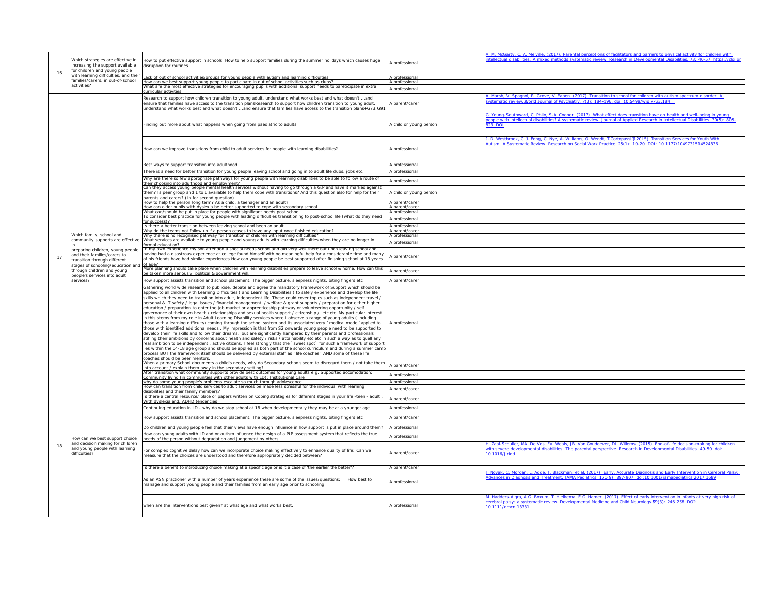| A. M. McGarty, C. A. Melville. (2017). Parental perceptions of facilitators and barriers to physical activity for children with<br>intellectual disabilities: A mixed methods systematic review. Research in Developmental Disabilities. 73: 40-57. https://doi.or     |
|------------------------------------------------------------------------------------------------------------------------------------------------------------------------------------------------------------------------------------------------------------------------|
| A. Marsh, V. Spagnol, R. Grove, V. Eapen. (2017). Transition to school for children with autism spectrum disorder: A<br>systematic review. World Journal of Psychiatry. 7(3): 184-196. doi: 10.5498/wjp.v7.i3.184                                                      |
| G. Young-Southward, C. Philo, S-A. Cooper. (2017). What effect does transition have on health and well-being in young<br>people with intellectual disabilities? A systematic review. Journal of Applied Research in Intellectual Disabilities. 30(5): 805-<br>823. DOI |
| J. D. Westbrook, C. J. Fong, C. Nye, A. Williams, O. Wendt, T.CortopassiQ 2015). Transition Services for Youth With<br>Autism: A Systematic Review. Research on Social Work Practice. 25(1): 10-20. DOI: 10.1177/1049731514524836                                      |
|                                                                                                                                                                                                                                                                        |
|                                                                                                                                                                                                                                                                        |
|                                                                                                                                                                                                                                                                        |
|                                                                                                                                                                                                                                                                        |
|                                                                                                                                                                                                                                                                        |
|                                                                                                                                                                                                                                                                        |
|                                                                                                                                                                                                                                                                        |
|                                                                                                                                                                                                                                                                        |
|                                                                                                                                                                                                                                                                        |
|                                                                                                                                                                                                                                                                        |
|                                                                                                                                                                                                                                                                        |
|                                                                                                                                                                                                                                                                        |
|                                                                                                                                                                                                                                                                        |
|                                                                                                                                                                                                                                                                        |
| H. Zaal-Schuller, MA. De Vos, FV. Weals, JB. Van Goudoever, DL. Willems. (2015). End-of-life decision-making for children<br>with severe developmental disabilities: The parental perspective. Research in Developmental Disabilities. 49-50. doi:<br>10.1016/j.ridd.  |
| I. Novak, C. Morgan, L. Adde, J. Blackman, et al. (2017). Early, Accurate Diagnosis and Early Intervention in Cerebral Palsy:<br>Advances in Diagnosis and Treatment. JAMA Pediatrics. 171(9): 897-907. doi:10.1001/jamapediatrics.2017.1689                           |
| M. Hadders-Algra, A.G. Boxum, T. Hielkema, E.G. Hamer. (2017). Effect of early intervention in infants at very high risk of<br>cerebral palsy: a systematic review. Developmental Medicine and Child Neurology. 59(3): 246-258. DOI:<br>10.1111/dmcn.13331             |
|                                                                                                                                                                                                                                                                        |

|    | Which strategies are effective in<br>increasing the support available<br>for children and young people | How to put effective support in schools. How to help support families during the summer holidays which causes huge<br>disruption for routines.                                                                                                                                                                                                                                                                                                                                                                                                                                                                                                                                                                                                                                                                                                                                                                                                                                                                                                                                                                                                                                                                                                                                                                                                                                                                                                                                                                                                                                                                                                                                                                                                                                                                                                                                                      | A professional                   |
|----|--------------------------------------------------------------------------------------------------------|-----------------------------------------------------------------------------------------------------------------------------------------------------------------------------------------------------------------------------------------------------------------------------------------------------------------------------------------------------------------------------------------------------------------------------------------------------------------------------------------------------------------------------------------------------------------------------------------------------------------------------------------------------------------------------------------------------------------------------------------------------------------------------------------------------------------------------------------------------------------------------------------------------------------------------------------------------------------------------------------------------------------------------------------------------------------------------------------------------------------------------------------------------------------------------------------------------------------------------------------------------------------------------------------------------------------------------------------------------------------------------------------------------------------------------------------------------------------------------------------------------------------------------------------------------------------------------------------------------------------------------------------------------------------------------------------------------------------------------------------------------------------------------------------------------------------------------------------------------------------------------------------------------|----------------------------------|
| 16 | with learning difficulties, and their<br>families/carers, in out-of-school                             | ack of out of school activities/groups for young people with autism and learning difficulties.                                                                                                                                                                                                                                                                                                                                                                                                                                                                                                                                                                                                                                                                                                                                                                                                                                                                                                                                                                                                                                                                                                                                                                                                                                                                                                                                                                                                                                                                                                                                                                                                                                                                                                                                                                                                      | A professional                   |
|    | activities?                                                                                            | How can we best support young people to participate in out of school activities such as clubs?<br>What are the most effective strategies for encouraging pupils with additional support needs to pareticipate in extra                                                                                                                                                                                                                                                                                                                                                                                                                                                                                                                                                                                                                                                                                                                                                                                                                                                                                                                                                                                                                                                                                                                                                                                                                                                                                                                                                                                                                                                                                                                                                                                                                                                                              | A professional                   |
|    |                                                                                                        | curricular activities.                                                                                                                                                                                                                                                                                                                                                                                                                                                                                                                                                                                                                                                                                                                                                                                                                                                                                                                                                                                                                                                                                                                                                                                                                                                                                                                                                                                                                                                                                                                                                                                                                                                                                                                                                                                                                                                                              | A professional                   |
|    |                                                                                                        | Research to support how children transition to young adult, understand what works best and what doesn't,  and<br>ensure that families have access to the transition plansResearch to support how children transition to young adult,<br>understand what works best and what doesn't, u, and ensure that families have access to the transition plans+G73:G91                                                                                                                                                                                                                                                                                                                                                                                                                                                                                                                                                                                                                                                                                                                                                                                                                                                                                                                                                                                                                                                                                                                                                                                                                                                                                                                                                                                                                                                                                                                                        | A parent/carer                   |
|    |                                                                                                        | Finding out more about what happens when going from paediatric to adults                                                                                                                                                                                                                                                                                                                                                                                                                                                                                                                                                                                                                                                                                                                                                                                                                                                                                                                                                                                                                                                                                                                                                                                                                                                                                                                                                                                                                                                                                                                                                                                                                                                                                                                                                                                                                            | A child or young person          |
|    |                                                                                                        | How can we improve transitions from child to adult services for people with learning disabilities?                                                                                                                                                                                                                                                                                                                                                                                                                                                                                                                                                                                                                                                                                                                                                                                                                                                                                                                                                                                                                                                                                                                                                                                                                                                                                                                                                                                                                                                                                                                                                                                                                                                                                                                                                                                                  | A professional                   |
|    |                                                                                                        | Best ways to support transition into adulthood.                                                                                                                                                                                                                                                                                                                                                                                                                                                                                                                                                                                                                                                                                                                                                                                                                                                                                                                                                                                                                                                                                                                                                                                                                                                                                                                                                                                                                                                                                                                                                                                                                                                                                                                                                                                                                                                     | A professional                   |
|    |                                                                                                        | There is a need for better transition for young people leaving school and going in to adult life clubs, jobs etc.                                                                                                                                                                                                                                                                                                                                                                                                                                                                                                                                                                                                                                                                                                                                                                                                                                                                                                                                                                                                                                                                                                                                                                                                                                                                                                                                                                                                                                                                                                                                                                                                                                                                                                                                                                                   | A professional                   |
|    |                                                                                                        | Why are there so few appropriate pathways for young people with learning disabilities to be able to follow a route of                                                                                                                                                                                                                                                                                                                                                                                                                                                                                                                                                                                                                                                                                                                                                                                                                                                                                                                                                                                                                                                                                                                                                                                                                                                                                                                                                                                                                                                                                                                                                                                                                                                                                                                                                                               | A professional                   |
|    |                                                                                                        | their choosing into adulthood and employment?<br>Can they access young people mental health services without having to go through a G.P and have it marked against<br>them? Is peer group and 1 to 1 available to help them cope with transitions? And this question also for help for their<br>parents and carers? (In for second question)                                                                                                                                                                                                                                                                                                                                                                                                                                                                                                                                                                                                                                                                                                                                                                                                                                                                                                                                                                                                                                                                                                                                                                                                                                                                                                                                                                                                                                                                                                                                                        | A child or young person          |
|    |                                                                                                        | How to help the person long term? As a child, a teenager and an adult?                                                                                                                                                                                                                                                                                                                                                                                                                                                                                                                                                                                                                                                                                                                                                                                                                                                                                                                                                                                                                                                                                                                                                                                                                                                                                                                                                                                                                                                                                                                                                                                                                                                                                                                                                                                                                              | A parent/carer                   |
|    |                                                                                                        | How can older pupils with dyslexia be better supported to cope with secondary school<br>What can/should be put in place for people with significant needs post school.                                                                                                                                                                                                                                                                                                                                                                                                                                                                                                                                                                                                                                                                                                                                                                                                                                                                                                                                                                                                                                                                                                                                                                                                                                                                                                                                                                                                                                                                                                                                                                                                                                                                                                                              | A parent/carer<br>A professional |
|    |                                                                                                        | To consider best practice for young people with leading difficulties transitioning to post-school life (what do they need                                                                                                                                                                                                                                                                                                                                                                                                                                                                                                                                                                                                                                                                                                                                                                                                                                                                                                                                                                                                                                                                                                                                                                                                                                                                                                                                                                                                                                                                                                                                                                                                                                                                                                                                                                           | A professional                   |
|    |                                                                                                        | for success)?<br>Is there a better transition between leaving school and been an adult.                                                                                                                                                                                                                                                                                                                                                                                                                                                                                                                                                                                                                                                                                                                                                                                                                                                                                                                                                                                                                                                                                                                                                                                                                                                                                                                                                                                                                                                                                                                                                                                                                                                                                                                                                                                                             | A professional                   |
|    | Which family, school and                                                                               | Why do the teams not follow up if a person ceases to have any input once finished education?<br>Why there is no recognised pathway for transition of children with learning difficulties?                                                                                                                                                                                                                                                                                                                                                                                                                                                                                                                                                                                                                                                                                                                                                                                                                                                                                                                                                                                                                                                                                                                                                                                                                                                                                                                                                                                                                                                                                                                                                                                                                                                                                                           | A parent/carer<br>A professional |
|    | community supports are effective                                                                       | What services are available to young people and young adults with learning difficulties when they are no longer in                                                                                                                                                                                                                                                                                                                                                                                                                                                                                                                                                                                                                                                                                                                                                                                                                                                                                                                                                                                                                                                                                                                                                                                                                                                                                                                                                                                                                                                                                                                                                                                                                                                                                                                                                                                  | A professional                   |
| 17 | preparing children, young people<br>and their families/carers to<br>transition through different       | formal education?<br>In my own experience my son attended a special needs school and did very well there but upon leaving school and<br>having had a disastrous experience at college found himself with no meaningful help for a considerable time and many<br>of his friends have had similar experiences. How can young people be best supported after finishing school at 18 years<br>of age?                                                                                                                                                                                                                                                                                                                                                                                                                                                                                                                                                                                                                                                                                                                                                                                                                                                                                                                                                                                                                                                                                                                                                                                                                                                                                                                                                                                                                                                                                                   | A parent/carer                   |
|    | stages of schooling/education and<br>through children and young                                        | More planning should take place when children with learning disabilities prepare to leave school & home. How can this                                                                                                                                                                                                                                                                                                                                                                                                                                                                                                                                                                                                                                                                                                                                                                                                                                                                                                                                                                                                                                                                                                                                                                                                                                                                                                                                                                                                                                                                                                                                                                                                                                                                                                                                                                               | A parent/carer                   |
|    | people's services into adult<br>services?                                                              | be taken more seriously, political & government will.<br>How support assists transition and school placement. The bigger picture, sleepness nights, biting fingers etc                                                                                                                                                                                                                                                                                                                                                                                                                                                                                                                                                                                                                                                                                                                                                                                                                                                                                                                                                                                                                                                                                                                                                                                                                                                                                                                                                                                                                                                                                                                                                                                                                                                                                                                              | A parent/carer                   |
|    |                                                                                                        | Gathering world wide research to publicise, debate and agree the mandatory Framework of Support which should be<br>applied to all children with Learning Difficulties (and Learning Disabilities) to safely experience and develop the life<br>skills which they need to transition into adult, independent life. These could cover topics such as independent travel /<br>personal & IT safety / legal issues / financial management / welfare & grant supports / preparation for either higher<br>education / preparation to enter the job market or apprenticeship pathway or volunteering opportunity / self<br>governance of their own health / relationships and sexual health support / citizenship / etc etc My particular interest<br>in this stems from my role in Adult Learning Disability services where I observe a range of young adults (including<br>those with a learning difficulty) coming through the school system and its associated very `medical model`applied to<br>those with identified additional needs. My impression is that from S2 onwards young people need to be supported to<br>develop their life skills and follow their dreams, but are significantly hampered by their parents and professionals<br>stifling their ambitions by concerns about health and safety / risks / attainability etc etc in such a way as to quell any<br>real ambition to be independent, active citizens. I feel strongly that the `sweet spot` for such a framework of support<br>lies within the 14-18 age group and should be applied as both part of the school curriculum and during a summer camp<br>process BUT the framework itself should be delivered by external staff as `life coaches` AND some of these life<br>coaches should be peer mentors.<br>When a primary School documents a child's needs, why do Secondary schools seem to disregard them / not take them | A professional                   |
|    |                                                                                                        | into account / explain them away in the secondary setting?                                                                                                                                                                                                                                                                                                                                                                                                                                                                                                                                                                                                                                                                                                                                                                                                                                                                                                                                                                                                                                                                                                                                                                                                                                                                                                                                                                                                                                                                                                                                                                                                                                                                                                                                                                                                                                          | A parent/carer                   |
|    |                                                                                                        | After transition what community supports provide best outcomes for young adults e.g. Supported accomodation;<br>Community living (in communities with other adults with LD); Institutional Care                                                                                                                                                                                                                                                                                                                                                                                                                                                                                                                                                                                                                                                                                                                                                                                                                                                                                                                                                                                                                                                                                                                                                                                                                                                                                                                                                                                                                                                                                                                                                                                                                                                                                                     | A professional                   |
|    |                                                                                                        | why do some young people's problems escalate so much through adolescence<br>How can transition from child services to adult services be made less stressful for the individual with learning                                                                                                                                                                                                                                                                                                                                                                                                                                                                                                                                                                                                                                                                                                                                                                                                                                                                                                                                                                                                                                                                                                                                                                                                                                                                                                                                                                                                                                                                                                                                                                                                                                                                                                        | A professional                   |
|    |                                                                                                        | disabilities and their family members?<br>Is there a central resource/ place or papers written on Coping strategies for different stages in your life -teen - adult.                                                                                                                                                                                                                                                                                                                                                                                                                                                                                                                                                                                                                                                                                                                                                                                                                                                                                                                                                                                                                                                                                                                                                                                                                                                                                                                                                                                                                                                                                                                                                                                                                                                                                                                                | A parent/carer                   |
|    |                                                                                                        | With dyslexia and. ADHD tendencies.                                                                                                                                                                                                                                                                                                                                                                                                                                                                                                                                                                                                                                                                                                                                                                                                                                                                                                                                                                                                                                                                                                                                                                                                                                                                                                                                                                                                                                                                                                                                                                                                                                                                                                                                                                                                                                                                 | A parent/carer                   |
|    |                                                                                                        | Continuing education in LD - why do we stop school at 18 when developmentally they may be at a younger age.                                                                                                                                                                                                                                                                                                                                                                                                                                                                                                                                                                                                                                                                                                                                                                                                                                                                                                                                                                                                                                                                                                                                                                                                                                                                                                                                                                                                                                                                                                                                                                                                                                                                                                                                                                                         | A professional                   |
|    |                                                                                                        | How support assists transition and school placement. The bigger picture, sleepness nights, biting fingers etc                                                                                                                                                                                                                                                                                                                                                                                                                                                                                                                                                                                                                                                                                                                                                                                                                                                                                                                                                                                                                                                                                                                                                                                                                                                                                                                                                                                                                                                                                                                                                                                                                                                                                                                                                                                       | A parent/carer                   |
|    |                                                                                                        | Do children and young people feel that their views have enough influence in how support is put in place around them?                                                                                                                                                                                                                                                                                                                                                                                                                                                                                                                                                                                                                                                                                                                                                                                                                                                                                                                                                                                                                                                                                                                                                                                                                                                                                                                                                                                                                                                                                                                                                                                                                                                                                                                                                                                | A professional                   |
|    | How can we best support choice                                                                         | How can young adults with LD and or autism influence the design of a PIP assessment system that reflects the true                                                                                                                                                                                                                                                                                                                                                                                                                                                                                                                                                                                                                                                                                                                                                                                                                                                                                                                                                                                                                                                                                                                                                                                                                                                                                                                                                                                                                                                                                                                                                                                                                                                                                                                                                                                   | A professional                   |
| 18 | and decision making for children<br>and young people with learning<br>difficulties?                    | needs of the person without degradation and judgement by others.<br>For complex cognitive delay how can we incorporate choice making effectively to enhance quality of life: Can we<br>measure that the choices are understood and therefore appropriately decided between?                                                                                                                                                                                                                                                                                                                                                                                                                                                                                                                                                                                                                                                                                                                                                                                                                                                                                                                                                                                                                                                                                                                                                                                                                                                                                                                                                                                                                                                                                                                                                                                                                         | A parent/carer                   |
|    |                                                                                                        | Is there a benefit to introducing choice making at a specific age or is it a case of 'the earlier the better'?                                                                                                                                                                                                                                                                                                                                                                                                                                                                                                                                                                                                                                                                                                                                                                                                                                                                                                                                                                                                                                                                                                                                                                                                                                                                                                                                                                                                                                                                                                                                                                                                                                                                                                                                                                                      | A parent/carer                   |
|    |                                                                                                        | As an ASN practioner with a number of years experience these are some of the issues/questions:<br>How best to<br>manage and support young people and their families from an early age prior to schooling                                                                                                                                                                                                                                                                                                                                                                                                                                                                                                                                                                                                                                                                                                                                                                                                                                                                                                                                                                                                                                                                                                                                                                                                                                                                                                                                                                                                                                                                                                                                                                                                                                                                                            | A professional                   |
|    |                                                                                                        | when are the interventions best given? at what age and what works best.                                                                                                                                                                                                                                                                                                                                                                                                                                                                                                                                                                                                                                                                                                                                                                                                                                                                                                                                                                                                                                                                                                                                                                                                                                                                                                                                                                                                                                                                                                                                                                                                                                                                                                                                                                                                                             | A professional                   |

| e summer holidays which causes huge                                                                                                                                                                                                                                                                                                                                                                                                                                                                                                                                              | A professional                                     | A. M. McGarty, C. A. Melville. (2017). Parental perceptions of facilitators and barriers to physical activity for children v<br>intellectual disabilities: A mixed methods systematic review. Research in Developmental Disabilities. 73: 40-57. https          |
|----------------------------------------------------------------------------------------------------------------------------------------------------------------------------------------------------------------------------------------------------------------------------------------------------------------------------------------------------------------------------------------------------------------------------------------------------------------------------------------------------------------------------------------------------------------------------------|----------------------------------------------------|-----------------------------------------------------------------------------------------------------------------------------------------------------------------------------------------------------------------------------------------------------------------|
| ng difficulties.                                                                                                                                                                                                                                                                                                                                                                                                                                                                                                                                                                 | A professional                                     |                                                                                                                                                                                                                                                                 |
| such as clubs?<br>upport needs to pareticipate in extra                                                                                                                                                                                                                                                                                                                                                                                                                                                                                                                          | A professional<br>A professional                   |                                                                                                                                                                                                                                                                 |
| orks best and what doesn't,,,,and<br>w children transition to young adult,<br>access to the transition plans+G73:G91                                                                                                                                                                                                                                                                                                                                                                                                                                                             | A parent/carer                                     | A. Marsh, V. Spagnol, R. Grove, V. Eapen. (2017). Transition to school for children with autism spectrum disorder: A<br>systematic review. World Journal of Psychiatry. 7(3): 184-196. doi: 10.5498/wjp.v7.i3.184                                               |
|                                                                                                                                                                                                                                                                                                                                                                                                                                                                                                                                                                                  | A child or young person                            | G. Young-Southward, C. Philo, S-A. Cooper. (2017). What effect does transition have on health and well-being in you<br>people with intellectual disabilities? A systematic review. Journal of Applied Research in Intellectual Disabilities. 30(5)<br>823. DOI  |
| rning disabilities?                                                                                                                                                                                                                                                                                                                                                                                                                                                                                                                                                              | A professional                                     | I. D. Westbrook, C. J. Fong, C. Nye, A. Williams, O. Wendt, T.Cortopassi <sup>n</sup> 2015). Transition Services for Youth With<br>Autism: A Systematic Review. Research on Social Work Practice. 25(1): 10-20. DOI: 10.1177/1049731514524836                   |
| in to adult life clubs, jobs etc.                                                                                                                                                                                                                                                                                                                                                                                                                                                                                                                                                | A professional<br>A professional                   |                                                                                                                                                                                                                                                                 |
| abilities to be able to follow a route of                                                                                                                                                                                                                                                                                                                                                                                                                                                                                                                                        |                                                    |                                                                                                                                                                                                                                                                 |
| bugh a G.P and have it marked against<br>nd this question also for help for their                                                                                                                                                                                                                                                                                                                                                                                                                                                                                                | A professional<br>A child or young person          |                                                                                                                                                                                                                                                                 |
| school                                                                                                                                                                                                                                                                                                                                                                                                                                                                                                                                                                           | A parent/carer<br>A parent/carer<br>A professional |                                                                                                                                                                                                                                                                 |
| to post-school life (what do they need                                                                                                                                                                                                                                                                                                                                                                                                                                                                                                                                           | A professional                                     |                                                                                                                                                                                                                                                                 |
| hed education?                                                                                                                                                                                                                                                                                                                                                                                                                                                                                                                                                                   | A professional<br>A parent/carer                   |                                                                                                                                                                                                                                                                 |
| culties?<br>ficulties when they are no longer in                                                                                                                                                                                                                                                                                                                                                                                                                                                                                                                                 | A professional                                     |                                                                                                                                                                                                                                                                 |
|                                                                                                                                                                                                                                                                                                                                                                                                                                                                                                                                                                                  | A professional                                     |                                                                                                                                                                                                                                                                 |
| ell there but upon leaving school and<br>I help for a considerable time and many<br>oorted after finishing school at 18 years                                                                                                                                                                                                                                                                                                                                                                                                                                                    | A parent/carer                                     |                                                                                                                                                                                                                                                                 |
| e to leave school & home. How can this                                                                                                                                                                                                                                                                                                                                                                                                                                                                                                                                           | A parent/carer                                     |                                                                                                                                                                                                                                                                 |
| ness nights, biting fingers etc                                                                                                                                                                                                                                                                                                                                                                                                                                                                                                                                                  | A parent/carer                                     |                                                                                                                                                                                                                                                                 |
| ramework of Support which should be<br>afely experience and develop the life<br>/er topics such as independent travel /<br>upports / preparation for either higher<br>volunteering opportunity / self<br>enship / etc etc My particular interest<br>a range of young adults (including<br>ciated very `medical model`applied to<br>young people need to be supported to<br>by their parents and professionals<br>y etc etc in such a way as to quell any<br>t spot` for such a framework of support<br>ol curriculum and during a summer camp<br>coaches` AND some of these life | A professional                                     |                                                                                                                                                                                                                                                                 |
| seem to disregard them / not take them                                                                                                                                                                                                                                                                                                                                                                                                                                                                                                                                           | A parent/carer                                     |                                                                                                                                                                                                                                                                 |
| ults e.g. Supported accomodation;                                                                                                                                                                                                                                                                                                                                                                                                                                                                                                                                                | A professional                                     |                                                                                                                                                                                                                                                                 |
| for the individual with learning                                                                                                                                                                                                                                                                                                                                                                                                                                                                                                                                                 | A professional                                     |                                                                                                                                                                                                                                                                 |
| ferent stages in your life -teen - adult.                                                                                                                                                                                                                                                                                                                                                                                                                                                                                                                                        | A parent/carer                                     |                                                                                                                                                                                                                                                                 |
|                                                                                                                                                                                                                                                                                                                                                                                                                                                                                                                                                                                  | A parent/carer                                     |                                                                                                                                                                                                                                                                 |
| ly they may be at a younger age.                                                                                                                                                                                                                                                                                                                                                                                                                                                                                                                                                 | A professional                                     |                                                                                                                                                                                                                                                                 |
| ness nights, biting fingers etc                                                                                                                                                                                                                                                                                                                                                                                                                                                                                                                                                  | A parent/carer                                     |                                                                                                                                                                                                                                                                 |
| w support is put in place around them?<br>ssment system that reflects the true                                                                                                                                                                                                                                                                                                                                                                                                                                                                                                   | A professional                                     |                                                                                                                                                                                                                                                                 |
|                                                                                                                                                                                                                                                                                                                                                                                                                                                                                                                                                                                  | A professional                                     |                                                                                                                                                                                                                                                                 |
| to enhance quality of life: Can we<br>petween?                                                                                                                                                                                                                                                                                                                                                                                                                                                                                                                                   | A parent/carer                                     | H. Zaal-Schuller, MA. De Vos, FV. Weals, JB. Van Goudoever, DL. Willems. (2015). End-of-life decision-making for ch<br>with severe developmental disabilities: The parental perspective. Research in Developmental Disabilities. 49-50. doi:<br>10.1016/j.ridd. |
| of 'the earlier the better'?                                                                                                                                                                                                                                                                                                                                                                                                                                                                                                                                                     | A parent/carer                                     |                                                                                                                                                                                                                                                                 |
| sissues/questions:<br>How best to<br>schooling                                                                                                                                                                                                                                                                                                                                                                                                                                                                                                                                   | A professional                                     | . Novak, C. Morgan, L. Adde, J. Blackman, et al. (2017). Early, Accurate Diagnosis and Early Intervention in Cerebra<br>Advances in Diagnosis and Treatment. JAMA Pediatrics. 171(9): 897-907. doi:10.1001/jamapediatrics.2017.1689                             |
|                                                                                                                                                                                                                                                                                                                                                                                                                                                                                                                                                                                  | A professional                                     | Hadders-Algra, A.G. Boxum, T. Hielkema, E.G. Hamer. (2017). Effect of early intervention in infants at very high r<br>cerebral palsy: a systematic review. Developmental Medicine and Child Neurology. 59(3): 246-258. DOI:<br>10.1111/dmcn.13331               |
|                                                                                                                                                                                                                                                                                                                                                                                                                                                                                                                                                                                  |                                                    |                                                                                                                                                                                                                                                                 |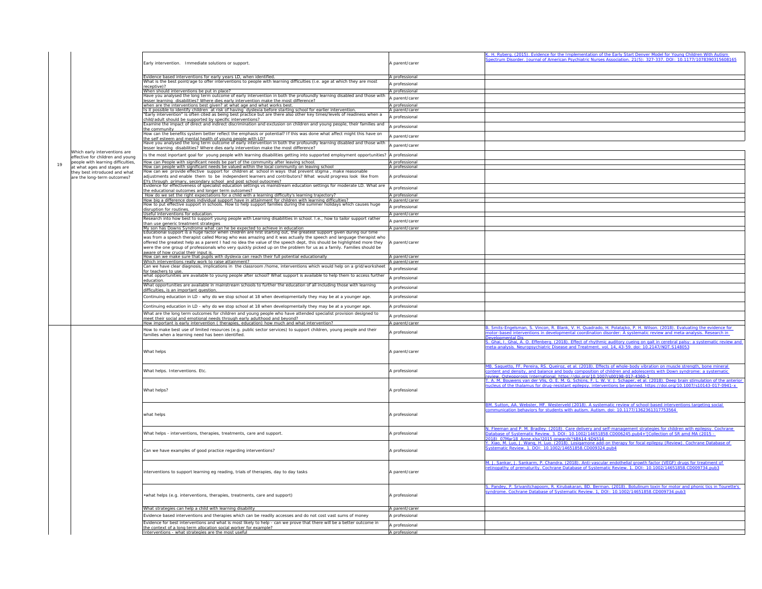| K. H. Ryberg. (2015). Evidence for the Implementation of the Early Start Denver Model for Young Children With Autism                                                                                                                             |
|--------------------------------------------------------------------------------------------------------------------------------------------------------------------------------------------------------------------------------------------------|
| Spectrum Disorder. Journal of American Psychiatric Nurses Association. 21(5): 327-337. DOI: 10.1177/1078390315608165                                                                                                                             |
|                                                                                                                                                                                                                                                  |
|                                                                                                                                                                                                                                                  |
|                                                                                                                                                                                                                                                  |
|                                                                                                                                                                                                                                                  |
|                                                                                                                                                                                                                                                  |
|                                                                                                                                                                                                                                                  |
|                                                                                                                                                                                                                                                  |
|                                                                                                                                                                                                                                                  |
|                                                                                                                                                                                                                                                  |
|                                                                                                                                                                                                                                                  |
|                                                                                                                                                                                                                                                  |
|                                                                                                                                                                                                                                                  |
|                                                                                                                                                                                                                                                  |
|                                                                                                                                                                                                                                                  |
|                                                                                                                                                                                                                                                  |
|                                                                                                                                                                                                                                                  |
|                                                                                                                                                                                                                                                  |
|                                                                                                                                                                                                                                                  |
|                                                                                                                                                                                                                                                  |
|                                                                                                                                                                                                                                                  |
|                                                                                                                                                                                                                                                  |
|                                                                                                                                                                                                                                                  |
|                                                                                                                                                                                                                                                  |
|                                                                                                                                                                                                                                                  |
|                                                                                                                                                                                                                                                  |
|                                                                                                                                                                                                                                                  |
|                                                                                                                                                                                                                                                  |
|                                                                                                                                                                                                                                                  |
|                                                                                                                                                                                                                                                  |
|                                                                                                                                                                                                                                                  |
|                                                                                                                                                                                                                                                  |
|                                                                                                                                                                                                                                                  |
|                                                                                                                                                                                                                                                  |
|                                                                                                                                                                                                                                                  |
|                                                                                                                                                                                                                                                  |
|                                                                                                                                                                                                                                                  |
|                                                                                                                                                                                                                                                  |
|                                                                                                                                                                                                                                                  |
| B. Smits-Engelsman, S. Vincon, R. Blank, V. H. Quadrado, H. Polatajko, P. H. Wilson. (2018). Evaluating the evidence for<br>motor-based interventions in developmental coordination disorder: A systematic review and meta-analysis. Research in |
| Developmental Dis                                                                                                                                                                                                                                |
| S. Ghai, I. Ghai, A. O. Effenberg. (2018). Effect of rhythmic auditory cueing on gait in cerebral palsy: a systematic review and<br>meta-analysis. Neuropsychiatric Disease and Treatment. vol. 14, 43-59. doi: 10.2147/NDT.S148053              |
|                                                                                                                                                                                                                                                  |
|                                                                                                                                                                                                                                                  |
| MB. Saguetto, FF. Pereira, RS. Queiroz, et al. (2018). Effects of whole-body vibration on muscle strength, bone mineral                                                                                                                          |
| content and density, and balance and body composition of children and adolescents with Down syndrome: a systematic                                                                                                                               |
| review, Osteoporosis International, https://doi.org/10.1007/s00198-017-4360-1<br>T. A. M. Bouwens van der Vlis, O. E. M. G. Schijns, F. L. W. V. J. Schaper, et al. (2018). Deep brain stimulation of the anterior                               |
| nucleus of the thalamus for drug-resistant epilepsy. interventions be planned. https://doi.org/10.1007/s10143-017-0941-x                                                                                                                         |
|                                                                                                                                                                                                                                                  |
|                                                                                                                                                                                                                                                  |
| BM. Sutton, AA. Webster, MF. Westerveld (2018). A systematic review of school-based interventions targeting social                                                                                                                               |
| communication behaviors for students with autism. Autism. doi: 10.1177/1362361317753564                                                                                                                                                          |
|                                                                                                                                                                                                                                                  |
|                                                                                                                                                                                                                                                  |
| N. Fleeman and P. M. Bradley. (2018). Care delivery and self-management strategies for children with epilepsy. Cochrane<br>Database of Systematic Review. 3. DOI: 10.1002/14651858.CD006245.pub4+'[Collection of SR amd MA (2015 -               |
| 2018) 07Mar18 Anne.xlsx12015 onwards'!\$B\$14:\$D\$514                                                                                                                                                                                           |
| Y. Xiao, M. Luo, J. Wang, H. Luo. (2018). Losigamone add-on therapy for focal epilepsy (Review). Cochrane Database of<br>Systematic Review. 1. DOI: 10.1002/14651858.CD009324.pub4                                                               |
|                                                                                                                                                                                                                                                  |
|                                                                                                                                                                                                                                                  |
| M. J. Sankar, J. Sankarm, P. Chandra. (2018). Anti-vascular endothelial growth factor (VEGF) drugs for treatment of<br>retinopathy of prematurity. Cochrane Database of Systematic Review. 1. DOI: 10.1002/14651858.CD009734.pub3                |
|                                                                                                                                                                                                                                                  |
|                                                                                                                                                                                                                                                  |
| S. Pandey, P. Srivanitchapoom, R. Kirubakaran, BD. Berman. (2018). Botulinum toxin for motor and phonic tics in Tourette's                                                                                                                       |
| syndrome. Cochrane Database of Systematic Review. 1, DOI: 10.1002/14651858.CD009734.pub3                                                                                                                                                         |
|                                                                                                                                                                                                                                                  |
|                                                                                                                                                                                                                                                  |
|                                                                                                                                                                                                                                                  |
|                                                                                                                                                                                                                                                  |
|                                                                                                                                                                                                                                                  |
|                                                                                                                                                                                                                                                  |

|    |                                                                        | Early intervention. Immediate solutions or support.                                                                                                                                                                                                                                                                                                                                                                                                                                                                                   | A parent/carer                   |
|----|------------------------------------------------------------------------|---------------------------------------------------------------------------------------------------------------------------------------------------------------------------------------------------------------------------------------------------------------------------------------------------------------------------------------------------------------------------------------------------------------------------------------------------------------------------------------------------------------------------------------|----------------------------------|
|    |                                                                        | Evidence based interventions for early years LD, when identified.                                                                                                                                                                                                                                                                                                                                                                                                                                                                     | A professional                   |
|    |                                                                        | What is the best point/age to offer interventions to people with learning difficulties (i.e. age at which they are most<br>receptive)?                                                                                                                                                                                                                                                                                                                                                                                                | A professional                   |
|    |                                                                        | When should interventions be put in place?                                                                                                                                                                                                                                                                                                                                                                                                                                                                                            | A professional                   |
|    |                                                                        | Have you analysed the long term outcome of early intervention in both the profoundly learning disabled and those with<br>lesser learning disabilities? Where dies early intervention make the most difference?                                                                                                                                                                                                                                                                                                                        | A parent/carer                   |
|    |                                                                        | when are the interventions best given? at what age and what works best.<br>Is it possible to identify children at risk of having dyslexia before starting school for earlier intervention.                                                                                                                                                                                                                                                                                                                                            | A professional<br>A parent/carer |
|    |                                                                        | "Early intervention" is often cited as being best practice but are there also other key times/levels of readiness when a                                                                                                                                                                                                                                                                                                                                                                                                              | A professional                   |
|    |                                                                        | child/adult should be supported by specific interventions?<br>Examine the impact of direct and indirect discrimination and exclusion on children and young people, their families and                                                                                                                                                                                                                                                                                                                                                 |                                  |
|    |                                                                        | the community                                                                                                                                                                                                                                                                                                                                                                                                                                                                                                                         | A professional                   |
|    |                                                                        | How can the benefits system better reflect the emphasis or potential? If this was done what affect might this have on<br>the self esteem and mental health of young people with LD?                                                                                                                                                                                                                                                                                                                                                   | A parent/carer                   |
|    |                                                                        | Have you analysed the long term outcome of early intervention in both the profoundly learning disabled and those with<br>lesser learning disabilities? Where dies early intervention make the most difference?                                                                                                                                                                                                                                                                                                                        | A parent/carer                   |
|    | Which early interventions are                                          | Is the most inportant goal for young people with learning disabilities getting into supported employment opportunities?   A professional                                                                                                                                                                                                                                                                                                                                                                                              |                                  |
|    | effective for children and young<br>people with learning difficulties, | How can People with significant needs be part of the community after leaving school.                                                                                                                                                                                                                                                                                                                                                                                                                                                  | A professional                   |
| 19 | at what ages and stages are                                            | How can people with significant needs be valued within the local community on leaving school                                                                                                                                                                                                                                                                                                                                                                                                                                          | A professional                   |
|    | they best introduced and what<br>are the long-term outcomes?           | How can we provide effective support for children at school in ways that prevent stigma, make reasonable<br>adjustments and enable them to be independent learners and contributors? What would progress look like from                                                                                                                                                                                                                                                                                                               | A professional                   |
|    |                                                                        | EYs through primary, secondary school and post school outocmes?<br>Evidence for effectiveness of specialist education settings vs mainstream education settings for moderate LD. What are                                                                                                                                                                                                                                                                                                                                             |                                  |
|    |                                                                        | the educational outcomes and longer term outcomes?                                                                                                                                                                                                                                                                                                                                                                                                                                                                                    | A professional                   |
|    |                                                                        | How do we set the right expectations for a child with a learning difficulty's learning trajectory?<br>How big a difference does individual support have in attainment for children with learning difficulties?                                                                                                                                                                                                                                                                                                                        | A professional<br>A parent/carer |
|    |                                                                        | How to put effective support in schools. How to help support families during the summer holidays which causes huge                                                                                                                                                                                                                                                                                                                                                                                                                    | A professional                   |
|    |                                                                        | disruption for routines.<br>Useful interventions for education.                                                                                                                                                                                                                                                                                                                                                                                                                                                                       | A parent/carer                   |
|    |                                                                        | Research into how best to support young people with Learning disabilities in school. I.e., how to tailor support rather                                                                                                                                                                                                                                                                                                                                                                                                               | A parent/carer                   |
|    |                                                                        | than use generic treatment strategies<br>My son has Downs Syndrome what can he be expected to achieve in education                                                                                                                                                                                                                                                                                                                                                                                                                    | A parent/carer                   |
|    |                                                                        | Educational support is a huge factor when children are first starting out, the greatest support given during our time<br>was from a speech therapist called Morag who was amazing and it was actually the speech and language therapist who<br>offered the greatest help as a parent I had no idea the value of the speech dept, this should be highlighted more they<br>were the one group of professionals who very quickly picked up on the problem for us as a family. Families should be<br>aware of how crucial their input is. | A parent/carer                   |
|    |                                                                        | How can we make sure that pupils with dyslexia can reach their full potential educationally<br>Which interventions really work to raise attainment?                                                                                                                                                                                                                                                                                                                                                                                   | A parent/carer<br>A parent/carer |
|    |                                                                        | Can we have clear diagnosis, implications in the classroom /home, interventions which would help on a grid/worksheet                                                                                                                                                                                                                                                                                                                                                                                                                  | A professional                   |
|    |                                                                        | for teachers to use.<br>what opportunities are available to young people after school? What support is available to help them to access further                                                                                                                                                                                                                                                                                                                                                                                       |                                  |
|    |                                                                        | education.<br>What opportunities are available in mainstream schools to further the education of all including those with learning                                                                                                                                                                                                                                                                                                                                                                                                    | A professional                   |
|    |                                                                        | difficulties, is an important question.                                                                                                                                                                                                                                                                                                                                                                                                                                                                                               | A professional                   |
|    |                                                                        | Continuing education in LD - why do we stop school at 18 when developmentally they may be at a younger age.                                                                                                                                                                                                                                                                                                                                                                                                                           | A professional                   |
|    |                                                                        | Continuing education in LD - why do we stop school at 18 when developmentally they may be at a younger age.                                                                                                                                                                                                                                                                                                                                                                                                                           | A professional                   |
|    |                                                                        | What are the long term outcomes for children and young people who have attended specialist provision designed to                                                                                                                                                                                                                                                                                                                                                                                                                      | A professional                   |
|    |                                                                        | meet their social and emotional needs through early adulthood and beyond?<br>How important is early intervention (therapies, education) how much and what intervention?                                                                                                                                                                                                                                                                                                                                                               | A parent/carer                   |
|    |                                                                        | How to make best use of limited resources (e.g. public sector services) to support children, young people and their                                                                                                                                                                                                                                                                                                                                                                                                                   |                                  |
|    |                                                                        | families when a learning need has been identified.                                                                                                                                                                                                                                                                                                                                                                                                                                                                                    | A professional                   |
|    |                                                                        | What helps                                                                                                                                                                                                                                                                                                                                                                                                                                                                                                                            | A parent/carer                   |
|    |                                                                        | What helps. Interventions. Etc.                                                                                                                                                                                                                                                                                                                                                                                                                                                                                                       | A professional                   |
|    |                                                                        | What helps?                                                                                                                                                                                                                                                                                                                                                                                                                                                                                                                           | A professional                   |
|    |                                                                        | what helps                                                                                                                                                                                                                                                                                                                                                                                                                                                                                                                            | A professional                   |
|    |                                                                        | What helps - interventions, therapies, treatments, care and support.                                                                                                                                                                                                                                                                                                                                                                                                                                                                  | A professional                   |
|    |                                                                        | Can we have examples of good practice regarding interventions?                                                                                                                                                                                                                                                                                                                                                                                                                                                                        | A professional                   |
|    |                                                                        | interventions to support learning eg reading, trials of therapies, day to day tasks                                                                                                                                                                                                                                                                                                                                                                                                                                                   | A parent/carer                   |
|    |                                                                        | • what helps (e.g. interventions, therapies, treatments, care and support)                                                                                                                                                                                                                                                                                                                                                                                                                                                            | A professional                   |
|    |                                                                        | What strategies can help a child with learning disability                                                                                                                                                                                                                                                                                                                                                                                                                                                                             | A parent/carer                   |
|    |                                                                        | Evidence based interventions and therapies which can be readily accesses and do not cost vast sums of money                                                                                                                                                                                                                                                                                                                                                                                                                           | A professional                   |
|    |                                                                        | Evidence for best interventions and what is most likely to help - can we prove that there will be a better outcome in<br>the context of a long term allocation social worker for example?                                                                                                                                                                                                                                                                                                                                             | A professional                   |
|    |                                                                        | Interventions - what strategies are the most useful                                                                                                                                                                                                                                                                                                                                                                                                                                                                                   | A professional                   |

| A parent/carer<br>A professional<br>ties (i.e. age at which they are most<br>A professional<br>A professional<br>foundly learning disabled and those with<br>A parent/carer<br>ence?<br>A professional<br>ool for earlier intervention.<br>A parent/carer<br>r key times/levels of readiness when a<br>A professional<br>en and young people, their families and<br>A professional<br>as done what affect might this have on<br>A parent/carer<br>foundly learning disabled and those with<br>A parent/carer<br>ence?<br>to supported employment opportunities?   A professional<br>A professional<br>chool.<br>leaving school<br>A professional<br>event stigma, make reasonable<br>What would progress look like from<br>A professional<br>tion settings for moderate LD. What are<br>A professional<br>A professional<br>ning trajectory?<br>th learning difficulties?<br>A parent/carer<br>e summer holidays which causes huge<br>A professional<br>A parent/carer<br>hool. I.e., how to tailor support rather<br>A parent/carer<br>A parent/carer<br>eatest support given during our time<br>the speech and language therapist who<br>t, this should be highlighted more they<br>A parent/carer<br>of for us as a family. Families should be<br>ducationally<br>A parent/carer<br>A parent/carer<br>as which would help on a grid/worksheet<br>A professional<br>available to help them to access further<br>A professional<br>n of all including those with learning<br>A professional<br>ly they may be at a younger age.<br>A professional<br>A professional<br>ly they may be at a younger age.<br>nded specialist provision designed to<br>A professional<br>t intervention?<br>A parent/carer<br>B. Smits-Engelsman, S. Vincon, R. Blank, V. H. Quadrado, H. Polatajko, P. H. Wilson. (2018). Evaluating the evidence<br>ort children, young people and their<br>A professional<br>Developmental Dis<br>meta-analysis. Neuropsychiatric Disease and Treatment. vol. 14, 43-59. doi: 10.2147/NDT.S148053<br>A parent/carer<br>A professional<br>review, Osteoporosis International, https://doi.org/10.1007/s00198-017-4360-1<br><u>T. A. M. Bouwens van der Vlis, O. E. M. G. Schijns, F. L. W. V. J. Schaper, et al. (2018). Deep brain stimulation of the</u><br>A professional<br>communication behaviors for students with autism. Autism. doi: 10.1177/1362361317753564<br>A professional<br>N. Fleeman and P. M. Bradley. (2018). Care delivery and self-management strategies for children with epilepsy. Coch<br>A professional<br>2018) 07Mar18 Anne.xlsx12015 onwards'!\$B\$14:\$D\$514<br>Systematic Review. 1. DOI: 10.1002/14651858.CD009324.pub4<br>A professional<br>M. J. Sankar, J. Sankarm, P. Chandra. (2018). Anti-vascular endothelial growth factor (VEGF) drugs for treatment of<br>A parent/carer<br>ks<br>syndrome. Cochrane Database of Systematic Review. 1, DOI: 10.1002/14651858.CD009734.pub3<br>A professional |  |                                                                                                                                                                                                                                          |
|----------------------------------------------------------------------------------------------------------------------------------------------------------------------------------------------------------------------------------------------------------------------------------------------------------------------------------------------------------------------------------------------------------------------------------------------------------------------------------------------------------------------------------------------------------------------------------------------------------------------------------------------------------------------------------------------------------------------------------------------------------------------------------------------------------------------------------------------------------------------------------------------------------------------------------------------------------------------------------------------------------------------------------------------------------------------------------------------------------------------------------------------------------------------------------------------------------------------------------------------------------------------------------------------------------------------------------------------------------------------------------------------------------------------------------------------------------------------------------------------------------------------------------------------------------------------------------------------------------------------------------------------------------------------------------------------------------------------------------------------------------------------------------------------------------------------------------------------------------------------------------------------------------------------------------------------------------------------------------------------------------------------------------------------------------------------------------------------------------------------------------------------------------------------------------------------------------------------------------------------------------------------------------------------------------------------------------------------------------------------------------------------------------------------------------------------------------------------------------------------------------------------------------------------------------------------------------------------------------------------------------------------------------------------------------------------------------------------------------------------------------------------------------------------------------------------------------------------------------------------------------------------------------------------------------------------------------|--|------------------------------------------------------------------------------------------------------------------------------------------------------------------------------------------------------------------------------------------|
|                                                                                                                                                                                                                                                                                                                                                                                                                                                                                                                                                                                                                                                                                                                                                                                                                                                                                                                                                                                                                                                                                                                                                                                                                                                                                                                                                                                                                                                                                                                                                                                                                                                                                                                                                                                                                                                                                                                                                                                                                                                                                                                                                                                                                                                                                                                                                                                                                                                                                                                                                                                                                                                                                                                                                                                                                                                                                                                                                          |  | K. H. Ryberg. (2015). Evidence for the Implementation of the Early Start Denver Model for Young Children With Autis<br>Spectrum Disorder. Journal of American Psychiatric Nurses Association. 21(5): 327-337. DOI: 10.1177/10783903156   |
|                                                                                                                                                                                                                                                                                                                                                                                                                                                                                                                                                                                                                                                                                                                                                                                                                                                                                                                                                                                                                                                                                                                                                                                                                                                                                                                                                                                                                                                                                                                                                                                                                                                                                                                                                                                                                                                                                                                                                                                                                                                                                                                                                                                                                                                                                                                                                                                                                                                                                                                                                                                                                                                                                                                                                                                                                                                                                                                                                          |  |                                                                                                                                                                                                                                          |
|                                                                                                                                                                                                                                                                                                                                                                                                                                                                                                                                                                                                                                                                                                                                                                                                                                                                                                                                                                                                                                                                                                                                                                                                                                                                                                                                                                                                                                                                                                                                                                                                                                                                                                                                                                                                                                                                                                                                                                                                                                                                                                                                                                                                                                                                                                                                                                                                                                                                                                                                                                                                                                                                                                                                                                                                                                                                                                                                                          |  |                                                                                                                                                                                                                                          |
|                                                                                                                                                                                                                                                                                                                                                                                                                                                                                                                                                                                                                                                                                                                                                                                                                                                                                                                                                                                                                                                                                                                                                                                                                                                                                                                                                                                                                                                                                                                                                                                                                                                                                                                                                                                                                                                                                                                                                                                                                                                                                                                                                                                                                                                                                                                                                                                                                                                                                                                                                                                                                                                                                                                                                                                                                                                                                                                                                          |  |                                                                                                                                                                                                                                          |
|                                                                                                                                                                                                                                                                                                                                                                                                                                                                                                                                                                                                                                                                                                                                                                                                                                                                                                                                                                                                                                                                                                                                                                                                                                                                                                                                                                                                                                                                                                                                                                                                                                                                                                                                                                                                                                                                                                                                                                                                                                                                                                                                                                                                                                                                                                                                                                                                                                                                                                                                                                                                                                                                                                                                                                                                                                                                                                                                                          |  |                                                                                                                                                                                                                                          |
|                                                                                                                                                                                                                                                                                                                                                                                                                                                                                                                                                                                                                                                                                                                                                                                                                                                                                                                                                                                                                                                                                                                                                                                                                                                                                                                                                                                                                                                                                                                                                                                                                                                                                                                                                                                                                                                                                                                                                                                                                                                                                                                                                                                                                                                                                                                                                                                                                                                                                                                                                                                                                                                                                                                                                                                                                                                                                                                                                          |  |                                                                                                                                                                                                                                          |
|                                                                                                                                                                                                                                                                                                                                                                                                                                                                                                                                                                                                                                                                                                                                                                                                                                                                                                                                                                                                                                                                                                                                                                                                                                                                                                                                                                                                                                                                                                                                                                                                                                                                                                                                                                                                                                                                                                                                                                                                                                                                                                                                                                                                                                                                                                                                                                                                                                                                                                                                                                                                                                                                                                                                                                                                                                                                                                                                                          |  |                                                                                                                                                                                                                                          |
|                                                                                                                                                                                                                                                                                                                                                                                                                                                                                                                                                                                                                                                                                                                                                                                                                                                                                                                                                                                                                                                                                                                                                                                                                                                                                                                                                                                                                                                                                                                                                                                                                                                                                                                                                                                                                                                                                                                                                                                                                                                                                                                                                                                                                                                                                                                                                                                                                                                                                                                                                                                                                                                                                                                                                                                                                                                                                                                                                          |  |                                                                                                                                                                                                                                          |
|                                                                                                                                                                                                                                                                                                                                                                                                                                                                                                                                                                                                                                                                                                                                                                                                                                                                                                                                                                                                                                                                                                                                                                                                                                                                                                                                                                                                                                                                                                                                                                                                                                                                                                                                                                                                                                                                                                                                                                                                                                                                                                                                                                                                                                                                                                                                                                                                                                                                                                                                                                                                                                                                                                                                                                                                                                                                                                                                                          |  |                                                                                                                                                                                                                                          |
|                                                                                                                                                                                                                                                                                                                                                                                                                                                                                                                                                                                                                                                                                                                                                                                                                                                                                                                                                                                                                                                                                                                                                                                                                                                                                                                                                                                                                                                                                                                                                                                                                                                                                                                                                                                                                                                                                                                                                                                                                                                                                                                                                                                                                                                                                                                                                                                                                                                                                                                                                                                                                                                                                                                                                                                                                                                                                                                                                          |  |                                                                                                                                                                                                                                          |
|                                                                                                                                                                                                                                                                                                                                                                                                                                                                                                                                                                                                                                                                                                                                                                                                                                                                                                                                                                                                                                                                                                                                                                                                                                                                                                                                                                                                                                                                                                                                                                                                                                                                                                                                                                                                                                                                                                                                                                                                                                                                                                                                                                                                                                                                                                                                                                                                                                                                                                                                                                                                                                                                                                                                                                                                                                                                                                                                                          |  |                                                                                                                                                                                                                                          |
|                                                                                                                                                                                                                                                                                                                                                                                                                                                                                                                                                                                                                                                                                                                                                                                                                                                                                                                                                                                                                                                                                                                                                                                                                                                                                                                                                                                                                                                                                                                                                                                                                                                                                                                                                                                                                                                                                                                                                                                                                                                                                                                                                                                                                                                                                                                                                                                                                                                                                                                                                                                                                                                                                                                                                                                                                                                                                                                                                          |  |                                                                                                                                                                                                                                          |
|                                                                                                                                                                                                                                                                                                                                                                                                                                                                                                                                                                                                                                                                                                                                                                                                                                                                                                                                                                                                                                                                                                                                                                                                                                                                                                                                                                                                                                                                                                                                                                                                                                                                                                                                                                                                                                                                                                                                                                                                                                                                                                                                                                                                                                                                                                                                                                                                                                                                                                                                                                                                                                                                                                                                                                                                                                                                                                                                                          |  |                                                                                                                                                                                                                                          |
|                                                                                                                                                                                                                                                                                                                                                                                                                                                                                                                                                                                                                                                                                                                                                                                                                                                                                                                                                                                                                                                                                                                                                                                                                                                                                                                                                                                                                                                                                                                                                                                                                                                                                                                                                                                                                                                                                                                                                                                                                                                                                                                                                                                                                                                                                                                                                                                                                                                                                                                                                                                                                                                                                                                                                                                                                                                                                                                                                          |  |                                                                                                                                                                                                                                          |
|                                                                                                                                                                                                                                                                                                                                                                                                                                                                                                                                                                                                                                                                                                                                                                                                                                                                                                                                                                                                                                                                                                                                                                                                                                                                                                                                                                                                                                                                                                                                                                                                                                                                                                                                                                                                                                                                                                                                                                                                                                                                                                                                                                                                                                                                                                                                                                                                                                                                                                                                                                                                                                                                                                                                                                                                                                                                                                                                                          |  |                                                                                                                                                                                                                                          |
|                                                                                                                                                                                                                                                                                                                                                                                                                                                                                                                                                                                                                                                                                                                                                                                                                                                                                                                                                                                                                                                                                                                                                                                                                                                                                                                                                                                                                                                                                                                                                                                                                                                                                                                                                                                                                                                                                                                                                                                                                                                                                                                                                                                                                                                                                                                                                                                                                                                                                                                                                                                                                                                                                                                                                                                                                                                                                                                                                          |  |                                                                                                                                                                                                                                          |
|                                                                                                                                                                                                                                                                                                                                                                                                                                                                                                                                                                                                                                                                                                                                                                                                                                                                                                                                                                                                                                                                                                                                                                                                                                                                                                                                                                                                                                                                                                                                                                                                                                                                                                                                                                                                                                                                                                                                                                                                                                                                                                                                                                                                                                                                                                                                                                                                                                                                                                                                                                                                                                                                                                                                                                                                                                                                                                                                                          |  |                                                                                                                                                                                                                                          |
|                                                                                                                                                                                                                                                                                                                                                                                                                                                                                                                                                                                                                                                                                                                                                                                                                                                                                                                                                                                                                                                                                                                                                                                                                                                                                                                                                                                                                                                                                                                                                                                                                                                                                                                                                                                                                                                                                                                                                                                                                                                                                                                                                                                                                                                                                                                                                                                                                                                                                                                                                                                                                                                                                                                                                                                                                                                                                                                                                          |  |                                                                                                                                                                                                                                          |
|                                                                                                                                                                                                                                                                                                                                                                                                                                                                                                                                                                                                                                                                                                                                                                                                                                                                                                                                                                                                                                                                                                                                                                                                                                                                                                                                                                                                                                                                                                                                                                                                                                                                                                                                                                                                                                                                                                                                                                                                                                                                                                                                                                                                                                                                                                                                                                                                                                                                                                                                                                                                                                                                                                                                                                                                                                                                                                                                                          |  |                                                                                                                                                                                                                                          |
|                                                                                                                                                                                                                                                                                                                                                                                                                                                                                                                                                                                                                                                                                                                                                                                                                                                                                                                                                                                                                                                                                                                                                                                                                                                                                                                                                                                                                                                                                                                                                                                                                                                                                                                                                                                                                                                                                                                                                                                                                                                                                                                                                                                                                                                                                                                                                                                                                                                                                                                                                                                                                                                                                                                                                                                                                                                                                                                                                          |  |                                                                                                                                                                                                                                          |
|                                                                                                                                                                                                                                                                                                                                                                                                                                                                                                                                                                                                                                                                                                                                                                                                                                                                                                                                                                                                                                                                                                                                                                                                                                                                                                                                                                                                                                                                                                                                                                                                                                                                                                                                                                                                                                                                                                                                                                                                                                                                                                                                                                                                                                                                                                                                                                                                                                                                                                                                                                                                                                                                                                                                                                                                                                                                                                                                                          |  |                                                                                                                                                                                                                                          |
|                                                                                                                                                                                                                                                                                                                                                                                                                                                                                                                                                                                                                                                                                                                                                                                                                                                                                                                                                                                                                                                                                                                                                                                                                                                                                                                                                                                                                                                                                                                                                                                                                                                                                                                                                                                                                                                                                                                                                                                                                                                                                                                                                                                                                                                                                                                                                                                                                                                                                                                                                                                                                                                                                                                                                                                                                                                                                                                                                          |  |                                                                                                                                                                                                                                          |
|                                                                                                                                                                                                                                                                                                                                                                                                                                                                                                                                                                                                                                                                                                                                                                                                                                                                                                                                                                                                                                                                                                                                                                                                                                                                                                                                                                                                                                                                                                                                                                                                                                                                                                                                                                                                                                                                                                                                                                                                                                                                                                                                                                                                                                                                                                                                                                                                                                                                                                                                                                                                                                                                                                                                                                                                                                                                                                                                                          |  |                                                                                                                                                                                                                                          |
|                                                                                                                                                                                                                                                                                                                                                                                                                                                                                                                                                                                                                                                                                                                                                                                                                                                                                                                                                                                                                                                                                                                                                                                                                                                                                                                                                                                                                                                                                                                                                                                                                                                                                                                                                                                                                                                                                                                                                                                                                                                                                                                                                                                                                                                                                                                                                                                                                                                                                                                                                                                                                                                                                                                                                                                                                                                                                                                                                          |  |                                                                                                                                                                                                                                          |
|                                                                                                                                                                                                                                                                                                                                                                                                                                                                                                                                                                                                                                                                                                                                                                                                                                                                                                                                                                                                                                                                                                                                                                                                                                                                                                                                                                                                                                                                                                                                                                                                                                                                                                                                                                                                                                                                                                                                                                                                                                                                                                                                                                                                                                                                                                                                                                                                                                                                                                                                                                                                                                                                                                                                                                                                                                                                                                                                                          |  |                                                                                                                                                                                                                                          |
|                                                                                                                                                                                                                                                                                                                                                                                                                                                                                                                                                                                                                                                                                                                                                                                                                                                                                                                                                                                                                                                                                                                                                                                                                                                                                                                                                                                                                                                                                                                                                                                                                                                                                                                                                                                                                                                                                                                                                                                                                                                                                                                                                                                                                                                                                                                                                                                                                                                                                                                                                                                                                                                                                                                                                                                                                                                                                                                                                          |  |                                                                                                                                                                                                                                          |
|                                                                                                                                                                                                                                                                                                                                                                                                                                                                                                                                                                                                                                                                                                                                                                                                                                                                                                                                                                                                                                                                                                                                                                                                                                                                                                                                                                                                                                                                                                                                                                                                                                                                                                                                                                                                                                                                                                                                                                                                                                                                                                                                                                                                                                                                                                                                                                                                                                                                                                                                                                                                                                                                                                                                                                                                                                                                                                                                                          |  |                                                                                                                                                                                                                                          |
|                                                                                                                                                                                                                                                                                                                                                                                                                                                                                                                                                                                                                                                                                                                                                                                                                                                                                                                                                                                                                                                                                                                                                                                                                                                                                                                                                                                                                                                                                                                                                                                                                                                                                                                                                                                                                                                                                                                                                                                                                                                                                                                                                                                                                                                                                                                                                                                                                                                                                                                                                                                                                                                                                                                                                                                                                                                                                                                                                          |  |                                                                                                                                                                                                                                          |
|                                                                                                                                                                                                                                                                                                                                                                                                                                                                                                                                                                                                                                                                                                                                                                                                                                                                                                                                                                                                                                                                                                                                                                                                                                                                                                                                                                                                                                                                                                                                                                                                                                                                                                                                                                                                                                                                                                                                                                                                                                                                                                                                                                                                                                                                                                                                                                                                                                                                                                                                                                                                                                                                                                                                                                                                                                                                                                                                                          |  |                                                                                                                                                                                                                                          |
|                                                                                                                                                                                                                                                                                                                                                                                                                                                                                                                                                                                                                                                                                                                                                                                                                                                                                                                                                                                                                                                                                                                                                                                                                                                                                                                                                                                                                                                                                                                                                                                                                                                                                                                                                                                                                                                                                                                                                                                                                                                                                                                                                                                                                                                                                                                                                                                                                                                                                                                                                                                                                                                                                                                                                                                                                                                                                                                                                          |  | motor-based interventions in developmental coordination disorder: A systematic review and meta-analysis. Research                                                                                                                        |
|                                                                                                                                                                                                                                                                                                                                                                                                                                                                                                                                                                                                                                                                                                                                                                                                                                                                                                                                                                                                                                                                                                                                                                                                                                                                                                                                                                                                                                                                                                                                                                                                                                                                                                                                                                                                                                                                                                                                                                                                                                                                                                                                                                                                                                                                                                                                                                                                                                                                                                                                                                                                                                                                                                                                                                                                                                                                                                                                                          |  | S. Ghai, I. Ghai, A. O. Effenberg. (2018). Effect of rhythmic auditory cueing on gait in cerebral palsy: a systematic re                                                                                                                 |
|                                                                                                                                                                                                                                                                                                                                                                                                                                                                                                                                                                                                                                                                                                                                                                                                                                                                                                                                                                                                                                                                                                                                                                                                                                                                                                                                                                                                                                                                                                                                                                                                                                                                                                                                                                                                                                                                                                                                                                                                                                                                                                                                                                                                                                                                                                                                                                                                                                                                                                                                                                                                                                                                                                                                                                                                                                                                                                                                                          |  |                                                                                                                                                                                                                                          |
|                                                                                                                                                                                                                                                                                                                                                                                                                                                                                                                                                                                                                                                                                                                                                                                                                                                                                                                                                                                                                                                                                                                                                                                                                                                                                                                                                                                                                                                                                                                                                                                                                                                                                                                                                                                                                                                                                                                                                                                                                                                                                                                                                                                                                                                                                                                                                                                                                                                                                                                                                                                                                                                                                                                                                                                                                                                                                                                                                          |  |                                                                                                                                                                                                                                          |
|                                                                                                                                                                                                                                                                                                                                                                                                                                                                                                                                                                                                                                                                                                                                                                                                                                                                                                                                                                                                                                                                                                                                                                                                                                                                                                                                                                                                                                                                                                                                                                                                                                                                                                                                                                                                                                                                                                                                                                                                                                                                                                                                                                                                                                                                                                                                                                                                                                                                                                                                                                                                                                                                                                                                                                                                                                                                                                                                                          |  | MB. Saquetto, FF. Pereira, RS. Queiroz, et al. (2018). Effects of whole-body vibration on muscle strength, bone miner<br>content and density, and balance and body composition of children and adolescents with Down syndrome: a systema |
|                                                                                                                                                                                                                                                                                                                                                                                                                                                                                                                                                                                                                                                                                                                                                                                                                                                                                                                                                                                                                                                                                                                                                                                                                                                                                                                                                                                                                                                                                                                                                                                                                                                                                                                                                                                                                                                                                                                                                                                                                                                                                                                                                                                                                                                                                                                                                                                                                                                                                                                                                                                                                                                                                                                                                                                                                                                                                                                                                          |  |                                                                                                                                                                                                                                          |
|                                                                                                                                                                                                                                                                                                                                                                                                                                                                                                                                                                                                                                                                                                                                                                                                                                                                                                                                                                                                                                                                                                                                                                                                                                                                                                                                                                                                                                                                                                                                                                                                                                                                                                                                                                                                                                                                                                                                                                                                                                                                                                                                                                                                                                                                                                                                                                                                                                                                                                                                                                                                                                                                                                                                                                                                                                                                                                                                                          |  | nucleus of the thalamus for drug-resistant epilepsy. interventions be planned. https://doi.org/10.1007/s10143-017-0                                                                                                                      |
|                                                                                                                                                                                                                                                                                                                                                                                                                                                                                                                                                                                                                                                                                                                                                                                                                                                                                                                                                                                                                                                                                                                                                                                                                                                                                                                                                                                                                                                                                                                                                                                                                                                                                                                                                                                                                                                                                                                                                                                                                                                                                                                                                                                                                                                                                                                                                                                                                                                                                                                                                                                                                                                                                                                                                                                                                                                                                                                                                          |  |                                                                                                                                                                                                                                          |
|                                                                                                                                                                                                                                                                                                                                                                                                                                                                                                                                                                                                                                                                                                                                                                                                                                                                                                                                                                                                                                                                                                                                                                                                                                                                                                                                                                                                                                                                                                                                                                                                                                                                                                                                                                                                                                                                                                                                                                                                                                                                                                                                                                                                                                                                                                                                                                                                                                                                                                                                                                                                                                                                                                                                                                                                                                                                                                                                                          |  | BM. Sutton, AA. Webster, MF. Westerveld (2018). A systematic review of school-based interventions targeting social                                                                                                                       |
|                                                                                                                                                                                                                                                                                                                                                                                                                                                                                                                                                                                                                                                                                                                                                                                                                                                                                                                                                                                                                                                                                                                                                                                                                                                                                                                                                                                                                                                                                                                                                                                                                                                                                                                                                                                                                                                                                                                                                                                                                                                                                                                                                                                                                                                                                                                                                                                                                                                                                                                                                                                                                                                                                                                                                                                                                                                                                                                                                          |  |                                                                                                                                                                                                                                          |
|                                                                                                                                                                                                                                                                                                                                                                                                                                                                                                                                                                                                                                                                                                                                                                                                                                                                                                                                                                                                                                                                                                                                                                                                                                                                                                                                                                                                                                                                                                                                                                                                                                                                                                                                                                                                                                                                                                                                                                                                                                                                                                                                                                                                                                                                                                                                                                                                                                                                                                                                                                                                                                                                                                                                                                                                                                                                                                                                                          |  |                                                                                                                                                                                                                                          |
|                                                                                                                                                                                                                                                                                                                                                                                                                                                                                                                                                                                                                                                                                                                                                                                                                                                                                                                                                                                                                                                                                                                                                                                                                                                                                                                                                                                                                                                                                                                                                                                                                                                                                                                                                                                                                                                                                                                                                                                                                                                                                                                                                                                                                                                                                                                                                                                                                                                                                                                                                                                                                                                                                                                                                                                                                                                                                                                                                          |  | Database of Systematic Review. 3. DOI: 10.1002/14651858.CD006245.pub4+'[Collection of SR amd MA (2015 -                                                                                                                                  |
|                                                                                                                                                                                                                                                                                                                                                                                                                                                                                                                                                                                                                                                                                                                                                                                                                                                                                                                                                                                                                                                                                                                                                                                                                                                                                                                                                                                                                                                                                                                                                                                                                                                                                                                                                                                                                                                                                                                                                                                                                                                                                                                                                                                                                                                                                                                                                                                                                                                                                                                                                                                                                                                                                                                                                                                                                                                                                                                                                          |  | <u>Y. Xiao, M. Luo, J. Wang, H. Luo. (2018). Losigamone add-on therapy for focal epilepsy (Review). Cochrane Database</u>                                                                                                                |
|                                                                                                                                                                                                                                                                                                                                                                                                                                                                                                                                                                                                                                                                                                                                                                                                                                                                                                                                                                                                                                                                                                                                                                                                                                                                                                                                                                                                                                                                                                                                                                                                                                                                                                                                                                                                                                                                                                                                                                                                                                                                                                                                                                                                                                                                                                                                                                                                                                                                                                                                                                                                                                                                                                                                                                                                                                                                                                                                                          |  |                                                                                                                                                                                                                                          |
|                                                                                                                                                                                                                                                                                                                                                                                                                                                                                                                                                                                                                                                                                                                                                                                                                                                                                                                                                                                                                                                                                                                                                                                                                                                                                                                                                                                                                                                                                                                                                                                                                                                                                                                                                                                                                                                                                                                                                                                                                                                                                                                                                                                                                                                                                                                                                                                                                                                                                                                                                                                                                                                                                                                                                                                                                                                                                                                                                          |  |                                                                                                                                                                                                                                          |
|                                                                                                                                                                                                                                                                                                                                                                                                                                                                                                                                                                                                                                                                                                                                                                                                                                                                                                                                                                                                                                                                                                                                                                                                                                                                                                                                                                                                                                                                                                                                                                                                                                                                                                                                                                                                                                                                                                                                                                                                                                                                                                                                                                                                                                                                                                                                                                                                                                                                                                                                                                                                                                                                                                                                                                                                                                                                                                                                                          |  | retinopathy of prematurity. Cochrane Database of Systematic Review. 1. DOI: 10.1002/14651858.CD009734.pub3                                                                                                                               |
|                                                                                                                                                                                                                                                                                                                                                                                                                                                                                                                                                                                                                                                                                                                                                                                                                                                                                                                                                                                                                                                                                                                                                                                                                                                                                                                                                                                                                                                                                                                                                                                                                                                                                                                                                                                                                                                                                                                                                                                                                                                                                                                                                                                                                                                                                                                                                                                                                                                                                                                                                                                                                                                                                                                                                                                                                                                                                                                                                          |  |                                                                                                                                                                                                                                          |
|                                                                                                                                                                                                                                                                                                                                                                                                                                                                                                                                                                                                                                                                                                                                                                                                                                                                                                                                                                                                                                                                                                                                                                                                                                                                                                                                                                                                                                                                                                                                                                                                                                                                                                                                                                                                                                                                                                                                                                                                                                                                                                                                                                                                                                                                                                                                                                                                                                                                                                                                                                                                                                                                                                                                                                                                                                                                                                                                                          |  | S. Pandey, P. Srivanitchapoom, R. Kirubakaran, BD. Berman. (2018). Botulinum toxin for motor and phonic tics in To                                                                                                                       |
|                                                                                                                                                                                                                                                                                                                                                                                                                                                                                                                                                                                                                                                                                                                                                                                                                                                                                                                                                                                                                                                                                                                                                                                                                                                                                                                                                                                                                                                                                                                                                                                                                                                                                                                                                                                                                                                                                                                                                                                                                                                                                                                                                                                                                                                                                                                                                                                                                                                                                                                                                                                                                                                                                                                                                                                                                                                                                                                                                          |  |                                                                                                                                                                                                                                          |
| A parent/carer                                                                                                                                                                                                                                                                                                                                                                                                                                                                                                                                                                                                                                                                                                                                                                                                                                                                                                                                                                                                                                                                                                                                                                                                                                                                                                                                                                                                                                                                                                                                                                                                                                                                                                                                                                                                                                                                                                                                                                                                                                                                                                                                                                                                                                                                                                                                                                                                                                                                                                                                                                                                                                                                                                                                                                                                                                                                                                                                           |  |                                                                                                                                                                                                                                          |
| do not cost vast sums of money<br>A professional                                                                                                                                                                                                                                                                                                                                                                                                                                                                                                                                                                                                                                                                                                                                                                                                                                                                                                                                                                                                                                                                                                                                                                                                                                                                                                                                                                                                                                                                                                                                                                                                                                                                                                                                                                                                                                                                                                                                                                                                                                                                                                                                                                                                                                                                                                                                                                                                                                                                                                                                                                                                                                                                                                                                                                                                                                                                                                         |  |                                                                                                                                                                                                                                          |
| that there will be a better outcome in<br>A professional                                                                                                                                                                                                                                                                                                                                                                                                                                                                                                                                                                                                                                                                                                                                                                                                                                                                                                                                                                                                                                                                                                                                                                                                                                                                                                                                                                                                                                                                                                                                                                                                                                                                                                                                                                                                                                                                                                                                                                                                                                                                                                                                                                                                                                                                                                                                                                                                                                                                                                                                                                                                                                                                                                                                                                                                                                                                                                 |  |                                                                                                                                                                                                                                          |
| A professional                                                                                                                                                                                                                                                                                                                                                                                                                                                                                                                                                                                                                                                                                                                                                                                                                                                                                                                                                                                                                                                                                                                                                                                                                                                                                                                                                                                                                                                                                                                                                                                                                                                                                                                                                                                                                                                                                                                                                                                                                                                                                                                                                                                                                                                                                                                                                                                                                                                                                                                                                                                                                                                                                                                                                                                                                                                                                                                                           |  |                                                                                                                                                                                                                                          |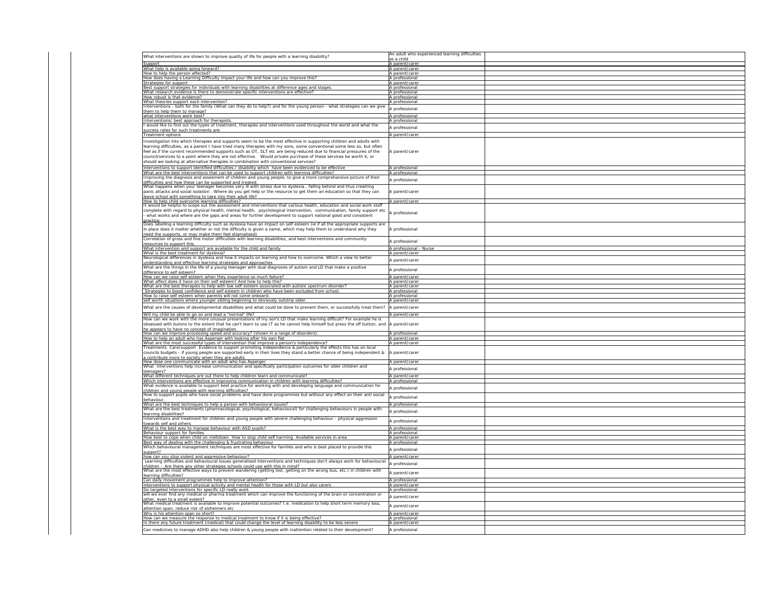| Support                                                                                                                                                                                                                                          | as a child<br>A parent/carer                       |
|--------------------------------------------------------------------------------------------------------------------------------------------------------------------------------------------------------------------------------------------------|----------------------------------------------------|
| What help is available going forward?<br>How to help the person affected?                                                                                                                                                                        | A parent/carer<br>A parent/carer                   |
| How does having a Learning Difficulty impact your life and how can you improve this?                                                                                                                                                             | A professional                                     |
| Strategies for support<br>Best support strategies for individuals with learning disabilities at difference ages and stages.                                                                                                                      | A parent/carer<br>A professional                   |
| What research evidence is there to demonstrate specific interventions are effective?                                                                                                                                                             | A professional                                     |
| How robust is that evidence?<br>What theories support each intervention?                                                                                                                                                                         | A professional<br>A professional                   |
| Interventions - both for the family (What can they do to help?) and for the young person - what strategies can we give                                                                                                                           | A professional                                     |
| them to help them to manage?<br>what interventions work best?                                                                                                                                                                                    | A professional                                     |
| Interventions/ best approach for therapists.                                                                                                                                                                                                     | A professional                                     |
| would like to find out the types of treatment, therapies and interventions used throughout the world and what the<br>success rates for such treatments are.                                                                                      | A professional                                     |
| <b>Treatment options</b>                                                                                                                                                                                                                         | A parent/carer                                     |
| Investigation into which therapies and supports seem to be the most effective in supporting children and adults with<br>learning difficulties, as a parent I have tried many therapies with my sons, some conventional some less so, but often   |                                                    |
| feel as if the current recommended supports such as OT, SLT etc are being reduced due to financial pressures of the                                                                                                                              | A parent/carer                                     |
| council/services to a point where they are not effective. Would private purchase of these services be worth it, or                                                                                                                               |                                                    |
| should we looking at alternative therapies in combination with conventional services?                                                                                                                                                            |                                                    |
| interventions to support identified difficulties / disability which have been evidenced to be effective<br>What are the best interventions that can be used to support children with learning difficulties?                                      | A professional<br>A professional                   |
| Improving the diagnosis and assesment of children and young people, to give a more comprehansive picture of their                                                                                                                                | A professional                                     |
| difficulties and how these can be supported and treated.<br>What happens when your teenager becomes very ill with stress due to dyslexia, falling behind and thus creatting                                                                      |                                                    |
| panic attacks and social isolation. Where do you get help or the resource to get them an education so that they can                                                                                                                              | A parent/carer                                     |
| leave school with something to take into their adult life?<br>How to help child overcome learning difficulties?                                                                                                                                  | A parent/carer                                     |
| It would be helpful to scope out the assessment and interventions that various health, education and social work staff                                                                                                                           |                                                    |
| complete with regard to physical health, mental health, psychological intervention, communication, family support etc<br>what works and where are the gaps and areas for further development to support national good and consistent             | A professional                                     |
| practice.                                                                                                                                                                                                                                        |                                                    |
| Does labelling a learning difficulty such as dyslexia have an impact on self esteem (ie if all the appropriate supports are<br>in place does it matter whether or not the difficulty is given a name, which may help them to understand why they | A professional                                     |
| need the supports, or may make them feel stigmatised)                                                                                                                                                                                            |                                                    |
| Correlation of gross and fine motor difficulties with learning disabilities, and best interventions and community<br>resources to support this.                                                                                                  | A professional                                     |
| What intervention and support are available for the child and family                                                                                                                                                                             | A professional - Nurse                             |
| What is the best treatment for dyslexia?<br>Neurological differences in dyslexia and how it impacts on learning and how to overcome. Which a view to better                                                                                      | A parent/carer                                     |
| understanding and effective learning strategies and approaches                                                                                                                                                                                   | A parent/carer                                     |
| What are the things in the life of a young teenager with dual diagnoses of autism and LD that make a positive<br>difference to self esteem?                                                                                                      | A professional                                     |
| How can we raise self esteem when they experience so much failure?                                                                                                                                                                               | A parent/carer                                     |
| What affect does it have on their self esteem? And how to help this?<br>What are the best therapies to help with low self esteem associated with autistic spectrum disorder?                                                                     | A parent/carer<br>A parent/carer                   |
| Strategies to boost confidence and self esteem in children who have been excluded from school                                                                                                                                                    | A professional                                     |
| How to raise self esteem when parents will not come onboard.                                                                                                                                                                                     | A professional                                     |
| self worth situations where younger sibling beginning to obviously outstrip older.                                                                                                                                                               | A parent/carer                                     |
| What are the causes of developmental disabilities and what could be done to prevent them, or successfully treat them?<br>Will my child be able to go on and lead a "normal" life?                                                                | A parent/carer                                     |
| How can we work with the more unusual presentations of my son's LD that make learning difficult? For example he is                                                                                                                               | A parent/carer                                     |
| obsessed with butons to the extent that he can't learn to use IT as he cannot help himself but press the off button, and  A parent/carer                                                                                                         |                                                    |
| he appears to have no concept of imagination.<br>How can we improve processing speed and accuracy? (shown in a range of disorders).                                                                                                              | A professional                                     |
| How to help an adult who has Asperger with looking after his own flat                                                                                                                                                                            | A parent/carer                                     |
| What are the most successful types of intervention that improve a person's independence?<br>Treatments Care/support Evidence to support promoting independence & particularly the effects this has on local                                      | A parent/carer                                     |
| councils budgets - if young people are supported early in their lives they stand a better chance of being independent &                                                                                                                          | A parent/carer                                     |
| a contribute more to society when they are adults<br>How dose one communicate with an adult who has Asperger                                                                                                                                     | A parent/carer                                     |
| What interventions help increase communication and specifically participation outcomes for older children and                                                                                                                                    | A professional                                     |
| teenagers?<br>What different techniques are out there to help children learn and communicate?                                                                                                                                                    | A parent/carer                                     |
| Which interventions are effective in improving communication in children with learning difficulties?                                                                                                                                             | A professional                                     |
| What evidence is available to support best practice for working with and developing language and communication for<br>children and young people with learning difficulties?                                                                      | A professional                                     |
| How to support pupils who have social problems and have done programmes but without any effect on their anti social                                                                                                                              | A professional                                     |
| behaviour.<br>What are the best techniques to help a parson with behavioural issues?                                                                                                                                                             | A professional                                     |
| What are the best treatments (pharmacological, psychological, behavioural) for challenging behaviours in people with                                                                                                                             |                                                    |
| learning disabilities?<br>Interventions and treatment for children and young people with severe challenging behaviour - physical aggression                                                                                                      | A professional                                     |
| towards self and others                                                                                                                                                                                                                          | A professional                                     |
| What is the best way to manage behaviour with ASD pupils?                                                                                                                                                                                        | A professional                                     |
| Behaviour support for families<br>How best to cope when child on meltdown How to stop child self harming Available services in area                                                                                                              | A professional<br>A parent/carer                   |
| Best way of dealing with the challenging & frustrating behaviour                                                                                                                                                                                 | A professional                                     |
| Which behavioural management techniques are most effective for families and who is best placed to provide this<br>support?                                                                                                                       | A professional                                     |
| how can you stop violent and aggressive behaviour?                                                                                                                                                                                               | A parent/carer                                     |
| Learning difficulties and behavioural issues generalised interventions and techniques don't always work for behavioural<br>children - Are there any other strategies schools could use with this in mind?                                        | A professional                                     |
| What are the most effective ways to prevent wandering (getting lost, getting on the wrong bus, etc.) in children with                                                                                                                            | A parent/carer                                     |
| learning difficulties?<br>Can daily movement programmes help to improve attention?                                                                                                                                                               | A professional                                     |
|                                                                                                                                                                                                                                                  | A parent/carer                                     |
| interventions to support physical activity and mental health for those with LD but also carers                                                                                                                                                   | A professional                                     |
| Do targeted interventions for specific LD really work                                                                                                                                                                                            |                                                    |
| will we ever find any medical or pharma treatment which can improve the functioning of the brain or concentration or<br>other, even to a small extent?                                                                                           | A parent/carer                                     |
| What medical treatment is available to improve potential outcomes? I.e. medication to help short term memory loss,                                                                                                                               | A parent/carer                                     |
| attention span, reduce risk of alzheimers etc                                                                                                                                                                                                    |                                                    |
| Why is his attention span so short?<br>How can we measure the response to medical treatment to know if it is being effective?<br>Is there any future treatment (medical) that could change the level of learning disability to be less severe    | A parent/carer<br>A professional<br>A parent/carer |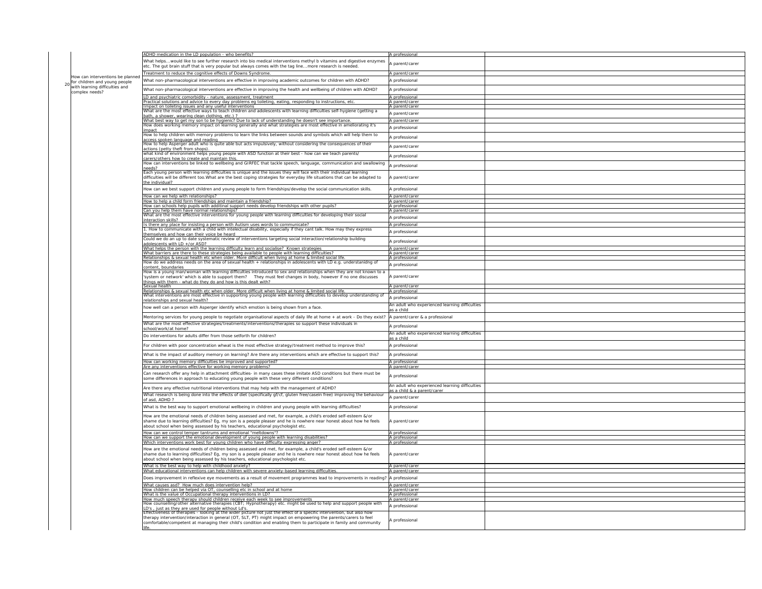|                                                                      | ADHD medication in the LD population - who benefits?                                                                                                                                                                                                                                                                     | A professional                                                |
|----------------------------------------------------------------------|--------------------------------------------------------------------------------------------------------------------------------------------------------------------------------------------------------------------------------------------------------------------------------------------------------------------------|---------------------------------------------------------------|
|                                                                      | What helps would like to see further research into bio medical interventions methyl b vitamins and digestive enzymes<br>$ $ etc. The gut brain stuff that is very popular but always comes with the tag linemore research is needed.                                                                                     | A parent/carer                                                |
|                                                                      | Treatment to reduce the cognitive effects of Downs Syndrome.                                                                                                                                                                                                                                                             | A parent/carer                                                |
| How can interventions be planned<br>20 for children and young people | What non-pharmacological interventions are effective in improving academic outcomes for children with ADHD?                                                                                                                                                                                                              | A professional                                                |
| with learning difficulties and<br>complex needs?                     | What non-pharmacological interventions are effective in improving the health and wellbeing of children with ADHD?                                                                                                                                                                                                        | A professional                                                |
|                                                                      | LD and psychiatric comorbidity - nature, assessment, treatment                                                                                                                                                                                                                                                           | A professional                                                |
|                                                                      | Practical solutions and advice to every day problems eg toileting, eating, responding to instructions, etc.<br>Impact on toileting issues and any useful interventions                                                                                                                                                   | A parent/carer<br>A parent/carer                              |
|                                                                      | What are the most effective ways to teach children and adolescents with learning difficulties self-hygiene (getting a                                                                                                                                                                                                    |                                                               |
|                                                                      | bath, a shower, wearing clean clothing, etc.)?                                                                                                                                                                                                                                                                           | A parent/carer                                                |
|                                                                      | What best way to get my son to be hygienic? Due to lack of understanding he doesn't see importance.                                                                                                                                                                                                                      | A parent/carer                                                |
|                                                                      | How does working memory impact on learning generally and what strategies are most effective in ameliorating it's<br> impact                                                                                                                                                                                              | A professional                                                |
|                                                                      | How to help children with memory problems to learn the links between sounds and symbols which will help them to<br>access spoken language and reading                                                                                                                                                                    | A professional                                                |
|                                                                      | How to help Asperger adult who is quite able but acts impulsively, without considering the consequences of their<br>actions (petty theft from shops).                                                                                                                                                                    | A parent/carer                                                |
|                                                                      | what kind of environment helps young people with ASD function at their best - how can we teach parents/<br>carers/others how to create and maintain this.                                                                                                                                                                | A professional                                                |
|                                                                      | How can interventions be linked to wellbeing and GIRFEC that tackle speech, language, communication and swallowing<br>needs?<br>Each young person with learning difficulties is unique and the issues they will face with their individual learning                                                                      | A professional                                                |
|                                                                      | difficulties will be different too. What are the best coping strategies for everyday life situations that can be adapted to<br>the individual?                                                                                                                                                                           | A parent/carer                                                |
|                                                                      | How can we best support children and young people to form friendships/develop the social communication skills.<br>How can we help with relationships?                                                                                                                                                                    | A professional<br>A parent/carer                              |
|                                                                      | How to help a child form friendships and maintain a friendship?                                                                                                                                                                                                                                                          | A parent/carer                                                |
|                                                                      | How can schools help pupils with additinal support needs develop friendships with other pupils?                                                                                                                                                                                                                          | A professional                                                |
|                                                                      | Can you help them have normal relationships?                                                                                                                                                                                                                                                                             | A parent/carer                                                |
|                                                                      | What are the most effective interventions for young people with learning difficulties for developing their social<br>interaction skills?                                                                                                                                                                                 | A professional                                                |
|                                                                      | Is there any place for insisting a person with Autism uses words to communicate?<br>1. How to communicate with a child with intelectual disability, especially if they cant talk. How may they express                                                                                                                   | A professional<br>A professional                              |
|                                                                      | themselves and how can their voice be heard<br>Could we do an up to date systematic review of interventions targeting social interaction/relationship building<br>adolescents with LD +/or ASD?                                                                                                                          | A professional                                                |
|                                                                      | What helps the person with the learning difficulty learn and socialise? Known strategies                                                                                                                                                                                                                                 | A parent/carer                                                |
|                                                                      | What barriers are there to these strategies being available to people with learning difficulties?                                                                                                                                                                                                                        | A parent/carer                                                |
|                                                                      | Relationships & sexual health etc when older. More difficult when living at home & limited social life.                                                                                                                                                                                                                  | A professional                                                |
|                                                                      | How do we address needs on the area of sexual health + relationships in adolescents with LD e.g. understanidng of<br>content, boundaries                                                                                                                                                                                 | A professional                                                |
|                                                                      | How is a young man/woman with learning difficulties introduced to sex and relationships when they are not known to a<br>'system or network' which is able to support them? They must feel changes in body, however if no one discusses                                                                                   | A parent/carer                                                |
|                                                                      | things with them - what do they do and how is this dealt with?<br>Sexual health                                                                                                                                                                                                                                          | A parent/carer                                                |
|                                                                      | Relationships & sexual health etc when older. More difficult when living at home & limited social life.                                                                                                                                                                                                                  | A professional                                                |
|                                                                      | What interventions are most effective in supporting young people with learning difficulties to develop understanding of<br>relationships and sexual health?                                                                                                                                                              | A professional                                                |
|                                                                      | how well can a person with Asperger identify which emotion is being shown from a face.                                                                                                                                                                                                                                   | An adult who experienced learn<br>as a child                  |
|                                                                      | Mentoring services for young people to negotiate organisational aspects of daily life at home + at work - Do they exist?                                                                                                                                                                                                 | A parent/carer & a professional                               |
|                                                                      | What are the most effective strategies/treatments/interventions/therapies so support these individuals in                                                                                                                                                                                                                | A professional                                                |
|                                                                      | school/work/at home?<br>Do interventions for adults differ from those setforth for children?                                                                                                                                                                                                                             | An adult who experienced learn<br>as a child                  |
|                                                                      | For children with poor concentration whwat is the most effective strategy/treatment method to improve this?                                                                                                                                                                                                              | A professional                                                |
|                                                                      |                                                                                                                                                                                                                                                                                                                          |                                                               |
|                                                                      | What is the impact of auditory memory on learning? Are there any interventions which are effective to support this?                                                                                                                                                                                                      | A professional                                                |
|                                                                      | How can working memory difficulties be improved and supported?                                                                                                                                                                                                                                                           | A professional                                                |
|                                                                      | Are any interventions effective for working memory problems?                                                                                                                                                                                                                                                             | A parent/carer                                                |
|                                                                      | Can research offer any help in attachment difficulties- in many cases these imitate ASD conditions but there must be<br>some differences in approach to educating young people with these very different conditions?                                                                                                     | A professional                                                |
|                                                                      | Are there any effective nutritional interventions that may help with the management of ADHD?                                                                                                                                                                                                                             | An adult who experienced learn<br>as a child & a parent/carer |
|                                                                      | What research is being done into the effects of diet (specifically gf/cf, gluten free/casein free) improving the behaviour<br>of asd, ADHD?                                                                                                                                                                              | A parent/carer                                                |
|                                                                      | What is the best way to support emotional wellbeing in children and young people with learning difficulties?                                                                                                                                                                                                             | A professional                                                |
|                                                                      | How are the emotional needs of children being assessed and met, for example, a child's eroded self-esteem &/or<br>shame due to learning difficulties? Eg, my son is a people pleaser and he is nowhere near honest about how he feels<br>about school when being assessed by his teachers, educational psychologist etc. | A parent/carer                                                |
|                                                                      | How can we control temper tantrums and emotional "meltdowns"?                                                                                                                                                                                                                                                            | A professional                                                |
|                                                                      | How can we support the emotional development of young people with learning disabilities?                                                                                                                                                                                                                                 | A professional                                                |
|                                                                      | Which interventions work best for young children who have difficulty expressing anger?                                                                                                                                                                                                                                   | A professional                                                |
|                                                                      | How are the emotional needs of children being assessed and met, for example, a child's eroded self-esteem &/or<br>shame due to learning difficulties? Eg, my son is a people pleaser and he is nowhere near honest about how he feels<br>about school when being assessed by his teachers, educational psychologist etc. | A parent/carer                                                |
|                                                                      | What is the best way to help with childhood anxiety?<br>What educational interventions can help children with severe anxiety-based learning difficulties.                                                                                                                                                                | A parent/carer<br>A parent/carer                              |
|                                                                      | Does improvement in reflexive eye movements as a result of movement programmes lead to improvements in reading? A professional                                                                                                                                                                                           |                                                               |
|                                                                      | What causes asd? How much does intervention help?                                                                                                                                                                                                                                                                        | A parent/carer                                                |
|                                                                      | How children can be helped via OT, counselling etc in school and at home                                                                                                                                                                                                                                                 | A parent/carer                                                |
|                                                                      | What is the value of Occupational therapy interventions in LD?<br>How much speech therapy should children receive each week to see improvements                                                                                                                                                                          | A professional<br>A parent/carer                              |
|                                                                      | $ $ How counselling/other alternative therapies (CBT; Hypnotherapy) etc. might be used to help and support people with                                                                                                                                                                                                   | A professional                                                |
|                                                                      | LD's, just as they are used for people without Ld's.<br>Effectiveness of therapies - looking at the wider picture not just the effect of a specific intervention, but also how                                                                                                                                           |                                                               |
|                                                                      | therapy intervention/interaction in general (OT, SLT, PT) might impact on empowering the parents/carers to feel<br>comfortable/competent at managing their child's condition and enabling them to participate in family and community<br>life.                                                                           | A professional                                                |

| ADHD medication in the LD population - who benefits?                                                                                                                                                                                                                                                                                                                                                                                                                                                                                                                                                                           | A professional                                 |
|--------------------------------------------------------------------------------------------------------------------------------------------------------------------------------------------------------------------------------------------------------------------------------------------------------------------------------------------------------------------------------------------------------------------------------------------------------------------------------------------------------------------------------------------------------------------------------------------------------------------------------|------------------------------------------------|
| What helpswould like to see further research into bio medical interventions methyl b vitamins and digestive enzymes<br>etc. The gut brain stuff that is very popular but always comes with the tag linemore research is needed.                                                                                                                                                                                                                                                                                                                                                                                                | A parent/carer                                 |
| Treatment to reduce the cognitive effects of Downs Syndrome.                                                                                                                                                                                                                                                                                                                                                                                                                                                                                                                                                                   | A parent/carer                                 |
| What non-pharmacological interventions are effective in improving academic outcomes for children with ADHD?                                                                                                                                                                                                                                                                                                                                                                                                                                                                                                                    | A professional                                 |
|                                                                                                                                                                                                                                                                                                                                                                                                                                                                                                                                                                                                                                |                                                |
| What non-pharmacological interventions are effective in improving the health and wellbeing of children with ADHD?                                                                                                                                                                                                                                                                                                                                                                                                                                                                                                              | A professional                                 |
| LD and psychiatric comorbidity - nature, assessment, treatment<br>Practical solutions and advice to every day problems eg toileting, eating, responding to instructions, etc.                                                                                                                                                                                                                                                                                                                                                                                                                                                  | A professional<br>A parent/carer               |
| Impact on toileting issues and any useful interventions                                                                                                                                                                                                                                                                                                                                                                                                                                                                                                                                                                        | A parent/carer                                 |
| What are the most effective ways to teach children and adolescents with learning difficulties self-hygiene (getting a<br>bath, a shower, wearing clean clothing, etc.)?                                                                                                                                                                                                                                                                                                                                                                                                                                                        | A parent/carer                                 |
| What best way to get my son to be hygienic? Due to lack of understanding he doesn't see importance.                                                                                                                                                                                                                                                                                                                                                                                                                                                                                                                            | A parent/carer                                 |
| How does working memory impact on learning generally and what strategies are most effective in ameliorating it's<br>impact                                                                                                                                                                                                                                                                                                                                                                                                                                                                                                     | A professional                                 |
| How to help children with memory problems to learn the links between sounds and symbols which will help them to<br>access spoken language and reading                                                                                                                                                                                                                                                                                                                                                                                                                                                                          | A professional                                 |
| How to help Asperger adult who is quite able but acts impulsively, without considering the consequences of their                                                                                                                                                                                                                                                                                                                                                                                                                                                                                                               | A parent/carer                                 |
| actions (petty theft from shops).<br>what kind of environment helps young people with ASD function at their best - how can we teach parents/                                                                                                                                                                                                                                                                                                                                                                                                                                                                                   |                                                |
| carers/others how to create and maintain this.                                                                                                                                                                                                                                                                                                                                                                                                                                                                                                                                                                                 | A professional                                 |
| How can interventions be linked to wellbeing and GIRFEC that tackle speech, language, communication and swallowing<br>needs?                                                                                                                                                                                                                                                                                                                                                                                                                                                                                                   | A professional                                 |
| Each young person with learning difficulties is unique and the issues they will face with their individual learning                                                                                                                                                                                                                                                                                                                                                                                                                                                                                                            |                                                |
| difficulties will be different too. What are the best coping strategies for everyday life situations that can be adapted to<br>the individual?                                                                                                                                                                                                                                                                                                                                                                                                                                                                                 | A parent/carer                                 |
| How can we best support children and young people to form friendships/develop the social communication skills.                                                                                                                                                                                                                                                                                                                                                                                                                                                                                                                 | A professional                                 |
| How can we help with relationships?                                                                                                                                                                                                                                                                                                                                                                                                                                                                                                                                                                                            | A parent/carer                                 |
| How to help a child form friendships and maintain a friendship?                                                                                                                                                                                                                                                                                                                                                                                                                                                                                                                                                                | A parent/carer                                 |
| How can schools help pupils with additinal support needs develop friendships with other pupils?<br>Can you help them have normal relationships?                                                                                                                                                                                                                                                                                                                                                                                                                                                                                | A professional<br>A parent/carer               |
| What are the most effective interventions for young people with learning difficulties for developing their social<br>interaction skills?                                                                                                                                                                                                                                                                                                                                                                                                                                                                                       | A professional                                 |
| Is there any place for insisting a person with Autism uses words to communicate?                                                                                                                                                                                                                                                                                                                                                                                                                                                                                                                                               | A professional                                 |
| 1. How to communicate with a child with intelectual disability, especially if they cant talk. How may they express<br>themselves and how can their voice be heard                                                                                                                                                                                                                                                                                                                                                                                                                                                              | A professional                                 |
| Could we do an up to date systematic review of interventions targeting social interaction/relationship building                                                                                                                                                                                                                                                                                                                                                                                                                                                                                                                | A professional                                 |
| adolescents with LD +/or ASD?<br>What helps the person with the learning difficulty learn and socialise? Known strategies                                                                                                                                                                                                                                                                                                                                                                                                                                                                                                      | A parent/carer                                 |
| What barriers are there to these strategies being available to people with learning difficulties?                                                                                                                                                                                                                                                                                                                                                                                                                                                                                                                              | A parent/carer                                 |
| Relationships & sexual health etc when older. More difficult when living at home & limited social life.<br>How do we address needs on the area of sexual health + relationships in adolescents with LD e.g. understanidng of                                                                                                                                                                                                                                                                                                                                                                                                   | A professional                                 |
| content, boundaries                                                                                                                                                                                                                                                                                                                                                                                                                                                                                                                                                                                                            | A professional                                 |
| How is a young man/woman with learning difficulties introduced to sex and relationships when they are not known to a<br>'system or network' which is able to support them? They must feel changes in body, however if no one discusses                                                                                                                                                                                                                                                                                                                                                                                         | A parent/carer                                 |
| things with them - what do they do and how is this dealt with?<br>Sexual health                                                                                                                                                                                                                                                                                                                                                                                                                                                                                                                                                | A parent/carer                                 |
| Relationships & sexual health etc when older. More difficult when living at home & limited social life.                                                                                                                                                                                                                                                                                                                                                                                                                                                                                                                        | A professional                                 |
|                                                                                                                                                                                                                                                                                                                                                                                                                                                                                                                                                                                                                                |                                                |
| What interventions are most effective in supporting young people with learning difficulties to develop understanding of                                                                                                                                                                                                                                                                                                                                                                                                                                                                                                        | A professional                                 |
| relationships and sexual health?                                                                                                                                                                                                                                                                                                                                                                                                                                                                                                                                                                                               | An adult who experienced learning difficulties |
| how well can a person with Asperger identify which emotion is being shown from a face.                                                                                                                                                                                                                                                                                                                                                                                                                                                                                                                                         | as a child                                     |
| Mentoring services for young people to negotiate organisational aspects of daily life at home + at work - Do they exist?  A parent/carer & a professional                                                                                                                                                                                                                                                                                                                                                                                                                                                                      |                                                |
| What are the most effective strategies/treatments/interventions/therapies so support these individuals in<br>school/work/at home?                                                                                                                                                                                                                                                                                                                                                                                                                                                                                              | A professional                                 |
| Do interventions for adults differ from those setforth for children?                                                                                                                                                                                                                                                                                                                                                                                                                                                                                                                                                           | An adult who experienced learning difficulties |
|                                                                                                                                                                                                                                                                                                                                                                                                                                                                                                                                                                                                                                | as a child                                     |
| For children with poor concentration whwat is the most effective strategy/treatment method to improve this?                                                                                                                                                                                                                                                                                                                                                                                                                                                                                                                    | A professional                                 |
| What is the impact of auditory memory on learning? Are there any interventions which are effective to support this?                                                                                                                                                                                                                                                                                                                                                                                                                                                                                                            | A professional                                 |
| How can working memory difficulties be improved and supported?                                                                                                                                                                                                                                                                                                                                                                                                                                                                                                                                                                 | A professional                                 |
| Are any interventions effective for working memory problems?                                                                                                                                                                                                                                                                                                                                                                                                                                                                                                                                                                   | A parent/carer                                 |
| Can research offer any help in attachment difficulties- in many cases these imitate ASD conditions but there must be<br>some differences in approach to educating young people with these very different conditions?                                                                                                                                                                                                                                                                                                                                                                                                           | A professional                                 |
|                                                                                                                                                                                                                                                                                                                                                                                                                                                                                                                                                                                                                                | An adult who experienced learning difficulties |
| Are there any effective nutritional interventions that may help with the management of ADHD?<br>What research is being done into the effects of diet (specifically gf/cf, gluten free/casein free) improving the behaviour                                                                                                                                                                                                                                                                                                                                                                                                     | as a child & a parent/carer                    |
|                                                                                                                                                                                                                                                                                                                                                                                                                                                                                                                                                                                                                                | A parent/carer                                 |
| of asd, ADHD?<br>What is the best way to support emotional wellbeing in children and young people with learning difficulties?                                                                                                                                                                                                                                                                                                                                                                                                                                                                                                  | A professional                                 |
| How are the emotional needs of children being assessed and met, for example, a child's eroded self-esteem &/or                                                                                                                                                                                                                                                                                                                                                                                                                                                                                                                 |                                                |
| shame due to learning difficulties? Eg, my son is a people pleaser and he is nowhere near honest about how he feels                                                                                                                                                                                                                                                                                                                                                                                                                                                                                                            | A parent/carer                                 |
| about school when being assessed by his teachers, educational psychologist etc.                                                                                                                                                                                                                                                                                                                                                                                                                                                                                                                                                |                                                |
| How can we control temper tantrums and emotional "meltdowns"?<br>How can we support the emotional development of young people with learning disabilities?                                                                                                                                                                                                                                                                                                                                                                                                                                                                      | A professional<br>A professional               |
| Which interventions work best for young children who have difficulty expressing anger?                                                                                                                                                                                                                                                                                                                                                                                                                                                                                                                                         | A professional                                 |
| How are the emotional needs of children being assessed and met, for example, a child's eroded self-esteem &/or                                                                                                                                                                                                                                                                                                                                                                                                                                                                                                                 | A parent/carer                                 |
| shame due to learning difficulties? Eg, my son is a people pleaser and he is nowhere near honest about how he feels<br>about school when being assessed by his teachers, educational psychologist etc.                                                                                                                                                                                                                                                                                                                                                                                                                         |                                                |
| What is the best way to help with childhood anxiety?                                                                                                                                                                                                                                                                                                                                                                                                                                                                                                                                                                           | A parent/carer                                 |
| What educational interventions can help children with severe anxiety-based learning difficulties.                                                                                                                                                                                                                                                                                                                                                                                                                                                                                                                              | A parent/carer                                 |
|                                                                                                                                                                                                                                                                                                                                                                                                                                                                                                                                                                                                                                |                                                |
|                                                                                                                                                                                                                                                                                                                                                                                                                                                                                                                                                                                                                                | A parent/carer<br>A parent/carer               |
| Does improvement in reflexive eye movements as a result of movement programmes lead to improvements in reading?  A professional<br>What causes asd? How much does intervention help?<br>How children can be helped via OT, counselling etc in school and at home<br>What is the value of Occupational therapy interventions in LD?                                                                                                                                                                                                                                                                                             | A professional                                 |
|                                                                                                                                                                                                                                                                                                                                                                                                                                                                                                                                                                                                                                | A parent/carer                                 |
|                                                                                                                                                                                                                                                                                                                                                                                                                                                                                                                                                                                                                                | A professional                                 |
| How much speech therapy should children receive each week to see improvements<br>How counselling/other alternative therapies (CBT; Hypnotherapy) etc. might be used to help and support people with<br>LD's, just as they are used for people without Ld's.<br>Effectiveness of therapies - looking at the wider picture not just the effect of a specific intervention, but also how<br>therapy intervention/interaction in general (OT, SLT, PT) might impact on empowering the parents/carers to feel<br>comfortable/competent at managing their child's condition and enabling them to participate in family and community | A professional                                 |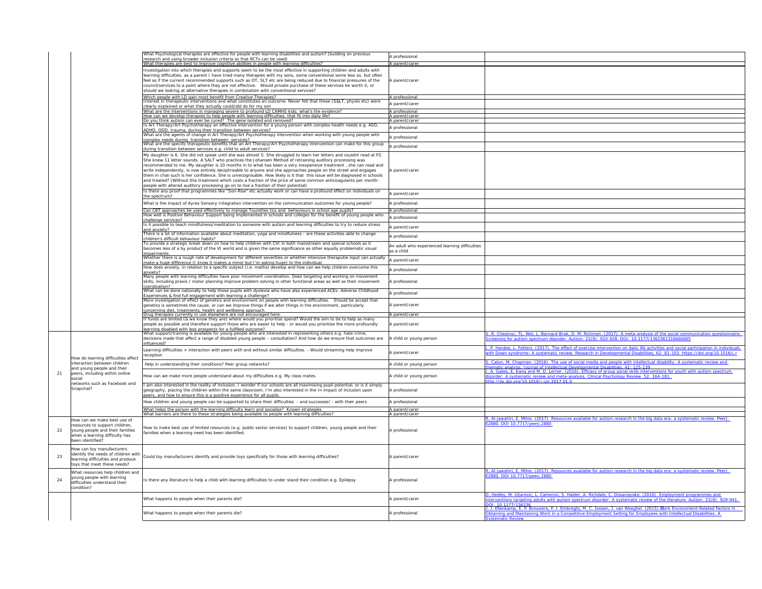|                                                                          | What Psychological therapies are effective for people with learning disabilities and autism? (building on previous                                                                                                                     | A professional                                               |                                                                                                                                                                                                                                              |
|--------------------------------------------------------------------------|----------------------------------------------------------------------------------------------------------------------------------------------------------------------------------------------------------------------------------------|--------------------------------------------------------------|----------------------------------------------------------------------------------------------------------------------------------------------------------------------------------------------------------------------------------------------|
|                                                                          | research and using broader inclusion criteria so that RCTs can be used)<br>What therapies are best to improve cognitive abilities in people with learning difficulties?                                                                | A parent/carer                                               |                                                                                                                                                                                                                                              |
|                                                                          | Investigation into which therapies and supports seem to be the most effective in supporting children and adults with                                                                                                                   |                                                              |                                                                                                                                                                                                                                              |
|                                                                          | learning difficulties, as a parent I have tried many therapies with my sons, some conventional some less so, but often                                                                                                                 |                                                              |                                                                                                                                                                                                                                              |
|                                                                          | feel as if the current recommended supports such as OT, SLT etc are being reduced due to financial pressures of the                                                                                                                    | A parent/carer                                               |                                                                                                                                                                                                                                              |
|                                                                          | council/services to a point where they are not effective. Would private purchase of these services be worth it, or<br>should we looking at alternative therapies in combination with conventional services?                            |                                                              |                                                                                                                                                                                                                                              |
|                                                                          | Which people with LD gain most benefit from Creative Therapies?                                                                                                                                                                        | A professional                                               |                                                                                                                                                                                                                                              |
|                                                                          | Interest in therapeutic interventions and what constitutes an outcome. Never felt that these (S<, physio etc) were                                                                                                                     | A parent/carer                                               |                                                                                                                                                                                                                                              |
|                                                                          | clearly explained or what they actually could/did do for my son                                                                                                                                                                        | A professional                                               |                                                                                                                                                                                                                                              |
|                                                                          | What are the interventions in managing severe to profound LD CAMHS kids; what's the evidence?<br>How can we develop therapies to help people with learning difficulties, that fit into daily life?                                     | A parent/carer                                               |                                                                                                                                                                                                                                              |
|                                                                          | Do you think autism can ever be cured? The gene isolated and removed?                                                                                                                                                                  | A parent/carer                                               |                                                                                                                                                                                                                                              |
|                                                                          | Is Art Therapy/Art Psychotherapy an effective intervention for a young person with complex health needs e.g. ASD,<br>ADHD, ODD, trauma, during their transition between services?                                                      | A professional                                               |                                                                                                                                                                                                                                              |
|                                                                          | What are the agents of change in Art Therapy/Art Psychotherapy intervention when working with young people with                                                                                                                        | A professional                                               |                                                                                                                                                                                                                                              |
|                                                                          | complex needs during transition between services?<br>What are the specific therapeutic benefits that an Art Therapy/Art Psychotherapy intervention can make for this group                                                             |                                                              |                                                                                                                                                                                                                                              |
|                                                                          | during transition between services e.g. child to adult services?                                                                                                                                                                       | A professional                                               |                                                                                                                                                                                                                                              |
|                                                                          | My daughter is 6. She did not speak until she was almost 5. She struggled to learn her letters and couldnt read at P2.                                                                                                                 |                                                              |                                                                                                                                                                                                                                              |
|                                                                          | She knew 11 letter sounds. A SALT who practices the Johansen Method of retraining auditory processing was                                                                                                                              |                                                              |                                                                                                                                                                                                                                              |
|                                                                          | recommended to me. My daughter is 10 months in to what has been a very inexpensive treatment, she can read and<br>write independently, is now entirely deciphreable to anyone and she approaches people on the street and engages      | A parent/carer                                               |                                                                                                                                                                                                                                              |
|                                                                          | them in chat-such is her confidence. She is unrecognisable. How likely is it that this issue will be diagnosed in schools                                                                                                              |                                                              |                                                                                                                                                                                                                                              |
|                                                                          | and treated? (Without this treatment which costs a fraction of the price of some common anticoagulants per month-                                                                                                                      |                                                              |                                                                                                                                                                                                                                              |
|                                                                          | people with altered auditory processing go on to live a fraction of their potential)<br>Is there any proof that programmes like "Son-Rise" etc actually work or can have a profound effect on individuals on                           |                                                              |                                                                                                                                                                                                                                              |
|                                                                          | the spectrum?                                                                                                                                                                                                                          | A parent/carer                                               |                                                                                                                                                                                                                                              |
|                                                                          | What is the impact of Ayres Sensory Integration intervention on the communication outcomes for young people?                                                                                                                           | A professional                                               |                                                                                                                                                                                                                                              |
|                                                                          | Can CBT approaches be used effectively to manage Tourettes tics and behaviours in school age pupils?                                                                                                                                   | A professional                                               |                                                                                                                                                                                                                                              |
|                                                                          | How well is Positive Behaviour Support being implemented in schools and colleges for the benefit of young people who                                                                                                                   | A professional                                               |                                                                                                                                                                                                                                              |
|                                                                          | challenge services?<br>Is it possible to teach mindfulness/meditation to someone with autism and learning difficulties to try to reduce stress                                                                                         |                                                              |                                                                                                                                                                                                                                              |
|                                                                          | and anxiety?                                                                                                                                                                                                                           | A parent/carer                                               |                                                                                                                                                                                                                                              |
|                                                                          | There is a lot of information available about meditation, yoga and mindfulness - are these activiites able to change                                                                                                                   | A professional                                               |                                                                                                                                                                                                                                              |
|                                                                          | children's difficult behaviour habits?<br>To provide a strategic break down on how to help children with CVI in both mainstream and special schools so it                                                                              |                                                              |                                                                                                                                                                                                                                              |
|                                                                          | becomes less of a by product of the VI world and is given the same significance as other equally problematic visual                                                                                                                    | An adult who experienced learning difficulties<br>as a child |                                                                                                                                                                                                                                              |
|                                                                          | impairments.<br>Whether there is a rough rate of development for different severities or whether intensive theraputie input can actually                                                                                               |                                                              |                                                                                                                                                                                                                                              |
|                                                                          | make a huge difference (I know it makes a minor but I'm asking huge) to the individual.                                                                                                                                                | A parent/carer                                               |                                                                                                                                                                                                                                              |
|                                                                          | How does anxiety, in relation to a specific subject (i.e. maths) develop and how can we help children overcome this                                                                                                                    | A professional                                               |                                                                                                                                                                                                                                              |
|                                                                          | anxiety?<br>Many people with learning difficulties have poor movement coordination. Does targeting and working on movement                                                                                                             |                                                              |                                                                                                                                                                                                                                              |
|                                                                          | skills, including praxis / motor planning improve problem solving in other functional areas as well as their movement                                                                                                                  | A professional                                               |                                                                                                                                                                                                                                              |
|                                                                          | coordination?<br>What can be done nationally to help those pupils with dyslexia who have also experienced ACEs- Adverse Childhood                                                                                                      |                                                              |                                                                                                                                                                                                                                              |
|                                                                          | Experiences & find full engagement with learning a challenge?                                                                                                                                                                          | A professional                                               |                                                                                                                                                                                                                                              |
|                                                                          | More investigation of effect of genetics and environment on people with learning difficulties.  Should be accept that<br>genetics is sometimes the cause, or can we improve things if we alter things in the environment, particularly | A parent/carer                                               |                                                                                                                                                                                                                                              |
|                                                                          | concerning diet, treatments, health and wellbeing approach.                                                                                                                                                                            |                                                              |                                                                                                                                                                                                                                              |
|                                                                          | Drug therapies currently in use elsewhere are not encouraged here.<br>If funds are limited (& we know they are) where would you prioritise spend? Would the aim to be to help as many                                                  | A parent/carer                                               |                                                                                                                                                                                                                                              |
|                                                                          | people as possible and therefore support those who are easier to help - or would you prioritise the more profoundly                                                                                                                    | A parent/carer                                               |                                                                                                                                                                                                                                              |
|                                                                          | learning disabled with less prospects for a fulfilled outcome?                                                                                                                                                                         |                                                              |                                                                                                                                                                                                                                              |
|                                                                          | What support/training is available for young people who are interested in representing others e.g. hate crime,<br>decisions made that affect a range of disabled young people - consultation? And how do we ensure that outcomes are   | A child or young person                                      | S. R. Chestnur, TL. Wei, L. Barnard-Brak, D. M. Richman. (2017). A meta-analysis of the social communication questior<br>Screening for autism spectrum disorder. Autism. 21(8): 920-928. DOI: 10.1177/1362361316660065                       |
|                                                                          | influenced?                                                                                                                                                                                                                            |                                                              |                                                                                                                                                                                                                                              |
|                                                                          | Learning difficulties + interaction with peers with and without similar difficulties. - Would streaming help improve                                                                                                                   | A parent/carer                                               | J. P. Hardee, L. Fetters. (2017). The effect of exercise intervention on daily life activities and social participation in indiv                                                                                                             |
| How do learning difficulties affect                                      | reception                                                                                                                                                                                                                              |                                                              | vith Down syndrome: A systematic review. Research in Developmental Disabilities. 62: 81-103. https://doi.org/10.101                                                                                                                          |
| interaction between children                                             | Help in understanding their conditions? Peer group networks?                                                                                                                                                                           | A child or young person                                      | S. Caton, M. Chapman. (2016). The use of social media and people with intellectual disability: A systematic review and                                                                                                                       |
| and young people and their                                               |                                                                                                                                                                                                                                        |                                                              | nematic analysis, Journal of Intellectual Developmental Disabilities, 41: 125-139<br>J. A. Gates, E. Kang and M. D. Lerner. (2016). Efficacy of group social skills interventions for youth with autism spectru                              |
| peers, including within online<br>socia                                  | How can we make more people understand about my difficulties e.g. My class mates.                                                                                                                                                      | A child or young person                                      | disorder: A systematic review and meta-analysis. Clinical Psychology Review. 52: 164-181.                                                                                                                                                    |
| networks such as Facebook and                                            | I am also interested in the reality of inclusion. I wonder if our schools are all maximising pupil potential, or is it simply                                                                                                          |                                                              | http://dx.doi.org/10.1016/j.cpr.2017.01.0                                                                                                                                                                                                    |
| Snapchat?                                                                | geography, placing the children within the same classroom. I'm also interested in the In impact of inclusion upon                                                                                                                      | A professional                                               |                                                                                                                                                                                                                                              |
|                                                                          | peers, and how to ensure this is a positive experience for all pupils                                                                                                                                                                  |                                                              |                                                                                                                                                                                                                                              |
|                                                                          | How children and young people can be supported to share their difficulties - and successes! - with their peers                                                                                                                         | A professional                                               |                                                                                                                                                                                                                                              |
|                                                                          | What helps the person with the learning difficulty learn and socialise? Known strategies                                                                                                                                               | A parent/carer                                               |                                                                                                                                                                                                                                              |
| How can we make best use of                                              | What barriers are there to these strategies being available to people with learning difficulties?                                                                                                                                      | A parent/carer                                               | <u>R. Al-jawahiri, E. Milne. (2017). Resources available for autism research in the big data era: a systematic review. PeerJ</u>                                                                                                             |
| resources to support children,                                           |                                                                                                                                                                                                                                        |                                                              | E2880. DOI 10.7717/peerj.2880                                                                                                                                                                                                                |
| young people and their families                                          | How to make best use of limited resources (e.g. public sector services) to support children, young people and their<br>families when a learning need has been identified.                                                              | A professional                                               |                                                                                                                                                                                                                                              |
| when a learning difficulty has                                           |                                                                                                                                                                                                                                        |                                                              |                                                                                                                                                                                                                                              |
| been identified?                                                         |                                                                                                                                                                                                                                        |                                                              |                                                                                                                                                                                                                                              |
| How can toy manufacturers                                                |                                                                                                                                                                                                                                        |                                                              |                                                                                                                                                                                                                                              |
| identify the needs of children with<br>learning difficulties and produce | Could toy manufacturers identify and provide toys specifically for those with learning difficulties?                                                                                                                                   | A parent/carer                                               |                                                                                                                                                                                                                                              |
| toys that meet these needs?                                              |                                                                                                                                                                                                                                        |                                                              |                                                                                                                                                                                                                                              |
| What resources help children and                                         |                                                                                                                                                                                                                                        |                                                              | <u>R. Al-jawahiri, E. Milne. (2017). Resources available for autism research in the big data era: a systematic review. PeerJ</u>                                                                                                             |
| young people with learning                                               | Is there any literature to help a child with learning difficulties to under stand their condition e.g. Epilepsy                                                                                                                        | A professional                                               | E2880. DOI 10.7717/peerj.2880                                                                                                                                                                                                                |
| difficulties understand their                                            |                                                                                                                                                                                                                                        |                                                              |                                                                                                                                                                                                                                              |
| condition?                                                               |                                                                                                                                                                                                                                        |                                                              |                                                                                                                                                                                                                                              |
|                                                                          | What happens to people when their parents die?                                                                                                                                                                                         | A parent/carer                                               | D. Hedley, M. Uljarevic, L. Cameron, S. Halder, A. Richdale, C. Dissanayake. (2016). Employment programmes and<br>interventions targeting adults with autism spectrum disorder: A systematic review of the literature. Autism. 21(8): 929    |
|                                                                          |                                                                                                                                                                                                                                        |                                                              | DOI: 10.1177/136236                                                                                                                                                                                                                          |
|                                                                          | What happens to people when their parents die?                                                                                                                                                                                         | A professional                                               | J. J. Ellenkamp, E. P. Brouwers, P. J. Embregts, M. C. Joosen, J. van Weeghel. (2015). Work Environment-Related Factor<br>Obtaining and Maintaining Work in a Competitive Employment Setting for Employees with Intellectual Disabilities: A |
|                                                                          |                                                                                                                                                                                                                                        |                                                              | Systematic Review                                                                                                                                                                                                                            |
|                                                                          |                                                                                                                                                                                                                                        |                                                              |                                                                                                                                                                                                                                              |

| S. R. Chestnur, TL. Wei, L. Barnard-Brak, D. M. Richman. (2017). A meta-analysis of the social communication questionnaire:<br>Screening for autism spectrum disorder. Autism. 21(8): 920-928. DOI: 10.1177/1362361316660065                                          |
|-----------------------------------------------------------------------------------------------------------------------------------------------------------------------------------------------------------------------------------------------------------------------|
| J. P. Hardee, L. Fetters. (2017). The effect of exercise intervention on daily life activities and social participation in individuals<br>with Down syndrome: A systematic review. Research in Developmental Disabilities. 62: 81-103. https://doi.org/10.1016/j.r    |
| S. Caton, M. Chapman. (2016). The use of social media and people with intellectual disability: A systematic review and<br>thematic analysis. Journal of Intellectual Developmental Disabilities. 41: 125-139                                                          |
| J. A. Gates, E. Kang and M. D. Lerner. (2016). Efficacy of group social skills interventions for youth with autism spectrum<br>disorder: A systematic review and meta-analysis. Clinical Psychology Review. 52: 164-181.                                              |
| http://dx.doi.org/10.1016/i.cpr.2017.01.0                                                                                                                                                                                                                             |
|                                                                                                                                                                                                                                                                       |
|                                                                                                                                                                                                                                                                       |
| R. Al-jawahiri, E. Milne. (2017). Resources available for autism research in the big data era: a systematic review. PeerJ.<br>E2880. DOI 10.7717/peerj.2880                                                                                                           |
|                                                                                                                                                                                                                                                                       |
|                                                                                                                                                                                                                                                                       |
|                                                                                                                                                                                                                                                                       |
|                                                                                                                                                                                                                                                                       |
| R. Al-jawahiri, E. Milne. (2017). Resources available for autism research in the big data era: a systematic review. PeerJ.<br>E2880. DOI 10.7717/peerj.2880                                                                                                           |
|                                                                                                                                                                                                                                                                       |
| D. Hedley, M. Uljarevic, L. Cameron, S. Halder, A. Richdale, C. Dissanayake. (2016). Employment programmes and<br>interventions targeting adults with autism spectrum disorder: A systematic review of the literature. Autism. 21(8): 929-941.<br>DOI: 10.1177/136236 |

**Sen, J. van Weeghel. (2015). Work Environment-Related Factors in Doot Maintaining Manuateus Competitive Employees with Intellectual Disabilities: A**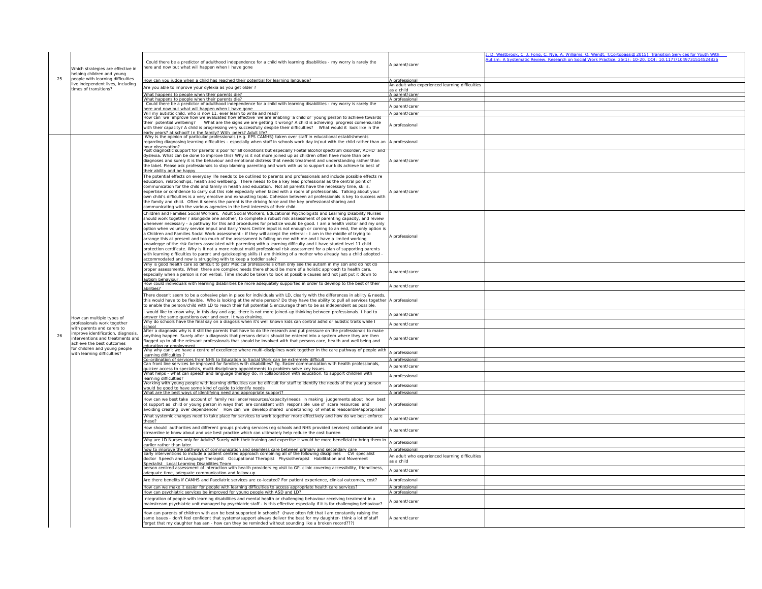|                                                                 |                                                                                                                                                                                                                                                     | J. D. Westbrook, C. J. Fong, C. Nye, A. Williams, O. Wendt, T.CortopassiQ 2015). Transition Services for Youth With          |
|-----------------------------------------------------------------|-----------------------------------------------------------------------------------------------------------------------------------------------------------------------------------------------------------------------------------------------------|------------------------------------------------------------------------------------------------------------------------------|
| Which strategies are effective in<br>helping children and young | Could there be a predictor of adulthood independence for a child with learning disabilities - my worry is rarely the<br>here and now but what will happen when I have gone                                                                          | Autism: A Systematic Review. Research on Social Work Practice. 25(1): 10-20. DOI: 10.1177/1049731514524836<br>A parent/carer |
| people with learning difficulties                               | How can you judge when a child has reached their potential for learning language?                                                                                                                                                                   | A professional                                                                                                               |
| live independent lives, including                               |                                                                                                                                                                                                                                                     | An adult who experienced learning difficulties                                                                               |
| times of transitions?                                           | Are you able to improve your dylexia as you get older?                                                                                                                                                                                              | as a child                                                                                                                   |
|                                                                 | What happens to people when their parents die?                                                                                                                                                                                                      | A parent/carer                                                                                                               |
|                                                                 | What happens to people when their parents die?<br>Could there be a predictor of adulthood independence for a child with learning disabilities - my worry is rarely the                                                                              | A professional                                                                                                               |
|                                                                 | here and now but what will happen when I have gone                                                                                                                                                                                                  | A parent/carer                                                                                                               |
|                                                                 | Will my autistic child, who is now 11, ever learn to write and read?                                                                                                                                                                                | A parent/carer                                                                                                               |
|                                                                 | How can we improve how we evaluated how effective we are enabling a child or young person to achieve towards<br>their potential wellbeing? What are the signs we are getting it wrong? A child is achieving progress comensurate                    |                                                                                                                              |
|                                                                 | with their capacity? A child is progressing very successfully despite their difficulties? What would it look like in the                                                                                                                            | A professional                                                                                                               |
|                                                                 | early years? at school? In the family? With peers? Adult life?                                                                                                                                                                                      |                                                                                                                              |
|                                                                 | Why is the opinion of particular professionals (e.g. EPS CAMHS) taken over staff in educational establishments                                                                                                                                      |                                                                                                                              |
|                                                                 | regarding diagnosing learning difficulties - especially when staff in schools work day in/out with the child rather than an  A professional<br>hour observation?                                                                                    |                                                                                                                              |
|                                                                 | Post diagnostic support for parents is poor for all conditions but especially Foetal alcohol spectrum disorder, ADHD and                                                                                                                            |                                                                                                                              |
|                                                                 | dyslexia. What can be done to improve this? Why is it not more joined up as children often have more than one                                                                                                                                       |                                                                                                                              |
|                                                                 | diagnoses and surely it is the behaviour and emotional distress that needs treatment and understanding rather than<br>the label. Please ask professionals to stop blaming parenting and work with us to support our kids achieve to best of         | A parent/carer                                                                                                               |
|                                                                 | their ability and be happy                                                                                                                                                                                                                          |                                                                                                                              |
|                                                                 | The potential effects on everyday life needs to be outlined to parents and professionals and include possible effects re                                                                                                                            |                                                                                                                              |
|                                                                 | education, relationships, health and wellbeing. There needs to be a key lead professional as the central point of                                                                                                                                   |                                                                                                                              |
|                                                                 | communication for the child and family in health and education. Not all parents have the necessary time, skills,                                                                                                                                    |                                                                                                                              |
|                                                                 | expertise or confidence to carry out this role especially when faced with a room of professionals. Talking about your<br>own child's difficulties is a very emotive and exhausting topic. Cohesion between all professionals is key to success with | A parent/carer                                                                                                               |
|                                                                 | the family and child. Often it seems the parent is the driving force and the key professional sharing and                                                                                                                                           |                                                                                                                              |
|                                                                 | communicating with the various agencies in the best interests of their child.                                                                                                                                                                       |                                                                                                                              |
|                                                                 | Children and Families Social Workers, Adult Social Workers, Educational Psychologists and Learning Disability Nurses                                                                                                                                |                                                                                                                              |
|                                                                 | should work together / alongside one another, to complete a robust risk assessment of parenting capacity, and review                                                                                                                                |                                                                                                                              |
|                                                                 | whenever necessary - a pathway for this and procedures for practice would be good. I am a health visitor and my only                                                                                                                                |                                                                                                                              |
|                                                                 | option when voluntary service imput and Early Years Centre input is not enough or coming to an end, the only option is<br>a Children and Families Social Work assessment - if they will accept the referral - I am in the middle of trying to       |                                                                                                                              |
|                                                                 | arrange this at present and too much of the assessment is falling on me with me and I have a limited working                                                                                                                                        | A professional                                                                                                               |
|                                                                 | knowlegge of the risk factors associated with parenting with a learning difficulty and I have studed level 11 child                                                                                                                                 |                                                                                                                              |
|                                                                 | protection certificate. Why is it not a more robust multi professional risk assessment for a plan of supporting parents                                                                                                                             |                                                                                                                              |
|                                                                 | with learning difficulties to parent and gatekeeping skills (I am thinking of a mother who already has a child adopted -                                                                                                                            |                                                                                                                              |
|                                                                 | accommodated and now is struggling with to keep a toddler safe?<br>Why is good health care so difficult to get? Medical professionals often only see the autism in my son and do not do                                                             |                                                                                                                              |
|                                                                 | proper assessments. When there are complex needs there should be more of a holistic approach to health care,                                                                                                                                        | A parent/carer                                                                                                               |
|                                                                 | especially when a person is non verbal. Time should be taken to look at possible causes and not just put it down to                                                                                                                                 |                                                                                                                              |
|                                                                 | autism behaviour.<br>How could individuals with learning disabilities be more adequately supported in order to develop to the best of their                                                                                                         |                                                                                                                              |
|                                                                 | abilities?                                                                                                                                                                                                                                          | A parent/carer                                                                                                               |
|                                                                 | There doesn't seem to be a cohesive plan in place for individuals with LD, clearly with the differences in ability & needs,                                                                                                                         |                                                                                                                              |
|                                                                 | this would have to be flexible. Who is looking at the whole person? Do they have the ability to pull all services together  A professional                                                                                                          |                                                                                                                              |
|                                                                 | to enable the person/child with LD to reach their full potential & encourage them to be as independent as possible.                                                                                                                                 |                                                                                                                              |
|                                                                 | I would like to know why, in this day and age, there is not more joined-up thinking between professionals. I had to<br>answer the same questions over and over. It was draining.                                                                    | A parent/carer                                                                                                               |
| How can multiple types of<br>professionals work together        | Why do schools have the final say on a diagosis when it's well known kids can control adhd or autistic traits while I                                                                                                                               | A parent/carer                                                                                                               |
| with parents and carers to                                      | school<br>After a diagnosis why is it still the parents that have to do the research and put pressure on the professionals to make                                                                                                                  |                                                                                                                              |
| improve identification, diagnosis,                              | anything happen. Surely after a diagnosis that persons details should be entered into a system where they are then                                                                                                                                  |                                                                                                                              |
| interventions and treatments and<br>achieve the best outcomes   | flagged up to all the relevant professionals that should be involved with that persons care, health and well being and                                                                                                                              | A parent/carer                                                                                                               |
| for children and young people                                   | education or employment                                                                                                                                                                                                                             |                                                                                                                              |
| with learning difficulties?                                     | Why why can't we have a centre of excellence where multi-disciplines work together in the care pathway of people with  <br>learning difficulties?                                                                                                   | A professional                                                                                                               |
|                                                                 | Co-ordination of services from NHS to Education to Social Work can be extremely difficult                                                                                                                                                           | A professional                                                                                                               |
|                                                                 | Can front line services be improved for families with disabilities? Eg. Easier communication with health professionals,                                                                                                                             | A parent/carer                                                                                                               |
|                                                                 | quicker access to specialists, multi-disciplinary appointments to problem-solve key issues.<br>What helps - what can speech and language therapy do, in collaboration with education, to support children with                                      |                                                                                                                              |
|                                                                 | learning difficulties?                                                                                                                                                                                                                              | A professional                                                                                                               |
|                                                                 | Working with young people with learning difficulties can be difficult for staff to identify the needs of the young person<br>would be good to have some kind of quide to identify needs                                                             | A professional                                                                                                               |
|                                                                 | What are the best ways of identifying need and appropriate support?                                                                                                                                                                                 | A professional                                                                                                               |
|                                                                 | How can we best take account of family resilience/resources/capacity/needs in making judgements about how best                                                                                                                                      |                                                                                                                              |
|                                                                 | ot support as child or young person in ways that are consistent with responsible use of scare resources and                                                                                                                                         | A professional                                                                                                               |
|                                                                 | avoiding creating over dependence? How can we develop shared undertanding of what is reasoanble/appropriate?                                                                                                                                        |                                                                                                                              |
|                                                                 | What systemic changes need to take place for services to work together more effectively and how do we best enforce                                                                                                                                  | A parent/carer                                                                                                               |
|                                                                 | these?                                                                                                                                                                                                                                              |                                                                                                                              |
|                                                                 | How should authorities and different groups proving services (eg schools and NHS provided services) collaborate and<br>streamline ie know about and use best practice which can ultimately help reduce the cost burden                              | A parent/carer                                                                                                               |
|                                                                 |                                                                                                                                                                                                                                                     |                                                                                                                              |
|                                                                 | Why are LD Nurses only for Adults? Surely with their training and expertise it would be more beneficial to bring them in<br>earlier rather than later.                                                                                              | A professional                                                                                                               |
|                                                                 | how to improve the pathways of communication and seamless care between primary and secondary care                                                                                                                                                   | A professional                                                                                                               |
|                                                                 | Early interventions to include a patient centred approach combining all of the following disciplines CVI specialist<br>doctor Speech and Language Therapist Occupational Therapist Physiotherapist Habilitation and Movement                        | An adult who experienced learning difficulties                                                                               |
|                                                                 | Specialist Local Learning Disabilities Team                                                                                                                                                                                                         | as a child                                                                                                                   |
|                                                                 | person centred assessment of interaction with health providers eg visit to GP, clinic covering accessibility, friendliness,                                                                                                                         | A parent/carer                                                                                                               |
|                                                                 | adequate time, adequate communication and follow-up                                                                                                                                                                                                 |                                                                                                                              |
|                                                                 | Are there benefits if CAMHS and Paediatric services are co-located? For patient experience, clinical outcomes, cost?                                                                                                                                | A professional                                                                                                               |
|                                                                 | How can we make it easier for people with learning difficulties to access appropriate health care services?<br>How can psychiatric services be improved for young people with ASD and LD?                                                           | A professional<br>A professional                                                                                             |
|                                                                 | Integration of people with learning disabilities and mental health or challenging behaviour receiving treatment in a                                                                                                                                |                                                                                                                              |
|                                                                 | mainstream psychiatric unit managed by psychiatric staff - is this effective especially if it is for challenging behaviour?                                                                                                                         | A parent/carer                                                                                                               |
|                                                                 |                                                                                                                                                                                                                                                     |                                                                                                                              |
|                                                                 | How can parents of children with asn be best supported in schools? (have often felt that i am constantly raising the<br>same issues - don't feel confident that systems/support always deliver the best for my daughter- think a lot of staff       | A parent/carer                                                                                                               |
|                                                                 | forget that my daughter has asn - how can they be reminded without sounding like a broken record???)                                                                                                                                                |                                                                                                                              |
|                                                                 |                                                                                                                                                                                                                                                     |                                                                                                                              |

| T.CortopassiQ 2015). Transition Services for Youth With<br>actice. 25(1): 10-20. DOI: 10.1177/1049731514524836 |  |  |
|----------------------------------------------------------------------------------------------------------------|--|--|
|                                                                                                                |  |  |
|                                                                                                                |  |  |
|                                                                                                                |  |  |
|                                                                                                                |  |  |
|                                                                                                                |  |  |
|                                                                                                                |  |  |
|                                                                                                                |  |  |
|                                                                                                                |  |  |
|                                                                                                                |  |  |
|                                                                                                                |  |  |
|                                                                                                                |  |  |
|                                                                                                                |  |  |
|                                                                                                                |  |  |
|                                                                                                                |  |  |
|                                                                                                                |  |  |
|                                                                                                                |  |  |
|                                                                                                                |  |  |
|                                                                                                                |  |  |
|                                                                                                                |  |  |
|                                                                                                                |  |  |
|                                                                                                                |  |  |
|                                                                                                                |  |  |
|                                                                                                                |  |  |
|                                                                                                                |  |  |
|                                                                                                                |  |  |
|                                                                                                                |  |  |
|                                                                                                                |  |  |
|                                                                                                                |  |  |
|                                                                                                                |  |  |
|                                                                                                                |  |  |
|                                                                                                                |  |  |
|                                                                                                                |  |  |
|                                                                                                                |  |  |
|                                                                                                                |  |  |
|                                                                                                                |  |  |
|                                                                                                                |  |  |
|                                                                                                                |  |  |
|                                                                                                                |  |  |
|                                                                                                                |  |  |
|                                                                                                                |  |  |
|                                                                                                                |  |  |
|                                                                                                                |  |  |
|                                                                                                                |  |  |
|                                                                                                                |  |  |
|                                                                                                                |  |  |
|                                                                                                                |  |  |
|                                                                                                                |  |  |
|                                                                                                                |  |  |
|                                                                                                                |  |  |
|                                                                                                                |  |  |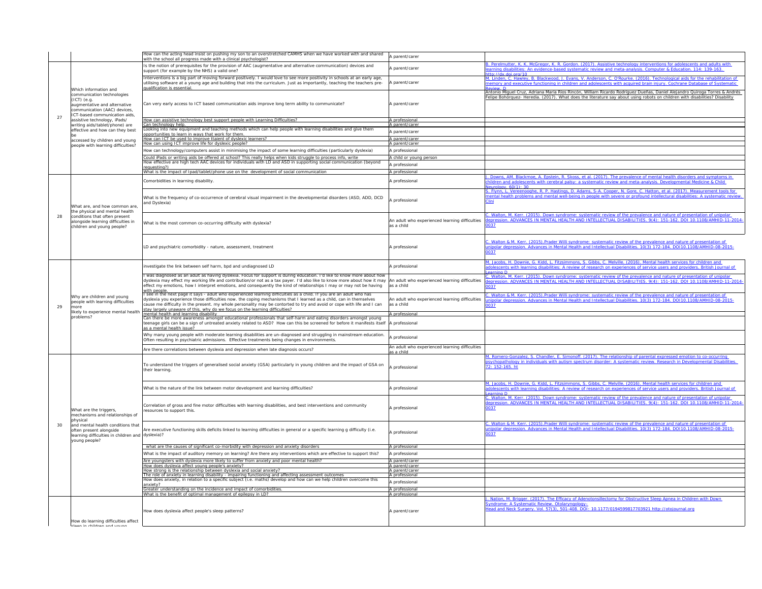|    |                                                                                                                                                                                                                                                                                                                                                          | How can the acting head insist on pushing my son to an overstretched CAMHS when we have worked with and shared<br>with the school all progress made with a clinical psychologist?                                                                                                                                                                                                                                                                   | A parent/carer                                               |                                                                                                                                                                                                      |
|----|----------------------------------------------------------------------------------------------------------------------------------------------------------------------------------------------------------------------------------------------------------------------------------------------------------------------------------------------------------|-----------------------------------------------------------------------------------------------------------------------------------------------------------------------------------------------------------------------------------------------------------------------------------------------------------------------------------------------------------------------------------------------------------------------------------------------------|--------------------------------------------------------------|------------------------------------------------------------------------------------------------------------------------------------------------------------------------------------------------------|
|    | Which information and<br>communication technologies<br>$\vert$ (ICT) (e.g.<br>augmentative and alternative<br>communication (AAC) devices,<br>ICT-based communication aids,<br>assistive technology, iPads/<br>writing aids/tablet/phone) are<br>effective and how can they best<br>accessed by children and young<br>people with learning difficulties? | Is the notion of prerequisites for the provision of AAC (augmentative and alternative communication) devices and<br>support (for example by the NHS) a valid one?                                                                                                                                                                                                                                                                                   | A parent/carer                                               | B. Perelmutter, K. K. McGregor, K. R. Gordon. (2017). Assi<br>learning disabilities: An evidence-based systematic review<br>http://dx.doi.org/10                                                     |
|    |                                                                                                                                                                                                                                                                                                                                                          | Interventions is a big part of moving forward positively. I would love to see more positivity in schools at an early age,<br>itilising software at a young age and building that into the curriculum. Just as importantly, teaching the teachers pre-<br>qualification is essential.                                                                                                                                                                | A parent/carer                                               | M. Linden, C. Hawley, B. Blackwood, J. Evans, V. Anderson<br>memory and executive functioning in children and adolesce<br>Review D<br>Antonio Miguel Cruz, Adriana María Ríos Rincón, William Ric    |
|    |                                                                                                                                                                                                                                                                                                                                                          | Can very early access to ICT based communication aids improve long term ability to communicate?                                                                                                                                                                                                                                                                                                                                                     | A parent/carer                                               | Felipe Bohórquez- Heredia. (2017). What does the literatur                                                                                                                                           |
| 27 |                                                                                                                                                                                                                                                                                                                                                          | How can assistive technology best support people with Learning Difficulties?<br>Can technology help.                                                                                                                                                                                                                                                                                                                                                | A professional<br>A parent/carer                             |                                                                                                                                                                                                      |
|    |                                                                                                                                                                                                                                                                                                                                                          | Looking into new equipment and teaching methods which can help people with learning disabilities and give them                                                                                                                                                                                                                                                                                                                                      | A parent/carer                                               |                                                                                                                                                                                                      |
|    |                                                                                                                                                                                                                                                                                                                                                          | opportunities to learn in ways that work for them.<br>How can ICT be used to improve ttaient of dyslexic learners?                                                                                                                                                                                                                                                                                                                                  | A parent/carer                                               |                                                                                                                                                                                                      |
|    |                                                                                                                                                                                                                                                                                                                                                          | How can using ICT improve life for dyslexic people?<br>How can technology/computers assist in minimising the impact of some learning difficulties (particularly dyslexia)                                                                                                                                                                                                                                                                           | A parent/carer<br>A professional                             |                                                                                                                                                                                                      |
|    |                                                                                                                                                                                                                                                                                                                                                          | Could iPads or writing aids be offered at school? This really helps when kids struggle to process info, write                                                                                                                                                                                                                                                                                                                                       | A child or young person                                      |                                                                                                                                                                                                      |
|    |                                                                                                                                                                                                                                                                                                                                                          | How effective are high tech AAC devices for individuals with LD and ASD in supporting social communication (beyond<br>requesting?)                                                                                                                                                                                                                                                                                                                  | A professional                                               |                                                                                                                                                                                                      |
|    |                                                                                                                                                                                                                                                                                                                                                          | What is the impact of Ipad/tablet/phone use on the development of social communication                                                                                                                                                                                                                                                                                                                                                              | A professional                                               | <u>. Downs, AM. Blackmoe, A. Epstein, R. Skoss, et al. (2017</u>                                                                                                                                     |
|    |                                                                                                                                                                                                                                                                                                                                                          | Comorbidities in learning disability.                                                                                                                                                                                                                                                                                                                                                                                                               | A professional                                               | children and adolescents with cerebral palsy: a systematic<br>Neurology, $60(1)$ : 30                                                                                                                |
|    | What are, and how common are,                                                                                                                                                                                                                                                                                                                            | What is the frequency of co-occurrence of cerebral visual impairment in the developmental disorders (ASD, ADD, DCD<br>and Dyslexia)                                                                                                                                                                                                                                                                                                                 | A professional                                               | S. Flynn, L. Vereenooghe, R. P. Hastings, D. Adams, S-A. O<br>mental health problems and mental well-being in people wi<br><u>Clini</u>                                                              |
|    | the physical and mental health<br>conditions that often present<br>alongside learning difficulties in<br>children and young people?                                                                                                                                                                                                                      | What is the most common co-occurring difficulty with dyslexia?                                                                                                                                                                                                                                                                                                                                                                                      | An adult who experienced learning difficulties<br>as a child | C. Walton, M. Kerr. (2015). Down syndrome: systematic re<br>depression. ADVANCES IN MENTAL HEALTH AND INTELLEC<br>0037                                                                               |
|    |                                                                                                                                                                                                                                                                                                                                                          | LD and psychiatric comorbidity - nature, assessment, treatment                                                                                                                                                                                                                                                                                                                                                                                      | A professional                                               | C. Walton & M. Kerr. (2015). Prader Willi syndrome: system<br>unipolar depression. Advances in Mental Health and Intelled<br>0037                                                                    |
|    | Why are children and young<br>people with learning difficulties<br>more<br>likely to experience mental health<br>problems?                                                                                                                                                                                                                               | investigate the link between self harm, bpd and undiagnosed LD                                                                                                                                                                                                                                                                                                                                                                                      | A professional                                               | M. Jacobs, H. Downie, G. Kidd, L. Fitzsimmons, S. Gibbs, C.<br>adolescents with learning disabilities: A review of research<br>Learning D                                                            |
|    |                                                                                                                                                                                                                                                                                                                                                          | was diagnosed as an adult as having dyslexia. Focus for support is during education. I'd like to know more about how<br>dyslexia may effect my working life and contribution/or not as a tax payer. I'd also like to know more about how it may  An adult who experienced learning difficulties<br>effect my emotions, how I interpret emotions, and consequently the kind of relationships I may or may not be having<br>with people.              | as a child                                                   | C. Walton, M. Kerr. (2015). Down syndrome: systematic re<br>depression. ADVANCES IN MENTAL HEALTH AND INTELLEC<br>0037                                                                               |
| 29 |                                                                                                                                                                                                                                                                                                                                                          | I see in the next page it says - adult who experienced learning difficulties as a child. If you are an adult who has<br>dyslexia you experience those difficulties now. the coping mechanisms that I learned as a child, can in themselves<br>cause me difficulty in the present. my whole personality may be contorted to try and avoid or cope with life and I can<br>stay largely unaware of this. why do we focus on the learning difficulties? | An adult who experienced learning difficulties<br>as a child | C. Walton & M. Kerr. (2015). Prader Willi syndrome: system<br>unipolar depression. Advances in Mental Health and Intelled<br>0037                                                                    |
|    |                                                                                                                                                                                                                                                                                                                                                          | mental health and learning disability<br>Can there be more awareness amongst educational professionals that self-harm and eating disorders amongst young<br>teenage girls can be a sign of untreated anxiety related to ASD? How can this be screened for before it manifests itself  A professional<br>as a mental health issue?                                                                                                                   | A professional                                               |                                                                                                                                                                                                      |
|    |                                                                                                                                                                                                                                                                                                                                                          | Why many young people with moderate learning disabilities are un-diagnosed and struggling in mainstream education.<br>Often resulting in psychiatric admissions. Effective treatments being changes in environments.                                                                                                                                                                                                                                | A professional                                               |                                                                                                                                                                                                      |
|    |                                                                                                                                                                                                                                                                                                                                                          | Are there correlations between dyslexia and depression when late diagnosis occurs?                                                                                                                                                                                                                                                                                                                                                                  | An adult who experienced learning difficulties<br>as a child |                                                                                                                                                                                                      |
|    | What are the triggers,<br>mechanisms and relationships of<br>physical<br>and mental health conditions that<br>often present alongside<br>learning difficulties in children and dyslexia)?<br>young people?                                                                                                                                               | To understand the triggers of generalised social anxiety (GSA) particularly in young children and the impact of GSA on<br>their learning.                                                                                                                                                                                                                                                                                                           | A professional                                               | M. Romero-Gonzalez, S. Chandler, E. Simonoff. (2017). The<br>psychopathology in individuals with autism spectrum disord<br>72: 152-165. ht                                                           |
|    |                                                                                                                                                                                                                                                                                                                                                          | What is the nature of the link between motor development and learning difficulties?                                                                                                                                                                                                                                                                                                                                                                 | A professional                                               | M. Jacobs, H. Downie, G. Kidd, L. Fitzsimmons, S. Gibbs, C<br>adolescents with learning disabilities: A review of research<br>Learning D<br>C. Walton, M. Kerr. (2015). Down syndrome: systematic re |
|    |                                                                                                                                                                                                                                                                                                                                                          | Correlation of gross and fine motor difficulties with learning disabilities, and best interventions and community<br>resources to support this.                                                                                                                                                                                                                                                                                                     | A professional                                               | depression. ADVANCES IN MENTAL HEALTH AND INTELLEC<br>0037                                                                                                                                           |
|    |                                                                                                                                                                                                                                                                                                                                                          | Are executive functioning skills deficits linked to learning difficulties in general or a specific learning g difficulty (i.e.                                                                                                                                                                                                                                                                                                                      | A professional                                               | C. Walton & M. Kerr. (2015). Prader Willi syndrome: system<br>unipolar depression. Advances in Mental Health and Intelled<br>0037                                                                    |
|    |                                                                                                                                                                                                                                                                                                                                                          | what are the causes of significant co-morbidity with depression and anxiety disorders                                                                                                                                                                                                                                                                                                                                                               | A professional                                               |                                                                                                                                                                                                      |
|    |                                                                                                                                                                                                                                                                                                                                                          | What is the impact of auditory memory on learning? Are there any interventions which are effective to support this?                                                                                                                                                                                                                                                                                                                                 | A professional                                               |                                                                                                                                                                                                      |
|    |                                                                                                                                                                                                                                                                                                                                                          | Are youngsters with dyslexia more likely to suffer from anxiety and poor mental health?<br>How does dyslexia affect young people's anxiety?                                                                                                                                                                                                                                                                                                         | A parent/carer<br>A parent/carer                             |                                                                                                                                                                                                      |
|    |                                                                                                                                                                                                                                                                                                                                                          | How strong is the relationship between dyslexia and social anxiety?<br>The role of anxiety in learning disability - impairing functioning and affecting assessment outcomes                                                                                                                                                                                                                                                                         | A parent/carer<br>A professional                             |                                                                                                                                                                                                      |
|    |                                                                                                                                                                                                                                                                                                                                                          | How does anxiety, in relation to a specific subject (i.e. maths) develop and how can we help children overcome this<br>anxiety?                                                                                                                                                                                                                                                                                                                     | A professional                                               |                                                                                                                                                                                                      |
|    |                                                                                                                                                                                                                                                                                                                                                          | Greater understanding on the incidence and impact of comorbidities.<br>What is the benefit of optimal management of epilepsy in LD?                                                                                                                                                                                                                                                                                                                 | A professional<br>A professional                             |                                                                                                                                                                                                      |
|    |                                                                                                                                                                                                                                                                                                                                                          | How does dyslexia affect people's sleep patterns?                                                                                                                                                                                                                                                                                                                                                                                                   | A parent/carer                                               | I. Nation, M. Brigger. (2017). The Efficacy of Adenotonsilled<br>Syndrome: A Systematic Review. Otolaryngology-<br>Head and Neck Surgery. Vol. 57(3), 501-408. DOI: 10.117                           |
|    | How do learning difficulties affect<br>alaan la ahilaleen anal usuna                                                                                                                                                                                                                                                                                     |                                                                                                                                                                                                                                                                                                                                                                                                                                                     |                                                              |                                                                                                                                                                                                      |

 $s$  istive technology interventions for adolescents and adults with <u>and meta-analysis. Computer & Education. 114: 139-163.</u> n, C. O'Rourke. (2016). Technological aids for the rehabilitation of ents with acquired brain injury. Cochrane Database of Systematic icardo Rodríguez Dueñas, Daniel Alejandro Quiroga Torres & Andrés ire say about using robots on children with disabilities? Disability

7). The prevalence of mental health disorders and symptoms in children and meta-analysis. Developmental Medicine & Child

Cooper, N. Gore, C. Hatton, et al. (2017). Measurement tools for with severe or profound intellectural disabilities: A systematic review.

eview of the prevalence and nature of presentation of unipolar CTUAL DISABILITIES. 9(4): 151-162. DOI 10.1108/AMHID-11-2014-

matic review of the prevalence and nature of presentation of ectual Disabilities. 10(3) 172-184. DOI10.1108/AMHID-08-2015-

Melville, (2016). Mental health services for children and adonescents and providers. British Journal of resperiences of service users and providers. British Journal of

ceview of the prevalence and nature of presentation of unipolar <u>CTUAL DISABILITIES. 9(4): 151-162. DOI 10.1108/AMHID-11-2014-</u>

matic review of the prevalence and nature of presentation of ectual Disabilities. 10(3) 172-184. DOI10.1108/AMHID-08-2015-

he relationship of parental expressed emotion to co-occurring pder: A systematic review. Research in Developmental Disabilities.

. Melville. (2016). Mental health services for children and on experiences of service users and providers. British Journal of ceview of the prevalence and nature of presentation of unipolar CTUAL DISABILITIES. 9(4): 151-162. DOI 10.1108/AMHID-11-2014-

matic review of the prevalence and nature of presentation of ectual Disabilities. 10(3) 172-184. DOI10.1108/AMHID-08-2015-

**<u>Ectomy for Obstructive Sleep Apnea in Children with Down</u>** 77/0194599817703921 http://otojournal.org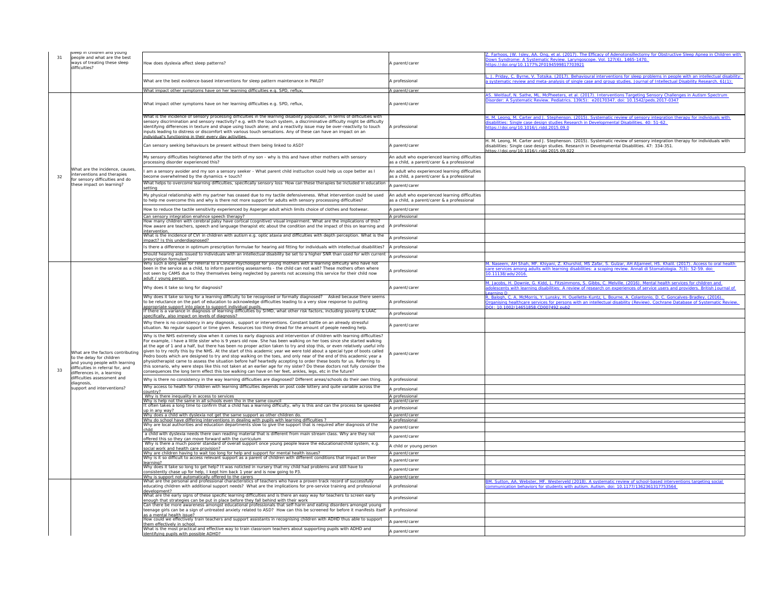| Z. Farhoos, JW. Isley, AA. Ong, et al. (2017). The Efficacy of Adenotonsillectomy for Obstructive Sleep Apnea in Children with<br>Down Syndrome: A Systematic Review. Laryngoscope. Vol. 127(6), 1465-1470.<br>https://doi.org/10.1177%2F0194599817703921                                                                                                                                                                                                                                                                     |  |
|-------------------------------------------------------------------------------------------------------------------------------------------------------------------------------------------------------------------------------------------------------------------------------------------------------------------------------------------------------------------------------------------------------------------------------------------------------------------------------------------------------------------------------|--|
| L. J. Priday, C. Byrne, V. Totsika. (2017). Behavioural interventions for sleep problems in people with an intellectual disability:<br>a systematic review and meta-analysis of single case and group studies. Journal of Intellectual Disability Research. 61(1):                                                                                                                                                                                                                                                            |  |
| AS. Weitlauf, N. Sathe, ML. McPheeters, et al. (2017). Interventions Targeting Sensory Challenges in Autism Spectrum<br>Disorder: A Systematic Review. Pediatrics. 139(5): e20170347. doi: 10.1542/peds.2017-0347                                                                                                                                                                                                                                                                                                             |  |
| H. M. Leong, M. Carter and J. Stephenson. (2015). Systematic review of sensory integration therapy for individuals with<br>disabilities: Single case design studies Research in Developmental Disabilities. 40: 51-62.<br>https://doi.org/10.1016/j.ridd.2015.09.0                                                                                                                                                                                                                                                            |  |
| H. M. Leong, M. Carter and J. Stephenson. (2015). Systematic review of sensory integration therapy for individuals with<br>disabilities: Single case design studies. Research in Developmental Disabilities. 47: 334-351.<br>https://doi.org/10.1016/i.ridd.2015.09.022                                                                                                                                                                                                                                                       |  |
|                                                                                                                                                                                                                                                                                                                                                                                                                                                                                                                               |  |
|                                                                                                                                                                                                                                                                                                                                                                                                                                                                                                                               |  |
|                                                                                                                                                                                                                                                                                                                                                                                                                                                                                                                               |  |
|                                                                                                                                                                                                                                                                                                                                                                                                                                                                                                                               |  |
|                                                                                                                                                                                                                                                                                                                                                                                                                                                                                                                               |  |
|                                                                                                                                                                                                                                                                                                                                                                                                                                                                                                                               |  |
|                                                                                                                                                                                                                                                                                                                                                                                                                                                                                                                               |  |
|                                                                                                                                                                                                                                                                                                                                                                                                                                                                                                                               |  |
| M. Naseem, AH Shah, MF. Khiyani, Z. Khurshid, MS Zafar, S. Gulzar, AH Aljameel, HS. Khalil. (2017). Access to oral health<br>care services among adults with learning disabilities: a scoping review. Annali di Stomatologia. 7(3): 52-59. doi:<br>10.11138/ads/2016.                                                                                                                                                                                                                                                         |  |
| M. Jacobs, H. Downie, G. Kidd, L. Fitzsimmons, S. Gibbs, C. Melville. (2016). Mental health services for children and<br>adolescents with learning disabilities: A review of research on experiences of service users and providers. British Journal of<br>Learning D<br>R. Balogh, C. A. McMorris, Y. Lunsky, H. Ouellette-Kuntz, L. Bourne, A. Colantonio, D. C. Goncalves-Bradley. (2016).<br>Organising healthcare services for persons with an intellectual disability (Review). Cochrane Database of Systematic Review. |  |
| DOI: 10.1002/14651858.CD007492.pub2                                                                                                                                                                                                                                                                                                                                                                                                                                                                                           |  |
|                                                                                                                                                                                                                                                                                                                                                                                                                                                                                                                               |  |
|                                                                                                                                                                                                                                                                                                                                                                                                                                                                                                                               |  |
|                                                                                                                                                                                                                                                                                                                                                                                                                                                                                                                               |  |
|                                                                                                                                                                                                                                                                                                                                                                                                                                                                                                                               |  |
|                                                                                                                                                                                                                                                                                                                                                                                                                                                                                                                               |  |
|                                                                                                                                                                                                                                                                                                                                                                                                                                                                                                                               |  |
|                                                                                                                                                                                                                                                                                                                                                                                                                                                                                                                               |  |
|                                                                                                                                                                                                                                                                                                                                                                                                                                                                                                                               |  |
|                                                                                                                                                                                                                                                                                                                                                                                                                                                                                                                               |  |
|                                                                                                                                                                                                                                                                                                                                                                                                                                                                                                                               |  |
|                                                                                                                                                                                                                                                                                                                                                                                                                                                                                                                               |  |
|                                                                                                                                                                                                                                                                                                                                                                                                                                                                                                                               |  |
| BM. Sutton, AA. Webster, MF. Westerveld (2018). A systematic review of school-based interventions targeting social<br>communication behaviors for students with autism. Autism. doi: 10.1177/1362361317753564                                                                                                                                                                                                                                                                                                                 |  |
|                                                                                                                                                                                                                                                                                                                                                                                                                                                                                                                               |  |
|                                                                                                                                                                                                                                                                                                                                                                                                                                                                                                                               |  |

| How does dyslexia affect sleep patterns?                                                                                                                                                                                                                                                                                                                                                                                                                                                                                                                                                                                                                                                                                                                                                                                                                                                                                                                                                                                                                                                                                    | A parent/carer                                                                                | Z. Farhoos, JW. Isley, AA. Ong, et al. (2017). The Efficacy of Adenotonsillectomy for Obstructive Sleep Apnea in Child<br>Down Syndrome: A Systematic Review. Laryngoscope. Vol. 127(6), 1465-1470.<br>https://doi.org/10.1177%2F0194599817703921                                     |
|-----------------------------------------------------------------------------------------------------------------------------------------------------------------------------------------------------------------------------------------------------------------------------------------------------------------------------------------------------------------------------------------------------------------------------------------------------------------------------------------------------------------------------------------------------------------------------------------------------------------------------------------------------------------------------------------------------------------------------------------------------------------------------------------------------------------------------------------------------------------------------------------------------------------------------------------------------------------------------------------------------------------------------------------------------------------------------------------------------------------------------|-----------------------------------------------------------------------------------------------|---------------------------------------------------------------------------------------------------------------------------------------------------------------------------------------------------------------------------------------------------------------------------------------|
|                                                                                                                                                                                                                                                                                                                                                                                                                                                                                                                                                                                                                                                                                                                                                                                                                                                                                                                                                                                                                                                                                                                             |                                                                                               | J. Priday, C. Byrne, V. Totsika. (2017). Behavioural interventions for sleep problems in people with an intellectual c                                                                                                                                                                |
| What are the best evidence-based interventions for sleep pattern maintenance in PWLD?<br>What impact other symptoms have on her learning difficulties e.g. SPD, reflux,                                                                                                                                                                                                                                                                                                                                                                                                                                                                                                                                                                                                                                                                                                                                                                                                                                                                                                                                                     | A professional<br>A parent/carer                                                              | a systematic review and meta-analysis of single case and group studies. Journal of Intellectual Disability Research. 61                                                                                                                                                               |
| What impact other symptoms have on her learning difficulties e.g. SPD, reflux,                                                                                                                                                                                                                                                                                                                                                                                                                                                                                                                                                                                                                                                                                                                                                                                                                                                                                                                                                                                                                                              | A parent/carer                                                                                | <u>AS. Weitlauf, N. Sathe, ML. McPheeters, et al. (2017). Interventions Targeting Sensory Challenges in Autism Spectrui</u><br>Disorder: A Systematic Review. Pediatrics. 139(5): e20170347. doi: 10.1542/peds.2017-0347                                                              |
| What is the incidence of sensory processing difficulties in the learning disability population, in terms of difficulties with<br>sensory discrimination and sensory reactivity? e.g. with the touch system, a discriminative difficulty might be difficulty<br>identifying differences in texture and shape using touch alone; and a reactivity issue may be over-reactivity to touch<br>inputs leading to distress or discomfort with various touch sensations. Any of these can have an impact on an<br>individual's functioning in their every day activities.                                                                                                                                                                                                                                                                                                                                                                                                                                                                                                                                                           | A professional                                                                                | H. M. Leong, M. Carter and J. Stephenson. (2015). Systematic review of sensory integration therapy for individuals w<br>disabilities: Single case design studies Research in Developmental Disabilities. 40: 51-62.<br>https://doi.org/10.1016/j.ridd.2015.09.0                       |
| Can sensory seeking behaviours be present without them being linked to ASD?                                                                                                                                                                                                                                                                                                                                                                                                                                                                                                                                                                                                                                                                                                                                                                                                                                                                                                                                                                                                                                                 | A parent/carer                                                                                | H. M. Leong, M. Carter and J. Stephenson. (2015). Systematic review of sensory integration therapy for individuals w<br>disabilities: Single case design studies. Research in Developmental Disabilities. 47: 334-351.<br>https://doi.org/10.1016/j.ridd.2015.09.022                  |
| My sensory difficulties heightened after the birth of my son - why is this and have other mothers with sensory<br>processing disorder experienced this?                                                                                                                                                                                                                                                                                                                                                                                                                                                                                                                                                                                                                                                                                                                                                                                                                                                                                                                                                                     | An adult who experienced learning difficulties<br>as a child, a parent/carer & a professional |                                                                                                                                                                                                                                                                                       |
| I am a sensory avoider and my son a sensory seeker - What parent child insttuciton could help us cope better as I<br>become overwhelmed by the dynamics + touch?<br>What helps to overcome learning difficulties, specifically sensory loss How can these therapies be included in education                                                                                                                                                                                                                                                                                                                                                                                                                                                                                                                                                                                                                                                                                                                                                                                                                                | An adult who experienced learning difficulties<br>as a child, a parent/carer & a professional |                                                                                                                                                                                                                                                                                       |
| setting<br>My physical relationship with my partner has ceased due to my tactile defensiveness. What intervention could be used                                                                                                                                                                                                                                                                                                                                                                                                                                                                                                                                                                                                                                                                                                                                                                                                                                                                                                                                                                                             | A parent/carer<br>An adult who experienced learning difficulties                              |                                                                                                                                                                                                                                                                                       |
| to help me overcome this and why is there not more support for adults with sensory processsing difficulties?<br>How to reduce the tactile sensitivity experienced by Asperger adult which limits choice of clothes and footwear.                                                                                                                                                                                                                                                                                                                                                                                                                                                                                                                                                                                                                                                                                                                                                                                                                                                                                            | as a child, a parent/carer & a professional<br>A parent/carer                                 |                                                                                                                                                                                                                                                                                       |
| Can sensory integration enahnce speech therapy?                                                                                                                                                                                                                                                                                                                                                                                                                                                                                                                                                                                                                                                                                                                                                                                                                                                                                                                                                                                                                                                                             | A professional                                                                                |                                                                                                                                                                                                                                                                                       |
| How many children with cerebral palsy have cortical (cognitive) visual impairment. What are the implications of this?<br>How aware are teachers, speech and language therapist etc about the condition and the impact of this on learning and                                                                                                                                                                                                                                                                                                                                                                                                                                                                                                                                                                                                                                                                                                                                                                                                                                                                               | A professional                                                                                |                                                                                                                                                                                                                                                                                       |
| intervention.<br>What is the incidence of CVI in children with autism e.g. optic ataxia and difficulties with depth perception. What is the<br>impact? Is this underdiagnosed?                                                                                                                                                                                                                                                                                                                                                                                                                                                                                                                                                                                                                                                                                                                                                                                                                                                                                                                                              | A professional                                                                                |                                                                                                                                                                                                                                                                                       |
| Is there a difference in optimum prescription formulae for hearing aid fitting for individuals with intellectual disabilities?                                                                                                                                                                                                                                                                                                                                                                                                                                                                                                                                                                                                                                                                                                                                                                                                                                                                                                                                                                                              | A professional                                                                                |                                                                                                                                                                                                                                                                                       |
| Should hearing aids issued to individuals with an intellectual disability be set to a higher SNR than used for with current<br>prescription formulae?                                                                                                                                                                                                                                                                                                                                                                                                                                                                                                                                                                                                                                                                                                                                                                                                                                                                                                                                                                       | A professional                                                                                |                                                                                                                                                                                                                                                                                       |
| Why such a long wait for referral to a Clinical Psychologist for young mothers with a learning difficulty who have not<br>been in the service as a child, to inform parenting assessments - the child can not wait? These mothers often where<br>not seen by CAMS due to they themselves being neglected by parents not accessing this service for their child now<br><u>adult / young person.</u>                                                                                                                                                                                                                                                                                                                                                                                                                                                                                                                                                                                                                                                                                                                          | A professional                                                                                | <u>M. Naseem, AH Shah, MF. Khiyani, Z. Khurshid, MS Zafar, S. Gulzar, AH Aljameel, HS. Khalil. (2017). Access to oral h</u><br>care services among adults with learning disabilities: a scoping review. Annali di Stomatologia. 7(3): 52-59. doi:<br>10.11138/ads/2016.               |
| Why does it take so long for diagnosis?                                                                                                                                                                                                                                                                                                                                                                                                                                                                                                                                                                                                                                                                                                                                                                                                                                                                                                                                                                                                                                                                                     | A parent/carer                                                                                | A. Jacobs, H. Downie, G. Kidd, L. Fitzsimmons, S. Gibbs, C. Melville. (2016). Mental health services for children and<br>adolescents with learning disabilities: A review of research on experiences of service users and providers. British Jour<br>earning D                        |
| Why does it take so long for a learning difficulty to be recognised or formally diagnosed? Asked because there seems<br>to be reluctance on the part of education to acknowledge difficulties leading to a very slow response to putting<br>appropriate support into place to support individual pupils.<br>If there is a variance in diagnosis of learning difficulties by SIMD, what other risk factors, including poverty & LAAC                                                                                                                                                                                                                                                                                                                                                                                                                                                                                                                                                                                                                                                                                         | A professional<br>A professional                                                              | R. Balogh, C. A. McMorris, Y. Lunsky, H. Ouellette-Kuntz, L. Bourne, A. Colantonio, D. C. Goncalves-Bradley. (2016).<br>Organising healthcare services for persons with an intellectual disability (Review). Cochrane Database of Systematic F<br>DOI: 10.1002/14651858.CD007492.pub2 |
| specifically, also impact on levels of diagnosis?<br>Why there is no consistency in any diagnosis, support or interventions. Constant battle on an already stressful                                                                                                                                                                                                                                                                                                                                                                                                                                                                                                                                                                                                                                                                                                                                                                                                                                                                                                                                                        | A parent/carer                                                                                |                                                                                                                                                                                                                                                                                       |
| situation. No regular support or time given. Resources too thinly dread for the amount of people needing help.<br>Why is the NHS extremely slow when it comes to early diagnosis and intervention of children with learning difficulties?<br>For example, i have a little sister who is 9 years old now. She has been walking on her toes since she started walking<br>at the age of 1 and a half, but there has been no proper action taken to try and stop this, or even relatively useful info<br>given to try recify this by the NHS. At the start of this academic year we were told about a special type of boots called<br>Pedro boots which are designed to try and stop walking on the toes, and only near of the end of this academic year a<br>physiotherapist came to assess the situation before half heartedly accepting to order these boots for us. Referring to<br>this scenario, why were steps like this not taken at an earlier age for my sister? Do these doctors not fully consider the<br>consequences the long term effect this toe walking can have on her feet, ankles, legs, etc in the future? | A parent/carer                                                                                |                                                                                                                                                                                                                                                                                       |
| Why is there no consistency in the way learning difficulties are diagnosed? Different areas/schools do their own thing.<br>Why access to health for children with learning difficulties depends on post code lottery and quite variable across the                                                                                                                                                                                                                                                                                                                                                                                                                                                                                                                                                                                                                                                                                                                                                                                                                                                                          | A professional                                                                                |                                                                                                                                                                                                                                                                                       |
| country?<br>Why is there inequality in access to services                                                                                                                                                                                                                                                                                                                                                                                                                                                                                                                                                                                                                                                                                                                                                                                                                                                                                                                                                                                                                                                                   | A professional<br>A professional                                                              |                                                                                                                                                                                                                                                                                       |
| Why is help not the same in all schools even tho in the same council<br>It often takes a long time to confirm that a child has a learning difficulty, why is this and can the process be speeded                                                                                                                                                                                                                                                                                                                                                                                                                                                                                                                                                                                                                                                                                                                                                                                                                                                                                                                            | A parent/carer                                                                                |                                                                                                                                                                                                                                                                                       |
| up in any way?<br>Why does a child with dyslexia not get the same support as other children do.                                                                                                                                                                                                                                                                                                                                                                                                                                                                                                                                                                                                                                                                                                                                                                                                                                                                                                                                                                                                                             | A professional<br>A parent/carer                                                              |                                                                                                                                                                                                                                                                                       |
| Why do school have differing interventions in dealing with pupils with learning difficulties?<br>Why are local authorities and education departments slow to give the support that is required after diagnosis of the                                                                                                                                                                                                                                                                                                                                                                                                                                                                                                                                                                                                                                                                                                                                                                                                                                                                                                       | A professional                                                                                |                                                                                                                                                                                                                                                                                       |
| child<br>a child with dyslexia needs there own reading material that is different from main stream class. Why are they not<br>offered this so they can move forward with the curriculum                                                                                                                                                                                                                                                                                                                                                                                                                                                                                                                                                                                                                                                                                                                                                                                                                                                                                                                                     | A parent/carer<br>A parent/carer                                                              |                                                                                                                                                                                                                                                                                       |
| Why is there a much poorer standard of overall support once young people leave the educational/child system, e.g.<br>social work and health care provision?                                                                                                                                                                                                                                                                                                                                                                                                                                                                                                                                                                                                                                                                                                                                                                                                                                                                                                                                                                 | A child or young person                                                                       |                                                                                                                                                                                                                                                                                       |
| Why are children having to wait too long for help and support for mental health issues?<br>Why is it so difficult to access relevant support as a parent of children with different conditions that impact on their                                                                                                                                                                                                                                                                                                                                                                                                                                                                                                                                                                                                                                                                                                                                                                                                                                                                                                         | A parent/carer<br>A parent/carer                                                              |                                                                                                                                                                                                                                                                                       |
| learning?<br>Why does it take so long to get help? It was noticted in nursery that my child had problems and still have to                                                                                                                                                                                                                                                                                                                                                                                                                                                                                                                                                                                                                                                                                                                                                                                                                                                                                                                                                                                                  | A parent/carer                                                                                |                                                                                                                                                                                                                                                                                       |
| consistently chase up for help, I kept him back 1 year and is now going to P3.<br>Why is support not automatically offered to the carers                                                                                                                                                                                                                                                                                                                                                                                                                                                                                                                                                                                                                                                                                                                                                                                                                                                                                                                                                                                    | A parent/carer                                                                                |                                                                                                                                                                                                                                                                                       |
| What are the personal and professional characteristics of teachers who have a proven track record of successfully<br>educating children with additional support needs? What are the implications for pre-service training and professional<br>development?                                                                                                                                                                                                                                                                                                                                                                                                                                                                                                                                                                                                                                                                                                                                                                                                                                                                  | A professional                                                                                | BM. Sutton, AA. Webster, MF. Westerveld (2018). A systematic review of school-based interventions targeting social<br>communication behaviors for students with autism. Autism. doi: 10.1177/1362361317753564                                                                         |
| What are the early signs of these specific learning difficulties and is there an easy way for teachers to screen early<br>enough that strategies can be put in place before they fall behind with their work                                                                                                                                                                                                                                                                                                                                                                                                                                                                                                                                                                                                                                                                                                                                                                                                                                                                                                                | A professional                                                                                |                                                                                                                                                                                                                                                                                       |
| Can there be more awareness amongst educational professionals that self-harm and eating disorders amongst young<br>teenage girls can be a sign of untreated anxiety related to ASD? How can this be screened for before it manifests itself  A professional<br>as a mental health issue?                                                                                                                                                                                                                                                                                                                                                                                                                                                                                                                                                                                                                                                                                                                                                                                                                                    |                                                                                               |                                                                                                                                                                                                                                                                                       |
| How could we effectively train teachers and support assistants in recognising children with ADHD thus able to support<br>them effectively in school.                                                                                                                                                                                                                                                                                                                                                                                                                                                                                                                                                                                                                                                                                                                                                                                                                                                                                                                                                                        | A parent/carer                                                                                |                                                                                                                                                                                                                                                                                       |
| What is the most practical and effective way to train classroom teachers about supporting pupils with ADHD and<br>identifying pupils with possible ADHD?                                                                                                                                                                                                                                                                                                                                                                                                                                                                                                                                                                                                                                                                                                                                                                                                                                                                                                                                                                    | A parent/carer                                                                                |                                                                                                                                                                                                                                                                                       |

| What are the best evidence-based interventions for sleep pattern maintenance in PWLD?<br>A professional<br>What impact other symptoms have on her learning difficulties e.g. SPD, reflux,<br>A parent/carer<br>What impact other symptoms have on her learning difficulties e.g. SPD, reflux,<br>A parent/carer<br>What is the incidence of sensory processing difficulties in the learning disability population, in terms of difficulties with<br>sensory discrimination and sensory reactivity? e.g. with the touch system, a discriminative difficulty might be difficulty<br>identifying differences in texture and shape using touch alone; and a reactivity issue may be over-reactivity to touch<br>A professional<br>inputs leading to distress or discomfort with various touch sensations. Any of these can have an impact on an<br>individual's functioning in their every day activities.<br>Can sensory seeking behaviours be present without them being linked to ASD?<br>A parent/carer<br>My sensory difficulties heightened after the birth of my son - why is this and have other mothers with sensory<br>processing disorder experienced this?<br>What are the incidence, causes,<br>am a sensory avoider and my son a sensory seeker - What parent child insttuciton could help us cope better as I<br>interventions and therapies<br>become overwhelmed by the dynamics + touch?<br>32<br>for sensory difficulties and do<br>What helps to overcome learning difficulties, specifically sensory loss How can these therapies be included in education<br>these impact on learning?<br>A parent/carer<br>setting<br>My physical relationship with my partner has ceased due to my tactile defensiveness. What intervention could be used<br>to help me overcome this and why is there not more support for adults with sensory processsing difficulties?<br>How to reduce the tactile sensitivity experienced by Asperger adult which limits choice of clothes and footwear.<br>A parent/carer<br>Can sensory integration enahnce speech therapy?<br>A professional<br>How many children with cerebral palsy have cortical (cognitive) visual impairment. What are the implications of this?<br>How aware are teachers, speech and language therapist etc about the condition and the impact of this on learning and<br>A professional<br>lintervention.<br>What is the incidence of CVI in children with autism e.g. optic ataxia and difficulties with depth perception. What is the<br>A professional<br>impact? Is this underdiagnosed?<br>Is there a difference in optimum prescription formulae for hearing aid fitting for individuals with intellectual disabilities?<br>A professional<br>Should hearing aids issued to individuals with an intellectual disability be set to a higher SNR than used for with current<br>A professional<br>prescription formulae?<br>Why such a long wait for referral to a Clinical Psychologist for young mothers with a learning difficulty who have not<br>been in the service as a child, to inform parenting assessments - the child can not wait? These mothers often where<br>A professional<br>not seen by CAMS due to they themselves being neglected by parents not accessing this service for their child now<br>adult / young person.<br>Why does it take so long for diagnosis?<br>A parent/carer<br>Why does it take so long for a learning difficulty to be recognised or formally diagnosed? Asked because there seems<br>to be reluctance on the part of education to acknowledge difficulties leading to a very slow response to putting<br>A professional<br>appropriate support into place to support individual pupils.<br>If there is a variance in diagnosis of learning difficulties by SIMD, what other risk factors, including poverty & LAAC<br>A professional<br>specifically, also impact on levels of diagnosis?<br>Why there is no consistency in any diagnosis, support or interventions. Constant battle on an already stressful<br>A parent/carer<br>situation. No regular support or time given. Resources too thinly dread for the amount of people needing help.<br>Why is the NHS extremely slow when it comes to early diagnosis and intervention of children with learning difficulties?<br>For example, i have a little sister who is 9 years old now. She has been walking on her toes since she started walking<br>at the age of 1 and a half, but there has been no proper action taken to try and stop this, or even relatively useful info<br>given to try recify this by the NHS. At the start of this academic year we were told about a special type of boots called<br>What are the factors contributing<br>A parent/carer<br>Pedro boots which are designed to try and stop walking on the toes, and only near of the end of this academic year a<br>to the delay for children<br>physiotherapist came to assess the situation before half heartedly accepting to order these boots for us. Referring to<br>and young people with learning<br>this scenario, why were steps like this not taken at an earlier age for my sister? Do these doctors not fully consider the<br>difficulties in referral for, and<br>33<br>consequences the long term effect this toe walking can have on her feet, ankles, legs, etc in the future?<br>differences in, a learning<br>difficulties assessment and<br>Why is there no consistency in the way learning difficulties are diagnosed? Different areas/schools do their own thing.<br>A professional<br>diagnosis,<br>Why access to health for children with learning difficulties depends on post code lottery and quite variable across the<br>support and interventions?<br>A professional<br>country?<br>Why is there inequality in access to services<br>A professional<br>Why is help not the same in all schools even tho in the same council<br>A parent/carer<br>It often takes a long time to confirm that a child has a learning difficulty, why is this and can the process be speeded<br>A professional<br>up in any way?<br>Why does a child with dyslexia not get the same support as other children do.<br>A parent/carer<br>Why do school have differing interventions in dealing with pupils with learning difficulties?<br>A professional<br>Why are local authorities and education departments slow to give the support that is required after diagnosis of the<br>A parent/carer<br>child<br>a child with dyslexia needs there own reading material that is different from main stream class. Why are they not<br>A parent/carer<br>offered this so they can move forward with the curriculum<br>Why is there a much poorer standard of overall support once young people leave the educational/child system, e.g.<br>A child or young person<br>social work and health care provision?<br>Why are children having to wait too long for help and support for mental health issues?<br>A parent/carer<br>Why is it so difficult to access relevant support as a parent of children with different conditions that impact on their<br>A parent/carer<br>learning?<br>Why does it take so long to get help? It was noticted in nursery that my child had problems and still have to<br>A parent/carer<br>consistently chase up for help, I kept him back 1 year and is now going to P3.<br>Why is support not automatically offered to the carers<br>A parent/carer<br>What are the personal and professional characteristics of teachers who have a proven track record of successfully<br>educating children with additional support needs? What are the implications for pre-service training and professional<br>A professional<br>development?<br>What are the early signs of these specific learning difficulties and is there an easy way for teachers to screen early<br>A professional<br>enough that strategies can be put in place before they fall behind with their work<br>Can there be more awareness amongst educational professionals that self-harm and eating disorders amongst young<br>teenage girls can be a sign of untreated anxiety related to ASD? How can this be screened for before it manifests itself  A professional<br>as a mental health issue?<br>How could we effectively train teachers and support assistants in recognising children with ADHD thus able to support<br>A parent/carer<br>them effectively in school.<br>What is the most practical and effective way to train classroom teachers about supporting pupils with ADHD and<br>A parent/carer<br>identifying pupils with possible ADHD? | 31 | sieep in children and young<br>people and what are the best<br>ways of treating these sleep<br>difficulties? | How does dyslexia affect sleep patterns? | A parent/carer                                      |
|----------------------------------------------------------------------------------------------------------------------------------------------------------------------------------------------------------------------------------------------------------------------------------------------------------------------------------------------------------------------------------------------------------------------------------------------------------------------------------------------------------------------------------------------------------------------------------------------------------------------------------------------------------------------------------------------------------------------------------------------------------------------------------------------------------------------------------------------------------------------------------------------------------------------------------------------------------------------------------------------------------------------------------------------------------------------------------------------------------------------------------------------------------------------------------------------------------------------------------------------------------------------------------------------------------------------------------------------------------------------------------------------------------------------------------------------------------------------------------------------------------------------------------------------------------------------------------------------------------------------------------------------------------------------------------------------------------------------------------------------------------------------------------------------------------------------------------------------------------------------------------------------------------------------------------------------------------------------------------------------------------------------------------------------------------------------------------------------------------------------------------------------------------------------------------------------------------------------------------------------------------------------------------------------------------------------------------------------------------------------------------------------------------------------------------------------------------------------------------------------------------------------------------------------------------------------------------------------------------------------------------------------------------------------------------------------------------------------------------------------------------------------------------------------------------------------------------------------------------------------------------------------------------------------------------------------------------------------------------------------------------------------------------------------------------------------------------------------------------------------------------------------------------------------------------------------------------------------------------------------------------------------------------------------------------------------------------------------------------------------------------------------------------------------------------------------------------------------------------------------------------------------------------------------------------------------------------------------------------------------------------------------------------------------------------------------------------------------------------------------------------------------------------------------------------------------------------------------------------------------------------------------------------------------------------------------------------------------------------------------------------------------------------------------------------------------------------------------------------------------------------------------------------------------------------------------------------------------------------------------------------------------------------------------------------------------------------------------------------------------------------------------------------------------------------------------------------------------------------------------------------------------------------------------------------------------------------------------------------------------------------------------------------------------------------------------------------------------------------------------------------------------------------------------------------------------------------------------------------------------------------------------------------------------------------------------------------------------------------------------------------------------------------------------------------------------------------------------------------------------------------------------------------------------------------------------------------------------------------------------------------------------------------------------------------------------------------------------------------------------------------------------------------------------------------------------------------------------------------------------------------------------------------------------------------------------------------------------------------------------------------------------------------------------------------------------------------------------------------------------------------------------------------------------------------------------------------------------------------------------------------------------------------------------------------------------------------------------------------------------------------------------------------------------------------------------------------------------------------------------------------------------------------------------------------------------------------------------------------------------------------------------------------------------------------------------------------------------------------------------------------------------------------------------------------------------------------------------------------------------------------------------------------------------------------------------------------------------------------------------------------------------------------------------------------------------------------------------------------------------------------------------------------------------------------------------------------------------------------------------------------------------------------------------------------------------------------------------------------------------------------------------------------------------------------------------------------------------------------------------------------------------------------------------------------------------------------------------------------------------------------------------------------------------------------------------------------------------------------------------------------------------------------------------------------------------------------------------------------------------------------------------------------------------------------------------------------------------------------------------------------------------------------------------------------------------------------------------------------------------------------------------------------------------------------------------------------------------------------------------------------------------------------------------------------------------------------------------------------------------------------------------------------------------------------------------------------------------------------------------------------------------------------------------------------------------------------------------------------------------------------------------------------------------------------------------------------------------------------------------------------------------------------------------------------------------------------------------------------------------------------------------------------------------------------------------------------------------------------------------|----|--------------------------------------------------------------------------------------------------------------|------------------------------------------|-----------------------------------------------------|
|                                                                                                                                                                                                                                                                                                                                                                                                                                                                                                                                                                                                                                                                                                                                                                                                                                                                                                                                                                                                                                                                                                                                                                                                                                                                                                                                                                                                                                                                                                                                                                                                                                                                                                                                                                                                                                                                                                                                                                                                                                                                                                                                                                                                                                                                                                                                                                                                                                                                                                                                                                                                                                                                                                                                                                                                                                                                                                                                                                                                                                                                                                                                                                                                                                                                                                                                                                                                                                                                                                                                                                                                                                                                                                                                                                                                                                                                                                                                                                                                                                                                                                                                                                                                                                                                                                                                                                                                                                                                                                                                                                                                                                                                                                                                                                                                                                                                                                                                                                                                                                                                                                                                                                                                                                                                                                                                                                                                                                                                                                                                                                                                                                                                                                                                                                                                                                                                                                                                                                                                                                                                                                                                                                                                                                                                                                                                                                                                                                                                                                                                                                                                                                                                                                                                                                                                                                                                                                                                                                                                                                                                                                                                                                                                                                                                                                                                                                                                                                                                                                                                                                                                                                                                                                                                                                                                                                                                                                                                                                                                                                                                                                                                                                                                                                                                                                                                                                                                                                                                                                                                                                                                                      |    |                                                                                                              |                                          |                                                     |
|                                                                                                                                                                                                                                                                                                                                                                                                                                                                                                                                                                                                                                                                                                                                                                                                                                                                                                                                                                                                                                                                                                                                                                                                                                                                                                                                                                                                                                                                                                                                                                                                                                                                                                                                                                                                                                                                                                                                                                                                                                                                                                                                                                                                                                                                                                                                                                                                                                                                                                                                                                                                                                                                                                                                                                                                                                                                                                                                                                                                                                                                                                                                                                                                                                                                                                                                                                                                                                                                                                                                                                                                                                                                                                                                                                                                                                                                                                                                                                                                                                                                                                                                                                                                                                                                                                                                                                                                                                                                                                                                                                                                                                                                                                                                                                                                                                                                                                                                                                                                                                                                                                                                                                                                                                                                                                                                                                                                                                                                                                                                                                                                                                                                                                                                                                                                                                                                                                                                                                                                                                                                                                                                                                                                                                                                                                                                                                                                                                                                                                                                                                                                                                                                                                                                                                                                                                                                                                                                                                                                                                                                                                                                                                                                                                                                                                                                                                                                                                                                                                                                                                                                                                                                                                                                                                                                                                                                                                                                                                                                                                                                                                                                                                                                                                                                                                                                                                                                                                                                                                                                                                                                                      |    |                                                                                                              |                                          |                                                     |
|                                                                                                                                                                                                                                                                                                                                                                                                                                                                                                                                                                                                                                                                                                                                                                                                                                                                                                                                                                                                                                                                                                                                                                                                                                                                                                                                                                                                                                                                                                                                                                                                                                                                                                                                                                                                                                                                                                                                                                                                                                                                                                                                                                                                                                                                                                                                                                                                                                                                                                                                                                                                                                                                                                                                                                                                                                                                                                                                                                                                                                                                                                                                                                                                                                                                                                                                                                                                                                                                                                                                                                                                                                                                                                                                                                                                                                                                                                                                                                                                                                                                                                                                                                                                                                                                                                                                                                                                                                                                                                                                                                                                                                                                                                                                                                                                                                                                                                                                                                                                                                                                                                                                                                                                                                                                                                                                                                                                                                                                                                                                                                                                                                                                                                                                                                                                                                                                                                                                                                                                                                                                                                                                                                                                                                                                                                                                                                                                                                                                                                                                                                                                                                                                                                                                                                                                                                                                                                                                                                                                                                                                                                                                                                                                                                                                                                                                                                                                                                                                                                                                                                                                                                                                                                                                                                                                                                                                                                                                                                                                                                                                                                                                                                                                                                                                                                                                                                                                                                                                                                                                                                                                                      |    |                                                                                                              |                                          |                                                     |
|                                                                                                                                                                                                                                                                                                                                                                                                                                                                                                                                                                                                                                                                                                                                                                                                                                                                                                                                                                                                                                                                                                                                                                                                                                                                                                                                                                                                                                                                                                                                                                                                                                                                                                                                                                                                                                                                                                                                                                                                                                                                                                                                                                                                                                                                                                                                                                                                                                                                                                                                                                                                                                                                                                                                                                                                                                                                                                                                                                                                                                                                                                                                                                                                                                                                                                                                                                                                                                                                                                                                                                                                                                                                                                                                                                                                                                                                                                                                                                                                                                                                                                                                                                                                                                                                                                                                                                                                                                                                                                                                                                                                                                                                                                                                                                                                                                                                                                                                                                                                                                                                                                                                                                                                                                                                                                                                                                                                                                                                                                                                                                                                                                                                                                                                                                                                                                                                                                                                                                                                                                                                                                                                                                                                                                                                                                                                                                                                                                                                                                                                                                                                                                                                                                                                                                                                                                                                                                                                                                                                                                                                                                                                                                                                                                                                                                                                                                                                                                                                                                                                                                                                                                                                                                                                                                                                                                                                                                                                                                                                                                                                                                                                                                                                                                                                                                                                                                                                                                                                                                                                                                                                                      |    |                                                                                                              |                                          |                                                     |
|                                                                                                                                                                                                                                                                                                                                                                                                                                                                                                                                                                                                                                                                                                                                                                                                                                                                                                                                                                                                                                                                                                                                                                                                                                                                                                                                                                                                                                                                                                                                                                                                                                                                                                                                                                                                                                                                                                                                                                                                                                                                                                                                                                                                                                                                                                                                                                                                                                                                                                                                                                                                                                                                                                                                                                                                                                                                                                                                                                                                                                                                                                                                                                                                                                                                                                                                                                                                                                                                                                                                                                                                                                                                                                                                                                                                                                                                                                                                                                                                                                                                                                                                                                                                                                                                                                                                                                                                                                                                                                                                                                                                                                                                                                                                                                                                                                                                                                                                                                                                                                                                                                                                                                                                                                                                                                                                                                                                                                                                                                                                                                                                                                                                                                                                                                                                                                                                                                                                                                                                                                                                                                                                                                                                                                                                                                                                                                                                                                                                                                                                                                                                                                                                                                                                                                                                                                                                                                                                                                                                                                                                                                                                                                                                                                                                                                                                                                                                                                                                                                                                                                                                                                                                                                                                                                                                                                                                                                                                                                                                                                                                                                                                                                                                                                                                                                                                                                                                                                                                                                                                                                                                                      |    |                                                                                                              |                                          |                                                     |
|                                                                                                                                                                                                                                                                                                                                                                                                                                                                                                                                                                                                                                                                                                                                                                                                                                                                                                                                                                                                                                                                                                                                                                                                                                                                                                                                                                                                                                                                                                                                                                                                                                                                                                                                                                                                                                                                                                                                                                                                                                                                                                                                                                                                                                                                                                                                                                                                                                                                                                                                                                                                                                                                                                                                                                                                                                                                                                                                                                                                                                                                                                                                                                                                                                                                                                                                                                                                                                                                                                                                                                                                                                                                                                                                                                                                                                                                                                                                                                                                                                                                                                                                                                                                                                                                                                                                                                                                                                                                                                                                                                                                                                                                                                                                                                                                                                                                                                                                                                                                                                                                                                                                                                                                                                                                                                                                                                                                                                                                                                                                                                                                                                                                                                                                                                                                                                                                                                                                                                                                                                                                                                                                                                                                                                                                                                                                                                                                                                                                                                                                                                                                                                                                                                                                                                                                                                                                                                                                                                                                                                                                                                                                                                                                                                                                                                                                                                                                                                                                                                                                                                                                                                                                                                                                                                                                                                                                                                                                                                                                                                                                                                                                                                                                                                                                                                                                                                                                                                                                                                                                                                                                                      |    |                                                                                                              |                                          | An adult who experienc<br>as a child, a parent/care |
|                                                                                                                                                                                                                                                                                                                                                                                                                                                                                                                                                                                                                                                                                                                                                                                                                                                                                                                                                                                                                                                                                                                                                                                                                                                                                                                                                                                                                                                                                                                                                                                                                                                                                                                                                                                                                                                                                                                                                                                                                                                                                                                                                                                                                                                                                                                                                                                                                                                                                                                                                                                                                                                                                                                                                                                                                                                                                                                                                                                                                                                                                                                                                                                                                                                                                                                                                                                                                                                                                                                                                                                                                                                                                                                                                                                                                                                                                                                                                                                                                                                                                                                                                                                                                                                                                                                                                                                                                                                                                                                                                                                                                                                                                                                                                                                                                                                                                                                                                                                                                                                                                                                                                                                                                                                                                                                                                                                                                                                                                                                                                                                                                                                                                                                                                                                                                                                                                                                                                                                                                                                                                                                                                                                                                                                                                                                                                                                                                                                                                                                                                                                                                                                                                                                                                                                                                                                                                                                                                                                                                                                                                                                                                                                                                                                                                                                                                                                                                                                                                                                                                                                                                                                                                                                                                                                                                                                                                                                                                                                                                                                                                                                                                                                                                                                                                                                                                                                                                                                                                                                                                                                                                      |    |                                                                                                              |                                          | An adult who experienc<br>as a child, a parent/care |
|                                                                                                                                                                                                                                                                                                                                                                                                                                                                                                                                                                                                                                                                                                                                                                                                                                                                                                                                                                                                                                                                                                                                                                                                                                                                                                                                                                                                                                                                                                                                                                                                                                                                                                                                                                                                                                                                                                                                                                                                                                                                                                                                                                                                                                                                                                                                                                                                                                                                                                                                                                                                                                                                                                                                                                                                                                                                                                                                                                                                                                                                                                                                                                                                                                                                                                                                                                                                                                                                                                                                                                                                                                                                                                                                                                                                                                                                                                                                                                                                                                                                                                                                                                                                                                                                                                                                                                                                                                                                                                                                                                                                                                                                                                                                                                                                                                                                                                                                                                                                                                                                                                                                                                                                                                                                                                                                                                                                                                                                                                                                                                                                                                                                                                                                                                                                                                                                                                                                                                                                                                                                                                                                                                                                                                                                                                                                                                                                                                                                                                                                                                                                                                                                                                                                                                                                                                                                                                                                                                                                                                                                                                                                                                                                                                                                                                                                                                                                                                                                                                                                                                                                                                                                                                                                                                                                                                                                                                                                                                                                                                                                                                                                                                                                                                                                                                                                                                                                                                                                                                                                                                                                                      |    |                                                                                                              |                                          |                                                     |
|                                                                                                                                                                                                                                                                                                                                                                                                                                                                                                                                                                                                                                                                                                                                                                                                                                                                                                                                                                                                                                                                                                                                                                                                                                                                                                                                                                                                                                                                                                                                                                                                                                                                                                                                                                                                                                                                                                                                                                                                                                                                                                                                                                                                                                                                                                                                                                                                                                                                                                                                                                                                                                                                                                                                                                                                                                                                                                                                                                                                                                                                                                                                                                                                                                                                                                                                                                                                                                                                                                                                                                                                                                                                                                                                                                                                                                                                                                                                                                                                                                                                                                                                                                                                                                                                                                                                                                                                                                                                                                                                                                                                                                                                                                                                                                                                                                                                                                                                                                                                                                                                                                                                                                                                                                                                                                                                                                                                                                                                                                                                                                                                                                                                                                                                                                                                                                                                                                                                                                                                                                                                                                                                                                                                                                                                                                                                                                                                                                                                                                                                                                                                                                                                                                                                                                                                                                                                                                                                                                                                                                                                                                                                                                                                                                                                                                                                                                                                                                                                                                                                                                                                                                                                                                                                                                                                                                                                                                                                                                                                                                                                                                                                                                                                                                                                                                                                                                                                                                                                                                                                                                                                                      |    |                                                                                                              |                                          | An adult who experienc<br>as a child, a parent/care |
|                                                                                                                                                                                                                                                                                                                                                                                                                                                                                                                                                                                                                                                                                                                                                                                                                                                                                                                                                                                                                                                                                                                                                                                                                                                                                                                                                                                                                                                                                                                                                                                                                                                                                                                                                                                                                                                                                                                                                                                                                                                                                                                                                                                                                                                                                                                                                                                                                                                                                                                                                                                                                                                                                                                                                                                                                                                                                                                                                                                                                                                                                                                                                                                                                                                                                                                                                                                                                                                                                                                                                                                                                                                                                                                                                                                                                                                                                                                                                                                                                                                                                                                                                                                                                                                                                                                                                                                                                                                                                                                                                                                                                                                                                                                                                                                                                                                                                                                                                                                                                                                                                                                                                                                                                                                                                                                                                                                                                                                                                                                                                                                                                                                                                                                                                                                                                                                                                                                                                                                                                                                                                                                                                                                                                                                                                                                                                                                                                                                                                                                                                                                                                                                                                                                                                                                                                                                                                                                                                                                                                                                                                                                                                                                                                                                                                                                                                                                                                                                                                                                                                                                                                                                                                                                                                                                                                                                                                                                                                                                                                                                                                                                                                                                                                                                                                                                                                                                                                                                                                                                                                                                                                      |    |                                                                                                              |                                          |                                                     |
|                                                                                                                                                                                                                                                                                                                                                                                                                                                                                                                                                                                                                                                                                                                                                                                                                                                                                                                                                                                                                                                                                                                                                                                                                                                                                                                                                                                                                                                                                                                                                                                                                                                                                                                                                                                                                                                                                                                                                                                                                                                                                                                                                                                                                                                                                                                                                                                                                                                                                                                                                                                                                                                                                                                                                                                                                                                                                                                                                                                                                                                                                                                                                                                                                                                                                                                                                                                                                                                                                                                                                                                                                                                                                                                                                                                                                                                                                                                                                                                                                                                                                                                                                                                                                                                                                                                                                                                                                                                                                                                                                                                                                                                                                                                                                                                                                                                                                                                                                                                                                                                                                                                                                                                                                                                                                                                                                                                                                                                                                                                                                                                                                                                                                                                                                                                                                                                                                                                                                                                                                                                                                                                                                                                                                                                                                                                                                                                                                                                                                                                                                                                                                                                                                                                                                                                                                                                                                                                                                                                                                                                                                                                                                                                                                                                                                                                                                                                                                                                                                                                                                                                                                                                                                                                                                                                                                                                                                                                                                                                                                                                                                                                                                                                                                                                                                                                                                                                                                                                                                                                                                                                                                      |    |                                                                                                              |                                          |                                                     |
|                                                                                                                                                                                                                                                                                                                                                                                                                                                                                                                                                                                                                                                                                                                                                                                                                                                                                                                                                                                                                                                                                                                                                                                                                                                                                                                                                                                                                                                                                                                                                                                                                                                                                                                                                                                                                                                                                                                                                                                                                                                                                                                                                                                                                                                                                                                                                                                                                                                                                                                                                                                                                                                                                                                                                                                                                                                                                                                                                                                                                                                                                                                                                                                                                                                                                                                                                                                                                                                                                                                                                                                                                                                                                                                                                                                                                                                                                                                                                                                                                                                                                                                                                                                                                                                                                                                                                                                                                                                                                                                                                                                                                                                                                                                                                                                                                                                                                                                                                                                                                                                                                                                                                                                                                                                                                                                                                                                                                                                                                                                                                                                                                                                                                                                                                                                                                                                                                                                                                                                                                                                                                                                                                                                                                                                                                                                                                                                                                                                                                                                                                                                                                                                                                                                                                                                                                                                                                                                                                                                                                                                                                                                                                                                                                                                                                                                                                                                                                                                                                                                                                                                                                                                                                                                                                                                                                                                                                                                                                                                                                                                                                                                                                                                                                                                                                                                                                                                                                                                                                                                                                                                                                      |    |                                                                                                              |                                          |                                                     |
|                                                                                                                                                                                                                                                                                                                                                                                                                                                                                                                                                                                                                                                                                                                                                                                                                                                                                                                                                                                                                                                                                                                                                                                                                                                                                                                                                                                                                                                                                                                                                                                                                                                                                                                                                                                                                                                                                                                                                                                                                                                                                                                                                                                                                                                                                                                                                                                                                                                                                                                                                                                                                                                                                                                                                                                                                                                                                                                                                                                                                                                                                                                                                                                                                                                                                                                                                                                                                                                                                                                                                                                                                                                                                                                                                                                                                                                                                                                                                                                                                                                                                                                                                                                                                                                                                                                                                                                                                                                                                                                                                                                                                                                                                                                                                                                                                                                                                                                                                                                                                                                                                                                                                                                                                                                                                                                                                                                                                                                                                                                                                                                                                                                                                                                                                                                                                                                                                                                                                                                                                                                                                                                                                                                                                                                                                                                                                                                                                                                                                                                                                                                                                                                                                                                                                                                                                                                                                                                                                                                                                                                                                                                                                                                                                                                                                                                                                                                                                                                                                                                                                                                                                                                                                                                                                                                                                                                                                                                                                                                                                                                                                                                                                                                                                                                                                                                                                                                                                                                                                                                                                                                                                      |    |                                                                                                              |                                          |                                                     |
|                                                                                                                                                                                                                                                                                                                                                                                                                                                                                                                                                                                                                                                                                                                                                                                                                                                                                                                                                                                                                                                                                                                                                                                                                                                                                                                                                                                                                                                                                                                                                                                                                                                                                                                                                                                                                                                                                                                                                                                                                                                                                                                                                                                                                                                                                                                                                                                                                                                                                                                                                                                                                                                                                                                                                                                                                                                                                                                                                                                                                                                                                                                                                                                                                                                                                                                                                                                                                                                                                                                                                                                                                                                                                                                                                                                                                                                                                                                                                                                                                                                                                                                                                                                                                                                                                                                                                                                                                                                                                                                                                                                                                                                                                                                                                                                                                                                                                                                                                                                                                                                                                                                                                                                                                                                                                                                                                                                                                                                                                                                                                                                                                                                                                                                                                                                                                                                                                                                                                                                                                                                                                                                                                                                                                                                                                                                                                                                                                                                                                                                                                                                                                                                                                                                                                                                                                                                                                                                                                                                                                                                                                                                                                                                                                                                                                                                                                                                                                                                                                                                                                                                                                                                                                                                                                                                                                                                                                                                                                                                                                                                                                                                                                                                                                                                                                                                                                                                                                                                                                                                                                                                                                      |    |                                                                                                              |                                          |                                                     |
|                                                                                                                                                                                                                                                                                                                                                                                                                                                                                                                                                                                                                                                                                                                                                                                                                                                                                                                                                                                                                                                                                                                                                                                                                                                                                                                                                                                                                                                                                                                                                                                                                                                                                                                                                                                                                                                                                                                                                                                                                                                                                                                                                                                                                                                                                                                                                                                                                                                                                                                                                                                                                                                                                                                                                                                                                                                                                                                                                                                                                                                                                                                                                                                                                                                                                                                                                                                                                                                                                                                                                                                                                                                                                                                                                                                                                                                                                                                                                                                                                                                                                                                                                                                                                                                                                                                                                                                                                                                                                                                                                                                                                                                                                                                                                                                                                                                                                                                                                                                                                                                                                                                                                                                                                                                                                                                                                                                                                                                                                                                                                                                                                                                                                                                                                                                                                                                                                                                                                                                                                                                                                                                                                                                                                                                                                                                                                                                                                                                                                                                                                                                                                                                                                                                                                                                                                                                                                                                                                                                                                                                                                                                                                                                                                                                                                                                                                                                                                                                                                                                                                                                                                                                                                                                                                                                                                                                                                                                                                                                                                                                                                                                                                                                                                                                                                                                                                                                                                                                                                                                                                                                                                      |    |                                                                                                              |                                          |                                                     |
|                                                                                                                                                                                                                                                                                                                                                                                                                                                                                                                                                                                                                                                                                                                                                                                                                                                                                                                                                                                                                                                                                                                                                                                                                                                                                                                                                                                                                                                                                                                                                                                                                                                                                                                                                                                                                                                                                                                                                                                                                                                                                                                                                                                                                                                                                                                                                                                                                                                                                                                                                                                                                                                                                                                                                                                                                                                                                                                                                                                                                                                                                                                                                                                                                                                                                                                                                                                                                                                                                                                                                                                                                                                                                                                                                                                                                                                                                                                                                                                                                                                                                                                                                                                                                                                                                                                                                                                                                                                                                                                                                                                                                                                                                                                                                                                                                                                                                                                                                                                                                                                                                                                                                                                                                                                                                                                                                                                                                                                                                                                                                                                                                                                                                                                                                                                                                                                                                                                                                                                                                                                                                                                                                                                                                                                                                                                                                                                                                                                                                                                                                                                                                                                                                                                                                                                                                                                                                                                                                                                                                                                                                                                                                                                                                                                                                                                                                                                                                                                                                                                                                                                                                                                                                                                                                                                                                                                                                                                                                                                                                                                                                                                                                                                                                                                                                                                                                                                                                                                                                                                                                                                                                      |    |                                                                                                              |                                          |                                                     |
|                                                                                                                                                                                                                                                                                                                                                                                                                                                                                                                                                                                                                                                                                                                                                                                                                                                                                                                                                                                                                                                                                                                                                                                                                                                                                                                                                                                                                                                                                                                                                                                                                                                                                                                                                                                                                                                                                                                                                                                                                                                                                                                                                                                                                                                                                                                                                                                                                                                                                                                                                                                                                                                                                                                                                                                                                                                                                                                                                                                                                                                                                                                                                                                                                                                                                                                                                                                                                                                                                                                                                                                                                                                                                                                                                                                                                                                                                                                                                                                                                                                                                                                                                                                                                                                                                                                                                                                                                                                                                                                                                                                                                                                                                                                                                                                                                                                                                                                                                                                                                                                                                                                                                                                                                                                                                                                                                                                                                                                                                                                                                                                                                                                                                                                                                                                                                                                                                                                                                                                                                                                                                                                                                                                                                                                                                                                                                                                                                                                                                                                                                                                                                                                                                                                                                                                                                                                                                                                                                                                                                                                                                                                                                                                                                                                                                                                                                                                                                                                                                                                                                                                                                                                                                                                                                                                                                                                                                                                                                                                                                                                                                                                                                                                                                                                                                                                                                                                                                                                                                                                                                                                                                      |    |                                                                                                              |                                          |                                                     |
|                                                                                                                                                                                                                                                                                                                                                                                                                                                                                                                                                                                                                                                                                                                                                                                                                                                                                                                                                                                                                                                                                                                                                                                                                                                                                                                                                                                                                                                                                                                                                                                                                                                                                                                                                                                                                                                                                                                                                                                                                                                                                                                                                                                                                                                                                                                                                                                                                                                                                                                                                                                                                                                                                                                                                                                                                                                                                                                                                                                                                                                                                                                                                                                                                                                                                                                                                                                                                                                                                                                                                                                                                                                                                                                                                                                                                                                                                                                                                                                                                                                                                                                                                                                                                                                                                                                                                                                                                                                                                                                                                                                                                                                                                                                                                                                                                                                                                                                                                                                                                                                                                                                                                                                                                                                                                                                                                                                                                                                                                                                                                                                                                                                                                                                                                                                                                                                                                                                                                                                                                                                                                                                                                                                                                                                                                                                                                                                                                                                                                                                                                                                                                                                                                                                                                                                                                                                                                                                                                                                                                                                                                                                                                                                                                                                                                                                                                                                                                                                                                                                                                                                                                                                                                                                                                                                                                                                                                                                                                                                                                                                                                                                                                                                                                                                                                                                                                                                                                                                                                                                                                                                                                      |    |                                                                                                              |                                          |                                                     |
|                                                                                                                                                                                                                                                                                                                                                                                                                                                                                                                                                                                                                                                                                                                                                                                                                                                                                                                                                                                                                                                                                                                                                                                                                                                                                                                                                                                                                                                                                                                                                                                                                                                                                                                                                                                                                                                                                                                                                                                                                                                                                                                                                                                                                                                                                                                                                                                                                                                                                                                                                                                                                                                                                                                                                                                                                                                                                                                                                                                                                                                                                                                                                                                                                                                                                                                                                                                                                                                                                                                                                                                                                                                                                                                                                                                                                                                                                                                                                                                                                                                                                                                                                                                                                                                                                                                                                                                                                                                                                                                                                                                                                                                                                                                                                                                                                                                                                                                                                                                                                                                                                                                                                                                                                                                                                                                                                                                                                                                                                                                                                                                                                                                                                                                                                                                                                                                                                                                                                                                                                                                                                                                                                                                                                                                                                                                                                                                                                                                                                                                                                                                                                                                                                                                                                                                                                                                                                                                                                                                                                                                                                                                                                                                                                                                                                                                                                                                                                                                                                                                                                                                                                                                                                                                                                                                                                                                                                                                                                                                                                                                                                                                                                                                                                                                                                                                                                                                                                                                                                                                                                                                                                      |    |                                                                                                              |                                          |                                                     |
|                                                                                                                                                                                                                                                                                                                                                                                                                                                                                                                                                                                                                                                                                                                                                                                                                                                                                                                                                                                                                                                                                                                                                                                                                                                                                                                                                                                                                                                                                                                                                                                                                                                                                                                                                                                                                                                                                                                                                                                                                                                                                                                                                                                                                                                                                                                                                                                                                                                                                                                                                                                                                                                                                                                                                                                                                                                                                                                                                                                                                                                                                                                                                                                                                                                                                                                                                                                                                                                                                                                                                                                                                                                                                                                                                                                                                                                                                                                                                                                                                                                                                                                                                                                                                                                                                                                                                                                                                                                                                                                                                                                                                                                                                                                                                                                                                                                                                                                                                                                                                                                                                                                                                                                                                                                                                                                                                                                                                                                                                                                                                                                                                                                                                                                                                                                                                                                                                                                                                                                                                                                                                                                                                                                                                                                                                                                                                                                                                                                                                                                                                                                                                                                                                                                                                                                                                                                                                                                                                                                                                                                                                                                                                                                                                                                                                                                                                                                                                                                                                                                                                                                                                                                                                                                                                                                                                                                                                                                                                                                                                                                                                                                                                                                                                                                                                                                                                                                                                                                                                                                                                                                                                      |    |                                                                                                              |                                          |                                                     |
|                                                                                                                                                                                                                                                                                                                                                                                                                                                                                                                                                                                                                                                                                                                                                                                                                                                                                                                                                                                                                                                                                                                                                                                                                                                                                                                                                                                                                                                                                                                                                                                                                                                                                                                                                                                                                                                                                                                                                                                                                                                                                                                                                                                                                                                                                                                                                                                                                                                                                                                                                                                                                                                                                                                                                                                                                                                                                                                                                                                                                                                                                                                                                                                                                                                                                                                                                                                                                                                                                                                                                                                                                                                                                                                                                                                                                                                                                                                                                                                                                                                                                                                                                                                                                                                                                                                                                                                                                                                                                                                                                                                                                                                                                                                                                                                                                                                                                                                                                                                                                                                                                                                                                                                                                                                                                                                                                                                                                                                                                                                                                                                                                                                                                                                                                                                                                                                                                                                                                                                                                                                                                                                                                                                                                                                                                                                                                                                                                                                                                                                                                                                                                                                                                                                                                                                                                                                                                                                                                                                                                                                                                                                                                                                                                                                                                                                                                                                                                                                                                                                                                                                                                                                                                                                                                                                                                                                                                                                                                                                                                                                                                                                                                                                                                                                                                                                                                                                                                                                                                                                                                                                                                      |    |                                                                                                              |                                          |                                                     |
|                                                                                                                                                                                                                                                                                                                                                                                                                                                                                                                                                                                                                                                                                                                                                                                                                                                                                                                                                                                                                                                                                                                                                                                                                                                                                                                                                                                                                                                                                                                                                                                                                                                                                                                                                                                                                                                                                                                                                                                                                                                                                                                                                                                                                                                                                                                                                                                                                                                                                                                                                                                                                                                                                                                                                                                                                                                                                                                                                                                                                                                                                                                                                                                                                                                                                                                                                                                                                                                                                                                                                                                                                                                                                                                                                                                                                                                                                                                                                                                                                                                                                                                                                                                                                                                                                                                                                                                                                                                                                                                                                                                                                                                                                                                                                                                                                                                                                                                                                                                                                                                                                                                                                                                                                                                                                                                                                                                                                                                                                                                                                                                                                                                                                                                                                                                                                                                                                                                                                                                                                                                                                                                                                                                                                                                                                                                                                                                                                                                                                                                                                                                                                                                                                                                                                                                                                                                                                                                                                                                                                                                                                                                                                                                                                                                                                                                                                                                                                                                                                                                                                                                                                                                                                                                                                                                                                                                                                                                                                                                                                                                                                                                                                                                                                                                                                                                                                                                                                                                                                                                                                                                                                      |    |                                                                                                              |                                          |                                                     |
|                                                                                                                                                                                                                                                                                                                                                                                                                                                                                                                                                                                                                                                                                                                                                                                                                                                                                                                                                                                                                                                                                                                                                                                                                                                                                                                                                                                                                                                                                                                                                                                                                                                                                                                                                                                                                                                                                                                                                                                                                                                                                                                                                                                                                                                                                                                                                                                                                                                                                                                                                                                                                                                                                                                                                                                                                                                                                                                                                                                                                                                                                                                                                                                                                                                                                                                                                                                                                                                                                                                                                                                                                                                                                                                                                                                                                                                                                                                                                                                                                                                                                                                                                                                                                                                                                                                                                                                                                                                                                                                                                                                                                                                                                                                                                                                                                                                                                                                                                                                                                                                                                                                                                                                                                                                                                                                                                                                                                                                                                                                                                                                                                                                                                                                                                                                                                                                                                                                                                                                                                                                                                                                                                                                                                                                                                                                                                                                                                                                                                                                                                                                                                                                                                                                                                                                                                                                                                                                                                                                                                                                                                                                                                                                                                                                                                                                                                                                                                                                                                                                                                                                                                                                                                                                                                                                                                                                                                                                                                                                                                                                                                                                                                                                                                                                                                                                                                                                                                                                                                                                                                                                                                      |    |                                                                                                              |                                          |                                                     |
|                                                                                                                                                                                                                                                                                                                                                                                                                                                                                                                                                                                                                                                                                                                                                                                                                                                                                                                                                                                                                                                                                                                                                                                                                                                                                                                                                                                                                                                                                                                                                                                                                                                                                                                                                                                                                                                                                                                                                                                                                                                                                                                                                                                                                                                                                                                                                                                                                                                                                                                                                                                                                                                                                                                                                                                                                                                                                                                                                                                                                                                                                                                                                                                                                                                                                                                                                                                                                                                                                                                                                                                                                                                                                                                                                                                                                                                                                                                                                                                                                                                                                                                                                                                                                                                                                                                                                                                                                                                                                                                                                                                                                                                                                                                                                                                                                                                                                                                                                                                                                                                                                                                                                                                                                                                                                                                                                                                                                                                                                                                                                                                                                                                                                                                                                                                                                                                                                                                                                                                                                                                                                                                                                                                                                                                                                                                                                                                                                                                                                                                                                                                                                                                                                                                                                                                                                                                                                                                                                                                                                                                                                                                                                                                                                                                                                                                                                                                                                                                                                                                                                                                                                                                                                                                                                                                                                                                                                                                                                                                                                                                                                                                                                                                                                                                                                                                                                                                                                                                                                                                                                                                                                      |    |                                                                                                              |                                          |                                                     |
|                                                                                                                                                                                                                                                                                                                                                                                                                                                                                                                                                                                                                                                                                                                                                                                                                                                                                                                                                                                                                                                                                                                                                                                                                                                                                                                                                                                                                                                                                                                                                                                                                                                                                                                                                                                                                                                                                                                                                                                                                                                                                                                                                                                                                                                                                                                                                                                                                                                                                                                                                                                                                                                                                                                                                                                                                                                                                                                                                                                                                                                                                                                                                                                                                                                                                                                                                                                                                                                                                                                                                                                                                                                                                                                                                                                                                                                                                                                                                                                                                                                                                                                                                                                                                                                                                                                                                                                                                                                                                                                                                                                                                                                                                                                                                                                                                                                                                                                                                                                                                                                                                                                                                                                                                                                                                                                                                                                                                                                                                                                                                                                                                                                                                                                                                                                                                                                                                                                                                                                                                                                                                                                                                                                                                                                                                                                                                                                                                                                                                                                                                                                                                                                                                                                                                                                                                                                                                                                                                                                                                                                                                                                                                                                                                                                                                                                                                                                                                                                                                                                                                                                                                                                                                                                                                                                                                                                                                                                                                                                                                                                                                                                                                                                                                                                                                                                                                                                                                                                                                                                                                                                                                      |    |                                                                                                              |                                          |                                                     |
|                                                                                                                                                                                                                                                                                                                                                                                                                                                                                                                                                                                                                                                                                                                                                                                                                                                                                                                                                                                                                                                                                                                                                                                                                                                                                                                                                                                                                                                                                                                                                                                                                                                                                                                                                                                                                                                                                                                                                                                                                                                                                                                                                                                                                                                                                                                                                                                                                                                                                                                                                                                                                                                                                                                                                                                                                                                                                                                                                                                                                                                                                                                                                                                                                                                                                                                                                                                                                                                                                                                                                                                                                                                                                                                                                                                                                                                                                                                                                                                                                                                                                                                                                                                                                                                                                                                                                                                                                                                                                                                                                                                                                                                                                                                                                                                                                                                                                                                                                                                                                                                                                                                                                                                                                                                                                                                                                                                                                                                                                                                                                                                                                                                                                                                                                                                                                                                                                                                                                                                                                                                                                                                                                                                                                                                                                                                                                                                                                                                                                                                                                                                                                                                                                                                                                                                                                                                                                                                                                                                                                                                                                                                                                                                                                                                                                                                                                                                                                                                                                                                                                                                                                                                                                                                                                                                                                                                                                                                                                                                                                                                                                                                                                                                                                                                                                                                                                                                                                                                                                                                                                                                                                      |    |                                                                                                              |                                          |                                                     |
|                                                                                                                                                                                                                                                                                                                                                                                                                                                                                                                                                                                                                                                                                                                                                                                                                                                                                                                                                                                                                                                                                                                                                                                                                                                                                                                                                                                                                                                                                                                                                                                                                                                                                                                                                                                                                                                                                                                                                                                                                                                                                                                                                                                                                                                                                                                                                                                                                                                                                                                                                                                                                                                                                                                                                                                                                                                                                                                                                                                                                                                                                                                                                                                                                                                                                                                                                                                                                                                                                                                                                                                                                                                                                                                                                                                                                                                                                                                                                                                                                                                                                                                                                                                                                                                                                                                                                                                                                                                                                                                                                                                                                                                                                                                                                                                                                                                                                                                                                                                                                                                                                                                                                                                                                                                                                                                                                                                                                                                                                                                                                                                                                                                                                                                                                                                                                                                                                                                                                                                                                                                                                                                                                                                                                                                                                                                                                                                                                                                                                                                                                                                                                                                                                                                                                                                                                                                                                                                                                                                                                                                                                                                                                                                                                                                                                                                                                                                                                                                                                                                                                                                                                                                                                                                                                                                                                                                                                                                                                                                                                                                                                                                                                                                                                                                                                                                                                                                                                                                                                                                                                                                                                      |    |                                                                                                              |                                          |                                                     |
|                                                                                                                                                                                                                                                                                                                                                                                                                                                                                                                                                                                                                                                                                                                                                                                                                                                                                                                                                                                                                                                                                                                                                                                                                                                                                                                                                                                                                                                                                                                                                                                                                                                                                                                                                                                                                                                                                                                                                                                                                                                                                                                                                                                                                                                                                                                                                                                                                                                                                                                                                                                                                                                                                                                                                                                                                                                                                                                                                                                                                                                                                                                                                                                                                                                                                                                                                                                                                                                                                                                                                                                                                                                                                                                                                                                                                                                                                                                                                                                                                                                                                                                                                                                                                                                                                                                                                                                                                                                                                                                                                                                                                                                                                                                                                                                                                                                                                                                                                                                                                                                                                                                                                                                                                                                                                                                                                                                                                                                                                                                                                                                                                                                                                                                                                                                                                                                                                                                                                                                                                                                                                                                                                                                                                                                                                                                                                                                                                                                                                                                                                                                                                                                                                                                                                                                                                                                                                                                                                                                                                                                                                                                                                                                                                                                                                                                                                                                                                                                                                                                                                                                                                                                                                                                                                                                                                                                                                                                                                                                                                                                                                                                                                                                                                                                                                                                                                                                                                                                                                                                                                                                                                      |    |                                                                                                              |                                          |                                                     |
|                                                                                                                                                                                                                                                                                                                                                                                                                                                                                                                                                                                                                                                                                                                                                                                                                                                                                                                                                                                                                                                                                                                                                                                                                                                                                                                                                                                                                                                                                                                                                                                                                                                                                                                                                                                                                                                                                                                                                                                                                                                                                                                                                                                                                                                                                                                                                                                                                                                                                                                                                                                                                                                                                                                                                                                                                                                                                                                                                                                                                                                                                                                                                                                                                                                                                                                                                                                                                                                                                                                                                                                                                                                                                                                                                                                                                                                                                                                                                                                                                                                                                                                                                                                                                                                                                                                                                                                                                                                                                                                                                                                                                                                                                                                                                                                                                                                                                                                                                                                                                                                                                                                                                                                                                                                                                                                                                                                                                                                                                                                                                                                                                                                                                                                                                                                                                                                                                                                                                                                                                                                                                                                                                                                                                                                                                                                                                                                                                                                                                                                                                                                                                                                                                                                                                                                                                                                                                                                                                                                                                                                                                                                                                                                                                                                                                                                                                                                                                                                                                                                                                                                                                                                                                                                                                                                                                                                                                                                                                                                                                                                                                                                                                                                                                                                                                                                                                                                                                                                                                                                                                                                                                      |    |                                                                                                              |                                          |                                                     |
|                                                                                                                                                                                                                                                                                                                                                                                                                                                                                                                                                                                                                                                                                                                                                                                                                                                                                                                                                                                                                                                                                                                                                                                                                                                                                                                                                                                                                                                                                                                                                                                                                                                                                                                                                                                                                                                                                                                                                                                                                                                                                                                                                                                                                                                                                                                                                                                                                                                                                                                                                                                                                                                                                                                                                                                                                                                                                                                                                                                                                                                                                                                                                                                                                                                                                                                                                                                                                                                                                                                                                                                                                                                                                                                                                                                                                                                                                                                                                                                                                                                                                                                                                                                                                                                                                                                                                                                                                                                                                                                                                                                                                                                                                                                                                                                                                                                                                                                                                                                                                                                                                                                                                                                                                                                                                                                                                                                                                                                                                                                                                                                                                                                                                                                                                                                                                                                                                                                                                                                                                                                                                                                                                                                                                                                                                                                                                                                                                                                                                                                                                                                                                                                                                                                                                                                                                                                                                                                                                                                                                                                                                                                                                                                                                                                                                                                                                                                                                                                                                                                                                                                                                                                                                                                                                                                                                                                                                                                                                                                                                                                                                                                                                                                                                                                                                                                                                                                                                                                                                                                                                                                                                      |    |                                                                                                              |                                          |                                                     |
|                                                                                                                                                                                                                                                                                                                                                                                                                                                                                                                                                                                                                                                                                                                                                                                                                                                                                                                                                                                                                                                                                                                                                                                                                                                                                                                                                                                                                                                                                                                                                                                                                                                                                                                                                                                                                                                                                                                                                                                                                                                                                                                                                                                                                                                                                                                                                                                                                                                                                                                                                                                                                                                                                                                                                                                                                                                                                                                                                                                                                                                                                                                                                                                                                                                                                                                                                                                                                                                                                                                                                                                                                                                                                                                                                                                                                                                                                                                                                                                                                                                                                                                                                                                                                                                                                                                                                                                                                                                                                                                                                                                                                                                                                                                                                                                                                                                                                                                                                                                                                                                                                                                                                                                                                                                                                                                                                                                                                                                                                                                                                                                                                                                                                                                                                                                                                                                                                                                                                                                                                                                                                                                                                                                                                                                                                                                                                                                                                                                                                                                                                                                                                                                                                                                                                                                                                                                                                                                                                                                                                                                                                                                                                                                                                                                                                                                                                                                                                                                                                                                                                                                                                                                                                                                                                                                                                                                                                                                                                                                                                                                                                                                                                                                                                                                                                                                                                                                                                                                                                                                                                                                                                      |    |                                                                                                              |                                          |                                                     |
|                                                                                                                                                                                                                                                                                                                                                                                                                                                                                                                                                                                                                                                                                                                                                                                                                                                                                                                                                                                                                                                                                                                                                                                                                                                                                                                                                                                                                                                                                                                                                                                                                                                                                                                                                                                                                                                                                                                                                                                                                                                                                                                                                                                                                                                                                                                                                                                                                                                                                                                                                                                                                                                                                                                                                                                                                                                                                                                                                                                                                                                                                                                                                                                                                                                                                                                                                                                                                                                                                                                                                                                                                                                                                                                                                                                                                                                                                                                                                                                                                                                                                                                                                                                                                                                                                                                                                                                                                                                                                                                                                                                                                                                                                                                                                                                                                                                                                                                                                                                                                                                                                                                                                                                                                                                                                                                                                                                                                                                                                                                                                                                                                                                                                                                                                                                                                                                                                                                                                                                                                                                                                                                                                                                                                                                                                                                                                                                                                                                                                                                                                                                                                                                                                                                                                                                                                                                                                                                                                                                                                                                                                                                                                                                                                                                                                                                                                                                                                                                                                                                                                                                                                                                                                                                                                                                                                                                                                                                                                                                                                                                                                                                                                                                                                                                                                                                                                                                                                                                                                                                                                                                                                      |    |                                                                                                              |                                          |                                                     |
|                                                                                                                                                                                                                                                                                                                                                                                                                                                                                                                                                                                                                                                                                                                                                                                                                                                                                                                                                                                                                                                                                                                                                                                                                                                                                                                                                                                                                                                                                                                                                                                                                                                                                                                                                                                                                                                                                                                                                                                                                                                                                                                                                                                                                                                                                                                                                                                                                                                                                                                                                                                                                                                                                                                                                                                                                                                                                                                                                                                                                                                                                                                                                                                                                                                                                                                                                                                                                                                                                                                                                                                                                                                                                                                                                                                                                                                                                                                                                                                                                                                                                                                                                                                                                                                                                                                                                                                                                                                                                                                                                                                                                                                                                                                                                                                                                                                                                                                                                                                                                                                                                                                                                                                                                                                                                                                                                                                                                                                                                                                                                                                                                                                                                                                                                                                                                                                                                                                                                                                                                                                                                                                                                                                                                                                                                                                                                                                                                                                                                                                                                                                                                                                                                                                                                                                                                                                                                                                                                                                                                                                                                                                                                                                                                                                                                                                                                                                                                                                                                                                                                                                                                                                                                                                                                                                                                                                                                                                                                                                                                                                                                                                                                                                                                                                                                                                                                                                                                                                                                                                                                                                                                      |    |                                                                                                              |                                          |                                                     |
|                                                                                                                                                                                                                                                                                                                                                                                                                                                                                                                                                                                                                                                                                                                                                                                                                                                                                                                                                                                                                                                                                                                                                                                                                                                                                                                                                                                                                                                                                                                                                                                                                                                                                                                                                                                                                                                                                                                                                                                                                                                                                                                                                                                                                                                                                                                                                                                                                                                                                                                                                                                                                                                                                                                                                                                                                                                                                                                                                                                                                                                                                                                                                                                                                                                                                                                                                                                                                                                                                                                                                                                                                                                                                                                                                                                                                                                                                                                                                                                                                                                                                                                                                                                                                                                                                                                                                                                                                                                                                                                                                                                                                                                                                                                                                                                                                                                                                                                                                                                                                                                                                                                                                                                                                                                                                                                                                                                                                                                                                                                                                                                                                                                                                                                                                                                                                                                                                                                                                                                                                                                                                                                                                                                                                                                                                                                                                                                                                                                                                                                                                                                                                                                                                                                                                                                                                                                                                                                                                                                                                                                                                                                                                                                                                                                                                                                                                                                                                                                                                                                                                                                                                                                                                                                                                                                                                                                                                                                                                                                                                                                                                                                                                                                                                                                                                                                                                                                                                                                                                                                                                                                                                      |    |                                                                                                              |                                          |                                                     |
|                                                                                                                                                                                                                                                                                                                                                                                                                                                                                                                                                                                                                                                                                                                                                                                                                                                                                                                                                                                                                                                                                                                                                                                                                                                                                                                                                                                                                                                                                                                                                                                                                                                                                                                                                                                                                                                                                                                                                                                                                                                                                                                                                                                                                                                                                                                                                                                                                                                                                                                                                                                                                                                                                                                                                                                                                                                                                                                                                                                                                                                                                                                                                                                                                                                                                                                                                                                                                                                                                                                                                                                                                                                                                                                                                                                                                                                                                                                                                                                                                                                                                                                                                                                                                                                                                                                                                                                                                                                                                                                                                                                                                                                                                                                                                                                                                                                                                                                                                                                                                                                                                                                                                                                                                                                                                                                                                                                                                                                                                                                                                                                                                                                                                                                                                                                                                                                                                                                                                                                                                                                                                                                                                                                                                                                                                                                                                                                                                                                                                                                                                                                                                                                                                                                                                                                                                                                                                                                                                                                                                                                                                                                                                                                                                                                                                                                                                                                                                                                                                                                                                                                                                                                                                                                                                                                                                                                                                                                                                                                                                                                                                                                                                                                                                                                                                                                                                                                                                                                                                                                                                                                                                      |    |                                                                                                              |                                          |                                                     |
|                                                                                                                                                                                                                                                                                                                                                                                                                                                                                                                                                                                                                                                                                                                                                                                                                                                                                                                                                                                                                                                                                                                                                                                                                                                                                                                                                                                                                                                                                                                                                                                                                                                                                                                                                                                                                                                                                                                                                                                                                                                                                                                                                                                                                                                                                                                                                                                                                                                                                                                                                                                                                                                                                                                                                                                                                                                                                                                                                                                                                                                                                                                                                                                                                                                                                                                                                                                                                                                                                                                                                                                                                                                                                                                                                                                                                                                                                                                                                                                                                                                                                                                                                                                                                                                                                                                                                                                                                                                                                                                                                                                                                                                                                                                                                                                                                                                                                                                                                                                                                                                                                                                                                                                                                                                                                                                                                                                                                                                                                                                                                                                                                                                                                                                                                                                                                                                                                                                                                                                                                                                                                                                                                                                                                                                                                                                                                                                                                                                                                                                                                                                                                                                                                                                                                                                                                                                                                                                                                                                                                                                                                                                                                                                                                                                                                                                                                                                                                                                                                                                                                                                                                                                                                                                                                                                                                                                                                                                                                                                                                                                                                                                                                                                                                                                                                                                                                                                                                                                                                                                                                                                                                      |    |                                                                                                              |                                          |                                                     |
|                                                                                                                                                                                                                                                                                                                                                                                                                                                                                                                                                                                                                                                                                                                                                                                                                                                                                                                                                                                                                                                                                                                                                                                                                                                                                                                                                                                                                                                                                                                                                                                                                                                                                                                                                                                                                                                                                                                                                                                                                                                                                                                                                                                                                                                                                                                                                                                                                                                                                                                                                                                                                                                                                                                                                                                                                                                                                                                                                                                                                                                                                                                                                                                                                                                                                                                                                                                                                                                                                                                                                                                                                                                                                                                                                                                                                                                                                                                                                                                                                                                                                                                                                                                                                                                                                                                                                                                                                                                                                                                                                                                                                                                                                                                                                                                                                                                                                                                                                                                                                                                                                                                                                                                                                                                                                                                                                                                                                                                                                                                                                                                                                                                                                                                                                                                                                                                                                                                                                                                                                                                                                                                                                                                                                                                                                                                                                                                                                                                                                                                                                                                                                                                                                                                                                                                                                                                                                                                                                                                                                                                                                                                                                                                                                                                                                                                                                                                                                                                                                                                                                                                                                                                                                                                                                                                                                                                                                                                                                                                                                                                                                                                                                                                                                                                                                                                                                                                                                                                                                                                                                                                                                      |    |                                                                                                              |                                          |                                                     |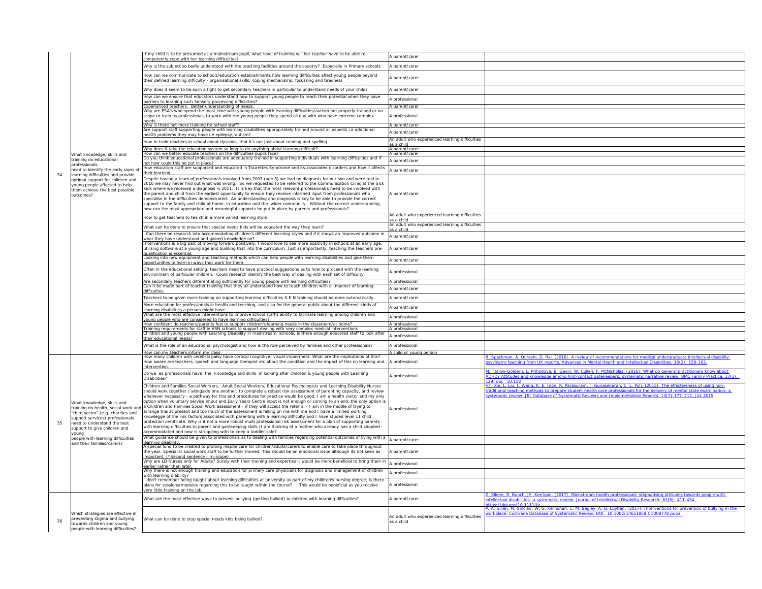|    |                                                                                                                                                                                                                    | If my child is to be presumed as a mainstream pupil, what level of training will her teacher have to be able to<br>competently cope with her learning difficulties?                                                                                                                                                                                                                                                                                                                                                                                                                                                                                                                                                                                                                                                                                                                                                                                                                                                                                                                                                                                                                    | A parent/carer                       |
|----|--------------------------------------------------------------------------------------------------------------------------------------------------------------------------------------------------------------------|----------------------------------------------------------------------------------------------------------------------------------------------------------------------------------------------------------------------------------------------------------------------------------------------------------------------------------------------------------------------------------------------------------------------------------------------------------------------------------------------------------------------------------------------------------------------------------------------------------------------------------------------------------------------------------------------------------------------------------------------------------------------------------------------------------------------------------------------------------------------------------------------------------------------------------------------------------------------------------------------------------------------------------------------------------------------------------------------------------------------------------------------------------------------------------------|--------------------------------------|
|    |                                                                                                                                                                                                                    | Why is the subject so badly understood with the teaching facilities around the country? Especially in Primary schools.                                                                                                                                                                                                                                                                                                                                                                                                                                                                                                                                                                                                                                                                                                                                                                                                                                                                                                                                                                                                                                                                 | A parent/carer                       |
|    |                                                                                                                                                                                                                    | How can we communicate to schools/education establishments how learning difficulties affect young people beyond<br>their defined learning difficulty - organisational skills; coping mechanisms; focussing and tiredness                                                                                                                                                                                                                                                                                                                                                                                                                                                                                                                                                                                                                                                                                                                                                                                                                                                                                                                                                               | A parent/carer                       |
|    |                                                                                                                                                                                                                    | Why does it seem to be such a fight to get secondary teachers in particular to understand needs of your child?<br>How can we ensure that educators understand how to support young people to reach their potential when they have                                                                                                                                                                                                                                                                                                                                                                                                                                                                                                                                                                                                                                                                                                                                                                                                                                                                                                                                                      | A parent/carer                       |
|    |                                                                                                                                                                                                                    | barriers to learning such Sensory processing difficulties?<br>Experienced teachers. Better understanding of needs.                                                                                                                                                                                                                                                                                                                                                                                                                                                                                                                                                                                                                                                                                                                                                                                                                                                                                                                                                                                                                                                                     | A professional<br>A parent/carer     |
|    |                                                                                                                                                                                                                    | Why are PSA's who spend the most time with young people with learning difficulties/autism not properly trained or no<br>scope to train as professionals to work with the young people they spend all day with who have extreme complex<br>needs.                                                                                                                                                                                                                                                                                                                                                                                                                                                                                                                                                                                                                                                                                                                                                                                                                                                                                                                                       | A professional                       |
|    |                                                                                                                                                                                                                    | Why is there not more training for school staff?<br>Are support staff supporting people with learning disabilities appropriately trained around all aspects i.e additional<br>health problems they may have i.e epilepsy, autism?                                                                                                                                                                                                                                                                                                                                                                                                                                                                                                                                                                                                                                                                                                                                                                                                                                                                                                                                                      | A parent/carer<br>A parent/carer     |
|    |                                                                                                                                                                                                                    | How to train teachers in school about dyslexia, that it's not just about reading and spelling                                                                                                                                                                                                                                                                                                                                                                                                                                                                                                                                                                                                                                                                                                                                                                                                                                                                                                                                                                                                                                                                                          | An adult who experienc<br>as a child |
|    |                                                                                                                                                                                                                    | Why does it take the education system so long to do anything about learning difficult?                                                                                                                                                                                                                                                                                                                                                                                                                                                                                                                                                                                                                                                                                                                                                                                                                                                                                                                                                                                                                                                                                                 | A parent/carer                       |
|    | What knowledge, skills and<br>training do educational<br>professionals                                                                                                                                             | How can we better educate teachers on the difficulties pupils face?<br>Do you think educational professionals are adequately trained in supporting individuals with learning difficulties and if<br>not how could this be put in place?                                                                                                                                                                                                                                                                                                                                                                                                                                                                                                                                                                                                                                                                                                                                                                                                                                                                                                                                                | A parent/carer<br>A parent/carer     |
|    | need to identify the early signs of                                                                                                                                                                                | How education staff are supported and educated in Tourettes Syndrome and its associated disorders and how it affects<br>their learning.                                                                                                                                                                                                                                                                                                                                                                                                                                                                                                                                                                                                                                                                                                                                                                                                                                                                                                                                                                                                                                                | A parent/carer                       |
| 34 | learning difficulties and provide<br>optimal support for children and<br>young people affected to help<br>them achieve the best possible<br>outcomes?                                                              | Despite having a team of professionals involved from 2007 (age 3) we had no diagnosis for our son and were told in<br>2010 we may never find out what was wrong. So we requested to be referred to the Communication Clinic at the Sick<br>Kids where we received a diagnosis in 2011. It is key that the most relevant professional/s need to be involved with<br>the parent and child from the earliest opportunity to ensure they receive informed input from professionals who<br>specialise in the difficulties demonstrated. An understanding and diagnosis is key to be able to provide the correct<br>support to the family and child at home, in education and the wider community. Without the correct understanding,<br>how can the most appropriate and meaningful supports be put in place by parents and professionals?                                                                                                                                                                                                                                                                                                                                                  | A parent/carer                       |
|    |                                                                                                                                                                                                                    | How to get teachers to tea ch in a more varied learning style                                                                                                                                                                                                                                                                                                                                                                                                                                                                                                                                                                                                                                                                                                                                                                                                                                                                                                                                                                                                                                                                                                                          | An adult who experienc<br>as a child |
|    |                                                                                                                                                                                                                    | What can be done to ensure that special needs kids will be educated the way they learn?                                                                                                                                                                                                                                                                                                                                                                                                                                                                                                                                                                                                                                                                                                                                                                                                                                                                                                                                                                                                                                                                                                | An adult who experienc               |
|    |                                                                                                                                                                                                                    | Can there be research into accommodating children's different learning styles and if it shows an improved outcome in                                                                                                                                                                                                                                                                                                                                                                                                                                                                                                                                                                                                                                                                                                                                                                                                                                                                                                                                                                                                                                                                   | as a child<br>A parent/carer         |
|    |                                                                                                                                                                                                                    | what they have understood and gained knowledge on?<br>Interventions is a big part of moving forward positively. I would love to see more positivity in schools at an early age,<br>utilising software at a young age and building that into the curriculum. Just as importantly, teaching the teachers pre-                                                                                                                                                                                                                                                                                                                                                                                                                                                                                                                                                                                                                                                                                                                                                                                                                                                                            | A parent/carer                       |
|    |                                                                                                                                                                                                                    | qualification is essential.<br>Looking into new equipment and teaching methods which can help people with learning disabilities and give them<br>opportunities to learn in ways that work for them.                                                                                                                                                                                                                                                                                                                                                                                                                                                                                                                                                                                                                                                                                                                                                                                                                                                                                                                                                                                    | A parent/carer                       |
|    |                                                                                                                                                                                                                    | Often in the educational setting, teachers need to have practical suggestions as to how to proceed with the learning<br>environment of particular children. Could research identify the best way of dealing with each set of difficulty.                                                                                                                                                                                                                                                                                                                                                                                                                                                                                                                                                                                                                                                                                                                                                                                                                                                                                                                                               | A professional                       |
|    |                                                                                                                                                                                                                    | Are secondary teachers differentiating sufficiently for young people with learning difficulties?<br>Can it be made part of teacher training that they all understand how to teach children with all manner of learning                                                                                                                                                                                                                                                                                                                                                                                                                                                                                                                                                                                                                                                                                                                                                                                                                                                                                                                                                                 | A professional                       |
|    |                                                                                                                                                                                                                    | difficulties                                                                                                                                                                                                                                                                                                                                                                                                                                                                                                                                                                                                                                                                                                                                                                                                                                                                                                                                                                                                                                                                                                                                                                           | A parent/carer                       |
|    |                                                                                                                                                                                                                    | Teachers to be given more training on supporting learning difficulties S.E.N training should be done automatically.                                                                                                                                                                                                                                                                                                                                                                                                                                                                                                                                                                                                                                                                                                                                                                                                                                                                                                                                                                                                                                                                    | A parent/carer                       |
|    |                                                                                                                                                                                                                    | More education for professionals in health and teaching, and also for the general public about the different kinds of<br>learning disabilities a person might have.                                                                                                                                                                                                                                                                                                                                                                                                                                                                                                                                                                                                                                                                                                                                                                                                                                                                                                                                                                                                                    | A parent/carer                       |
|    |                                                                                                                                                                                                                    | What are the most effective interventions to improve school staff's ability to facilitate learning among children and<br>young people who are considered to have learning difficulties?                                                                                                                                                                                                                                                                                                                                                                                                                                                                                                                                                                                                                                                                                                                                                                                                                                                                                                                                                                                                | A professional                       |
|    |                                                                                                                                                                                                                    | How confident do teachers/parents feel to support children's learning needs in the classroom/at home?<br>Training requirements for staff in ASN schools to support dealing with very complex medical interventions                                                                                                                                                                                                                                                                                                                                                                                                                                                                                                                                                                                                                                                                                                                                                                                                                                                                                                                                                                     | A professional<br>A professional     |
|    |                                                                                                                                                                                                                    | Children and young people with Learning Disability in mainstream schools, is there enough educated staff to look after<br>their educational needs?                                                                                                                                                                                                                                                                                                                                                                                                                                                                                                                                                                                                                                                                                                                                                                                                                                                                                                                                                                                                                                     | A professional                       |
|    |                                                                                                                                                                                                                    | What is the role of an educational psychologist and how is the role perceived by families and other professionals?                                                                                                                                                                                                                                                                                                                                                                                                                                                                                                                                                                                                                                                                                                                                                                                                                                                                                                                                                                                                                                                                     | A professional                       |
|    |                                                                                                                                                                                                                    | How can my teachers inform my class<br>How many children with cerebral palsy have cortical (cognitive) visual impairment. What are the implications of this?                                                                                                                                                                                                                                                                                                                                                                                                                                                                                                                                                                                                                                                                                                                                                                                                                                                                                                                                                                                                                           | A child or young person              |
|    |                                                                                                                                                                                                                    | How aware are teachers, speech and language therapist etc about the condition and the impact of this on learning and<br>intervention.<br>Do we as professionals have the knowledge and skills in looking after children & young people with Learning                                                                                                                                                                                                                                                                                                                                                                                                                                                                                                                                                                                                                                                                                                                                                                                                                                                                                                                                   | A professional                       |
|    |                                                                                                                                                                                                                    | Disabilities?                                                                                                                                                                                                                                                                                                                                                                                                                                                                                                                                                                                                                                                                                                                                                                                                                                                                                                                                                                                                                                                                                                                                                                          | A professional                       |
| 35 | What knowledge, skills and<br>training do health, social work and<br>"third sector" (e.g. charities and<br>support services) professionals<br>need to understand the best<br>support to give children and<br>young | Children and Families Social Workers, Adult Social Workers, Educational Psychologists and Learning Disability Nurses<br>should work together / alongside one another, to complete a robust risk assessment of parenting capacity, and review<br>whenever necessary - a pathway for this and procedures for practice would be good. I am a health visitor and my only<br>option when voluntary service imput and Early Years Centre input is not enough or coming to an end, the only option is<br>a Children and Families Social Work assessment - if they will accept the referral - I am in the middle of trying to<br>arrange this at present and too much of the assessment is falling on me with me and I have a limited working<br>knowlegge of the risk factors associated with parenting with a learning difficulty and I have studed level 11 child<br>protection certificate. Why is it not a more robust multi professional risk assessment for a plan of supporting parents<br>with learning difficulties to parent and gatekeeping skills (I am thinking of a mother who already has a child adopted -<br>accommodated and now is struggling with to keep a toddler safe? | A professional                       |
|    | people with learning difficulties                                                                                                                                                                                  | What guidance should be given to professionals as to dealing with families regarding potential outcomes of living with a<br>learning disability.                                                                                                                                                                                                                                                                                                                                                                                                                                                                                                                                                                                                                                                                                                                                                                                                                                                                                                                                                                                                                                       | A parent/carer                       |
|    | and their families/carers?                                                                                                                                                                                         | A special fund to be created to prolong respite care for children/adults/carers to enable care to take place throughout<br>the year. Specialist social work staff to be further trained. This should be an emotional issue although its not seen as<br>important. (*Second sentence - In-scope)                                                                                                                                                                                                                                                                                                                                                                                                                                                                                                                                                                                                                                                                                                                                                                                                                                                                                        | A parent/carer                       |
|    |                                                                                                                                                                                                                    | Why are LD Nurses only for Adults? Surely with their training and expertise it would be more beneficial to bring them in                                                                                                                                                                                                                                                                                                                                                                                                                                                                                                                                                                                                                                                                                                                                                                                                                                                                                                                                                                                                                                                               | A professional                       |
|    |                                                                                                                                                                                                                    | earlier rather than later.<br>Why there is not enough training and education for primary care physicians for diagnosis and management of children                                                                                                                                                                                                                                                                                                                                                                                                                                                                                                                                                                                                                                                                                                                                                                                                                                                                                                                                                                                                                                      | A professional                       |
|    |                                                                                                                                                                                                                    | with learning diability?<br>don't remember being taught about learning difficulties at university as part of my children's nursing degree, is there<br>plans for sessions/modules regarding this to be taught within the course?  This would be beneficial as you receive                                                                                                                                                                                                                                                                                                                                                                                                                                                                                                                                                                                                                                                                                                                                                                                                                                                                                                              | A professional                       |
|    |                                                                                                                                                                                                                    | very little training on the job.<br>What are the most effective ways to prevent bullying (getting bullied) in children with learning difficulties?                                                                                                                                                                                                                                                                                                                                                                                                                                                                                                                                                                                                                                                                                                                                                                                                                                                                                                                                                                                                                                     | A parent/carer                       |
| 36 | Which strategies are effective in<br>preventing stigma and bullying<br>towards children and young<br>people with learning difficulties?                                                                            | What can be done to stop special needs kids being bullied?                                                                                                                                                                                                                                                                                                                                                                                                                                                                                                                                                                                                                                                                                                                                                                                                                                                                                                                                                                                                                                                                                                                             | An adult who experienc<br>as a child |
|    |                                                                                                                                                                                                                    |                                                                                                                                                                                                                                                                                                                                                                                                                                                                                                                                                                                                                                                                                                                                                                                                                                                                                                                                                                                                                                                                                                                                                                                        |                                      |

| If my child is to be presumed as a mainstream pupil, what level of training will her teacher have to be able to<br>competently cope with her learning difficulties?                                                                                                                                                                                                                                                                                                                                                                                                                                                                                                                  | A parent/carer                                                                                                 |                                                                                                                                                                                                                                                                                                                                                                   |
|--------------------------------------------------------------------------------------------------------------------------------------------------------------------------------------------------------------------------------------------------------------------------------------------------------------------------------------------------------------------------------------------------------------------------------------------------------------------------------------------------------------------------------------------------------------------------------------------------------------------------------------------------------------------------------------|----------------------------------------------------------------------------------------------------------------|-------------------------------------------------------------------------------------------------------------------------------------------------------------------------------------------------------------------------------------------------------------------------------------------------------------------------------------------------------------------|
| Why is the subject so badly understood with the teaching facilities around the country? Especially in Primary schools.                                                                                                                                                                                                                                                                                                                                                                                                                                                                                                                                                               | A parent/carer                                                                                                 |                                                                                                                                                                                                                                                                                                                                                                   |
| How can we communicate to schools/education establishments how learning difficulties affect young people beyond<br>their defined learning difficulty - organisational skills; coping mechanisms; focussing and tiredness                                                                                                                                                                                                                                                                                                                                                                                                                                                             | A parent/carer                                                                                                 |                                                                                                                                                                                                                                                                                                                                                                   |
| Why does it seem to be such a fight to get secondary teachers in particular to understand needs of your child?                                                                                                                                                                                                                                                                                                                                                                                                                                                                                                                                                                       | A parent/carer                                                                                                 |                                                                                                                                                                                                                                                                                                                                                                   |
| How can we ensure that educators understand how to support young people to reach their potential when they have<br>barriers to learning such Sensory processing difficulties?                                                                                                                                                                                                                                                                                                                                                                                                                                                                                                        | A professional                                                                                                 |                                                                                                                                                                                                                                                                                                                                                                   |
| Experienced teachers. Better understanding of needs.<br>Why are PSA's who spend the most time with young people with learning difficulties/autism not properly trained or no<br>scope to train as professionals to work with the young people they spend all day with who have extreme complex                                                                                                                                                                                                                                                                                                                                                                                       | A parent/carer<br>A professional                                                                               |                                                                                                                                                                                                                                                                                                                                                                   |
| <u>needs.</u><br>Why is there not more training for school staff?                                                                                                                                                                                                                                                                                                                                                                                                                                                                                                                                                                                                                    | A parent/carer                                                                                                 |                                                                                                                                                                                                                                                                                                                                                                   |
| Are support staff supporting people with learning disabilities appropriately trained around all aspects i.e additional<br>health problems they may have i.e epilepsy, autism?                                                                                                                                                                                                                                                                                                                                                                                                                                                                                                        | A parent/carer                                                                                                 |                                                                                                                                                                                                                                                                                                                                                                   |
| How to train teachers in school about dyslexia, that it's not just about reading and spelling                                                                                                                                                                                                                                                                                                                                                                                                                                                                                                                                                                                        | An adult who experienced learning difficulties<br>as a child                                                   |                                                                                                                                                                                                                                                                                                                                                                   |
| Why does it take the education system so long to do anything about learning difficult?                                                                                                                                                                                                                                                                                                                                                                                                                                                                                                                                                                                               | A parent/carer                                                                                                 |                                                                                                                                                                                                                                                                                                                                                                   |
| How can we better educate teachers on the difficulties pupils face?<br>Do you think educational professionals are adequately trained in supporting individuals with learning difficulties and if                                                                                                                                                                                                                                                                                                                                                                                                                                                                                     | A parent/carer<br>A parent/carer                                                                               |                                                                                                                                                                                                                                                                                                                                                                   |
| not how could this be put in place?<br>How education staff are supported and educated in Tourettes Syndrome and its associated disorders and how it affects<br>their learning.                                                                                                                                                                                                                                                                                                                                                                                                                                                                                                       | A parent/carer                                                                                                 |                                                                                                                                                                                                                                                                                                                                                                   |
| Despite having a team of professionals involved from 2007 (age 3) we had no diagnosis for our son and were told in<br>2010 we may never find out what was wrong. So we requested to be referred to the Communication Clinic at the Sick<br>Kids where we received a diagnosis in 2011. It is key that the most relevant professional/s need to be involved with                                                                                                                                                                                                                                                                                                                      |                                                                                                                |                                                                                                                                                                                                                                                                                                                                                                   |
| the parent and child from the earliest opportunity to ensure they receive informed input from professionals who<br>specialise in the difficulties demonstrated. An understanding and diagnosis is key to be able to provide the correct<br>support to the family and child at home, in education and the wider community. Without the correct understanding,<br>how can the most appropriate and meaningful supports be put in place by parents and professionals?                                                                                                                                                                                                                   | A parent/carer                                                                                                 |                                                                                                                                                                                                                                                                                                                                                                   |
| How to get teachers to tea ch in a more varied learning style                                                                                                                                                                                                                                                                                                                                                                                                                                                                                                                                                                                                                        | An adult who experienced learning difficulties<br>as a child<br>An adult who experienced learning difficulties |                                                                                                                                                                                                                                                                                                                                                                   |
| What can be done to ensure that special needs kids will be educated the way they learn?                                                                                                                                                                                                                                                                                                                                                                                                                                                                                                                                                                                              | as a child                                                                                                     |                                                                                                                                                                                                                                                                                                                                                                   |
| Can there be research into accommodating children's different learning styles and if it shows an improved outcome in<br>what they have understood and gained knowledge on?                                                                                                                                                                                                                                                                                                                                                                                                                                                                                                           | A parent/carer                                                                                                 |                                                                                                                                                                                                                                                                                                                                                                   |
| Interventions is a big part of moving forward positively. I would love to see more positivity in schools at an early age,<br>utilising software at a young age and building that into the curriculum. Just as importantly, teaching the teachers pre-<br>qualification is essential.                                                                                                                                                                                                                                                                                                                                                                                                 | A parent/carer                                                                                                 |                                                                                                                                                                                                                                                                                                                                                                   |
| Looking into new equipment and teaching methods which can help people with learning disabilities and give them<br>opportunities to learn in ways that work for them                                                                                                                                                                                                                                                                                                                                                                                                                                                                                                                  | A parent/carer                                                                                                 |                                                                                                                                                                                                                                                                                                                                                                   |
| Often in the educational setting, teachers need to have practical suggestions as to how to proceed with the learning<br>environment of particular children. Could research identify the best way of dealing with each set of difficulty.                                                                                                                                                                                                                                                                                                                                                                                                                                             | A professional                                                                                                 |                                                                                                                                                                                                                                                                                                                                                                   |
| Are secondary teachers differentiating sufficiently for young people with learning difficulties?<br>Can it be made part of teacher training that they all understand how to teach children with all manner of learning                                                                                                                                                                                                                                                                                                                                                                                                                                                               | A professional<br>A parent/carer                                                                               |                                                                                                                                                                                                                                                                                                                                                                   |
| difficulties<br>Teachers to be given more training on supporting learning difficulties S.E.N training should be done automatically.                                                                                                                                                                                                                                                                                                                                                                                                                                                                                                                                                  | A parent/carer                                                                                                 |                                                                                                                                                                                                                                                                                                                                                                   |
| More education for professionals in health and teaching, and also for the general public about the different kinds of                                                                                                                                                                                                                                                                                                                                                                                                                                                                                                                                                                | A parent/carer                                                                                                 |                                                                                                                                                                                                                                                                                                                                                                   |
| learning disabilities a person might have.<br>What are the most effective interventions to improve school staff's ability to facilitate learning among children and<br>young people who are considered to have learning difficulties?                                                                                                                                                                                                                                                                                                                                                                                                                                                | A professional                                                                                                 |                                                                                                                                                                                                                                                                                                                                                                   |
| How confident do teachers/parents feel to support children's learning needs in the classroom/at home?<br>Training requirements for staff in ASN schools to support dealing with very complex medical interventions                                                                                                                                                                                                                                                                                                                                                                                                                                                                   | A professional<br>A professional                                                                               |                                                                                                                                                                                                                                                                                                                                                                   |
| Children and young people with Learning Disability in mainstream schools, is there enough educated staff to look after<br>their educational needs?                                                                                                                                                                                                                                                                                                                                                                                                                                                                                                                                   | A professional                                                                                                 |                                                                                                                                                                                                                                                                                                                                                                   |
| What is the role of an educational psychologist and how is the role perceived by families and other professionals?                                                                                                                                                                                                                                                                                                                                                                                                                                                                                                                                                                   | A professional                                                                                                 |                                                                                                                                                                                                                                                                                                                                                                   |
| How can my teachers inform my class<br>How many children with cerebral palsy have cortical (cognitive) visual impairment. What are the implications of this?                                                                                                                                                                                                                                                                                                                                                                                                                                                                                                                         | A child or young person                                                                                        | R. Spackman, A. Qureshi, D. Rai. (2016). A review of recommendations for medical undergraduate intellectual disability                                                                                                                                                                                                                                            |
| How aware are teachers, speech and language therapist etc about the condition and the impact of this on learning and<br><u>intervention.</u>                                                                                                                                                                                                                                                                                                                                                                                                                                                                                                                                         | A professional                                                                                                 | psychiatry teaching from UK reports. Advances in Mental Health and Intellectual Disabilities. 10(2): 158-163.                                                                                                                                                                                                                                                     |
| Do we as professionals have the knowledge and skills in looking after children & young people with Learning<br>Disabilities?                                                                                                                                                                                                                                                                                                                                                                                                                                                                                                                                                         | A professional                                                                                                 | M. Tatlow-Goldern, L. Prihodova, B. Gavin, W. Cullen, F. McNicholas. (2016). What do general practitioners know about<br>ADHD? Attitudes and knowledge among first-contact gatekeepers: systematic narrative review. BMC Family Practice. 17<br>129. doi: 10.118                                                                                                  |
| Children and Families Social Workers, Adult Social Workers, Educational Psychologists and Learning Disability Nurses<br>should work together / alongside one another, to complete a robust risk assessment of parenting capacity, and review<br>whenever necessary - a pathway for this and procedures for practice would be good. I am a health visitor and my only<br>option when voluntary service imput and Early Years Centre input is not enough or coming to an end, the only option is                                                                                                                                                                                       |                                                                                                                | HT. Xie, L. Liu, J. Wang, K. E. Joon, R. Parasuram, J. Gunasekaran, C. L. Poh. (2015). The effectiveness of using non-<br>traditional teaching methods to prepare student health care professionals for the delivery of mental state examination: a<br>systematic review. JBI Database of Systematic Reviews and Implementation Reports. 13(7): 177–212, JUL 2015 |
| a Children and Families Social Work assessment - if they will accept the referral - I am in the middle of trying to<br>arrange this at present and too much of the assessment is falling on me with me and I have a limited working<br>knowlegge of the risk factors associated with parenting with a learning difficulty and I have studed level 11 child<br>protection certificate. Why is it not a more robust multi professional risk assessment for a plan of supporting parents<br>with learning difficulties to parent and gatekeeping skills (I am thinking of a mother who already has a child adopted -<br>accommodated and now is struggling with to keep a toddler safe? | A professional                                                                                                 |                                                                                                                                                                                                                                                                                                                                                                   |
| What guidance should be given to professionals as to dealing with families regarding potential outcomes of living with a<br>learning disability.                                                                                                                                                                                                                                                                                                                                                                                                                                                                                                                                     | A parent/carer                                                                                                 |                                                                                                                                                                                                                                                                                                                                                                   |
| A special fund to be created to prolong respite care for children/adults/carers to enable care to take place throughout<br>the year. Specialist social work staff to be further trained. This should be an emotional issue although its not seen as<br>important. (*Second sentence - In-scope)                                                                                                                                                                                                                                                                                                                                                                                      | A parent/carer                                                                                                 |                                                                                                                                                                                                                                                                                                                                                                   |
| Why are LD Nurses only for Adults? Surely with their training and expertise it would be more beneficial to bring them in<br>earlier rather than later.                                                                                                                                                                                                                                                                                                                                                                                                                                                                                                                               | A professional                                                                                                 |                                                                                                                                                                                                                                                                                                                                                                   |
| Why there is not enough training and education for primary care physicians for diagnosis and management of children<br>with learning diability?                                                                                                                                                                                                                                                                                                                                                                                                                                                                                                                                      | A professional                                                                                                 |                                                                                                                                                                                                                                                                                                                                                                   |
| I don't remember being taught about learning difficulties at university as part of my children's nursing degree, is there<br>plans for sessions/modules regarding this to be taught within the course? This would be beneficial as you receive<br>very little training on the job.                                                                                                                                                                                                                                                                                                                                                                                                   | A professional                                                                                                 |                                                                                                                                                                                                                                                                                                                                                                   |
| What are the most effective ways to prevent bullying (getting bullied) in children with learning difficulties?                                                                                                                                                                                                                                                                                                                                                                                                                                                                                                                                                                       | A parent/carer                                                                                                 | Z. Kileen, R. Bunch, JF. Kerrigan. (2017). Mainstream health professionals' stigmatising attitudes towards people with<br>intellectual disabilities: a systematic review. Journal of Intellectual Disability Research: 61(5): 411-434.<br>https://doi.org/10.1111/jir                                                                                             |
| What can be done to stop special needs kids being bullied?                                                                                                                                                                                                                                                                                                                                                                                                                                                                                                                                                                                                                           | An adult who experienced learning difficulties<br>as a child                                                   | P. A. Gillen, M. Sinclair, W. G. Kernohan, C. M. Begley, A. G. Luyben. (2017). Interventions for prevention of bullying in<br>workplace. Cochrane Database of Systematic Review. DOI: 10.1002/14651858.CD009778.pub2                                                                                                                                              |
|                                                                                                                                                                                                                                                                                                                                                                                                                                                                                                                                                                                                                                                                                      |                                                                                                                |                                                                                                                                                                                                                                                                                                                                                                   |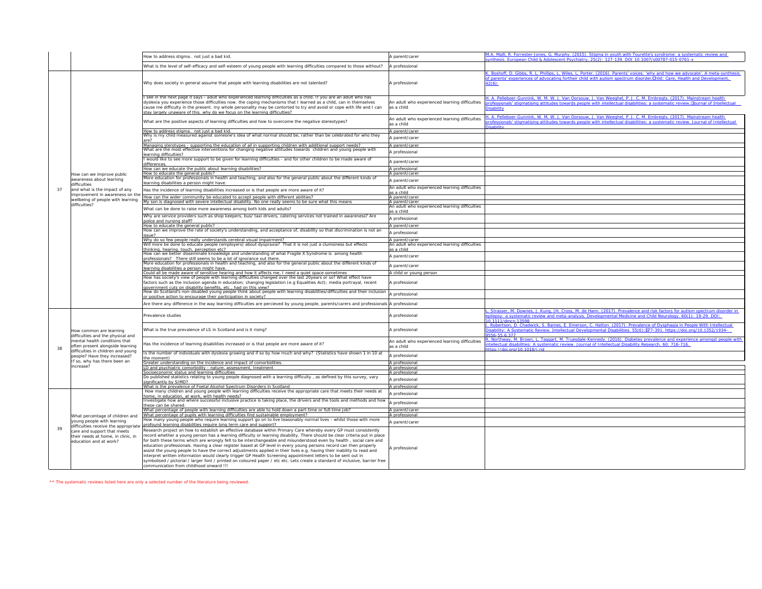| M.A. Malli, R. Forrester-Jones, G. Murphy. (2015). Stigma in youth with Tourette's syndrome: a systematic review and<br>synthesis. European Child & Adolescent Psychiatry. 25(2): 127-139. DOI 10.1007/s00787-015-0761-x                                                                                                                                                                                                                                                                                                                      |
|-----------------------------------------------------------------------------------------------------------------------------------------------------------------------------------------------------------------------------------------------------------------------------------------------------------------------------------------------------------------------------------------------------------------------------------------------------------------------------------------------------------------------------------------------|
| K. Boshoff, D. Gibbs, R. L. Phillips, L. Wiles, L. Porter. (2016). Parents' voices: 'why and how we advocate'. A meta-synthesis<br>of parents' experiences of advocating fortheir child with autism spectrum disorder. Child: Care, Health and Development.<br>$42(6)$ :                                                                                                                                                                                                                                                                      |
| H. A. Pelleboer-Gunnink, W. M. W. J. Van Oorsouw, J. Van Weeghel, P. J. C. M. Embregts. (2017). Mainstream health<br>professionals' stigmatising attitudes towards people with intellectual disabilities: a systematic review. I Durnal of Intellectual<br><b>Disability</b>                                                                                                                                                                                                                                                                  |
| H. A. Pelleboer-Gunnink, W. M. W. J. Van Oorsouw, J. Van Weeghel, P. J. C. M. Embregts. (2017). Mainstream health<br>professionals' stigmatising attitudes towards people with intellectual disabilities: a systematic review. Journal of Intellectual<br><b>Disability</b>                                                                                                                                                                                                                                                                   |
|                                                                                                                                                                                                                                                                                                                                                                                                                                                                                                                                               |
|                                                                                                                                                                                                                                                                                                                                                                                                                                                                                                                                               |
|                                                                                                                                                                                                                                                                                                                                                                                                                                                                                                                                               |
|                                                                                                                                                                                                                                                                                                                                                                                                                                                                                                                                               |
|                                                                                                                                                                                                                                                                                                                                                                                                                                                                                                                                               |
|                                                                                                                                                                                                                                                                                                                                                                                                                                                                                                                                               |
|                                                                                                                                                                                                                                                                                                                                                                                                                                                                                                                                               |
|                                                                                                                                                                                                                                                                                                                                                                                                                                                                                                                                               |
|                                                                                                                                                                                                                                                                                                                                                                                                                                                                                                                                               |
|                                                                                                                                                                                                                                                                                                                                                                                                                                                                                                                                               |
|                                                                                                                                                                                                                                                                                                                                                                                                                                                                                                                                               |
| L. Strasser, M. Downes, J. Kung, JH. Cross, M. de Hann. (2017). Prevalence and risk factors for autism spectrum disorder in<br>epilepsy: a systematic review and meta-analysis. Developmental Medicine and Child Neurology. 60(1): 19-29. DOI:<br>10.1111/dmcn.13598                                                                                                                                                                                                                                                                          |
| J. Robertson, D. Chadwick, S. Baines, E. Emerson, C. Hatton. (2017). Prevalence of Dysphagia in People With Intellectual<br>Disability: A Systematic Review. Intellectual Developmental Disabilities. 55(6): BV7-391. https://doi.org/10.1352/1934-<br>9556-55.6.377<br>R. Northway, M. Brown, L. Taggart, M. Truesdale-Kennedy. (2016). Diabetes prevalence and experience amongst people with<br>intellectual disabilities: A systematic review. Journal of Intellectual Disability Research. 60: 716-716.<br>https://doi.org/10.1016/j.rid |
|                                                                                                                                                                                                                                                                                                                                                                                                                                                                                                                                               |
|                                                                                                                                                                                                                                                                                                                                                                                                                                                                                                                                               |
|                                                                                                                                                                                                                                                                                                                                                                                                                                                                                                                                               |
|                                                                                                                                                                                                                                                                                                                                                                                                                                                                                                                                               |
|                                                                                                                                                                                                                                                                                                                                                                                                                                                                                                                                               |
|                                                                                                                                                                                                                                                                                                                                                                                                                                                                                                                                               |
|                                                                                                                                                                                                                                                                                                                                                                                                                                                                                                                                               |

|    |                                                                                                                                                                            | How to address stigma not just a bad kid.                                                                                                                                                                                                                                                                                                                                                                                                                                                      | A parent/carer                                                   | M.A. Malli, R. Forrester-Jones, G. Murphy. (2015). Stigma in youth with Tourette's syndrome: a systematic review and<br>vnthesis. European Child & Adolescent Psychiatry, 25(2): 127-139. DOI 10.1007/s00787-015-0761-x                                                               |
|----|----------------------------------------------------------------------------------------------------------------------------------------------------------------------------|------------------------------------------------------------------------------------------------------------------------------------------------------------------------------------------------------------------------------------------------------------------------------------------------------------------------------------------------------------------------------------------------------------------------------------------------------------------------------------------------|------------------------------------------------------------------|---------------------------------------------------------------------------------------------------------------------------------------------------------------------------------------------------------------------------------------------------------------------------------------|
|    |                                                                                                                                                                            | What is the level of self-efficacy and self-esteem of young people with learning difficulties compared to those without?                                                                                                                                                                                                                                                                                                                                                                       | A professional                                                   |                                                                                                                                                                                                                                                                                       |
|    |                                                                                                                                                                            | Why does society in general assume that people with learning disabilities are not talented?                                                                                                                                                                                                                                                                                                                                                                                                    | A professional                                                   | <u>. Boshoff, D. Gibbs, R. L. Phillips, L. Wiles, L. Porter. (2016). Parents' voices: 'why and how we advocate'. A meta-syn</u><br>of parents' experiences of advocating fortheir child with autism spectrum disorder. Child: Care, Health and Development                            |
|    |                                                                                                                                                                            | see in the next page it says - adult who experienced learning difficulties as a child. If you are an adult who has<br>dyslexia you experience those difficulties now. the coping mechanisms that I learned as a child, can in themselves<br>cause me difficulty in the present. my whole personality may be contorted to try and avoid or cope with life and I can<br>stay largely unaware of this. why do we focus on the learning difficulties?                                              | An adult who experienced learning difficulties<br>as a child     | H. A. Pelleboer-Gunnink, W. M. W. J. Van Oorsouw, J. Van Weeghel, P. J. C. M. Embregts. (2017). Mainstream health<br>rofessionals' stigmatising attitudes towards people with intellectual disabilities: a systematic review. Dournal of Intellec<br><b>Disability</b>                |
|    |                                                                                                                                                                            | What are the positive aspects of learning difficulties and how to overcome the negative stereotypes?                                                                                                                                                                                                                                                                                                                                                                                           | An adult who experienced learning difficulties<br>as a child     | <u>l. A. Pelleboer-Gunnink, W. M. W. J. Van Oorsouw, J. Van Weeghel, P. J. C. M. Embregts. (2017). Mainstream health</u><br><u>professionals' stigmatising attitudes towards people with intellectual disabilities: a systematic review. Journal of Intellec</u><br><b>Disability</b> |
|    |                                                                                                                                                                            | How to address stigma not just a bad kid.<br>Why is my child measured against someone's idea of what normal should be, rather than be celebrated for who they                                                                                                                                                                                                                                                                                                                                  | A parent/carer<br>A parent/carer                                 |                                                                                                                                                                                                                                                                                       |
|    |                                                                                                                                                                            | Managing sterotypes - supporting the education of all in supporting children with additional support needs?<br>What are the most effective interventions for changing negative attitudes towards children and young people with<br>learning difficulties?                                                                                                                                                                                                                                      | A parent/carer<br>A professional                                 |                                                                                                                                                                                                                                                                                       |
|    |                                                                                                                                                                            | would like to see more support to be given for learning difficulties - and for other children to be made aware of<br>differences.<br>How can we educate the public about learning disabilities?                                                                                                                                                                                                                                                                                                | A parent/carer<br>A professional                                 |                                                                                                                                                                                                                                                                                       |
|    | How can we improve public<br>awareness about learning<br>difficulties                                                                                                      | How to educate the general public?<br>More education for professionals in health and teaching, and also for the general public about the different kinds of<br>learning disabilities a person might have                                                                                                                                                                                                                                                                                       | A parent/carer<br>A parent/carer                                 |                                                                                                                                                                                                                                                                                       |
| 37 | and what is the impact of any                                                                                                                                              | Has the incidence of learning disabilities increased or is that people are more aware of it?                                                                                                                                                                                                                                                                                                                                                                                                   | An adult who experienced learning difficulties<br>as a child     |                                                                                                                                                                                                                                                                                       |
|    | improvement in awareness on the<br>wellbeing of people with learning                                                                                                       | How can the wider community be educated to accept people with different abilities?<br>My son is diagnosed with severe intellectual disability. No one really seems to be sure what this means                                                                                                                                                                                                                                                                                                  | A parent/carer<br>A parent/carer                                 |                                                                                                                                                                                                                                                                                       |
|    | difficulties?                                                                                                                                                              | What can be done to raise more awareness among both kids and adults?                                                                                                                                                                                                                                                                                                                                                                                                                           | An adult who experienced learning difficulties<br>as a child     |                                                                                                                                                                                                                                                                                       |
|    |                                                                                                                                                                            | Why are service providers such as shop keepers, bus/ taxi drivers, catering services not trained in awareness? Are<br>police and nursing staff?<br>How to educate the general public?                                                                                                                                                                                                                                                                                                          | A professional<br>A parent/carer                                 |                                                                                                                                                                                                                                                                                       |
|    |                                                                                                                                                                            | How can we improve the rate of society's understanding, and acceptance of, disability so that discrimination is not an<br>issue?                                                                                                                                                                                                                                                                                                                                                               | A professional                                                   |                                                                                                                                                                                                                                                                                       |
|    |                                                                                                                                                                            | Why do so few people really understands cerebral visual impairment?<br>Will more be done to educate people (employers) about dyspraxia? That it is not just a clumsiness but effects                                                                                                                                                                                                                                                                                                           | A parent/carer<br>An adult who experienced learning difficulties |                                                                                                                                                                                                                                                                                       |
|    |                                                                                                                                                                            | thinking, hearing, touch, perception etc?<br>How can we better disseminate knowledge and understanding of what Fragile X Syndrome is among health                                                                                                                                                                                                                                                                                                                                              | as a child<br>A parent/carer                                     |                                                                                                                                                                                                                                                                                       |
|    |                                                                                                                                                                            | professionals? There still seems to be a lot of ignorance out there.<br>More education for professionals in health and teaching, and also for the general public about the different kinds of                                                                                                                                                                                                                                                                                                  | A parent/carer                                                   |                                                                                                                                                                                                                                                                                       |
|    |                                                                                                                                                                            | learning disabilities a person might have<br>Could all be made aware of sensitive hearing and how it affects me, I need a quiet space sometimes                                                                                                                                                                                                                                                                                                                                                | A child or young person                                          |                                                                                                                                                                                                                                                                                       |
|    |                                                                                                                                                                            | How has society's view of people with learning difficulties changed over the last 20years or so? What effect have<br>factors such as the inclusion agenda in education; changing legislation (e.g Equalities Act); media portrayal, recent<br>government cuts on disability benefits, etc., had on this view?                                                                                                                                                                                  | A professional                                                   |                                                                                                                                                                                                                                                                                       |
|    |                                                                                                                                                                            | How do Scotland's non-disabled young people think about people with learning disabilities/difficulties and their inclusion<br>or positive action to encourage their participation in society?                                                                                                                                                                                                                                                                                                  | A professional                                                   |                                                                                                                                                                                                                                                                                       |
|    |                                                                                                                                                                            | Are there any difference in the way learning difficulties are percieved by young people, parents/carers and professionals A professional                                                                                                                                                                                                                                                                                                                                                       |                                                                  |                                                                                                                                                                                                                                                                                       |
|    |                                                                                                                                                                            | Prevalence studies                                                                                                                                                                                                                                                                                                                                                                                                                                                                             | A professional                                                   | Strasser, M. Downes, J. Kung, JH. Cross, M. de Hann. (2017). Prevalence and risk factors for autism spectrum disord<br>epilepsy: a systematic review and meta-analysis. Developmental Medicine and Child Neurology. 60(1): 19-29. DOI:<br>10.1111/dmcn.13598                          |
|    | How common are learning<br>difficulties and the physical and                                                                                                               | What is the true prevalence of LS in Scotland and is it rising?                                                                                                                                                                                                                                                                                                                                                                                                                                | A professional                                                   | . Robertson, D. Chadwick, S. Baines, E. Emerson, C. Hatton. (2017). Prevalence of Dysphagia in People With Intellectu<br>Disability: A Systematic Review. Intellectual Developmental Disabilities. 55(6): BJ7-391. https://doi.org/10.1352/1934-<br>9556-55.6.377                     |
|    | mental health conditions that<br>often present alongside learning<br>difficulties in children and young                                                                    | Has the incidence of learning disabilities increased or is that people are more aware of it?                                                                                                                                                                                                                                                                                                                                                                                                   | An adult who experienced learning difficulties<br>as a child     | 2. Northway, M. Brown, L. Taggart, M. Truesdale-Kennedy. (2016). Diabetes prevalence and experience amongst peop<br>ntellectual disabilities: A systematic review. Journal of Intellectual Disability Research. 60: 716-716.<br>https://doi.org/10.1016/j.rid                         |
|    | people? Have they increased?                                                                                                                                               | Is the number of individuals with dyslexia growing and if so by how much and why? (Statistics have shown 1 in 10 at<br>the moment)                                                                                                                                                                                                                                                                                                                                                             | A professional                                                   |                                                                                                                                                                                                                                                                                       |
|    | If so, why has there been an<br>increase?                                                                                                                                  | Greater understanding on the incidence and impact of comorbidities.<br>LD and psychiatric comorbidity - nature, assessment, treatment                                                                                                                                                                                                                                                                                                                                                          | A professional<br>A professional                                 |                                                                                                                                                                                                                                                                                       |
|    |                                                                                                                                                                            | Socioeconomic status and learning difficulties<br>Do published statistics relating to young people diagnosed with a learning difficulty, as defined by this survey, vary                                                                                                                                                                                                                                                                                                                       | A professional                                                   |                                                                                                                                                                                                                                                                                       |
|    |                                                                                                                                                                            | significantly by SIMD?                                                                                                                                                                                                                                                                                                                                                                                                                                                                         | A professional                                                   |                                                                                                                                                                                                                                                                                       |
|    |                                                                                                                                                                            | What is the prevalence of Foetal Alcohol Spectrum Disorders in Scotland<br>How many children and young people with learning difficulties receive the appropriate care that meets their needs at<br>home, in education, at work, with health needs?                                                                                                                                                                                                                                             | A professional<br>A professional                                 |                                                                                                                                                                                                                                                                                       |
|    |                                                                                                                                                                            | Investigate how and where successful inclusive practice is taking place, the drivers and the tools and methods and how<br>these can be shared.                                                                                                                                                                                                                                                                                                                                                 | A professional                                                   |                                                                                                                                                                                                                                                                                       |
|    |                                                                                                                                                                            | What percentage of people with learning difficulties are able to hold down a part-time or full-time job?                                                                                                                                                                                                                                                                                                                                                                                       | A parent/carer                                                   |                                                                                                                                                                                                                                                                                       |
|    | What percentage of children and<br>young people with learning<br>difficulties receive the appropriate<br>care and support that meets<br>their needs at home, in clinic, in | What percentage of pupils with learning difficulties find sustainable employment?<br>How many young people who require learning support go on to live teasonably normal lives - whilst those with more<br>profound learning disabilities require long term care and support?                                                                                                                                                                                                                   | A professional<br>A parent/carer                                 |                                                                                                                                                                                                                                                                                       |
|    |                                                                                                                                                                            | Research project on how to establish an effective database within Primary Care whereby every GP must consistently<br>record whether a young person has a learning difficulty or learning disability. There should be clear criteria put in place                                                                                                                                                                                                                                               |                                                                  |                                                                                                                                                                                                                                                                                       |
|    | education and at work?                                                                                                                                                     | for both these terms which are wrongly felt to be interchangeable and misunderstood even by health, social care and                                                                                                                                                                                                                                                                                                                                                                            |                                                                  |                                                                                                                                                                                                                                                                                       |
|    |                                                                                                                                                                            | education professionals. Having a clear register based at GP level in every young persons record can then properly<br>assist the young people to have the correct adjustments applied in their lives e.g. having their inability to read and<br>interpret written information would clearly trigger GP Health Screening appointment letters to be sent out in<br>symbolised / pictorial / larger font / printed on coloured paper / etc etc. Lets create a standard of inclusive, barrier free | A professional                                                   |                                                                                                                                                                                                                                                                                       |
|    |                                                                                                                                                                            | communication from childhood onward !!!                                                                                                                                                                                                                                                                                                                                                                                                                                                        |                                                                  |                                                                                                                                                                                                                                                                                       |

\*\* The systematic reviews listed here are only a selected number of the literature being reviewed.